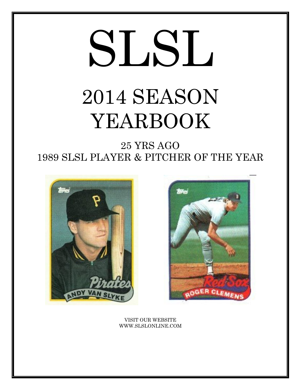# SLSL 2014 SEASON YEARBOOK

25 YRS AGO 1989 SLSL PLAYER & PITCHER OF THE YEAR





VISIT OUR WEBSITE WWW.SLSLONLINE.COM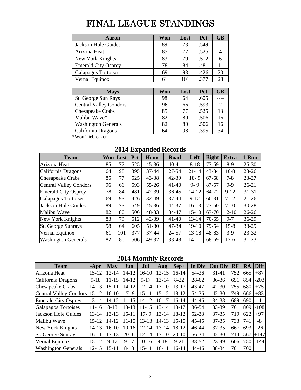# FINAL LEAGUE STANDINGS

| Aaron                      | Won | Lost | Pct  | <b>GB</b> |
|----------------------------|-----|------|------|-----------|
| Jackson Hole Guides        | 89  | 73   | .549 |           |
| Arizona Heat               | 85  | 77   | .525 |           |
| New York Knights           | 83  | 79   | .512 |           |
| <b>Emerald City Osprey</b> | 78  | 84   | .481 |           |
| Galapagos Tortoises        | 69  | 93   | .426 | 20        |
| Vernal Equinox             | 61  | 101  | .377 | 28        |

| <b>Mays</b>                   | Won | Lost | <b>Pct</b> | <b>GB</b> |
|-------------------------------|-----|------|------------|-----------|
| St. George Sun Rays           | 98  | 64   | .605       |           |
| <b>Central Valley Condors</b> | 96  | 66   | .593       |           |
| <b>Chesapeake Crabs</b>       | 85  | 77   | .525       | 13        |
| Malibu Wave*                  | 82  | 80   | .506       | 16        |
| <b>Washington Generals</b>    | 82  | 80   | .506       | 16        |
| California Dragons            | 64  | 98   | .395       | 34        |

\*Won Tiebreaker

| <b>Team</b>                   |    | Won Lost | <b>Pct</b> | <b>Home</b> | Road      | Left      | <b>Right</b> | <b>Extra</b> | 1-Run     |
|-------------------------------|----|----------|------------|-------------|-----------|-----------|--------------|--------------|-----------|
| Arizona Heat                  | 85 | 77       | .525       | $45 - 36$   | $40 - 41$ | $8-18$    | 77-59        | $8-9$        | $25 - 30$ |
| California Dragons            | 64 | 98       | .395       | $37 - 44$   | 27-54     | $21 - 14$ | 43-84        | $10-8$       | $23 - 26$ |
| <b>Chesapeake Crabs</b>       | 85 | 77       | .525       | $43 - 38$   | 42-39     | $18 - 9$  | 67-68        | $7 - 8$      | 23-27     |
| <b>Central Valley Condors</b> | 96 | 66       | .593       | $55 - 26$   | $41 - 40$ | $9 - 9$   | 87-57        | $9-9$        | $26 - 21$ |
| <b>Emerald City Osprey</b>    | 78 | 84       | .481       | $42 - 39$   | 36-45     | 14-12     | 64-72        | $9-12$       | $31 - 31$ |
| Galapagos Tortoises           | 69 | 93       | .426       | 32-49       | $37 - 44$ | $9 - 12$  | 60-81        | $7 - 12$     | $21 - 26$ |
| Jackson Hole Guides           | 89 | 73       | .549       | $45 - 36$   | 44-37     | $16 - 13$ | $73 - 60$    | $7-10$       | $30 - 28$ |
| Malibu Wave                   | 82 | 80       | .506       | 48-33       | 34-47     | $15-10$   | 67-70        | $12 - 10$    | $26 - 26$ |
| New York Knights              | 83 | 79       | .512       | $42 - 39$   | $41 - 40$ | $13 - 14$ | $70-65$      | $9 - 7$      | 36-29     |
| St. George Sunrays            | 98 | 64       | .605       | 51-30       | 47-34     | $19-10$   | 79-54        | $15 - 8$     | 33-29     |
| Vernal Equinox                | 61 | 101      | .377       | $37 - 44$   | 24-57     | $13 - 18$ | 48-83        | $3-9$        | 23-32     |
| <b>Washington Generals</b>    | 82 | 80       | .506       | 49-32       | 33-48     | $14 - 11$ | 68-69        | $12-6$       | 31-23     |

# **2014 Expanded Records**

# **2014 Monthly Records**

| <b>Team</b>                   | $-Apr$    | May       | Jun       | Jul       | Aug       | $Sep+$    | In Div    | <b>Out Div</b> | RF  | RA  | <b>Diff</b> |
|-------------------------------|-----------|-----------|-----------|-----------|-----------|-----------|-----------|----------------|-----|-----|-------------|
| Arizona Heat                  | 15-12     | $12 - 14$ | 14-12     | $16-10$   | $12 - 15$ | $16-14$   | 54-36     | $31 - 41$      | 752 | 665 | $+87$       |
| California Dragons            | $9 - 18$  | $11 - 15$ | 14-12     | $9 - 17$  | $13 - 14$ | $8 - 22$  | $28 - 62$ | $36 - 36$      | 651 | 854 | $-203$      |
| <b>Chesapeake Crabs</b>       | $14 - 13$ | 15-11     | 14-12     | $12 - 14$ | $17-10$   | $13 - 17$ | 43-47     | $42 - 30$      | 755 | 680 | $+75$       |
| <b>Central Valley Condors</b> | $15 - 12$ | 16-10     | $17 - 9$  | $15 - 11$ | $15 - 12$ | 18-12     | 54-36     | $42 - 30$      | 749 | 666 | $+83$       |
| <b>Emerald City Osprey</b>    | $13 - 14$ | 14-12     | 11-15     | 14-12     | $10 - 17$ | $16-14$   | 44-46     | 34-38          | 689 | 690 | $-1$        |
| Galapagos Tortoises           | $11 - 16$ | $8-18$    | $13 - 13$ | 11-15     | $13 - 14$ | $13 - 17$ | 36-54     | 33-39          | 701 | 809 | $-108$      |
| Jackson Hole Guides           | $13 - 14$ | 13-13     | $15 - 11$ | $17 - 9$  | $13 - 14$ | 18-12     | 52-38     | $37 - 35$      | 719 | 622 | $+97$       |
| Malibu Wave                   | $15 - 12$ | 14-12     | $11 - 15$ | $13 - 13$ | 14-13     | $15 - 15$ | $45 - 45$ | $37 - 35$      | 733 | 741 | -8          |
| New York Knights              | $14 - 13$ | $16-10$   | $10-16$   | $12 - 14$ | $13 - 14$ | 18-12     | 46-44     | $37 - 35$      | 667 | 693 | $-26$       |
| <b>St. George Sunrays</b>     | $16-11$   | $13 - 13$ | $20 - 6$  | $12 - 14$ | $17 - 10$ | $20-10$   | 56-34     | $42 - 30$      | 714 | 567 | $+147$      |
| Vernal Equinox                | $15 - 12$ | $9 - 17$  | $9-17$    | $10-16$   | $9-18$    | $9 - 21$  | 38-52     | 23-49          | 606 | 750 | $-144$      |
| <b>Washington Generals</b>    | $12 - 15$ | $15 - 11$ | $8 - 18$  | $15 - 11$ | $16 - 11$ | $16-14$   | 44-46     | 38-34          | 701 | 700 | $+1$        |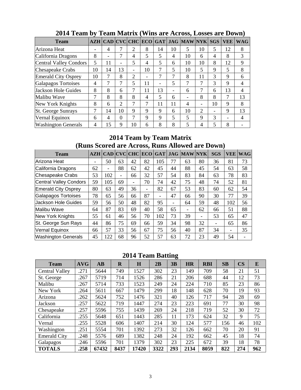| <b>Team</b>                |    |                          |                          |                          |    |                              |                          | AZH   CAD   CVC   CHC   ECO   GAT   JAG   MAW   NYK |                          | <b>SGS</b>               | <b>VEE</b> | <b>WAG</b> |
|----------------------------|----|--------------------------|--------------------------|--------------------------|----|------------------------------|--------------------------|-----------------------------------------------------|--------------------------|--------------------------|------------|------------|
| Arizona Heat               |    | 4                        |                          | 2                        | 8  | 14                           | 10                       | 5                                                   | 10                       | 5                        | 12         | 8          |
| California Dragons         | 8  | $\overline{\phantom{0}}$ | 7                        | 4                        | 5  | 5                            | 4                        | 10                                                  | 6                        | 4                        | 8          | 3          |
| Central Valley Condors     | 5  | 11                       | $\overline{\phantom{0}}$ | 5                        | 4  | 5                            | 6                        | 10                                                  | 10                       | 8                        | 12         | 9          |
| Chesapeake Crabs           | 10 | 14                       | 13                       | $\overline{\phantom{0}}$ | 10 | 7                            | 5                        | 10                                                  | 5                        | 9                        | 5          | 8          |
| <b>Emerald City Osprey</b> | 10 | 7                        | 8                        | 2                        | -  | 7                            | 7                        | 8                                                   | 11                       | $\mathcal{R}$            | 9          | 6          |
| Galapagos Tortoises        | 4  | 7                        | 7                        | 5                        | 11 | $\qquad \qquad \blacksquare$ | 5                        |                                                     | 7                        | 3                        | 9          | 4          |
| Jackson Hole Guides        | 8  | 8                        | 6                        | 7                        | 11 | 13                           | $\overline{\phantom{0}}$ | 6                                                   |                          | 6                        | 13         | 4          |
| Malibu Wave                | 7  | 8                        | 8                        | 8                        | 4  | 5                            | 6                        |                                                     | 8                        | 8                        | 7          | 13         |
| New York Knights           | 8  | 6                        | 2                        | $\tau$                   |    | 11                           | 11                       | 4                                                   | $\overline{\phantom{0}}$ | 10                       | 9          | 8          |
| <b>St. George Sunrays</b>  |    | 14                       | 10                       | 9                        | 9  | 9                            | 6                        | 10                                                  | 2                        | $\overline{\phantom{0}}$ | 9          | 13         |
| Vernal Equinox             | 6  | 4                        | $\Omega$                 | 7                        | 9  | 9                            | 5                        | 5                                                   | 9                        | 3                        |            | 4          |
| <b>Washington Generals</b> | 4  | 15                       | 9                        | 10                       | 6  | 8                            | 8                        | 5                                                   | 4                        | 5                        | 8          |            |

# **2014 Team by Team Matrix (Wins are Across, Losses are Down)**

# **2014 Team by Team Matrix (Runs Scored are Across, Runs Allowed are Down)**

| <b>Team</b>                |    | AZH CAD CVC CHC          |    |                          | <b>ECO</b>               |     |                              | <b>GAT LJAG MAWINYK</b>  |    | <b>SGS</b>               | <b>VEE</b> | <b>WAG</b> |
|----------------------------|----|--------------------------|----|--------------------------|--------------------------|-----|------------------------------|--------------------------|----|--------------------------|------------|------------|
| Arizona Heat               |    | 50                       | 63 | 42                       | 82                       | 105 | 77                           | 63                       | 80 | 36                       | 81         | 73         |
| California Dragons         | 62 | $\overline{\phantom{0}}$ | 88 | 62                       | 42                       | 45  | 44                           | 88                       | 45 | 54                       | 63         | 58         |
| Chesapeake Crabs           | 53 | 102                      | -  | 66                       | 32                       | 57  | 54                           | 83                       | 84 | 63                       | 78         | 83         |
| Central Valley Condors     | 59 | 105                      | 69 | $\overline{\phantom{0}}$ | 70                       | 74  | 42                           | 75                       | 48 | 74                       | 52         | 81         |
| <b>Emerald City Osprey</b> | 80 | 63                       | 49 | 36                       | $\overline{\phantom{a}}$ | 82  | 67                           | 53                       | 83 | 60                       | 62         | 54         |
| Galapagos Tortoises        | 78 | 65                       | 56 | 66                       | 87                       | -   | 47                           | 66                       | 90 | 30                       | 77         | 39         |
| Jackson Hole Guides        | 59 | 56                       | 50 | 48                       | 82                       | 95  | $\qquad \qquad \blacksquare$ | 64                       | 59 | 48                       | 102        | 56         |
| Malibu Wave                | 64 | 87                       | 83 | 69                       | 40                       | 58  | 65                           | $\overline{\phantom{0}}$ | 62 | 66                       | 51         | 88         |
| <b>New York Knights</b>    | 55 | 61                       | 46 | 56                       | 70                       | 102 | 73                           | 39                       | ۰  | 53                       | 65         | 47         |
| St. George Sun Rays        | 44 | 86                       | 75 | 69                       | 66                       | 59  | 34                           | 98                       | 32 | $\overline{\phantom{a}}$ | 65         | 86         |
| Vernal Equinox             | 66 | 57                       | 33 | 56                       | 67                       | 75  | 56                           | 40                       | 87 | 34                       | -          | 35         |
| <b>Washington Generals</b> | 45 | 122                      | 68 | 96                       | 52                       | 57  | 63                           | 72                       | 23 | 49                       | 54         |            |

# **2014 Team Batting**

| <b>Team</b>           | <b>AVG</b> | $\mathbf{A}\mathbf{B}$ | $\mathbf R$ | $\bf H$ | 2B   | 3B  | <b>HR</b> | <b>RBI</b> | SB  | $\overline{\text{CS}}$ | E   |
|-----------------------|------------|------------------------|-------------|---------|------|-----|-----------|------------|-----|------------------------|-----|
| <b>Central Valley</b> | 271        | 5644                   | 749         | 1527    | 302  | 23  | 149       | 709        | 58  | 21                     | 51  |
| St. George            | .267       | 5719                   | 714         | 1526    | 286  | 21  | 206       | 688        | 44  | 12                     | 73  |
| Malibu                | 267        | 5714                   | 733         | 1523    | 249  | 24  | 224       | 710        | 85  | 23                     | 86  |
| New York              | 264        | 5611                   | 667         | 1479    | 299  | 18  | 148       | 628        | 70  | 19                     | 93  |
| Arizona               | .262       | 5624                   | 752         | 1476    | 321  | 40  | 126       | 717        | 94  | 28                     | 69  |
| Jackson               | .257       | 5622                   | 719         | 1447    | 274  | 23  | 223       | 691        | 77  | 30                     | 98  |
| Chesapeake            | .257       | 5596                   | 755         | 1439    | 269  | 24  | 218       | 719        | 52  | 30                     | 72  |
| California            | .255       | 5648                   | 651         | 1443    | 285  | 11  | 173       | 624        | 32  | 9                      | 75  |
| Vernal                | .255       | 5528                   | 606         | 1407    | 214  | 30  | 124       | 577        | 156 | 46                     | 102 |
| Washington            | .251       | 5554                   | 701         | 1392    | 273  | 32  | 126       | 662        | 70  | 20                     | 91  |
| <b>Emerald City</b>   | .248       | 5576                   | 689         | 1382    | 248  | 24  | 192       | 662        | 45  | 18                     | 74  |
| Galapagos             | .246       | 5596                   | 701         | 1379    | 302  | 23  | 225       | 672        | 39  | 18                     | 78  |
| <b>TOTALS</b>         | .258       | 67432                  | 8437        | 17420   | 3322 | 293 | 2134      | 8059       | 822 | 274                    | 962 |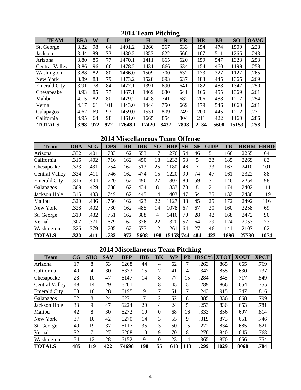| <b>TEAM</b>           | <b>ERA</b> | W   | L   | IP      | $\bf H$ | $\mathbf R$ | ິ<br>ER | <b>HR</b> | <b>BB</b> | SO    | <b>OAVG</b> |
|-----------------------|------------|-----|-----|---------|---------|-------------|---------|-----------|-----------|-------|-------------|
| St. George            | 3.22       | 98  | 64  | 1491.2  | 1260    | 567         | 533     | 154       | 474       | 1509  | .228        |
| Jackson               | 3.44       | 89  | 73  | 1480.2  | 1353    | 622         | 566     | 167       | 511       | 1265  | .243        |
| Arizona               | 3.80       | 85  | 77  | 1470.1  | 1411    | 665         | 620     | 159       | 547       | 1323  | .253        |
| <b>Central Valley</b> | 3.86       | 96  | 66  | 1478.2  | 1431    | 666         | 634     | 154       | 460       | 1199  | .258        |
| Washington            | 3.88       | 82  | 80  | 1466.0  | 1509    | 700         | 632     | 173       | 327       | 1127  | .265        |
| New York              | 3.89       | 83  | 79  | 1473.2  | 1528    | 693         | 637     | 183       | 445       | 1365  | .269        |
| <b>Emerald City</b>   | 3.91       | 78  | 84  | 1477.1  | 1391    | 690         | 641     | 182       | 488       | 1347  | .250        |
| Chesapeake            | 3.93       | 85  | 77  | 1467.1  | 1469    | 680         | 641     | 166       | 455       | 1369  | .261        |
| Malibu                | 4.15       | 82  | 80  | 1479.2  | 1428    | 741         | 682     | 206       | 488       | 1217  | .254        |
| Vernal                | 4.17       | 61  | 101 | 1443.0  | 1444    | 750         | 669     | 179       | 546       | 1060  | .261        |
| Galapagos             | 4.62       | 69  | 93  | 1459.0  | 1531    | 809         | 749     | 200       | 445       | 1212  | .271        |
| California            | 4.95       | 64  | 98  | 1461.0  | 1665    | 854         | 804     | 211       | 422       | 1160  | .286        |
| <b>TOTALS</b>         | 3.98       | 972 | 972 | 17648.1 | 17420   | 8437        | 7808    | 2134      | 5608      | 15153 | .258        |

**2014 Team Pitching** 

**2014 Miscellaneous Team Offense** 

| <b>Team</b>           | <b>OBA</b> | <b>SLG</b> | <b>OPS</b> | <b>BB</b> | <b>IBB</b> | SO <sub>1</sub> | <b>HBP</b> | <b>SH</b> | <b>SF</b>      | <b>GIDP</b> | <b>TB</b> | <b>HRHM</b> | <b>HRRD</b> |
|-----------------------|------------|------------|------------|-----------|------------|-----------------|------------|-----------|----------------|-------------|-----------|-------------|-------------|
| Arizona               | .332       | .401       | .733       | 162       | 553        | 17              | 1276       | 54        | 46             | 51          | 166       | 2255        | 64          |
| California            | .315       | .402       | .716       | 162       | 450        | 18              | 1232       | 53        | 5              | 33          | 185       | 2269        | 83          |
| Chesapeake            | .323       | .431       | .754       | 162       | 513        | 25              | 1180       | 46        | $\overline{7}$ | 33          | 167       | 2410        | 101         |
| <b>Central Valley</b> | .334       | .411       | .746       | 162       | 474        | 15              | 1220       | 90        | 74             | 47          | 161       | 2322        | 88          |
| <b>Emerald City</b>   | .316       | .404       | .720       | 162       | 490        | 27              | 1307       | 80        | 59             | 31          | 146       | 2254        | 98          |
| Galapagos             | .309       | .429       | .738       | 162       | 434        | 8               | 1333       | 78        | 8              | 21          | 174       | 2402        | 111         |
| Jackson Hole          | .315       | .433       | .749       | 162       | 445        | 14              | 1403       | 47        | 54             | 35          | 132       | 2436        | 119         |
| Malibu                | .320       | .436       | .756       | 162       | 423        | 22              | 1127       | 38        | 45             | 25          | 172       | 2492        | 116         |
| New York              | .328       | .402       | .730       | 162       | 485        | 14              | 1078       | 67        | 67             | 30          | 160       | 2258        | 69          |
| St. George            | .319       | .432       | .751       | 162       | 388        | 4               | 1416       | 70        | 28             | 42          | 168       | 2472        | 90          |
| Vernal                | .307       | .371       | .679       | 162       | 376        | 22              | 1320       | 57        | 64             | 29          | 124       | 2053        | 73          |
| Washington            | .326       | .379       | .705       | 162       | 577        | 12              | 1261       | 64        | 27             | 46          | 141       | 2107        | 62          |
| <b>TOTALS</b>         | .320       | .411       | .732       | 972       | 5608       | 198             | 15153      | 744       | 484            | 423         | 1896      | 27730       | 1074        |

# **2014 Miscellaneous Team Pitching**

| <b>Team</b>           | CG  | <b>SHO</b> | <b>SAV</b> | <b>BFP</b> | <b>IBB</b> | <b>BK</b> | WP  | <b>PB</b> | IRSC% | <b>XTOT</b> | <b>XOUT</b> | <b>XPCT</b> |
|-----------------------|-----|------------|------------|------------|------------|-----------|-----|-----------|-------|-------------|-------------|-------------|
| Arizona               | 17  | 8          | 53         | 6268       | 44         | 4         | 62  | 7         | .263  | 865         | 665         | .769        |
| California            | 40  | 4          | 30         | 6373       | 15         | 7         | 41  | 4         | .347  | 855         | 630         | .737        |
| Chesapeake            | 28  | 10         | 47         | 6147       | 14         | 8         | 77  | 15        | .284  | 845         | 717         | .849        |
| <b>Central Valley</b> | 48  | 14         | 29         | 6201       | 11         | 8         | 45  | 5         | .289  | 866         | 654         | .755        |
| <b>Emerald City</b>   | 53  | 10         | 28         | 6195       | 9          | 7         | 51  | 7         | .243  | 915         | 747         | .816        |
| Galapagos             | 52  | 8          | 24         | 6271       | 7          | 2         | 52  | 8         | .385  | 836         | 668         | .799        |
| Jackson Hole          | 33  | 9          | 47         | 6224       | 20         | 4         | 24  | 5         | .253  | 836         | 653         | .781        |
| Malibu                | 42  | 8          | 30         | 6272       | 10         | $\Omega$  | 68  | 16        | .333  | 856         | 697         | .814        |
| New York              | 37  | 10         | 42         | 6270       | 14         | 3         | 55  | 9         | .319  | 873         | 651         | .746        |
| St. George            | 49  | 19         | 37         | 6117       | 35         | 3         | 50  | 15        | .272  | 834         | 685         | .821        |
| Vernal                | 32  | 7          | 27         | 6208       | 10         | 9         | 70  | 8         | .276  | 840         | 645         | .768        |
| Washington            | 54  | 12         | 28         | 6152       | 9          | $\Omega$  | 23  | 14        | .365  | 870         | 656         | .754        |
| <b>TOTALS</b>         | 485 | 119        | 422        | 74698      | 198        | 55        | 618 | 113       | .299  | 10291       | 8068        | .784        |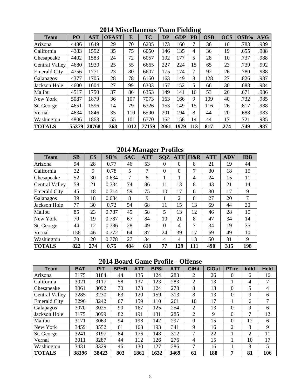| <b>Team</b>         | PO    | <b>AST</b> | <b>OFAST</b> | E    | <b>TC</b> | <b>DP</b> | <b>GDP</b> | <b>PB</b> | <b>OSB</b> | <b>OCS</b> | OSB% | <b>AVG</b> |
|---------------------|-------|------------|--------------|------|-----------|-----------|------------|-----------|------------|------------|------|------------|
| Arizona             | 4486  | 1649       | 29           | 70   | 6205      | 173       | 160        | 7         | 36         | 10         | .783 | .989       |
| California          | 4383  | 1592       | 35           | 75   | 6050      | 146       | 135        | 4         | 36         | 19         | .655 | .988       |
| Chesapeake          | 4402  | 1583       | 24           | 72   | 6057      | 192       | 177        | 5         | 28         | 10         | .737 | .988       |
| Central Valley      | 4680  | 1930       | 25           | 55   | 6665      | 227       | 224        | 15        | 65         | 23         | .739 | .992       |
| <b>Emerald City</b> | 4756  | 1771       | 23           | 80   | 6607      | 175       | 174        | 7         | 92         | 26         | .780 | .988       |
| Galapagos           | 4377  | 1705       | 28           | 78   | 6160      | 163       | 149        | 8         | 128        | 27         | .826 | .987       |
| <b>Jackson Hole</b> | 4600  | 1604       | 27           | 99   | 6303      | 157       | 152        | 5         | 66         | 30         | .688 | .984       |
| Malibu              | 4517  | 1750       | 37           | 86   | 6353      | 149       | 141        | 16        | 53         | 26         | .671 | .986       |
| New York            | 5087  | 1879       | 36           | 107  | 7073      | 163       | 166        | 9         | 109        | 40         | .732 | .985       |
| St. George          | 4651  | 1596       | 14           | 79   | 6326      | 153       | 149        | 15        | 116        | 26         | .817 | .988       |
| Vernal              | 4634  | 1846       | 35           | 110  | 6590      | 201       | 194        | 8         | 44         | 20         | .688 | .983       |
| Washington          | 4806  | 1863       | 55           | 101  | 6770      | 162       | 158        | 14        | 44         | 17         | .721 | .985       |
| <b>TOTALS</b>       | 55379 | 20768      | 368          | 1012 | 77159     | 2061      | 1979       | 113       | 817        | 274        | .749 | .987       |

**2014 Miscellaneous Team Fielding** 

**2014 Manager Profiles** 

| <b>Team</b>           | $\mathbf{S}\mathbf{B}$ | $\overline{\text{CS}}$ | SB%   | <b>SAC</b> | <b>ATT</b> | <b>SQZ</b> | <b>ATT</b>     | H&R | <b>ATT</b> | <b>ADV</b> | <b>IBB</b> |
|-----------------------|------------------------|------------------------|-------|------------|------------|------------|----------------|-----|------------|------------|------------|
| Arizona               | 94                     | 28                     | 0.77  | 46         | 53         | $\Omega$   | $\Omega$       | 8   | 21         | 19         | 44         |
| California            | 32                     | 9                      | 0.78  | 5          | 7          | $\theta$   | $\overline{0}$ | 7   | 30         | 18         | 15         |
| Chesapeake            | 52                     | 30                     | 0.634 | 7          | 8          | -1         |                | 4   | 24         | 15         | 11         |
| <b>Central Valley</b> | 58                     | 21                     | 0.734 | 74         | 86         | 11         | 13             | 8   | 43         | 21         | 14         |
| <b>Emerald City</b>   | 45                     | 18                     | 0.714 | 59         | 75         | 10         | 17             | 6   | 30         | 17         | 9          |
| Galapagos             | 39                     | 18                     | 0.684 | 8          | 9          | 1          | $\overline{2}$ | 8   | 27         | 20         | 7          |
| <b>Jackson Hole</b>   | 77                     | 30                     | 0.72  | 54         | 68         | 11         | 15             | 13  | 69         | 44         | 20         |
| Malibu                | 85                     | 23                     | 0.787 | 45         | 58         | 5          | 13             | 12  | 46         | 28         | 10         |
| New York              | 70                     | 19                     | 0.787 | 67         | 84         | 10         | 21             | 8   | 47         | 34         | 14         |
| St. George            | 44                     | 12                     | 0.786 | 28         | 49         | $\Omega$   | $\overline{4}$ | 7   | 34         | 19         | 35         |
| Vernal                | 156                    | 46                     | 0.772 | 64         | 87         | 24         | 39             | 17  | 69         | 49         | 10         |
| Washington            | 70                     | 20                     | 0.778 | 27         | 34         | 4          | $\overline{4}$ | 13  | 50         | 31         | 9          |
| <b>TOTALS</b>         | 822                    | 274                    | 0.75  | 484        | 618        | 77         | 129            | 111 | 490        | 315        | 198        |

# **2014 Board Game Profile - Offense**

| <b>Team</b>           | <b>BAT</b> | <b>PIT</b> | <b>BPHR</b> | <b>ATT</b> | <b>BPSI</b> | <b>ATT</b> | <b>CIHit</b>   | <b>ClOut</b> | <b>PTire</b> | <b>Infld</b> | <b>Held</b> |
|-----------------------|------------|------------|-------------|------------|-------------|------------|----------------|--------------|--------------|--------------|-------------|
| Arizona               | 3175       | 3184       | 44          | 135        | 124         | 283        | $\overline{2}$ | 26           | 0            | 6            | 16          |
| California            | 3021       | 3117       | 58          | 137        | 123         | 283        | $\overline{2}$ | 13           |              | 4            | 7           |
| Chesapeake            | 3061       | 3092       | 70          | 173        | 124         | 278        | 8              | 13           | 0            | 5            | 4           |
| <b>Central Valley</b> | 3285       | 3230       | 63          | 120        | 159         | 313        | 8              | 13           | $\Omega$     | 9            | 6           |
| <b>Emerald City</b>   | 3296       | 3242       | 67          | 159        | 110         | 261        | 10             | 17           |              | 6            | 7           |
| Galapagos             | 3070       | 3025       | 90          | 167        | 125         | 254        | 2              | 13           | 0            | 9            | 6           |
| Jackson Hole          | 3175       | 3099       | 82          | 191        | 131         | 285        | $\overline{2}$ | $\mathbf{Q}$ | $\Omega$     | 7            | 12          |
| Malibu                | 3171       | 3069       | 94          | 198        | 142         | 297        | $\Omega$       | 15           | $\Omega$     | 12           | 6           |
| New York              | 3459       | 3552       | 61          | 163        | 193         | 341        | 9              | 16           | 2            | 8            | 9           |
| St. George            | 3241       | 3197       | 84          | 176        | 148         | 312        | 7              | 22           |              | 2            | 11          |
| Vernal                | 3011       | 3287       | 44          | 112        | 126         | 276        | 4              | 15           |              | 10           | 17          |
| Washington            | 3431       | 3329       | 46          | 130        | 127         | 286        | 7              | 16           |              | 3            | 5           |
| <b>TOTALS</b>         | 38396      | 38423      | 803         | 1861       | 1632        | 3469       | 61             | 188          | 7            | 81           | 106         |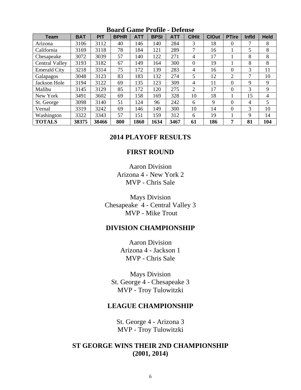| <b>Team</b>           | <b>BAT</b> | <b>PIT</b> | <b>BPHR</b> | <b>ATT</b> | <b>BPSI</b> | <b>ATT</b> | <b>CIHit</b>   | <b>ClOut</b> | <b>PTire</b> | Infld        | <b>Held</b>    |
|-----------------------|------------|------------|-------------|------------|-------------|------------|----------------|--------------|--------------|--------------|----------------|
| Arizona               | 3106       | 3112       | 40          | 146        | 140         | 284        | 3              | 18           | 0            | 7            | 8              |
| California            | 3169       | 3118       | 78          | 184        | 121         | 289        | 7              | 16           |              | 5            | 8              |
| Chesapeake            | 3072       | 3039       | 57          | 140        | 122         | 271        | 4              | 17           |              | 8            | 8              |
| <b>Central Valley</b> | 3193       | 3182       | 67          | 149        | 164         | 300        | $\theta$       | 19           |              | 8            | 8              |
| <b>Emerald City</b>   | 3218       | 3314       | 75          | 172        | 139         | 283        | 4              | 16           | 0            | 3            | 11             |
| Galapagos             | 3048       | 3123       | 83          | 183        | 132         | 274        | 5              | 12           | 2            | 7            | 10             |
| Jackson Hole          | 3194       | 3122       | 69          | 135        | 123         | 309        | 4              | 11           | 0            | 9            | 9              |
| Malibu                | 3145       | 3129       | 85          | 172        | 120         | 275        | $\overline{2}$ | 17           | 0            | 3            | 9              |
| New York              | 3491       | 3602       | 69          | 158        | 169         | 328        | 10             | 18           |              | 15           | $\overline{4}$ |
| St. George            | 3098       | 3140       | 51          | 124        | 96          | 242        | 6              | 9            | 0            | 4            | 5              |
| Vernal                | 3319       | 3242       | 69          | 146        | 149         | 300        | 10             | 14           | 0            | 3            | 10             |
| Washington            | 3322       | 3343       | 57          | 151        | 159         | 312        | 6              | 19           |              | $\mathbf{Q}$ | 14             |
| <b>TOTALS</b>         | 38375      | 38466      | 800         | 1860       | 1634        | 3467       | 61             | 186          | 7            | 81           | 104            |

## **Board Game Profile - Defense**

## **2014 PLAYOFF RESULTS**

## **FIRST ROUND**

Aaron Division Arizona 4 - New York 2 MVP - Chris Sale

Mays Division Chesapeake 4 - Central Valley 3 MVP - Mike Trout

## **DIVISION CHAMPIONSHIP**

Aaron Division Arizona 4 - Jackson 1 MVP - Chris Sale

Mays Division St. George 4 - Chesapeake 3 MVP - Troy Tulowitzki

## **LEAGUE CHAMPIONSHIP**

St. George 4 - Arizona 3 MVP - Troy Tulowitzki

# **ST GEORGE WINS THEIR 2ND CHAMPIONSHIP (2001, 2014)**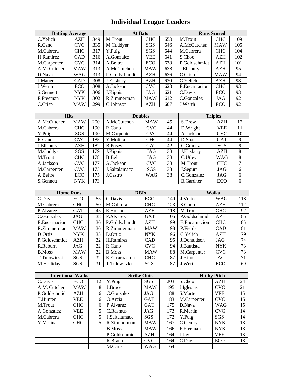# **Individual League Leaders**

| <b>Batting Average</b> |            |      | <b>At Bats</b> |            |     | <b>Runs Scored</b> |            |     |  |
|------------------------|------------|------|----------------|------------|-----|--------------------|------------|-----|--|
| C.Yelich               | <b>AZH</b> | .349 | M.Trout        | <b>CHC</b> | 653 | M.Trout            | <b>CHC</b> | 109 |  |
| R.Cano                 | <b>CVC</b> | .335 | M.Cuddyer      | SGS        | 646 | A.McCutchen        | <b>MAW</b> | 105 |  |
| M.Cabrera              | <b>CHC</b> | .317 | Y.Puig         | SGS        | 644 | M.Cabrera          | <b>CHC</b> | 104 |  |
| H.Ramirez              | <b>CAD</b> | .316 | A.Gonzalez     | <b>VEE</b> | 641 | S.Choo             | <b>AZH</b> | 102 |  |
| M.Carpenter            | <b>CVC</b> | .314 | A.Beltre       | ECO        | 638 | P.Goldschmidt      | AZH        | 101 |  |
| A.McCutchen            | <b>MAW</b> | .313 | A.McCutchen    | <b>MAW</b> | 638 | J.Ellsbury         | <b>AZH</b> | 95  |  |
| D.Nava                 | <b>WAG</b> | .313 | P.Goldschmidt  | AZH        | 636 | C.Crisp            | <b>MAW</b> | 94  |  |
| J.Mauer                | CAD        | .308 | J.Ellsbury     | <b>AZH</b> | 630 | C.Yelich           | AZH        | 93  |  |
| J.Werth                | ECO        | .308 | A.Jackson      | <b>CVC</b> | 623 | E.Encarnacion      | <b>CHC</b> | 93  |  |
| S.Gennett              | <b>NYK</b> | .306 | J.Kipnis       | JAG        | 621 | C.Davis            | ECO        | 93  |  |
| F.Freeman              | <b>NYK</b> | .302 | R.Zimmerman    | <b>MAW</b> | 612 | C.Gonzalez         | JAG        | 92  |  |
| C.Crisp                | <b>MAW</b> | .299 | C.Johnson      | AZH        | 607 | J.Werth            | ECO        | 92  |  |

| <b>Hits</b> |            |     | <b>Doubles</b> | <b>Triples</b> |    |                  |            |    |
|-------------|------------|-----|----------------|----------------|----|------------------|------------|----|
| A.McCutchen | <b>MAW</b> | 200 | A.McCutchen    | <b>MAW</b>     | 45 | S.Drew           | <b>AZH</b> | 12 |
| M.Cabrera   | <b>CHC</b> | 190 | R.Cano         | <b>CVC</b>     | 44 | D.Wright         | VEE        | 11 |
| Y.Puig      | <b>SGS</b> | 190 | M.Carpenter    | <b>CVC</b>     | 44 | A.Jackson        | <b>CVC</b> | 10 |
| R.Cano      | <b>CVC</b> | 185 | Y.Molina       | <b>CHC</b>     | 44 | D.Span           | <b>GAT</b> | 9  |
| J.Ellsbury  | <b>AZH</b> | 182 | <b>B.Posey</b> | <b>GAT</b>     | 42 | C.Gomez          | SGS        | 9  |
| M.Cuddyer   | <b>SGS</b> | 179 | J.Kipnis       | JAG            | 38 | J.Ellsbury       | AZH        | 8  |
| M.Trout     | <b>CHC</b> | 178 | <b>B.Belt</b>  | JAG            | 38 | C.Utley          | WAG        | 8  |
| A.Jackson   | <b>CVC</b> | 177 | A.Jackson      | <b>CVC</b>     | 38 | M.Trout          | <b>CHC</b> | 7  |
| M.Carpenter | <b>CVC</b> | 175 | J.Saltalamacc  | <b>SGS</b>     | 38 | J.Segura         | JAG        | 6  |
| A.Beltre    | <b>ECO</b> | 175 | J.Castro       | <b>WAG</b>     | 38 | C.Gonzalez       | JAG        | 6  |
| S.Gennett   | <b>NYK</b> | 173 |                |                |    | <b>B.Gardner</b> | ECO        | 6  |

| <b>Home Runs</b> |            |    | <b>RBIs</b>    |            | <b>Walks</b> |                |            |     |
|------------------|------------|----|----------------|------------|--------------|----------------|------------|-----|
| C.Davis          | ECO        | 55 | C.Davis        | ECO        | 140          | J.Votto        | <b>WAG</b> | 118 |
| M.Cabrera        | <b>CHC</b> | 50 | M.Cabrera      | <b>CHC</b> | 123          | S.Choo         | <b>AZH</b> | 112 |
| P.Alvarez        | <b>GAT</b> | 45 | E.Hosmer       | <b>AZH</b> | 118          | M.Trout        | <b>CHC</b> | 92  |
| C.Gonzalez       | JAG        | 38 | P.Alvarez      | <b>GAT</b> | 105          | P.Goldschmidt  | <b>AZH</b> | 85  |
| E. Encarnacion   | <b>CHC</b> | 36 | P.Goldschmidt  | <b>AZH</b> | 99           | E. Encarnacion | <b>CHC</b> | 85  |
| R.Zimmerman      | <b>MAW</b> | 36 | R.Zimmerman    | <b>MAW</b> | 98           | P.Fielder      | <b>CAD</b> | 81  |
| D.Ortiz          | NYK        | 35 | D.Ortiz        | <b>NYK</b> | 96           | C.Yelich       | <b>AZH</b> | 79  |
| P.Goldschmidt    | <b>AZH</b> | 32 | H.Ramirez      | <b>CAD</b> | 95           | J.Donaldson    | JAG        | 74  |
| R.Raburn         | JAG        | 32 | R.Cano         | <b>CVC</b> | 94           | J.Bautista     | <b>NYK</b> | 73  |
| <b>B.Moss</b>    | <b>MAW</b> | 32 | <b>B.Moss</b>  | <b>MAW</b> | 88           | M.Carpenter    | <b>CVC</b> | 73  |
| T.Tulowitzki     | SGS        | 32 | E. Encarnacion | <b>CHC</b> | 87           | J.Kipnis       | JAG        | 71  |
| M.Hollidav       | SGS        | 31 | T.Tulowitzki   | <b>SGS</b> | 87           | J.Werth        | ECO        | 69  |

| <b>Intentional Walks</b> |            |    | <b>Strike Outs</b> |            |     | <b>Hit by Pitch</b> |            |    |  |
|--------------------------|------------|----|--------------------|------------|-----|---------------------|------------|----|--|
| C.Davis                  | ECO        | 12 | Y.Puig             | <b>SGS</b> | 203 | S.Choo              | <b>AZH</b> | 24 |  |
| A.McCutchen              | <b>MAW</b> | 8  | J.Bruce            | <b>MAW</b> | 195 | J. Iglesias         | <b>CVC</b> | 21 |  |
| P.Goldschmidt            | <b>AZH</b> | 6  | C.Gonzalez         | JAG        | 188 | S.Marte             | <b>VEE</b> | 15 |  |
| T.Hunter                 | <b>VEE</b> | 6  | O.Arcia            | GAT        | 183 | M.Carpenter         | <b>CVC</b> | 15 |  |
| M.Trout                  | <b>CHC</b> | 6  | P.Alvarez          | <b>GAT</b> | 175 | D.Nava              | WAG        | 15 |  |
| A.Gonzalez               | <b>VEE</b> | 5  | C.Rasmus           | JAG        | 173 | R.Martin            | <b>CVC</b> | 14 |  |
| M.Cabrera                | <b>CHC</b> | 5  | J.Saltalamacc      | <b>SGS</b> | 172 | Y.Puig              | <b>SGS</b> | 14 |  |
| Y.Molina                 | <b>CHC</b> | 5. | R.Zimmerman        | <b>MAW</b> | 167 | C.Gentry            | <b>NYK</b> | 13 |  |
|                          |            |    | <b>B.Moss</b>      | <b>MAW</b> | 166 | F.Freeman           | <b>NYK</b> | 13 |  |
|                          |            |    | P.Goldschmidt      | AZH        | 164 | J.Jay               | <b>VEE</b> | 13 |  |
|                          |            |    | R.Braun            | <b>CVC</b> | 164 | C.Davis             | ECO        | 13 |  |
|                          |            |    | M.Carp             | WAG        | 164 |                     |            |    |  |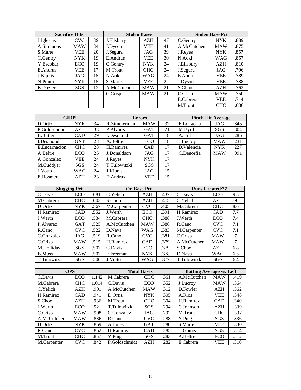| <b>Sacrifice Hits</b> |            |    |             | <b>Stolen Bases</b> |    | <b>Stolen Base Pct</b> |            |      |
|-----------------------|------------|----|-------------|---------------------|----|------------------------|------------|------|
| J. Iglesias           | CVC.       | 39 | J.Ellsbury  | AZH                 | 47 | C.Gentry               | <b>NYK</b> | .889 |
| A.Simmons             | <b>MAW</b> | 34 | J.Dyson     | VEE                 | 41 | A.McCutchen            | <b>MAW</b> | .875 |
| S.Marte               | VEE        | 20 | J.Segura    | JAG                 | 39 | J.Reyes                | <b>NYK</b> | .857 |
| C.Gentry              | <b>NYK</b> | 19 | E.Andrus    | VEE                 | 30 | N.Aoki                 | <b>WAG</b> | .857 |
| Y.Escobar             | ECO        | 19 | C.Gentry    | <b>NYK</b>          | 24 | J.Ellsbury             | AZH        | .810 |
| E.Andrus              | VEE        | 17 | M.Trout     | <b>CHC</b>          | 24 | J.Segura               | JAG        | .796 |
| J.Kipnis              | JAG        | 15 | N.Aoki      | <b>WAG</b>          | 24 | E.Andrus               | VEE        | .789 |
| N.Punto               | <b>NYK</b> | 15 | S.Marte     | <b>VEE</b>          | 22 | J.Dyson                | <b>VEE</b> | .788 |
| <b>B.Dozier</b>       | SGS        | 12 | A.McCutchen | <b>MAW</b>          | 21 | S.Choo                 | AZH        | .762 |
|                       |            |    | C.Crisp     | <b>MAW</b>          | 21 | C.Crisp                | <b>MAW</b> | .750 |
|                       |            |    |             |                     |    | E.Cabrera              | VEE        | .714 |
|                       |            |    |             |                     |    | M.Trout                | <b>CHC</b> | .686 |

| <b>GIDP</b>      |            |    |              | <b>Errors</b> |    | <b>Pinch Hit Average</b> |            |      |  |
|------------------|------------|----|--------------|---------------|----|--------------------------|------------|------|--|
| D.Ortiz          | <b>NYK</b> | 34 | R.Zimmerman  | <b>MAW</b>    | 32 | E.Longoria               | JAG        | .345 |  |
| P.Goldschmidt    | AZH        | 33 | P.Alvarez    | <b>GAT</b>    | 21 | M.Byrd                   | SGS        | .304 |  |
| <b>B.</b> Butler | CAD        | 29 | I.Desmond    | <b>GAT</b>    | 18 | A.Hill                   | JAG        | .286 |  |
| I.Desmond        | <b>GAT</b> | 28 | A.Beltre     | <b>ECO</b>    | 18 | J.Lucroy                 | <b>MAW</b> | .231 |  |
| E.Encarnacion    | <b>CHC</b> | 28 | H.Ramirez    | <b>CAD</b>    | 17 | D.Valencia               | <b>NYK</b> | .227 |  |
| A.Beltre         | ECO        | 26 | J.Donaldson  | JAG           | 17 | C.Denorfia               | <b>MAW</b> | .091 |  |
| A.Gonzalez       | VEE        | 24 | J.Reyes      | <b>NYK</b>    | 17 |                          |            |      |  |
| M.Cuddyer        | <b>SGS</b> | 24 | T.Tulowitzki | SGS           | 17 |                          |            |      |  |
| J.Votto          | WAG        | 24 | J.Kipnis     | JAG           | 15 |                          |            |      |  |
| E.Hosmer         | AZH        | 23 | E.Andrus     | VEE           | 15 |                          |            |      |  |

| <b>Slugging Pct</b> |            |      |             | <b>On Base Pct</b> |      | <b>Runs Created/27</b> |            |     |  |
|---------------------|------------|------|-------------|--------------------|------|------------------------|------------|-----|--|
| C.Davis             | ECO        | .681 | C.Yelich    | <b>AZH</b>         | .437 | C.Davis                | ECO        | 9.5 |  |
| M.Cabrera           | <b>CHC</b> | .603 | S.Choo      | <b>AZH</b>         | .415 | C.Yelich               | AZH        | 9   |  |
| D.Ortiz             | <b>NYK</b> | .567 | M.Carpenter | <b>CVC</b>         | .405 | M.Cabrera              | <b>CHC</b> | 8.6 |  |
| H.Ramirez           | <b>CAD</b> | .552 | J.Werth     | ECO                | .391 | H.Ramirez              | <b>CAD</b> | 7.7 |  |
| J.Werth             | ECO        | .534 | M.Cabrera   | <b>CHC</b>         | .388 | J.Werth                | ECO        | 7.4 |  |
| P.Alvarez           | <b>GAT</b> | .525 | A.McCutchen | <b>MAW</b>         | .386 | R.Cano                 | <b>CVC</b> | 7.1 |  |
| R.Cano              | <b>CVC</b> | .522 | D.Nava      | WAG                | .383 | M.Carpenter            | <b>CVC</b> | 7.1 |  |
| C.Gonzalez          | JAG        | .519 | R.Cano      | <b>CVC</b>         | .381 | C.Crisp                | <b>MAW</b> | 7   |  |
| C.Crisp             | <b>MAW</b> | .515 | H.Ramirez   | <b>CAD</b>         | .379 | A.McCutchen            | <b>MAW</b> | 7   |  |
| M.Hollidav          | <b>SGS</b> | .507 | C.Davis     | ECO                | .379 | S.Choo                 | AZH        | 6.8 |  |
| <b>B.Moss</b>       | <b>MAW</b> | .507 | F.Freeman   | <b>NYK</b>         | .378 | D.Nava                 | WAG        | 6.5 |  |
| T.Tulowitzki        | SGS        | .506 | J.Votto     | WAG                | .377 | T.Tulowitzki           | SGS        | 6.4 |  |

| <b>OPS</b>  |            |       |               | <b>Total Bases</b> |     | <b>Batting Average vs. Left</b> |            |      |  |
|-------------|------------|-------|---------------|--------------------|-----|---------------------------------|------------|------|--|
| C.Davis     | ECO        | 1.142 | M.Cabrera     | <b>CHC</b>         | 361 | A.McCutchen                     | <b>MAW</b> | .419 |  |
| M.Cabrera   | <b>CHC</b> | 1.014 | C.Davis       | ECO                | 352 | J.Lucrov                        | <b>MAW</b> | .364 |  |
| C.Yelich    | AZH        | .991  | A.McCutchen   | <b>MAW</b>         | 312 | D.Fowler                        | <b>AZH</b> | .362 |  |
| H.Ramirez   | <b>CAD</b> | .941  | D.Ortiz       | <b>NYK</b>         | 305 | A.Rios                          | VEE        | .348 |  |
| S.Choo      | AZH        | .936  | M.Trout       | <b>CHC</b>         | 304 | H.Ramirez                       | <b>CAD</b> | .340 |  |
| J.Werth     | <b>ECO</b> | .921  | T.Tulowitzki  | SGS                | 294 | C.Johnson                       | <b>AZH</b> | .339 |  |
| C.Crisp     | <b>MAW</b> | .908  | C.Gonzalez    | JAG                | 292 | M.Trout                         | <b>CHC</b> | .337 |  |
| A.McCutchen | <b>MAW</b> | .886  | R.Cano        | <b>CVC</b>         | 288 | Y.Puig                          | SGS        | .336 |  |
| D.Ortiz     | <b>NYK</b> | .869  | A.Jones       | <b>GAT</b>         | 286 | S.Marte                         | <b>VEE</b> | .330 |  |
| R.Cano      | <b>CVC</b> | .862  | H.Ramirez     | <b>CAD</b>         | 285 | C.Gomez                         | SGS        | .314 |  |
| M.Trout     | <b>CHC</b> | .857  | Y.Puig        | SGS                | 283 | A.Beltre                        | ECO        | .312 |  |
| M.Carpenter | <b>CVC</b> | .842  | P.Goldschmidt | AZH                | 282 | E.Cabrera                       | VEE        | .310 |  |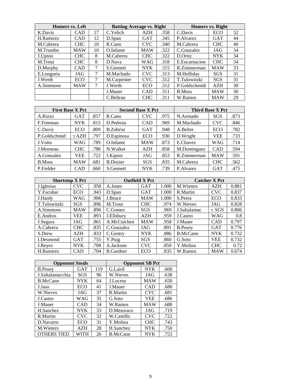| Homers vs. Left |            |    | <b>Batting Average vs. Right</b> |            |      | <b>Homers vs. Right</b> |            |    |
|-----------------|------------|----|----------------------------------|------------|------|-------------------------|------------|----|
| K.Davis         | <b>CAD</b> | 17 | C. Yelich                        | AZH        | .358 | C.Davis                 | ECO        | 52 |
| H.Ramirez       | CAD        | 12 | D.Span                           | GAT        | .345 | P.Alvarez               | <b>GAT</b> | 44 |
| M.Cabrera       | <b>CHC</b> | 10 | R.Cano                           | CVC.       | .340 | M.Cabrera               | <b>CHC</b> | 40 |
| M.Trumbo        | <b>MAW</b> | 10 | O.Infante                        | <b>MAW</b> | .322 | C.Gonzalez              | JAG        | 34 |
| J.Upton         | <b>CHC</b> | 8  | M.Cabrera                        | <b>CHC</b> | .322 | D.Ortiz                 | <b>NYK</b> | 34 |
| M.Trout         | <b>CHC</b> | 8  | D.Nava                           | WAG        | .318 | E.Encarnacion           | <b>CHC</b> | 34 |
| D.Murphy        | CAD        | 7  | S.Gennett                        | <b>NYK</b> | .315 | R.Zimmerman             | <b>MAW</b> | 33 |
| E.Longoria      | JAG        |    | M.Machado                        | CVC.       | .313 | M.Holliday              | <b>SGS</b> | 31 |
| J.Werth         | ECO        |    | M.Carpenter                      | <b>CVC</b> | .312 | T.Tulowitzki            | SGS        | 31 |
| A.Simmons       | <b>MAW</b> | 7  | J.Werth                          | ECO        | .312 | P.Goldschmidt           | AZH        | 30 |
|                 |            |    | J.Mauer                          | <b>CAD</b> | .311 | <b>B.Moss</b>           | <b>MAW</b> | 30 |
|                 |            |    | C.Beltran                        | <b>CHC</b> | .311 | W.Ramos                 | <b>MAW</b> | 29 |

| <b>First Base X Pct</b> |            |      | <b>Second Base X Pct</b> |            |      | <b>Third Base X Pct</b> |            |      |  |
|-------------------------|------------|------|--------------------------|------------|------|-------------------------|------------|------|--|
| A.Rizzo                 | <b>GAT</b> | .857 | R.Cano                   | <b>CVC</b> | .975 | N.Arenado               | SGS        | .873 |  |
| F.Freeman               | <b>NYK</b> | .815 | D.Pedroia                | <b>CAD</b> | .969 | M.Machado               | <b>CVC</b> | .846 |  |
| C.Davis                 | ECO        | .809 | <b>B.Zobrist</b>         | GAT        | .948 | A.Beltre                | ECO        | .782 |  |
| P.Goldschmid            | t AZH      | .797 | D.Espinosa               | ECO        | .930 | D.Wright                | VEE        | .733 |  |
| J.Votto                 | WAG        | .789 | O.Infante                | <b>MAW</b> | .873 | E.Chavez                | WAG        | .714 |  |
| J.Morneau               | <b>CHC</b> | .788 | N.Walker                 | AZH        | .858 | M.Dominguez             | <b>CAD</b> | .594 |  |
| A.Gonzalez              | VEE        | .722 | J.Kipnis                 | JAG        | .853 | R.Zimmerman             | <b>MAW</b> | .591 |  |
| <b>B.Moss</b>           | <b>MAW</b> | .681 | <b>B.Dozier</b>          | <b>SGS</b> | .835 | M.Cabrera               | <b>CHC</b> | .562 |  |
| P.Fielder               | CAD        | .660 | S.Gennett                | <b>NYK</b> | .739 | P.Alvarez               | <b>GAT</b> | .475 |  |

| <b>Shortstop X Pct</b> |            |      |                   | <b>Outfield X Pct</b> |       |                 | <b>Catcher X Pct</b> |       |
|------------------------|------------|------|-------------------|-----------------------|-------|-----------------|----------------------|-------|
| J. Iglesias            | <b>CVC</b> | .958 | A.Jones           | <b>GAT</b>            | 1.000 | M. Wieters      | <b>AZH</b>           | 0.881 |
| Y.Escobar              | <b>ECO</b> | .943 | D.Span            | <b>GAT</b>            | 1.000 | R.Martin        | <b>CVC</b>           | 0.837 |
| J.Hardy                | <b>WAG</b> | .906 | J.Bruce           | <b>MAW</b>            | 1.000 | S.Perez         | ECO                  | 0.833 |
| T.Tulowitzki           | SGS        | .896 | M.Trout           | <b>CHC</b>            | .974  | W.Nieves        | JAG                  | 0.828 |
| A.Simmons              | <b>MAW</b> | .896 | C.Gomez           | <b>SGS</b>            | .969  | J.Saltalamac    | c SGS                | 0.806 |
| E.Andrus               | VEE        | .893 | J.Ellsbury        | <b>AZH</b>            | .959  | J.Castro        | <b>WAG</b>           | 0.8   |
| J.Segura               | JAG        | .861 | A.McCutchen       | <b>MAW</b>            | .958  | J.Mauer         | <b>CAD</b>           | 0.797 |
| A.Cabrera              | <b>CHC</b> | .835 | C.Gonzalez        | JAG                   | .891  | <b>B.Posey</b>  | <b>GAT</b>           | 0.776 |
| S.Drew                 | <b>AZH</b> | .833 | C.Gentry          | <b>NYK</b>            | .886  | <b>B.McCann</b> | <b>NYK</b>           | 0.732 |
| I.Desmond              | <b>GAT</b> | .755 | Y.Puig            | <b>SGS</b>            | .860  | G.Soto          | <b>VEE</b>           | 0.732 |
| J.Reyes                | <b>NYK</b> | .708 | A.Jackson         | <b>CVC</b>            | .859  | Y.Molina        | <b>CHC</b>           | 0.72  |
| H.Ramirez              | <b>CAD</b> | .704 | <b>B.</b> Gardner | ECO                   | .835  | W.Ramos         | <b>MAW</b>           | 0.674 |

| <b>Opponent Steals</b> |            |     |                 | <b>Opponent SB Pct</b> |      |
|------------------------|------------|-----|-----------------|------------------------|------|
| <b>B.Posev</b>         | <b>GAT</b> | 119 | G.Laird         | <b>NYK</b>             | .600 |
| J.Saltalamacchia       | SGS        | 96  | W.Nieves        | JAG                    | .638 |
| <b>B.McCann</b>        | NYK        | 64  | J.Lucrov        | MAW                    | .650 |
| J.Jaso                 | ECO        | 41  | J.Mauer         | CAD                    | .680 |
| W.Nieves               | JAG        | 37  | R.Martin        | <b>CVC</b>             | .681 |
| J.Castro               | WAG        | 35  | G.Soto          | <b>VEE</b>             | .686 |
| J.Mauer                | <b>CAD</b> | 34  | W.Ramos         | MAW                    | .688 |
| H.Sanchez              | <b>NYK</b> | 33  | D.Mesoraco      | JAG                    | .719 |
| R.Martin               | CVC        | 32  | W.Castillo      | <b>CVC</b>             | .722 |
| D.Navarro              | ECO        | 31  | Y.Molina        | <b>CHC</b>             | .743 |
| M. Wieters             | AZH        | 28  | H.Sanchez       | <b>NYK</b>             | .750 |
| <b>OTHERS TIED</b>     | WITH       | 26  | <b>B.McCann</b> | NYK                    | .753 |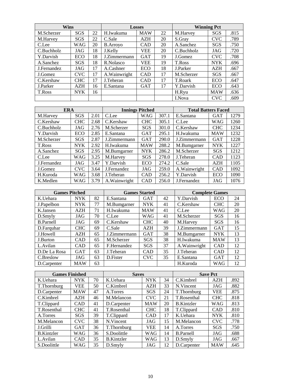| Wins        |            |    |                 | <b>Losses</b> |    |               | <b>Winning Pct</b> |      |
|-------------|------------|----|-----------------|---------------|----|---------------|--------------------|------|
| M.Scherzer  | SGS        | 22 | H.Iwakuma       | <b>MAW</b>    | 22 | M.Harvey      | SGS                | .815 |
| M.Harvey    | SGS        | 22 | C.Sale          | <b>AZH</b>    | 20 | S.Gray        | <b>CVC</b>         | .789 |
| C.Lee       | WAG        | 20 | <b>B.Arroyo</b> | CAD           | 20 | A.Sanchez     | SGS                | .750 |
| C.Buchholz  | JAG        | 18 | J.Kelly         | VEE           | 20 | C.Buchholz    | JAG                | .720 |
| Y.Darvish   | <b>ECO</b> | 18 | J.Zimmermann    | <b>GAT</b>    | 19 | J.Gomez       | <b>CVC</b>         | .708 |
| A.Sanchez   | <b>SGS</b> | 18 | R.Nolasco       | <b>VEE</b>    | 19 | T.Ross        | <b>NYK</b>         | .696 |
| J.Fernandez | JAG        | 17 | A.Cashner       | ECO           | 18 | J.Parker      | AZH                | .667 |
| J.Gomez     | <b>CVC</b> | 17 | A. Wainwright   | <b>CAD</b>    | 17 | M.Scherzer    | SGS                | .667 |
| C.Kershaw   | <b>CHC</b> | 17 | J. Teheran      | CAD           | 17 | T.Roark       | ECO                | .647 |
| J.Parker    | AZH        | 16 | E.Santana       | <b>GAT</b>    | 17 | Y.Darvish     | ECO                | .643 |
| T.Ross      | <b>NYK</b> | 16 |                 |               |    | H.Ryu         | <b>MAW</b>         | .636 |
|             |            |    |                 |               |    | <b>I.Nova</b> | <b>CVC</b>         | .609 |

| <b>ERA</b>  |            |      |               | <b>Innings Pitched</b> |       | <b>Total Batters Faced</b> |            |      |
|-------------|------------|------|---------------|------------------------|-------|----------------------------|------------|------|
| M.Harvey    | SGS        | 2.01 | C.Lee         | <b>WAG</b>             | 307.1 | E.Santana                  | <b>GAT</b> | 1279 |
| C.Kershaw   | <b>CHC</b> | 2.68 | C.Kershaw     | <b>CHC</b>             | 305.1 | C.Lee                      | WAG        | 1260 |
| C.Buchholz  | JAG        | 2.76 | M.Scherzer    | SGS                    | 301.0 | C.Kershaw                  | <b>CHC</b> | 1234 |
| Y.Darvish   | ECO        | 2.85 | E.Santana     | <b>GAT</b>             | 295.1 | H.Iwakuma                  | <b>MAW</b> | 1232 |
| M.Scherzer  | SGS        | 2.87 | J.Zimmermann  | <b>GAT</b>             | 290.0 | J.Zimmermann               | <b>GAT</b> | 1228 |
| T.Ross      | <b>NYK</b> | 2.92 | H.Iwakuma     | <b>MAW</b>             | 288.2 | M.Bumgarner                | <b>NYK</b> | 1227 |
| A.Sanchez   | <b>SGS</b> | 2.95 | M.Bumgarner   | <b>NYK</b>             | 286.2 | M.Scherzer                 | SGS        | 1212 |
| C.Lee       | WAG        | 3.25 | M.Harvey      | SGS                    | 278.0 | J.Teheran                  | CAD        | 1123 |
| J.Fernandez | JAG        | 3.47 | Y.Darvish     | ECO                    | 274.2 | C.Sale                     | <b>AZH</b> | 1105 |
| J.Gomez     | <b>CVC</b> | 3.64 | J.Fernandez   | JAG                    | 259.0 | A. Wainwright              | <b>CAD</b> | 1092 |
| H.Kuroda    | <b>WAG</b> | 3.68 | J.Teheran     | <b>CAD</b>             | 256.2 | Y.Darvish                  | ECO        | 1090 |
| K.Medlen    | WAG        | 3.79 | A. Wainwright | <b>CAD</b>             | 256.0 | J.Fernandez                | JAG        | 1076 |

| <b>Games Pitched</b> |            |    |              | <b>Games Started</b> |    | <b>Complete Games</b> |            |    |
|----------------------|------------|----|--------------|----------------------|----|-----------------------|------------|----|
| K.Uehara             | <b>NYK</b> | 82 | E.Santana    | <b>GAT</b>           | 42 | Y.Darvish             | ECO        | 24 |
| J.Papelbon           | <b>NYK</b> | 77 | M.Bumgarner  | <b>NYK</b>           | 41 | C.Kershaw             | <b>CHC</b> | 20 |
| K.Jansen             | <b>AZH</b> | 71 | H.Iwakuma    | <b>MAW</b>           | 41 | C.Lee                 | <b>WAG</b> | 20 |
| D.Smyly              | JAG        | 70 | C.Lee        | <b>WAG</b>           | 41 | M.Scherzer            | SGS        | 16 |
| <b>B.Parnell</b>     | JAG        | 69 | C.Kershaw    | <b>CHC</b>           | 40 | M.Harvey              | SGS        | 16 |
| D.Farquhar           | <b>CHC</b> | 69 | C.Sale       | AZH                  | 39 | J.Zimmermann          | <b>GAT</b> | 15 |
| J.Howell             | AZH        | 65 | J.Zimmermann | <b>GAT</b>           | 38 | M.Bumgarner           | <b>NYK</b> | 13 |
| J.Burton             | <b>CAD</b> | 65 | M.Scherzer   | SGS                  | 38 | H.Iwakuma             | <b>MAW</b> | 13 |
| L.Avilan             | CAD        | 65 | F.Hernandez  | SGS                  | 37 | A. Wainwright         | CAD        | 12 |
| D.De La Rosa         | <b>GAT</b> | 63 | J.Teheran    | <b>CAD</b>           | 35 | J.Teheran             | <b>CAD</b> | 12 |
| C.Breslow            | JAG        | 63 | D.Fister     | <b>CVC</b>           | 35 | E.Santana             | <b>GAT</b> | 12 |
| D.Carpenter          | <b>MAW</b> | 63 |              |                      |    | H.Kuroda              | WAG        | 12 |

| <b>Games Finished</b> |            |    | <b>Saves</b>      |            |    |                   | <b>Save Pct</b> |      |
|-----------------------|------------|----|-------------------|------------|----|-------------------|-----------------|------|
| K.Uehara              | <b>NYK</b> | 70 | K.Uehara          | <b>NYK</b> | 34 | C.Kimbrel         | AZH             | .892 |
| T.Thornburg           | VEE        | 50 | C.Kimbrel         | <b>AZH</b> | 33 | N.Vincent         | JAG             | .882 |
| D.Carpenter           | <b>MAW</b> | 47 | A.Torres          | <b>SGS</b> | 24 | T.Thornburg       | VEE             | .875 |
| C.Kimbrel             | AZH        | 46 | M.Melancon        | <b>CVC</b> | 21 | T.Rosenthal       | <b>CHC</b>      | .818 |
| T.Clippard            | <b>CAD</b> | 41 | D.Carpenter       | <b>MAW</b> | 20 | <b>B.Kintzler</b> | <b>WAG</b>      | .813 |
| T.Rosenthal           | <b>CHC</b> | 41 | T.Rosenthal       | <b>CHC</b> | 18 | T.Clippard        | <b>CAD</b>      | .810 |
| A.Torres              | SGS        | 39 | T.Clippard        | <b>CAD</b> | 17 | K.Uehara          | <b>NYK</b>      | .810 |
| M.Melancon            | <b>CVC</b> | 38 | N.Vincent         | JAG        | 15 | M.Melancon        | <b>CVC</b>      | .778 |
| J.Grilli              | <b>GAT</b> | 36 | T.Thornburg       | VEE        | 14 | A.Torres          | SGS             | .750 |
| <b>B.Kintzler</b>     | WAG        | 36 | S.Doolittle       | WAG        | 14 | <b>B.Parnell</b>  | JAG             | .688 |
| L.Avilan              | <b>CAD</b> | 35 | <b>B.Kintzler</b> | WAG        | 13 | D.Smyly           | JAG             | .667 |
| S.Doolittle           | WAG        | 35 | D.Smyly           | JAG        | 12 | D.Carpenter       | <b>MAW</b>      | .645 |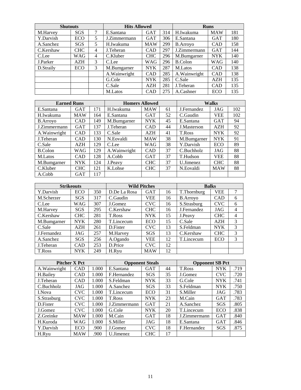| <b>Shutouts</b> |            |   | <b>Hits Allowed</b> |            |     |                 | <b>Runs</b> |     |
|-----------------|------------|---|---------------------|------------|-----|-----------------|-------------|-----|
| M.Harvey        | <b>SGS</b> | 7 | E.Santana           | <b>GAT</b> | 314 | H.Iwakuma       | <b>MAW</b>  | 181 |
| Y.Darvish       | ECO        | 5 | J.Zimmermann        | <b>GAT</b> | 306 | E.Santana       | <b>GAT</b>  | 180 |
| A.Sanchez       | <b>SGS</b> | 5 | H.Iwakuma           | <b>MAW</b> | 299 | <b>B.Arroyo</b> | CAD         | 158 |
| C.Kershaw       | <b>CHC</b> | 4 | J.Teheran           | <b>CAD</b> | 297 | J.Zimmermann    | <b>GAT</b>  | 144 |
| C.Lee           | WAG        | 4 | C.Kluber            | <b>CHC</b> | 296 | M.Bumgarner     | <b>NYK</b>  | 140 |
| J.Parker        | AZH        | 3 | C.Lee               | WAG        | 296 | <b>B.Colon</b>  | <b>WAG</b>  | 140 |
| D.Straily       | <b>ECO</b> | 3 | M.Bumgarner         | <b>NYK</b> | 287 | M.Latos         | CAD         | 138 |
|                 |            |   | A.Wainwright        | <b>CAD</b> | 285 | A. Wainwright   | CAD         | 138 |
|                 |            |   | G.Cole              | <b>NYK</b> | 285 | C.Sale          | <b>AZH</b>  | 135 |
|                 |            |   | C.Sale              | AZH        | 281 | J.Teheran       | <b>CAD</b>  | 135 |
|                 |            |   | M.Latos             | <b>CAD</b> | 275 | A.Cashner       | ECO         | 135 |

| <b>Earned Runs</b> |            |     | <b>Homers Allowed</b> |            |    |             | <b>Walks</b> |     |
|--------------------|------------|-----|-----------------------|------------|----|-------------|--------------|-----|
| E.Santana          | <b>GAT</b> | 171 | H.Iwakuma             | <b>MAW</b> | 61 | J.Fernandez | JAG          | 102 |
| H.Iwakuma          | <b>MAW</b> | 164 | E.Santana             | <b>GAT</b> | 52 | C.Gaudin    | VEE          | 102 |
| <b>B.Arrovo</b>    | CAD        | 149 | M.Bumgarner           | <b>NYK</b> | 45 | E.Santana   | <b>GAT</b>   | 94  |
| J.Zimmermann       | <b>GAT</b> | 137 | J.Teheran             | <b>CAD</b> | 44 | J.Masterson | AZH          | 92  |
| A. Wainwright      | <b>CAD</b> | 133 | C.Sale                | <b>AZH</b> | 41 | T.Ross      | <b>NYK</b>   | 92  |
| J.Teheran          | CAD        | 130 | N.Eovaldi             | <b>MAW</b> | 38 | M.Bumgarner | <b>NYK</b>   | 91  |
| C.Sale             | <b>AZH</b> | 129 | C.Lee                 | <b>WAG</b> | 38 | Y.Darvish   | <b>ECO</b>   | 89  |
| B.Colon            | WAG        | 129 | A. Wainwright         | <b>CAD</b> | 37 | C.Buchholz  | JAG          | 88  |
| M.Latos            | CAD        | 128 | A.Cobb                | <b>GAT</b> | 37 | T.Hudson    | VEE          | 88  |
| M.Bumgarner        | <b>NYK</b> | 124 | J.Peavy               | <b>CHC</b> | 37 | U.Jimenez   | <b>CHC</b>   | 88  |
| C.Kluber           | <b>CHC</b> | 121 | K.Lohse               | <b>CHC</b> | 37 | N.Eovaldi   | <b>MAW</b>   | 88  |
| A.Cobb             | <b>GAT</b> | 117 |                       |            |    |             |              |     |

|             | <b>Strikeouts</b> |     |               | <b>Wild Pitches</b> |    |                 | <b>Balks</b> |                |
|-------------|-------------------|-----|---------------|---------------------|----|-----------------|--------------|----------------|
| Y.Darvish   | ECO               | 350 | D.De La Rosa  | <b>GAT</b>          | 16 | T.Thornburg     | VEE          | $\tau$         |
| M.Scherzer  | SGS               | 317 | C.Gaudin      | VEE                 | 16 | <b>B.Arroyo</b> | <b>CAD</b>   | 6              |
| C.Lee       | WAG               | 307 | J.Gomez       | <b>CVC</b>          | 16 | S.Strasburg     | <b>CVC</b>   | 6              |
| M.Harvey    | <b>SGS</b>        | 295 | C.Kershaw     | <b>CHC</b>          | 16 | J.Fernandez     | JAG          | $\overline{4}$ |
| C.Kershaw   | <b>CHC</b>        | 281 | <b>T.Ross</b> | <b>NYK</b>          | 15 | J.Peavy         | <b>CHC</b>   | $\overline{4}$ |
| M.Bumgarner | <b>NYK</b>        | 280 | T.Lincecum    | <b>ECO</b>          | 15 | C.Sale          | <b>AZH</b>   | 3              |
| C.Sale      | AZH               | 261 | D.Fister      | CVC.                | 13 | S.Feldman       | <b>NYK</b>   | 3              |
| J.Fernandez | JAG               | 257 | M.Harvey      | <b>SGS</b>          | 13 | C.Kershaw       | <b>CHC</b>   | 3              |
| A.Sanchez   | SGS               | 256 | A.Ogando      | <b>VEE</b>          | 12 | T.Lincecum      | <b>ECO</b>   | 3              |
| J.Teheran   | <b>CAD</b>        | 253 | D.Price       | <b>CVC</b>          | 12 |                 |              |                |
| T.Ross      | <b>NYK</b>        | 249 | H.Ryu         | <b>MAW</b>          | 12 |                 |              |                |

|               | <b>Pitcher X Pct</b> |       |              | <b>Opponent Steals</b> |    | <b>Opponent SB Pct</b> |            |      |
|---------------|----------------------|-------|--------------|------------------------|----|------------------------|------------|------|
| A. Wainwright | <b>CAD</b>           | 1.000 | E.Santana    | <b>GAT</b>             | 44 | T.Ross                 | <b>NYK</b> | .719 |
| H.Bailey      | CAD                  | 1.000 | F.Hernandez  | SGS                    | 35 | J.Gomez                | <b>CVC</b> | .720 |
| J.Teheran     | CAD                  | 1.000 | S.Feldman    | <b>NYK</b>             | 33 | G.Cole                 | <b>NYK</b> | .741 |
| C.Buchholz    | JAG                  | 1.000 | A.Sanchez    | SGS                    | 33 | S.Feldman              | <b>NYK</b> | .750 |
| <b>I.Nova</b> | <b>CVC</b>           | 1.000 | T.Lincecum   | ECO                    | 31 | S.Miller               | JAG        | .783 |
| S.Strasburg   | <b>CVC</b>           | 1.000 | T.Ross       | <b>NYK</b>             | 23 | M.Cain                 | <b>GAT</b> | .783 |
| D.Fister      | <b>CVC</b>           | 1.000 | J.Zimmermann | <b>GAT</b>             | 21 | A.Sanchez              | <b>SGS</b> | .805 |
| J.Gomez       | <b>CVC</b>           | 1.000 | G.Cole       | <b>NYK</b>             | 20 | T.Lincecum             | ECO        | .838 |
| Z.Greinke     | <b>MAW</b>           | 1.000 | M.Cain       | <b>GAT</b>             | 18 | J.Zimmermann           | <b>GAT</b> | .840 |
| H.Kuroda      | <b>WAG</b>           | 1.000 | S.Miller     | JAG                    | 18 | E.Santana              | <b>GAT</b> | .846 |
| Y.Darvish     | ECO                  | .900  | J.Gomez      | <b>CVC</b>             | 18 | F.Hernandez            | SGS        | .875 |
| H.Ryu         | <b>MAW</b>           | .900  | U.Jimenez    | <b>CHC</b>             | 17 |                        |            |      |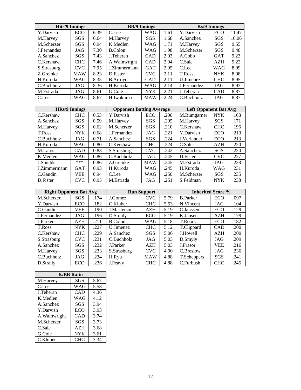|             | <b>Hits/9 Innings</b> |      |                 | <b>BB/9 Innings</b> |      |                  | <b>Ks/9 Innings</b> |       |
|-------------|-----------------------|------|-----------------|---------------------|------|------------------|---------------------|-------|
| Y.Darvish   | ECO                   | 6.39 | C.Lee           | WAG                 | 1.61 | Y.Darvish        | ECO                 | 11.47 |
| M.Harvey    | SGS                   | 6.64 | M.Harvey        | SGS                 | 1.68 | A.Sanchez        | SGS                 | 10.06 |
| M.Scherzer  | SGS                   | 6.94 | K.Medlen        | WAG                 | 1.71 | M.Harvey         | <b>SGS</b>          | 9.55  |
| J.Fernandez | JAG                   | 7.30 | B.Colon         | WAG                 | 1.98 | M.Scherzer       | SGS                 | 9.48  |
| A.Sanchez   | <b>SGS</b>            | 7.43 | J.Teheran       | <b>CAD</b>          | 2.03 | A.Cobb           | <b>GAT</b>          | 9.23  |
| C.Kershaw   | <b>CHC</b>            | 7.46 | A. Wainwright   | <b>CAD</b>          | 2.04 | C.Sale           | AZH                 | 9.22  |
| S.Strasburg | <b>CVC</b>            | 7.95 | J.Zimmermann    | <b>GAT</b>          | 2.05 | C.Lee            | WAG                 | 8.99  |
| Z.Greinke   | <b>MAW</b>            | 8.23 | D.Fister        | <b>CVC</b>          | 2.11 | T.Ross           | <b>NYK</b>          | 8.98  |
| H.Kuroda    | WAG                   | 8.35 | <b>B.Arrovo</b> | CAD                 | 2.11 | <b>U.Jimenez</b> | <b>CHC</b>          | 8.95  |
| C.Buchholz  | JAG                   | 8.36 | H.Kuroda        | WAG                 | 2.14 | J.Fernandez      | JAG                 | 8.93  |
| M.Estrada   | JAG                   | 8.61 | G.Cole          | <b>NYK</b>          | 2.21 | J.Teheran        | <b>CAD</b>          | 8.87  |
| C.Lee       | WAG                   | 8.67 | H.Iwakuma       | <b>MAW</b>          | 2.24 | C.Buchholz       | JAG                 | 8.87  |

| <b>HRs/9 Innings</b> |            |      | <b>Opponent Batting Average</b> |            |      | <b>Left Opponent Bat Avg</b> |            |      |
|----------------------|------------|------|---------------------------------|------------|------|------------------------------|------------|------|
| C.Kershaw            | <b>CHC</b> | 0.53 | Y.Darvish                       | ECO        | .200 | M.Bumgarner                  | <b>NYK</b> | .168 |
| A.Sanchez            | <b>SGS</b> | 0.59 | M.Harvey                        | SGS        | .205 | M.Harvey                     | <b>SGS</b> | .171 |
| M.Harvey             | SGS        | 0.62 | M.Scherzer                      | SGS        | .210 | C.Kershaw                    | CHC        | .196 |
| T.Ross               | <b>NYK</b> | 0.68 | J.Fernandez                     | JAG        | .221 | Y.Darvish                    | ECO        | .210 |
| C.Buchholz           | JAG        | 0.71 | A.Sanchez                       | <b>SGS</b> | .224 | J.Verlander                  | ECO        | .213 |
| H.Kuroda             | WAG        | 0.80 | C.Kershaw                       | <b>CHC</b> | .224 | C.Sale                       | AZH        | .220 |
| M.Latos              | CAD        | 0.83 | S.Strasburg                     | <b>CVC</b> | .242 | A.Sanchez                    | SGS        | .220 |
| K.Medlen             | WAG        | 0.86 | C.Buchholz                      | JAG        | .245 | D.Fister                     | <b>CVC</b> | .227 |
| J.Shields            | ***        | 0.86 | Z.Greinke                       | <b>MAW</b> | .245 | M.Estrada                    | JAG        | .228 |
| J.Zimmermann         | <b>GAT</b> | 0.93 | H.Kuroda                        | WAG        | .245 | H.Kuroda                     | WAG        | .231 |
| C.Gaudin             | <b>VEE</b> | 0.94 | C.Lee                           | WAG        | .250 | M.Scherzer                   | SGS        | .235 |
| D.Fister             | <b>CVC</b> | 0.95 | M.Estrada                       | JAG        | .251 | S.Feldman                    | <b>NYK</b> | .238 |

|             | <b>Right Opponent Bat Avg</b> |      |             | <b>Run Support</b> |      | <b>Inherited Score %</b> |            |      |
|-------------|-------------------------------|------|-------------|--------------------|------|--------------------------|------------|------|
| M.Scherzer  | SGS                           | .174 | J.Gomez     | <b>CVC</b>         | 5.79 | <b>B.Parker</b>          | ECO        | .097 |
| Y.Darvish   | ECO                           | .182 | C.Kluber    | <b>CHC</b>         | 5.53 | N.Vincent                | JAG        | .104 |
| C.Gaudin    | VEE                           | .190 | J.Masterson | <b>AZH</b>         | 5.19 | C.Janssen                | ECO        | .129 |
| J.Fernandez | JAG                           | .196 | D.Straily   | ECO                | 5.19 | K.Jansen                 | AZH        | .179 |
| J.Parker    | <b>AZH</b>                    | .211 | B.Colon     | WAG                | 5.18 | T.Roark                  | ECO        | .182 |
| T.Ross      | <b>NYK</b>                    | .227 | U.Jimenez   | <b>CHC</b>         | 5.12 | T.Clippard               | <b>CAD</b> | .200 |
| C.Kershaw   | <b>CHC</b>                    | .229 | A.Sanchez   | <b>SGS</b>         | 5.06 | J.Howell                 | <b>AZH</b> | .200 |
| S.Strasburg | <b>CVC</b>                    | .231 | C.Buchholz  | JAG                | 5.03 | D.Smyly                  | JAG        | .209 |
| A.Sanchez   | <b>SGS</b>                    | .232 | J.Parker    | AZH                | 5.03 | J.Frasor                 | VEE        | .216 |
| M.Harvey    | <b>SGS</b>                    | .233 | S.Strasburg | <b>CVC</b>         | 4.90 | C.Breslow                | JAG        | .236 |
| C.Buchholz  | JAG                           | .234 | H.Ryu       | <b>MAW</b>         | 4.88 | T.Scheppers              | SGS        | .241 |
| D.Straily   | ECO                           | .236 | J.Peavy     | <b>CHC</b>         | 4.88 | C.Furbush                | <b>CHC</b> | .245 |

| <b>K/BB Ratio</b> |            |      |  |  |  |  |  |  |
|-------------------|------------|------|--|--|--|--|--|--|
| M.Harvey          | SGS        | 5.67 |  |  |  |  |  |  |
| C.Lee             | WAG        | 5.58 |  |  |  |  |  |  |
| J.Teheran         | CAD        | 4.36 |  |  |  |  |  |  |
| K.Medlen          | WAG        | 4.12 |  |  |  |  |  |  |
| A.Sanchez         | SGS        | 3.94 |  |  |  |  |  |  |
| Y.Darvish         | ECO        | 3.93 |  |  |  |  |  |  |
| A. Wainwright     | CAD        | 3.74 |  |  |  |  |  |  |
| M.Scherzer        | SGS        | 3.73 |  |  |  |  |  |  |
| C.Sale            | AZH        | 3.68 |  |  |  |  |  |  |
| G.Cole            | <b>NYK</b> | 3.61 |  |  |  |  |  |  |
| C.Kluber          | <b>CHC</b> | 3.34 |  |  |  |  |  |  |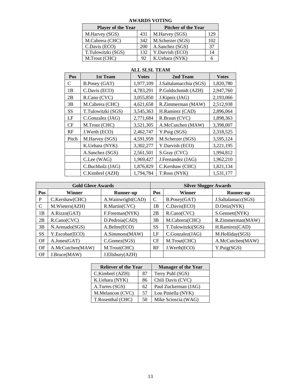| <b>Player of the Year</b> |     | <b>Pitcher of the Year</b> |     |  |  |
|---------------------------|-----|----------------------------|-----|--|--|
| M.Harvey (SGS)            | 431 | M.Harvey (SGS)             | 129 |  |  |
| M.Cabrera (CHC)           | 342 | M.Scherzer (SGS)           | 102 |  |  |
| C.Davis (ECO)             | 200 | A.Sanchez (SGS)            | 37  |  |  |
| T.Tulowitzki (SGS)        | 132 | Y.Darvish (ECO)            | 14  |  |  |
| M.Trout (CHC)             | 92  | K.Uehara (NYK)             |     |  |  |

#### **AWARDS VOTING**

| Pos   | 1st Team             | <b>Votes</b> | 2nd Team               | <b>Votes</b> |
|-------|----------------------|--------------|------------------------|--------------|
| C     | <b>B.Posey</b> (GAT) | 1,977,109    | J.Saltalamacchia (SGS) | 1,820,780    |
| 1B    | C.Davis (ECO)        | 4,783,291    | P.Goldschmidt (AZH)    | 2,947,760    |
| 2B    | R.Cano (CVC)         | 3,055,850    | J.Kipnis (JAG)         | 2,193,066    |
| 3B    | M.Cabrera (CHC)      | 4,621,658    | R.Zimmerman (MAW)      | 2,512,938    |
| SS    | T.Tulowitzki (SGS)   | 3,545,363    | H.Ramirez (CAD)        | 2,896,064    |
| LF    | C.Gonzalez (JAG)     | 2,771,684    | R.Braun (CVC)          | 1,898,363    |
| CF    | M.Trout (CHC)        | 3,521,305    | A.McCutchen (MAW)      | 3,398,007    |
| RF    | J.Werth (ECO)        | 2,462,747    | Y.Puig (SGS)           | 2,318,525    |
| Pitch | M.Harvey (SGS)       | 4,591,959    | M.Scherzer (SGS)       | 3,595,124    |
|       | K.Uehara (NYK)       | 3,302,277    | Y.Darvish (ECO)        | 3,221,195    |
|       | A.Sanchez (SGS)      | 2,561,501    | S.Gray (CVC)           | 1,994,812    |
|       | C.Lee (WAG)          | 1,969,427    | J.Fernandez (JAG)      | 1,962,210    |
|       | C.Buchholz (JAG)     | 1,876,829    | C.Kershaw (CHC)        | 1,821,134    |
|       | C.Kimbrel (AZH)      | 1,794,784    | T.Ross (NYK)           | 1,531,177    |

#### **ALL SLSL TEAM**

|           | <b>Gold Glove Awards</b> |                   | <b>Silver Slugger Awards</b> |                     |                    |  |  |
|-----------|--------------------------|-------------------|------------------------------|---------------------|--------------------|--|--|
| Pos       | Winner                   | Runner-up         | Pos                          | <b>Winner</b>       | Runner-up          |  |  |
| P         | C.Kershaw(CHC)           | A.Wainwright(CAD) | C                            | B.Posey(GAT)        | J.Saltalamacc(SGS) |  |  |
| C         | M.Wieters(AZH)           | R.Martin(CVC)     | 1B                           | C.Davis(ECO)        | D.Ortiz(NYK)       |  |  |
| 1B        | A.Rizzo(GAT)             | F.Freeman(NYK)    | 2B                           | R.Cano(CVC)         | S.Gennett(NYK)     |  |  |
| 2B        | R.Cano(CVC)              | D.Pedroia(CAD)    | 3B                           | M.Cabrera(CHC)      | R.Zimmerman(MAW)   |  |  |
| 3B        | N.Arenado(SGS)           | A.Beltre(ECO)     | <b>SS</b>                    | T.Tulowitzki(SGS)   | H.Ramirez(CAD)     |  |  |
| <b>SS</b> | Y.Escobar(ECO)           | A.Simmons(MAW)    | LF                           | $C.$ Gonzalez $JAG$ | M.Holliday(SGS)    |  |  |
| OF        | A.Jones(GAT)             | C.Gomez(SGS)      | <b>CF</b>                    | M.Trout(CHC)        | A.McCutchen(MAW)   |  |  |
| OF        | A.McCutchen(MAW)         | M.Trout(CHC)      | RF                           | J.Werth(ECO)        | Y.Puig(SGS)        |  |  |
| OF        | J.Bruce(MAW)             | J.Ellsbury(AZH)   |                              |                     |                    |  |  |

| <b>Reliever of the Year</b> |    | <b>Manager of the Year</b> |
|-----------------------------|----|----------------------------|
| C.Kimbrel (AZH)             | 87 | Terry Puhl (SGS)           |
| K.Uehara (NYK)              | 86 | Chili Davis (CVC)          |
| A.Torres (SGS)              | 62 | Paul Zuckerman (JAG)       |
| M.Melancon (CVC)            | 57 | Lou Piniella (NYK)         |
| T.Rosenthal (CHC)           | 50 | Mike Scioscia (WAG)        |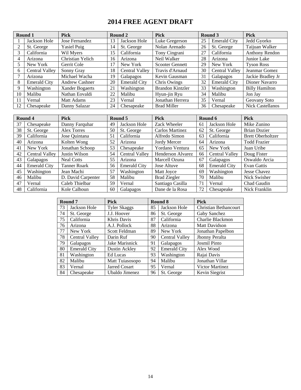# **2014 FREE AGENT DRAFT**

| Round 1        |                     | <b>Pick</b>           |    | Round 2             | <b>Pick</b>             |    | Round 3             | <b>Pick</b>             |
|----------------|---------------------|-----------------------|----|---------------------|-------------------------|----|---------------------|-------------------------|
|                | Jackson Hole        | Jose Fernandez        | 13 | Jackson Hole        | Luke Gregerson          | 25 | <b>Emerald City</b> | Jedd Gyorko             |
|                | St. George          | Yasiel Puig           | 14 | St. George          | Nolan Arenado           | 26 | St. George          | Taijuan Walker          |
| 3              | California          | Wil Myers             | 15 | California          | Tony Cingrani           | 27 | California          | Anthony Rendon          |
| $\overline{4}$ | Arizona             | Christian Yelich      | 16 | Arizona             | Neil Walker             | 28 | Arizona             | Junior Lake             |
|                | New York            | Gerrit Cole           | 17 | New York            | <b>Scooter Gennett</b>  | 29 | New York            | <b>Tyson Ross</b>       |
| 6              | Central Valley      | Sonny Gray            | 18 | Central Valley      | Travis d'Arnaud         | 30 | Central Valley      | Jeanmar Gomez           |
|                | Arizona             | Michael Wacha         | 19 | Galapagos           | Kevin Gausman           | 31 | Galapagos           | Jackie Bradley Jr       |
| 8              | <b>Emerald City</b> | <b>Andrew Cashner</b> | 20 | <b>Emerald City</b> | Chris Owings            | 32 | <b>Emerald City</b> | Dioner Navarro          |
| 9              | Washington          | Xander Bogaerts       | 21 | Washington          | <b>Brandon Kintzler</b> | 33 | Washington          | <b>Billy Hamilton</b>   |
| 10             | Malibu              | Nathan Eovaldi        | 22 | Malibu              | Hyun-jin Ryu            | 34 | Malibu              | Jon Jav                 |
| 11             | Vernal              | <b>Matt Adams</b>     | 23 | Vernal              | Jonathan Herrera        | 35 | Vernal              | Geovany Soto            |
| 12             | Chesapeake          | Danny Salazar         | 24 | Chesapeake          | <b>Brad Miller</b>      | 36 | Chesapeake          | <b>Nick Castellanos</b> |

|    | Round 4               | <b>Pick</b>         |    | Round 5               | <b>Pick</b>             |    | Round 6               | <b>Pick</b>              |
|----|-----------------------|---------------------|----|-----------------------|-------------------------|----|-----------------------|--------------------------|
| 37 | Chesapeake            | Danny Farquhar      | 49 | Jackson Hole          | Zack Wheeler            | 61 | Jackson Hole          | Mike Zunino              |
| 38 | St. George            | Alex Torres         | 50 | St. George            | Carlos Martinez         | 62 | St. George            | Brian Dozier             |
| 39 | California            | Jose Quintana       | 51 | California            | Alfredo Simon           | 63 | California            | <b>Brett Oberholtzer</b> |
| 40 | Arizona               | Kolten Wong         | 52 | Arizona               | Jordy Mercer            | 64 | Arizona               | <b>Todd Frazier</b>      |
| 41 | New York              | Jonathan Schoop     | 53 | Chesapeake            | Yordano Ventura         | 65 | New York              | Juan Uribe               |
| 42 | <b>Central Valley</b> | Justin Wilson       | 54 | <b>Central Valley</b> | Henderson Alvarez<br>66 |    | <b>Central Valley</b> | Doug Fister              |
| 43 | Galapagos             | <b>Neal Cotts</b>   | 55 | Arizona               | Marcell Ozuna           | 67 | Galapagos             | Oswaldo Arcia            |
| 44 | <b>Emerald City</b>   | <b>Tanner Roark</b> | 56 | <b>Emerald City</b>   | Jose Altuve             | 68 | <b>Emerald City</b>   | Evan Gattis              |
| 45 | Washington            | Jean Machi          | 57 | Washington            | Matt Joyce              | 69 | Washington            | <b>Jesse Chavez</b>      |
| 46 | Malibu                | D. David Carpenter  | 58 | Malibu                | <b>Brad Ziegler</b>     | 70 | Malibu                | Nick Swisher             |
| 47 | Vernal                | Caleb Thielbar      | 59 | Vernal                | Santiago Casilla        | 71 | Vernal                | Chad Gaudin              |
| 48 | California            | Kole Calhoun        | 60 | Galapagos             | Dane de la Rosa         | 72 | Chesapeake            | Nick Franklin            |

|    | Round 7               | <b>Pick</b>          |    | Round 8               | <b>Pick</b>                  |
|----|-----------------------|----------------------|----|-----------------------|------------------------------|
| 73 | Jackson Hole          | <b>Tyler Skaggs</b>  | 85 | Jackson Hole          | <b>Christian Bethancourt</b> |
| 74 | St. George            | J.J. Hoover          | 86 | St. George            | Gaby Sanchez                 |
| 75 | California            | Khris Davis          | 87 | California            | Charlie Blackmon             |
| 76 | Arizona               | A.J. Pollock         | 88 | Arizona               | <b>Matt Davidson</b>         |
| 77 | New York              | <b>Scott Feldman</b> | 89 | New York              | Jonathan Papelbon            |
| 78 | <b>Central Valley</b> | Darin Ruf            | 90 | <b>Central Valley</b> | Jhonny Peralta               |
| 79 | Galapagos             | Jake Marisnick       | 91 | Galapagos             | <b>Josmil Pinto</b>          |
| 80 | <b>Emerald City</b>   | Dustin Ackley        | 92 | <b>Emerald City</b>   | Alex Wood                    |
| 81 | Washington            | Ed Lucas             | 93 | Washington            | Rajai Davis                  |
| 82 | Malibu                | Matt Tuiasosopo      | 94 | Malibu                | Jonathan Villar              |
| 83 | Vernal                | <b>Jarred Cosart</b> | 95 | Vernal                | <b>Victor Martinez</b>       |
| 84 | Chesapeake            | Ubaldo Jimenez       | 96 | St. George            | Kevin Siegrist               |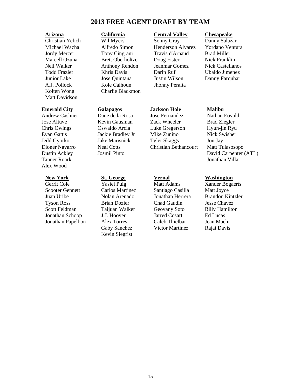## **2013 FREE AGENT DRAFT BY TEAM**

Matt Davidson

Tanner Roark Jonathan Villar Alex Wood

Gerrit Cole **Yasiel Puig** Matt Adams Xander Bogaerts Scooter Gennett Carlos Martinez Santiago Casilla Matt Joyce Juan Uribe Nolan Arenado Jonathan Herrera Brandon Kintzler Tyson Ross Brian Dozier Chad Gaudin Jesse Chavez Scott Feldman Taijuan Walker Geovany Soto Billy Hamilton Jonathan Schoop J.J. Hoover Jarred Cosart Ed Lucas Jonathan Papelbon Alex Torres Caleb Thielbar Jean Machi

A.J. Pollock Kole Calhoun Jhonny Peralta Kolten Wong Charlie Blackmon

Kevin Siegrist

#### **Arizona California Central Valley Chesapeake**

Christian Yelich Wil Myers Sonny Gray Danny Salazar Michael Wacha Alfredo Simon Henderson Alvarez Yordano Ventura Jordy Mercer Tony Cingrani Travis d'Arnaud Brad Miller Marcell Ozuna Brett Oberholtzer Doug Fister Nick Franklin Neil Walker Anthony Rendon Jeanmar Gomez Nick Castellanos Todd Frazier Khris Davis Darin Ruf Ubaldo Jimenez Junior Lake Jose Quintana Justin Wilson Danny Farquhar

## **Emerald City Galapagos Jackson Hole Malibu**

Jose Altuve Kevin Gausman Zack Wheeler Brad Ziegler Chris Owings Oswaldo Arcia Luke Gregerson Hyun-jin Ryu Evan Gattis Jackie Bradley Jr Mike Zunino Nick Swisher Jedd Gyorko Jake Marisnick Tyler Skaggs Jon Jay Dioner Navarro Neal Cotts Christian Bethancourt Matt Tuiasosopo

Gaby Sanchez Victor Martinez Rajai Davis

Andrew Cashner Dane de la Rosa Jose Fernandez Nathan Eovaldi Dustin Ackley Josmil Pinto David Carpenter (ATL)

#### **New York St. George Vernal Washington**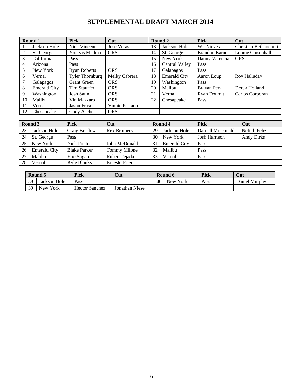# **SUPPLEMENTAL DRAFT MARCH 2014**

|    | Round 1             | <b>Pick</b>            | Cut               |    | Round 2               | <b>Pick</b>           | Cut                          |
|----|---------------------|------------------------|-------------------|----|-----------------------|-----------------------|------------------------------|
|    | Jackson Hole        | Nick Vincent           | <b>Jose Veras</b> | 13 | Jackson Hole          | Wil Nieves            | <b>Christian Bethancourt</b> |
| 2  | St. George          | Yoervis Medina         | <b>ORS</b>        | 14 | St. George            | <b>Brandon Barnes</b> | Lonnie Chisenhall            |
| 3  | California          | Pass                   |                   | 15 | New York              | Danny Valencia        | <b>ORS</b>                   |
| 4  | Arizona             | Pass                   |                   | 16 | <b>Central Valley</b> | Pass                  |                              |
| 5  | New York            | <b>Ryan Roberts</b>    | <b>ORS</b>        | 17 | Galapagos             | Pass                  |                              |
| 6  | Vernal              | <b>Tyler Thornburg</b> | Melky Cabrera     | 18 | <b>Emerald City</b>   | Aaron Loup            | Roy Halladay                 |
| 7  | Galapagos           | <b>Grant Green</b>     | <b>ORS</b>        | 19 | Washington            | Pass                  |                              |
| 8  | <b>Emerald City</b> | Tim Stauffer           | <b>ORS</b>        | 20 | Malibu                | Brayan Pena           | Derek Holland                |
| 9  | Washington          | Josh Satin             | <b>ORS</b>        | 21 | Vernal                | Ryan Doumit           | Carlos Corporan              |
| 10 | Malibu              | Vin Mazzaro            | <b>ORS</b>        | 22 | Chesapeake            | Pass                  |                              |
| 11 | Vernal              | <b>Jason Frasor</b>    | Vinnie Pestano    |    |                       |                       |                              |
| 12 | Chesapeake          | Cody Asche             | <b>ORS</b>        |    |                       |                       |                              |

| Round 3 |                     | <b>Pick</b>         | Cut                 |    | Round 4             | <b>Pick</b>          | Cut               |
|---------|---------------------|---------------------|---------------------|----|---------------------|----------------------|-------------------|
| 23      | Jackson Hole        | Craig Breslow       | <b>Rex Brothers</b> | 29 | Jackson Hole        | Darnell McDonald     | Neftali Feliz     |
| 24      | St. George          | Pass                |                     | 30 | New York            | <b>Josh Harrison</b> | <b>Andy Dirks</b> |
| 25      | New York            | Nick Punto          | John McDonald       | 31 | <b>Emerald City</b> | Pass                 |                   |
| 26      | <b>Emerald City</b> | <b>Blake Parker</b> | Tommy Milone        | 32 | Malibu              | Pass                 |                   |
| 27      | Malibu              | Eric Sogard         | Ruben Tejada        | 33 | Vernal              | Pass                 |                   |
| 28      | Vernal              | Kyle Blanks         | Ernesto Frieri      |    |                     |                      |                   |

| Round 5 |              | Pick                  | Cut            |    | Round 6  | Pick | Cut           |
|---------|--------------|-----------------------|----------------|----|----------|------|---------------|
| 38      | Jackson Hole | Pass                  |                | 40 | New York | Pass | Daniel Murphy |
| 39      | New York     | <b>Hector Sanchez</b> | Jonathan Niese |    |          |      |               |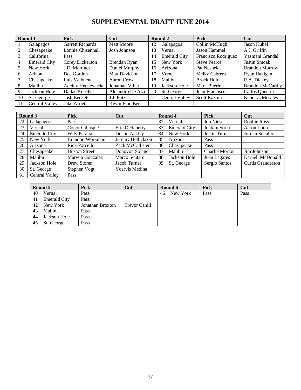# **SUPPLEMENTAL DRAFT JUNE 2014**

|                | Round 1               | <b>Pick</b>             | Cut               |    | Round 2               | <b>Pick</b>         | Cut                     |
|----------------|-----------------------|-------------------------|-------------------|----|-----------------------|---------------------|-------------------------|
|                | Galapagos             | <b>Garrett Richards</b> | <b>Matt Moore</b> | 12 | Galapagos             | Collin McHugh       | Jason Kubel             |
| 2              | Chesapeake            | Lonnie Chisenhall       | Josh Johnson      | 13 | Vernal                | Jason Hammel        | A.J. Griffin            |
| 3              | California            | Pass                    |                   | 14 | <b>Emerald City</b>   | Francisco Rodriguez | Yasmani Grandal         |
| $\overline{4}$ | <b>Emerald City</b>   | Corey Dickerson         | Brendan Ryan      | 15 | New York              | <b>Steve Pearce</b> | <b>Justin Smoak</b>     |
| 5              | New York              | J.D. Martinez           | Daniel Murphy     | 16 | Arizona               | Pat Neshek          | <b>Brandon Morrow</b>   |
| 6              | Arizona               | Dee Gordon              | Matt Davidson     | 17 | Vernal                | Melky Cabrera       | Ryan Hanigan            |
| $\overline{7}$ | Chesapeake            | Luis Valbuena           | Aaron Crow        | 18 | Malibu                | <b>Brock Holt</b>   | R.A. Dickey             |
| 8              | Malibu                | Adeiny Hechevarria      | Jonathan Villar   | 19 | Jackson Hole          | Mark Buerhle        | <b>Brandon McCarthy</b> |
| 9              | Jackson Hole          | Dallas Kuechel          | Alejandro De Aza  | 20 | St. George            | Juan Francisco      | Carlos Quentin          |
| 10             | St. George            | <b>Josh Beckett</b>     | J.J. Putz         | 21 | <b>Central Valley</b> | Scott Kazmir        | <b>Kendrys Morales</b>  |
|                | <b>Central Valley</b> | Jake Arrieta            | Kevin Frandsen    |    |                       |                     |                         |

|    | Round 3               | <b>Pick</b>          | Cut               |    | Round 4             | <b>Pick</b>          | Cut                      |
|----|-----------------------|----------------------|-------------------|----|---------------------|----------------------|--------------------------|
| 22 | Galapagos             | Pass                 |                   | 32 | Vernal              | Jon Niese            | Robbie Ross              |
| 23 | Vernal                | Conor Gillaspie      | Eric O'Flaherty   | 33 | <b>Emerald City</b> | Joakim Soria         | Aaron Loup               |
| 24 | <b>Emerald City</b>   | Wily Peralta         | Dustin Ackley     | 34 | New York            | <b>Justin Turner</b> | Jordan Schafer           |
| 25 | New York              | Brandon Workman      | Jeremy Hellickson | 35 | Arizona             | Pass                 |                          |
| 26 | Arizona               | <b>Rick Porcello</b> | Zach McCallister  | 36 | Chesapeake          | Pass                 |                          |
| 27 | Chesapeake            | <b>Huston Street</b> | Donovon Solano    | 37 | Malibu              | Charlie Morton       | Jim Johnson              |
| 28 | Malibu                | Marwin Gonzalez      | Marco Scutaro     | 38 | Jackson Hole        | Juan Lagares         | Darnell McDonald         |
| 29 | Jackson Hole          | Drew Storen          | Jacob Turner      | 39 | St. George          | Sergio Santos        | <b>Curtis Granderson</b> |
| 30 | St. George            | Stephen Vogt         | Yoervis Medina    |    |                     |                      |                          |
| 31 | <b>Central Valley</b> | Pass                 |                   |    |                     |                      |                          |

|    | Round 5             | <b>Pick</b>      | Cut           |    | Round 6  | <b>Pick</b> | Cut  |
|----|---------------------|------------------|---------------|----|----------|-------------|------|
| 40 | Vernal              | Pass             |               | 46 | New York | Pass        | Pass |
| 41 | <b>Emerald City</b> | Pass             |               |    |          |             |      |
| 42 | New York            | Jonathan Broxton | Trevor Cahill |    |          |             |      |
| 43 | Malibu              | Pass             |               |    |          |             |      |
| 44 | Jackson Hole        | Pass             |               |    |          |             |      |
| 45 | St. George          | Pass             |               |    |          |             |      |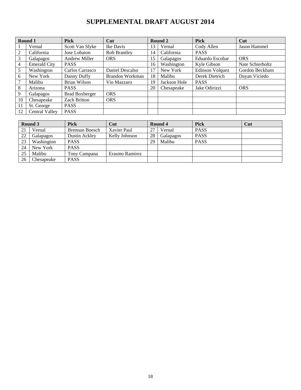# **SUPPLEMENTAL DRAFT AUGUST 2014**

|                | Round 1               | <b>Pick</b>           | Cut             |    | Round 2      | Pick                   | Cut                 |
|----------------|-----------------------|-----------------------|-----------------|----|--------------|------------------------|---------------------|
|                | Vernal                | Scott Van Slyke       | Ike Davis       | 13 | Vernal       | Cody Allen             | <b>Jason Hammel</b> |
| 2              | California            | Jose Lobaton          | Rob Brantley    | 14 | California   | <b>PASS</b>            |                     |
| 3              | Galapagos             | <b>Andrew Miller</b>  | <b>ORS</b>      | 15 | Galapagos    | Eduardo Escobar        | <b>ORS</b>          |
| $\overline{4}$ | <b>Emerald City</b>   | <b>PASS</b>           |                 | 16 | Washington   | Kyle Gibson            | Nate Schierholtz    |
| 5              | Washington            | Carlos Carrasco       | Daniel Descalso | 17 | New York     | <b>Edinson Volquez</b> | Gordon Beckham      |
| 6              | New York              | Danny Duffy           | Brandon Workman | 18 | Malibu       | Derek Dietrich         | Dayan Viciedo       |
|                | Malibu                | Brian Wilson          | Vin Mazzaro     | 19 | Jackson Hole | <b>PASS</b>            |                     |
| 8              | Arizona               | <b>PASS</b>           |                 | 20 | Chesapeake   | Jake Odirizzi          | <b>ORS</b>          |
| 9              | Galapagos             | <b>Brad Boxberger</b> | <b>ORS</b>      |    |              |                        |                     |
| 10             | Chesapeake            | <b>Zach Britton</b>   | <b>ORS</b>      |    |              |                        |                     |
| 11             | St. George            | <b>PASS</b>           |                 |    |              |                        |                     |
| 12             | <b>Central Valley</b> | <b>PASS</b>           |                 |    |              |                        |                     |

|    | Round 3    | <b>Pick</b>    | Cut            |    | Round 4   | <b>Pick</b> | Cut |
|----|------------|----------------|----------------|----|-----------|-------------|-----|
| 21 | Vernal     | Brennan Boesch | Xavier Paul    | 27 | Vernal    | <b>PASS</b> |     |
| 22 | Galapagos  | Dustin Ackley  | Kelly Johnson  | 28 | Galapagos | <b>PASS</b> |     |
| 23 | Washington | <b>PASS</b>    |                | 29 | Malibu    | <b>PASS</b> |     |
| 24 | New York   | <b>PASS</b>    |                |    |           |             |     |
| 25 | Malibu     | Tony Campana   | Erasmo Ramirez |    |           |             |     |
| 26 | Chesapeake | <b>PASS</b>    |                |    |           |             |     |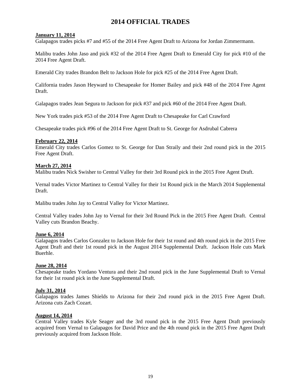# **2014 OFFICIAL TRADES**

## **January 11, 2014**

Galapagos trades picks #7 and #55 of the 2014 Free Agent Draft to Arizona for Jordan Zimmermann.

Malibu trades John Jaso and pick #32 of the 2014 Free Agent Draft to Emerald City for pick #10 of the 2014 Free Agent Draft.

Emerald City trades Brandon Belt to Jackson Hole for pick #25 of the 2014 Free Agent Draft.

California trades Jason Heyward to Chesapeake for Homer Bailey and pick #48 of the 2014 Free Agent Draft.

Galapagos trades Jean Segura to Jackson for pick #37 and pick #60 of the 2014 Free Agent Draft.

New York trades pick #53 of the 2014 Free Agent Draft to Chesapeake for Carl Crawford

Chesapeake trades pick #96 of the 2014 Free Agent Draft to St. George for Asdrubal Cabrera

## **February 22, 2014**

Emerald City trades Carlos Gomez to St. George for Dan Straily and their 2nd round pick in the 2015 Free Agent Draft.

#### **March 27, 2014**

Malibu trades Nick Swisher to Central Valley for their 3rd Round pick in the 2015 Free Agent Draft.

Vernal trades Victor Martinez to Central Valley for their 1st Round pick in the March 2014 Supplemental Draft.

Malibu trades John Jay to Central Valley for Victor Martinez.

Central Valley trades John Jay to Vernal for their 3rd Round Pick in the 2015 Free Agent Draft. Central Valley cuts Brandon Beachy.

## **June 6, 2014**

Galapagos trades Carlos Gonzalez to Jackson Hole for their 1st round and 4th round pick in the 2015 Free Agent Draft and their 1st round pick in the August 2014 Supplemental Draft. Jackson Hole cuts Mark Buerhle.

#### **June 28, 2014**

Chesapeake trades Yordano Ventura and their 2nd round pick in the June Supplemental Draft to Vernal for their 1st round pick in the June Supplemental Draft.

## **July 31, 2014**

Galapagos trades James Shields to Arizona for their 2nd round pick in the 2015 Free Agent Draft. Arizona cuts Zach Cozart.

## **August 14, 2014**

Central Valley trades Kyle Seager and the 3rd round pick in the 2015 Free Agent Draft previously acquired from Vernal to Galapagos for David Price and the 4th round pick in the 2015 Free Agent Draft previously acquired from Jackson Hole.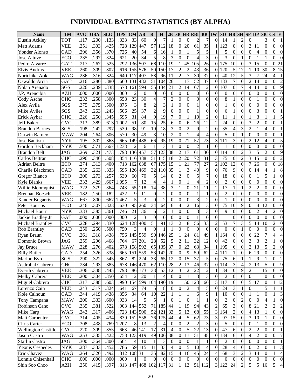# **INDIVIDUAL BATTING STATISTICS (BY ALPHA)**

| <b>Name</b>                | <b>TM</b>                | <b>AVG</b>   | <b>OBA</b>        | <b>SLG</b>   | <b>OPS</b>       | <b>GM</b>                | $\bf AB$        | $\bf{R}$            | $\bf{H}$         | 2B                              | 3B                         |                                  | <b>HR RBI</b>         | <b>BB</b>                      | IW                      | SO                             | <b>HB</b>            | <b>SH</b>               | $SF$ $DP$        |                  | $\mathbf{S}\mathbf{B}$ | <b>CS</b><br>E                                     |
|----------------------------|--------------------------|--------------|-------------------|--------------|------------------|--------------------------|-----------------|---------------------|------------------|---------------------------------|----------------------------|----------------------------------|-----------------------|--------------------------------|-------------------------|--------------------------------|----------------------|-------------------------|------------------|------------------|------------------------|----------------------------------------------------|
| Dustin Ackley              | TOT                      | .117         | .200              | .133         | .333             | 33                       | 60              | 9                   | 7                | $\mathbf{1}$                    | $\theta$                   | $\Omega$                         | $\overline{c}$        | 7                              | $\theta$                | 14                             |                      | $\overline{c}$          | $\theta$         |                  | 3                      | $\overline{0}$<br>1                                |
| Matt Adams                 | VEE                      | .251         | .303              | .425         | .728             | 129                      | 447             | $\overline{57}$     | 112              | $\overline{18}$                 | $\theta$                   | 20                               | 61                    | $\overline{35}$                |                         | 123                            | $\Omega$             | $\overline{0}$          | 3                | 11               | $\overline{0}$         | $\overline{0}$<br>$\overline{0}$                   |
| Yonder Alonso              | CAD                      | .296         | .356              | .370         | .726             | 40                       | $\overline{54}$ | 6                   | 16               | 1                               | $\Omega$                   |                                  | 5                     | 5                              |                         | 5                              | $\Omega$             | $\overline{0}$          | $\overline{0}$   | 4                | $\theta$               | $\theta$<br>$\theta$                               |
| Jose Altuve                | ECO                      | .235         | .297              | .324         | .621             | 20                       | $\overline{34}$ | 5                   | 8                | 3                               | $\Omega$                   | $\Omega$                         | $\overline{4}$        | 3                              | 0                       | 3                              | $\Omega$             |                         | $\overline{0}$   |                  |                        | $\theta$<br>$\Omega$                               |
| Pedro Alvarez              | GAT                      | .217         | .267              | .525         | .792             | 136                      | 507             | 68                  | 110              | $\overline{19}$                 |                            | 45                               | 105                   | 26                             | $\Omega$                | 175                            | 10                   | $\overline{0}$          | 3                | 15               | $\theta$               | $\theta$<br>21                                     |
| Elvis Andrus               | VEE                      | .260         | .309              | .307         | .616             | 155                      | 576             | 50                  | 150              | 17                              | $\overline{c}$             | $\overline{2}$                   | 43                    | 36                             | $\Omega$                | 120                            | 5                    | $1\overline{7}$         | $\mathbf{1}$     | 10               | 30                     | 8<br>15                                            |
| Norichika Aoki             | <b>WAG</b>               | .236         | .316              | .324         | .640             | 117                      | 407             | 58                  | 96               | 11                              | $\overline{2}$             |                                  | 30                    | $\overline{37}$                | 0                       | 40                             | 12                   | 5                       | 3                | 7                | 24                     | $\overline{\mathcal{L}}$<br>1                      |
| Oswaldo Arcia              | <b>GAT</b>               | .216         | .280              | .380         | .660             | 131                      | 482             | 51                  | 104              | 26                              |                            | 17                               | 52                    | $\overline{37}$                | $\Omega$                | 183                            | 7                    | $\overline{0}$          | $\overline{c}$   | 14               | $\theta$               | $\overline{2}$<br>$\overline{0}$                   |
| Nolan Arenado              | SGS                      | .226         | .239              | .338         | .578             | 161                      | 594             | 55                  | 134              | 21                              | $\overline{2}$             | 14                               | 67                    | 12                             | $\theta$                | 107                            | $\Omega$             | $\overline{7}$          | $\overline{4}$   | 14               | $\theta$               | $\overline{9}$<br>$\overline{0}$                   |
| J.P. Arencibia             | AZH                      | .000         | .000              | .000         | .000             | $\mathfrak{D}$           | $\theta$        | $\theta$            | $\theta$         | $\boldsymbol{0}$                | $\theta$                   | $\theta$                         | $\theta$              | $\Omega$                       | 0                       | $\boldsymbol{0}$               | $\Omega$             | $\overline{0}$          | $\mathbf{0}$     | $\theta$         | $\Omega$               | $\overline{0}$<br>$\overline{0}$                   |
| Cody Asche                 | <b>CHC</b>               | .233         | .258              | .300         | .558             | 23                       | 30              | $\overline{4}$      | $\overline{7}$   | $\overline{c}$                  | 0                          | $\Omega$                         | $\overline{0}$        | $\overline{0}$                 | $\theta$                | 8                              |                      | $\overline{0}$          | $\overline{0}$   | 1                | $\Omega$               | $\overline{0}$<br>$\theta$                         |
| Alex Avila                 | SGS                      | .375         | .375              | .500         | .875             | 3                        | 8               | $\overline{c}$      | 3                | $\mathbf{1}$                    | $\theta$                   | $\overline{0}$                   |                       | $\theta$                       | 0                       | $\mathbf{1}$                   | $\Omega$             | $\overline{0}$          | $\overline{0}$   | $\boldsymbol{0}$ | $\theta$               | $\theta$<br>$\theta$                               |
| Mike Aviles                | SGS                      | .243         | .263              | .243         | .506             | 25                       | $\overline{37}$ | $\overline{2}$      | 9                | $\overline{0}$                  | $\theta$                   | $\Omega$                         |                       | $\overline{0}$                 | 0                       | 6                              |                      | $\overline{0}$          | $\overline{0}$   | 3                | $\Omega$               | $\theta$                                           |
| Erick Aybar                | <b>CHC</b>               | .226         | .250              | .345         | .595             | 31                       | 84              | 9                   | $\overline{19}$  | $\overline{7}$                  | $\theta$                   |                                  | 10                    | $\overline{2}$                 | $\theta$                | 11                             |                      | $\overline{0}$          | $\mathbf{1}$     | 3                |                        | 5<br>1                                             |
| Jeff Baker                 | <b>CVC</b>               | .313         | .389              | .613         | .002             | 51                       | 80              | 15                  | 25               | 6                               | $\theta$                   | 6                                | 26                    | 12                             | $\overline{2}$          | 24                             | $\Omega$             | $\overline{0}$          | 3                | $\overline{c}$   | $\theta$               | $\overline{0}$<br>1                                |
| <b>Brandon Barnes</b>      | SGS                      | .198         | .242              | .297         | .539             | 98                       | 91              | 19                  | $\overline{18}$  | 3                               | $\theta$                   | $\mathfrak{D}$                   | 9                     | $\overline{2}$                 | 0                       | $\overline{35}$                |                      | $\overline{\mathbf{3}}$ | $\overline{2}$   | 1                |                        | $\overline{0}$                                     |
| Darwin Barney              | MAW                      | .204         | .264              | .306         | .570             | 30                       | 49              | 3                   | 10               | $\overline{2}$                  | 0                          |                                  | $\overline{4}$        | $\overline{4}$                 | 0                       | 5                              | $\theta$             |                         | $\overline{0}$   | $\overline{0}$   | $\theta$               | $\theta$                                           |
| Jose Bautista              | NYK                      | .195         | .302              | .363         | .665             | 149                      | 488             | 66                  | 95               | $\overline{19}$                 | $\theta$                   | 21                               | 57                    | 73                             | $\overline{3}$          | 11                             | 3                    | $\overline{0}$          | $\overline{2}$   | 12               | Δ                      | 5<br>$\theta$                                      |
| Gordon Beckham             | NYK                      | .500         | .571              | .667         | .238             | $\mathfrak{D}$           | 6               |                     | 3                | $\mathbf{1}$                    | $\Omega$                   | $\Omega$                         | $\overline{2}$        | $\mathbf{1}$                   | $\Omega$                | $\mathbf{1}$                   | $\theta$             | $\overline{0}$          | $\overline{0}$   | $\overline{0}$   | $\theta$               | $\overline{0}$<br>$\overline{0}$                   |
| <b>Brandon Belt</b>        | <b>JAG</b>               | .269         | .321              | .473         | .793             |                          | 136 457         | 57                  | 123              | 38                              | $\overline{2}$             | 17                               | 61                    | 30                             | $\Omega$                | 114                            | 6                    | $\overline{2}$          | $\overline{3}$   | 5                | $\overline{2}$         | 9<br>$\theta$                                      |
| Carlos Beltran             | <b>CHC</b>               | .296         | .346              | .508         | .854             | 116                      | 388             | 51                  | 115              | 18                              | $\overline{2}$             | 20                               | 72                    | $\overline{31}$                | 3                       | 75                             | $\Omega$             | $\overline{2}$          | 3                | $\overline{15}$  | $\theta$               | $\overline{2}$<br>$\theta$                         |
| Adrian Beltre              | ECO                      | .274         | .313              | .400         | .713             | 162                      | 638             | 67                  | 175              | 15                              |                            | $\overline{21}$                  | 77                    | $\overline{27}$                | $\overline{2}$          | 102                            | 12                   | $\overline{0}$          | $\overline{7}$   | 26               | $\theta$               | $\overline{18}$<br>$\theta$                        |
| Charlie Blackmon           | CAD                      | .235         | .263              | .333         | .595             | 126                      | 469             | 32                  | 110              | 35                              |                            | 3                                | 40                    | 9                              | $\theta$                | 76                             | 9                    | $\overline{0}$          | $\overline{0}$   | 14               |                        | 8<br>1                                             |
| <b>Gregor Blanco</b>       | <b>ECO</b>               | .200         | .273              | .257         | .530             | 60                       | 70              | 5                   | 14               | $\theta$                        | $\overline{c}$             | $\theta$                         | 5                     | $\overline{7}$                 | 0                       | 18                             | $\Omega$             | $\overline{8}$          | $\overline{0}$   | 1                | 5                      | $\overline{0}$<br>1                                |
|                            | <b>VEE</b>               | .333         | .429              | .667         | .095             | 7                        | 12              | $\overline{4}$      | $\overline{4}$   | $\mathbf{1}$                    | $\theta$                   |                                  | $\overline{4}$        | $\overline{2}$                 | 0                       | $\overline{2}$                 | $\theta$             | $\overline{0}$          | $\overline{0}$   | $\overline{0}$   | $\theta$               | $\overline{0}$<br>$\overline{0}$                   |
| <b>Kyle Blanks</b>         |                          | 322          |                   | .364         | .743             | 55                       | 118             | 14                  | 38               | 3                               |                            | $\theta$                         | 21                    | 11                             |                         | $\overline{17}$                |                      |                         | $\overline{2}$   | $\overline{2}$   | $\theta$               | $\theta$<br>$\theta$                               |
| Willie Bloomquist          | <b>WAG</b>               | .182         | .379<br>.250      | .182         |                  | 9                        | 11              | $\theta$            | $\overline{2}$   | $\theta$                        | $\Omega$                   | $\theta$                         |                       |                                | $\overline{2}$          |                                |                      | $\overline{0}$          | $\overline{0}$   | $\overline{0}$   |                        | $\overline{0}$<br>$\overline{0}$                   |
| <b>Brennan Boesch</b>      | VEE                      |              |                   |              | .432             | 5                        | 3               | $\overline{0}$      | $\overline{2}$   | $\overline{0}$                  | $\theta$                   | $\Omega$                         | 1<br>3                | $\mathbf{1}$<br>$\overline{2}$ | $\theta$<br>0           | $\overline{2}$<br>$\mathbf{1}$ | $\Omega$             | $\overline{0}$          | $\overline{0}$   | $\overline{0}$   | $\theta$<br>$\theta$   | $\overline{0}$<br>$\overline{0}$                   |
| Xander Bogaerts            | WAG                      | .667         | .800<br>.307      | .667<br>.323 | .467<br>.630     | 95                       | 260             | 34                  | $\overline{64}$  |                                 |                            |                                  | 16                    | $\overline{13}$                |                         | $\overline{75}$                | $\theta$<br>10       | 9                       | $\overline{0}$   | $\overline{4}$   | 12                     | $\overline{0}$<br>$\overline{0}$                   |
| Peter Bourjos              | ECO                      | .246<br>.333 | .385              | .361         | .746             | 21                       | 36              |                     | $\overline{12}$  | 6<br>$\mathbf{1}$               | 0                          | $\overline{2}$<br>$\overline{0}$ | 3                     | 3                              | $\theta$                | 9                              |                      | $\overline{0}$          | $\overline{0}$   | $\overline{2}$   |                        | $\overline{2}$<br>$\overline{0}$                   |
| Michael Bourn              | <b>NYK</b><br><b>GAT</b> | .000         | .000              | .000         | .000             | $\overline{\mathcal{L}}$ | 3               | 6<br>$\overline{0}$ | $\overline{0}$   | $\boldsymbol{0}$                | $\theta$                   | $\Omega$                         | $\mathbf{1}$          | $\overline{0}$                 | 0<br>$\theta$           | $\mathbf{1}$                   | $\Omega$<br>$\theta$ | $\overline{0}$          | $\overline{0}$   | $\overline{0}$   | $\theta$               | $\overline{0}$<br>$\overline{0}$                   |
| Jackie Bradley Jr          |                          |              |                   |              |                  | 128                      |                 | 51                  | 91               | $\overline{13}$                 |                            | 8                                | 56                    | $\overline{33}$                |                         | 53                             |                      | $\overline{\mathbf{3}}$ | $\overline{5}$   | 14               | 10                     | $\overline{0}$                                     |
| Michael Brantley           | <b>CVC</b>               | .228         | .294<br>.250      | .330<br>.500 | .624<br>.750     | 3                        | 400             | $\theta$            |                  |                                 | $\overline{2}$<br>$\Omega$ | $\theta$                         | $\theta$              | $\theta$                       | 2                       | $\theta$                       | 7                    | 1                       | $\overline{0}$   | $\overline{0}$   | $\theta$               | $\overline{c}$<br>$\overline{0}$<br>$\overline{0}$ |
| <b>Rob Brantley</b>        | CAD                      | .250         | $.31\overline{8}$ |              |                  | 145                      |                 | 90                  |                  | $\mathbf{1}$<br>$\overline{25}$ |                            |                                  | 81                    | 49                             | $\Omega$                | 164                            | $\Omega$             | $\boldsymbol{0}$        |                  | 22               |                        | 4                                                  |
| Ryan Braun                 | <b>CVC</b>               | .261         |                   | .438         | .756             |                          | 559             |                     | 146<br>52        |                                 |                            | 24                               |                       | 12                             |                         |                                | $\Omega$             |                         | 6<br>3           |                  |                        | $\overline{4}$                                     |
| Domonic Brown              | JAG                      | .259         | .296              | .468         | .764             | 67                       | 201<br>592      | 28<br>65            | 135              | 5<br>$\overline{37}$            | $\overline{2}$<br>$\theta$ | 11<br>22                         | 32<br>$\overline{63}$ | 34                             | 0                       | 42<br>195                      | $\theta$             | $\overline{0}$          | $\overline{2}$   | 3<br>13          | $\overline{2}$<br>5    | $\overline{0}$<br>1<br>$\overline{0}$              |
| <b>Jay Bruce</b>           | <b>MAW</b>               | .228         | .276              | .402         | .678             | 158                      |                 |                     |                  |                                 |                            |                                  |                       |                                |                         |                                | 6                    | $\overline{0}$          |                  |                  |                        | $\overline{2}$                                     |
| <b>Billy Butler</b>        | CAD                      | .254         | .326              | .338         | .665   151   559 |                          |                 | 53                  | 142              | 20                              | $\overline{0}$             | 9                                | 59                    | 62                             | 41                      | 111                            | $\mathbf{I}$         | $\bf{0}$                | $\sigma$         | 29               | $\mathbf{U}$           | $\theta$<br>$\overline{0}$                         |
| Marlon Byrd                | SGS                      | .290         | .322              | .545         | .867             |                          | 82 224          | 33                  | 65               | 12                              | $\theta$                   | 15                               | 37                    | 5                              | $\theta$                | 75                             | 6                    |                         | $\mathbf{1}$     | 9                |                        | $\overline{c}$<br>$\boldsymbol{0}$                 |
| Asdrubal Cabrera           | <b>CHC</b>               | .234         | .293              | .385         | .678             |                          | 146 470         | 62                  | 110              | 28                              | $\overline{c}$             | 13                               | 46                    | 37                             | $\overline{0}$          | 114                            | 3                    | $\overline{4}$          | $\overline{c}$   | 13               |                        | 9<br>$\boldsymbol{0}$                              |
| <b>Everth Cabrera</b>      | VEE                      | .306         | .348              | .445         | .793             |                          | 86 173          | 33                  | 53               | 12                              | 3                          | 2                                | 22                    | 12                             |                         | 34                             | $\mathbf{0}$         | 9                       | $\overline{c}$   |                  | 15                     | $\mathbf{0}$<br>6                                  |
| Melky Cabrera              | VEE                      | .200         | .304              | .350         | .654             | 12                       | 20              |                     | 4                | $\boldsymbol{0}$                | $\theta$                   |                                  | 3                     | 3                              | 0                       | $\overline{2}$                 | $\theta$             | $\boldsymbol{0}$        | $\overline{0}$   |                  | $\Omega$               | $\overline{0}$<br>$\overline{0}$                   |
| Miguel Cabrera             | <b>CHC</b>               | .317         | .388              | .603         | .990             |                          | 154 599         | 104                 | 190              | 19                              |                            | 50                               | 123                   | 66                             | 5 <sub>l</sub>          | 117                            | 6                    | $\boldsymbol{0}$        | $\mathfrak{S}$   | 17               | $\overline{0}$         | 12<br>1                                            |
| Lorenzo Cain               | VEE                      | .243         | .317              | .324         | .641             | 67                       | 74              | 5                   | 18               | $\boldsymbol{0}$                | $\theta$                   | $\overline{c}$                   | $\overline{4}$        | 5                              | 0                       | 24                             | 3                    |                         | $\boldsymbol{0}$ |                  | 5                      | 1<br>$\mathbf{1}$                                  |
| Kole Calhoun               | CAD                      | .344         | .419              | .438         | .856             | 34                       | 64              | 10                  | 22               |                                 |                            |                                  | 6                     | 9                              |                         | 10                             | $\theta$             | $\boldsymbol{0}$        | $\mathbf{1}$     |                  | $\theta$               | 3<br>1                                             |
| Tony Campana               | MAW                      | .200         | .333              | .600         | .933             | 14                       | 5               | 5                   | 1                | $\boldsymbol{0}$                |                            | $\boldsymbol{0}$                 |                       |                                | $\theta$                | $\overline{2}$                 | $\Omega$             | $\overline{c}$          | $\mathbf{0}$     | $\mathbf{0}$     |                        | $\boldsymbol{0}$<br>1                              |
| Robinson Cano              | <b>CVC</b>               | .335         | .381              | .522         | .903             |                          | 144 552         | 71                  | 185              | 44                              |                            | 19                               | 94                    | 43                             | 2                       | 65                             | 3                    | $\overline{0}$          | 8                | 21               | $\overline{c}$         | $\overline{2}$<br>$\overline{c}$                   |
| Mike Carp                  | WAG                      | .242         | .317              | .406         | .723             |                          | 143 500         | 52                  | 121              | 33                              | 5                          | 13                               | 68                    | 55                             | $\overline{\mathbf{3}}$ | 164                            | 2                    | $\boldsymbol{0}$        | $\vert 4 \vert$  | 13               |                        | $\overline{0}$<br>$\boldsymbol{0}$                 |
| <b>Matt Carpenter</b>      | <b>CVC</b>               | .314         | .405              | .434         | .839             |                          | 152 558         | 76                  | 175              | 44                              | 4                          | 5                                | 62                    | 73                             | 3                       | 97                             | 15                   | $\boldsymbol{0}$        | $\overline{3}$   | 10               |                        | $\boldsymbol{0}$<br>$\overline{0}$                 |
| Chris Carter               | ECO                      | .308         | .438              | .769         | .207             | 8                        | 13              | $\overline{2}$      | 4                | $\boldsymbol{0}$                | $\theta$                   | $\overline{2}$                   | $\overline{2}$        | 3                              | $\theta$                | 5                              | $\theta$             | $\boldsymbol{0}$        | $\boldsymbol{0}$ |                  | $\theta$               | $\boldsymbol{0}$<br>$\overline{0}$                 |
| <b>Wellington Castillo</b> | <b>CVC</b>               | .220         | .309              | .355         | .663             | 46                       | 141             | 17                  | 31               | $\overline{4}$                  | 0                          | 5                                | 22                    | 13                             | $\theta$                | 47                             | 6                    | 0                       | $\overline{c}$   | 2                | $\theta$               | $\overline{0}$<br>1                                |
| Jason Castro               | <b>WAG</b>               | .253         | .335              | .422         | .758             |                          | 123 419         | 49                  | 106              | 38                              | $\overline{0}$             | 11                               | 51                    | 48                             | $\overline{0}$          | 134                            | 6                    | $\boldsymbol{0}$        | $\overline{4}$   | $\overline{c}$   | $\theta$               | $\boldsymbol{7}$<br>$\boldsymbol{0}$               |
| <b>Starlin Castro</b>      | JAG                      | .300         | .364              | .300         | .664             | 4                        | 10              |                     | 3                | $\boldsymbol{0}$                | $\theta$                   | $\boldsymbol{0}$                 | 1                     | 1                              | 0                       | $\overline{c}$                 | 0                    | $\boldsymbol{0}$        | $\boldsymbol{0}$ | $\boldsymbol{0}$ | $\Omega$               | $\mathbf{1}$<br>$\overline{0}$                     |
| <b>Yeonis Cespedes</b>     | <b>NYK</b>               | .287         | .333              | .452         | .786             |                          | 59 115          | 11                  | 33               | $\overline{4}$                  | $\theta$                   | 5                                | 10                    | $\overline{4}$                 | 0                       | 28                             |                      | $\boldsymbol{0}$        | $\boldsymbol{0}$ | $\overline{2}$   | $\theta$               | 3<br>1                                             |
| Eric Chavez                | WAG                      | .264         | .320              | .492         | .812             |                          | 108 311         | 35                  | 82               | 15                              | 4                          | 16                               | 45                    | 24                             | 4                       | 68                             | 3                    | $\overline{c}$          | 3                | 14               | $\theta$               | $\overline{4}$<br>1                                |
| Lonnie Chisenhall          | <b>CHC</b>               | .000         | .000              | .000         | .000             |                          | $\theta$        | $\mathbf{0}$        | $\boldsymbol{0}$ | $\boldsymbol{0}$                | 0                          | $\boldsymbol{0}$                 | $\boldsymbol{0}$      | $\theta$                       | $\theta$                | $\boldsymbol{0}$               | $\theta$             | $\boldsymbol{0}$        | $\boldsymbol{0}$ | $\boldsymbol{0}$ | 0                      | $\overline{0}$<br>$\boldsymbol{0}$                 |
| Shin Soo Choo              | AZH                      | .250         | .415              | .397         | .813 147 468 102 |                          |                 |                     | 117              | 31                              |                            | 12                               | 51                    | $1\overline{12}$               | 3 <sup>1</sup>          | 122                            | 24                   | $\overline{c}$          | $\overline{5}$   | $\overline{5}$   | 16                     | $\vert$<br>$\overline{4}$                          |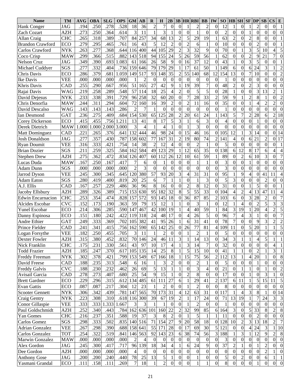| <b>Name</b>              | <b>TM</b>  | <b>AVG</b> | <b>OBA</b> | <b>SLG</b> | <b>OPS</b> | <b>GM</b>      | $\bf AB$ | R                | H                | 2B                       |                  |                  | <b>3B HR RBI</b>        | <b>BB</b>               | IW             | SO <sub>1</sub>  | <b>HB</b> SH     |                  | <b>SF</b>        | DP               | SB               | $\mathbf{CS}$<br>E                   |
|--------------------------|------------|------------|------------|------------|------------|----------------|----------|------------------|------------------|--------------------------|------------------|------------------|-------------------------|-------------------------|----------------|------------------|------------------|------------------|------------------|------------------|------------------|--------------------------------------|
| <b>Hank Conger</b>       | <b>JAG</b> | .194       | .250       | .278       | .528       | 18             | 36       | $\overline{c}$   | $\overline{7}$   | $\boldsymbol{0}$         | $\theta$         |                  | $\overline{c}$          | $\overline{c}$          | $\theta$       | 12               |                  | $\mathbf{0}$     |                  | $\overline{c}$   | $\theta$         | $\overline{0}$<br>1                  |
| Zach Cozart              | AZH        | .273       | .250       | .364       | .614       | 3              | 11       | $\mathbf{1}$     | $\overline{3}$   | 1                        | $\boldsymbol{0}$ | $\theta$         | $\mathbf{1}$            | $\overline{0}$          | $\Omega$       | $\overline{c}$   | $\mathbf{0}$     | $\mathbf{0}$     | $\mathbf{1}$     | $\boldsymbol{0}$ | $\Omega$         | $\theta$<br>$\theta$                 |
| Allan Craig              | <b>CHC</b> | .265       | .318       | .389       | .707       | 84             | 257      | 34               | 68               | 13                       | $\overline{c}$   | 5                | 29                      | 19                      |                | 63               | $\overline{c}$   | $\mathbf{0}$     | $\overline{c}$   | 8                | $\Omega$         | $\theta$                             |
| <b>Brandon Crawford</b>  | <b>ECO</b> | .279       | .295       | .465       | .761       | 16             | 43       | 5                | 12               | $\overline{2}$           | $\theta$         | $\overline{2}$   | 6                       | $\mathbf{1}$            | $\theta$       | 10               | $\mathbf{0}$     | $\mathbf{0}$     | $\overline{0}$   | $\overline{c}$   | $\theta$         | $\Omega$                             |
| Carlos Crawford          | <b>NYK</b> | .263       | .277       | .368       | .644       | 116            | 400      | 44               | 105              | 29                       | $\overline{c}$   | 3                | $\overline{32}$         | 9                       | $\Omega$       | 70               | $\mathbf{0}$     |                  | $\overline{3}$   | 5                | 10               | 5<br>4                               |
| Coco Crisp               | <b>MAW</b> | .299       | .366       | .515       | .882       | 143            | 518      | 94               | 155              | 24                       | 5                | 26               | 59                      | 56                      |                | 62               | $\Omega$         | $\mathbf{0}$     | $\overline{c}$   | 9                | 21               | 7<br>$\Omega$                        |
| Nelson Cruz              | JAG        | 349        | .390       | .693       | 1.083      | 61             | 166      | 26               | 58               | 9                        | $\mathbf{0}$     | 16               | 37                      | 12                      | $\Omega$       | 43               |                  | $\mathbf{0}$     | $\overline{3}$   | 5                | $\mathbf{0}$     | $\theta$                             |
| Michael Cuddyer          | SGS        | .277       | .332       | .404       | .736       | 159            | 646      | 79               | 179              | 29                       |                  | 17               | 61                      | 50                      |                | 149              | 6                | $\mathbf{0}$     | 6                | 24               | $\overline{3}$   | $\overline{2}$                       |
| Chris Davis              | <b>ECO</b> | .286       | .379       | .681       | .059       | 149            | 517      | 93               | 148              | 35                       | $\overline{2}$   | 55               | 140                     | 68                      | 12             | 154              | 13               | $\mathbf{0}$     | $\overline{7}$   | 10               | $\mathbf{0}$     | $\overline{2}$<br>$\theta$           |
| Ike Davis                | <b>VEE</b> | .000       | .000       | .000       | .000       |                |          | $\boldsymbol{0}$ | $\theta$         | $\boldsymbol{0}$         | $\theta$         | $\mathbf{0}$     | $\boldsymbol{0}$        | $\boldsymbol{0}$        | $\Omega$       | $\mathbf{1}$     | $\mathbf{0}$     | $\mathbf{0}$     | $\boldsymbol{0}$ | $\overline{0}$   | $\Omega$         | $\theta$<br>$\theta$                 |
| Khris Davis              | CAD        | .255       | .290       | .667       | .956       | 51             | 165      | 27               | 42               | 9                        |                  | 19               | 39                      | $\overline{7}$          | $\Omega$       | 48               | $\overline{2}$   | $\mathbf{0}$     | $\overline{c}$   | 3                | $\theta$         | $\theta$<br>$\theta$                 |
| Rajai Davis              | <b>WAG</b> | .219       | .258       | .289       | .548       | 57             | 114      | 18               | 25               | $\overline{4}$           | $\overline{c}$   | $\overline{0}$   | 5                       | 5                       | $\theta$       | 28               |                  | $\overline{0}$   | $\overline{0}$   | 3                | 13               | $\overline{2}$                       |
| David Dejesus            | <b>NYK</b> | .233       | .338       | .391       | .729       | 96             | 258      | 32               | 60               | 20                       | $\Omega$         | 7                | 28                      | 33                      | $\overline{2}$ | 59               | 9                |                  | $\overline{c}$   | 8                |                  | $\overline{0}$<br>$\overline{2}$     |
| Chris Denorfia           | <b>MAW</b> | .244       | .311       | .294       | .604       | 72             | 160      | 16               | 39               | $\overline{2}$           | $\theta$         | $\overline{c}$   | 11                      | 16                      | $\Omega$       | 35               | $\mathbf{0}$     | $\mathbf{0}$     | $\mathbf{1}$     | $\overline{4}$   | $\overline{c}$   | $\overline{2}$<br>$\theta$           |
| David Descalso           | WAG        | .143       | .143       | .143       | .286       | $\overline{2}$ | 7        | $\mathbf{1}$     | $\overline{0}$   | $\boldsymbol{0}$         | $\Omega$         | $\mathbf{0}$     | $\boldsymbol{0}$        | $\boldsymbol{0}$        | $\theta$       | $\mathbf{1}$     | $\mathbf{0}$     | $\mathbf{0}$     | $\overline{0}$   | $\boldsymbol{0}$ | $\boldsymbol{0}$ | $\overline{0}$<br>$\theta$           |
| Ian Desmond              | <b>GAT</b> | .236       | .275       | .409       | .684       | 154            | 530      | 65               | 125              | 28                       | $\overline{c}$   | 20               | 61                      | 24                      |                | 143              | 5                | $\overline{7}$   | $\overline{c}$   | 28               | 6                | 18<br>$\overline{2}$                 |
| <b>Corey Dickerson</b>   | <b>ECO</b> | .415       | .455       | .756       | .211       | 13             | 41       | 8                | 17               | 5                        | 3                |                  | 6                       | 3                       | $\Omega$       | $\overline{4}$   | $\mathbf{0}$     | $\mathbf{0}$     | $\overline{0}$   | 1                | $\theta$         | $\overline{0}$<br>$\Omega$           |
| Derek Dietrich           | <b>MAW</b> | .000       | 1.000      | 2.000      | 3.000      | 3              |          |                  | $\overline{4}$   | $\mathbf{1}$             | $\boldsymbol{0}$ |                  | 3                       | $\overline{0}$          | $\Omega$       | $\overline{0}$   | $\mathbf{0}$     | $\mathbf{0}$     | $\overline{0}$   | $\mathbf{0}$     | $\Omega$         | $\theta$<br>$\Omega$                 |
| <b>Matt Dominguez</b>    | CAD        | 221        | .265       | .376       | .641       | 132            | 444      | 46               | 98               | 24                       | $\mathbf{0}$     | 15               | 46                      | 16                      | $\overline{0}$ | 105              | 12               |                  | $\overline{3}$   | 14               | $\boldsymbol{0}$ | $\theta$<br>14                       |
| <b>Josh Donaldson</b>    | JAG        | .277       | .357       | .430       | .787       | 158            | 602      | 77               | 167              | 31                       | $\overline{2}$   | 19               | 80                      | 74                      | $\overline{c}$ | 141              | $\overline{4}$   | $\mathbf{0}$     | 6                | 21               | $\overline{2}$   | 17<br>$\theta$                       |
| <b>Ryan Doumit</b>       | <b>VEE</b> | 316        | .333       | .421       | .754       | 14             | 38       | $\overline{2}$   | 12               | $\overline{4}$           | $\mathbf{0}$     | $\mathbf{0}$     | $\overline{2}$          | $\mathbf{1}$            | $\theta$       | 5                | $\mathbf{0}$     | $\mathbf{0}$     | $\overline{0}$   | $\boldsymbol{0}$ | $\Omega$         | $\theta$                             |
| Brian Dozier             | SGS        | .211       | .259       | .325       | .584       | 162            | 584      | 49               | 123              | 29                       |                  | 12               | 65                      | $\overline{35}$         | $\Omega$       | 138              | 6                | $\overline{12}$  | 8                | 17               | 6                | 4                                    |
| Stephen Drew             | <b>AZH</b> | .275       | .362       | .472       | .834       | 126            | 407      | 60               | 112              | 26                       | 12               | 10               | 61                      | $\overline{59}$         |                | 89               | $\mathbf{0}$     | $\overline{2}$   | 6                | 10               | 3                | $\overline{7}$<br>$\theta$           |
| Lucas Duda               | <b>MAW</b> | .167       | .250       | .167       | .417       | 7              | 6        | $\mathbf{0}$     |                  | $\boldsymbol{0}$         | $\overline{0}$   | $\overline{0}$   | $\mathbf{1}$            | 1                       | $\Omega$       | 3                | $\mathbf{0}$     | $\overline{0}$   | $\mathbf{1}$     | $\boldsymbol{0}$ | $\overline{0}$   | $\Omega$<br>$\theta$                 |
| Adam Dunn                | SGS        | .000       | .000       | .000       | .000       | $\overline{2}$ | 3        | $\overline{0}$   | $\mathbf{0}$     | $\boldsymbol{0}$         | $\theta$         | $\theta$         | $\overline{0}$          | $\mathbf{0}$            | $\Omega$       | 3                | $\Omega$         | $\mathbf{0}$     | $\overline{0}$   | $\boldsymbol{0}$ | $\mathbf{0}$     | $\theta$<br>$\theta$                 |
| Jarrod Dyson             | <b>VEE</b> | .245       | .300       | .345       | .645       | 120            | 380      | $\overline{57}$  | 93               | 20                       | 3                | 4                | 31                      | $\overline{31}$         | $\Omega$       | $\overline{95}$  |                  | 9                | $\overline{4}$   | $\boldsymbol{0}$ | 41               | 11<br>4                              |
| <b>Adam Eaton</b>        | SGS        | .280       | .419       | .400       | .819       | 20             | 25       | 6                | $\overline{7}$   | $\mathbf{1}$             |                  | $\theta$         | $\mathbf{1}$            | 3                       | $\Omega$       | 5                | 3                | $\overline{0}$   | $\overline{0}$   | $\overline{0}$   | $\overline{2}$   | $\overline{0}$<br>$\Omega$           |
| A.J. Ellis               | CAD        | .167       | .257       | .229       | .486       | 36             | 96       | 8                | 16               | $\boldsymbol{0}$         | $\boldsymbol{0}$ | $\overline{c}$   | 8                       | $\overline{12}$         | $\Omega$       | 31               | $\boldsymbol{0}$ | $\overline{0}$   | $\mathbf{1}$     | 5                | $\mathbf{0}$     | $\theta$                             |
| Jacoby Ellsbury          | <b>AZH</b> | .289       | .326       | .389       | .715       | 153            | 630      | 95               | 182              | $\overline{32}$          | 8                | 5                | $\overline{55}$         | $\overline{33}$         | $\Omega$       | 104              | 4                | $\overline{2}$   | $\overline{4}$   | 13               | 47               | 11<br>4                              |
| <b>Edwin Encarnacion</b> | <b>CHC</b> | .253       | .354       | .474       | .828       | 157            | 572      | 93               | 145              | 18                       | $\overline{0}$   | $\overline{36}$  | 87                      | $\overline{85}$         | $\overline{2}$ | 103              | 6                | $\mathbf{0}$     | 3                | $\overline{28}$  | $\overline{2}$   | $\overline{7}$<br>$\overline{0}$     |
| Alcides Escobar          | <b>CVC</b> | .152       | .173       | .190       | .363       | 59             | 79       | 15               | 12               | $\mathbf{1}$             |                  | $\overline{0}$   | 3                       | 1                       | $\Omega$       | 12               |                  | $\overline{4}$   | $\overline{0}$   | $\overline{2}$   | 5                | $\overline{3}$<br>3                  |
| Yunel Escobar            | <b>ECO</b> | .214       | .306       | .285       | .590       | 147            | 467      | 42               | 100              | 19                       |                  | 4                | 40                      | $\overline{59}$         |                | 84               | 3                | $\overline{19}$  |                  | 20               | $\overline{4}$   | $\overline{5}$<br>$\overline{2}$     |
| Danny Espinosa           | ECO        | .151       | .180       | .242       | .422       | 119            | 318      | 24               | 48               | 17                       | $\theta$         | 4                | 26                      | 5                       | $\Omega$       | 96               | 7                | 4                | 3                | $\mathbf{1}$     | $\theta$         | $\overline{7}$<br>$\overline{0}$     |
| Andre Ethier             | GAT        | .249       | .333       | .369       | .702       | 105            | 382      | 41               | 95               | 26                       |                  | 6                | $\overline{31}$         | 41                      | $\Omega$       | 78               | $\overline{7}$   | $\boldsymbol{0}$ | $\overline{0}$   | 9                | 3                | $\overline{c}$<br>$\overline{2}$     |
| Prince Fielder           | CAD        | .241       | .341       | .415       | .756       | 162            | 590      | 65               | 142              | 25                       | $\theta$         | 26               | 77                      | 81                      | 4              | 109              | 11               | $\mathbf{0}$     | 5                | 20               |                  | 5                                    |
| Logan Forsythe           | <b>VEE</b> | .182       | .250       | .455       | .705       | 3              | 11       |                  | $\overline{2}$   | $\overline{0}$           | $\theta$         |                  | $\overline{2}$          | 1                       | $\Omega$       | 5                | $\Omega$         | $\overline{0}$   | $\overline{0}$   | $\overline{0}$   | $\theta$         | $\overline{0}$<br>$\overline{0}$     |
| Dexter Fowler            | AZH        | .315       | .380       | .452       | .832       |                | 70 146   | 24               | 46               | 11                       | 3                |                  | 14                      | 13                      | $\theta$       | 34               | 3                | $\mathbf{I}$     | $\mathbf{I}$     | 4                | C                | $\perp$                              |
| Nick Franklin            | <b>CHC</b> | .175       | .231       | .330       | .561       | 43             | 97       | 10               | 17               | $\overline{\mathcal{L}}$ |                  | 3                | 14                      | 7                       | $\Omega$       | 32               | $\overline{0}$   | $\boldsymbol{0}$ | $\overline{0}$   | $\mathbf{0}$     | $\Omega$         | $\mathbf{1}$<br>4                    |
| <b>Todd Frazier</b>      | AZH        | .185       | .247       | .370       | .617       |                | 105 135  | 14               | 25               | 8                        |                  | 5                | 15                      | 10                      | $\Omega$       | 41               |                  |                  | $\overline{0}$   | $\overline{2}$   |                  | 3<br>$\mathbf{1}$                    |
| Freddy Freeman           | <b>NYK</b> | .302       | .378       | .421       | .799       |                | 153 549  | 67               | 166              | 18                       |                  | 15               | 75                      | 56                      | $\overline{2}$ | 112              | 13               |                  | 4                | 20               |                  | 8<br>$\boldsymbol{0}$                |
| David Freese             | CAD        | .188       | .235       | .313       | .548       | 6              | 16       |                  | 3                | 2                        | $\mathbf{0}$     | $\boldsymbol{0}$ | $\overline{c}$          | 1                       | $\Omega$       | 5                | $\overline{0}$   | $\boldsymbol{0}$ | $\boldsymbol{0}$ | 1                | $\Omega$         | $\boldsymbol{0}$<br>$\theta$         |
| <b>Freddy Galvis</b>     | <b>CVC</b> | .188       | .230       | .232       | .462       | 26             | 69       | 5                | 13               | 1                        |                  | $\overline{0}$   | $\overline{\mathbf{3}}$ | $\overline{\mathbf{4}}$ | $\Omega$       | 21               | $\Omega$         |                  | $\mathbf{1}$     | $\mathbf{0}$     |                  | $\overline{c}$<br>0                  |
| Avisail Garcia           | CAD        | .278       | .273       | .407       | .680       | 25             | 54       | 9                | 15               |                          | $\Omega$         | $\overline{2}$   | $\,8\,$                 | $\boldsymbol{0}$        | $\Omega$       | 17               | $\Omega$         | $\boldsymbol{0}$ | 1                | $\boldsymbol{0}$ | 3                | $\boldsymbol{0}$                     |
| <b>Brett Gardner</b>     | ECO        | .229       | .296       | .315       | .612       |                | 134 485  | 61               | 111              | 27                       | 6                |                  | 29                      | 41                      | 2              | 137              | 6                | 11               | 1                | 5                | 15               | 5<br>11                              |
| <b>Evan Gattis</b>       | ECO        | .087       | .087       | .217       | .304       | 12             | 23       |                  | 2                | $\theta$                 | $\theta$         |                  | $\overline{2}$          | $\mathbf{0}$            | $\Omega$       | 8                | $\Omega$         | $\theta$         | $\boldsymbol{0}$ | $\boldsymbol{0}$ | $\theta$         | $\overline{0}$<br>$\theta$           |
| <b>Scooter Gennett</b>   | <b>NYK</b> | .306       | .342       | .439       | .781       | 147            | 565      | 70               | 173              | 31                       | 4                | 12               | 63                      | 31                      | $\overline{0}$ | 117              |                  | 4                | 3                | $\,8\,$          |                  | $\theta$<br>14                       |
| Craig Gentry             | NYK        | .223       | .308       | .310       | .618       |                | 116 300  | 39               | 67               | 19                       | $\overline{c}$   |                  | 17                      | 24                      | $\overline{0}$ | 71               | 13               | 19               | $\mathbf{1}$     | 7                | 24               | 3<br>3                               |
| Conor Gillaspie          | VEE        | .333       | .333       | 1.333      | 1.667      | 3              | 3        |                  |                  | $\theta$                 | $\theta$         |                  | $\overline{2}$          | $\mathbf{0}$            | $\Omega$       | 1                | $\theta$         | $\theta$         | $\overline{0}$   | $\theta$         | $\Omega$         | $\overline{0}$<br>$\boldsymbol{0}$   |
| Paul Goldschmidt         | <b>AZH</b> | .252       | .340       | .443       | .784       |                | 162 636  | 101              | 160              | 22                       | $\overline{c}$   | 32               | 99                      | 85                      | 6 <sup>l</sup> | 164              | 3                | $\boldsymbol{0}$ | 5                | 33               | 8                | 8<br>$\overline{c}$                  |
| Yan Gomes                | <b>CHC</b> | .216       | .237       | .351       | .588       | 19             | 37       | 3                | 8                | $\overline{2}$           | $\overline{0}$   |                  | 5                       | 1                       |                | 11               | $\overline{0}$   | $\boldsymbol{0}$ | $\boldsymbol{0}$ | $\overline{2}$   | $\Omega$         | $\overline{0}$<br>$\boldsymbol{0}$   |
| Carlos Gomez             | SGS        | .298       | .333       | .502       | .835       |                | 140 516  | 71               | 154              | 27                       | 9                | 20               | 58                      | 18                      | $\overline{0}$ | 128              | 10               | $\overline{c}$   | 3                | 13               | 18               | $\overline{7}$<br>$\overline{c}$     |
| <b>Adrian Gonzalez</b>   | <b>VEE</b> | .267       | .298       | .390       | .688       |                | 158 641  | 55               | 171              | 28                       | $\mathbf{0}$     | 17               | 69                      | 30                      | 5              | 121              | $\Omega$         | $\boldsymbol{0}$ | 4                | 24               | 3                | 10                                   |
| Carlos Gonzalez          | <b>TOT</b> | .254       | .322       | .519       | .841       |                | 146 563  | 92               | 143              | 23                       | 6                | 38               | 74                      | 56                      | $\overline{3}$ | 188              |                  | 3                |                  | 12               | 9                | $\overline{c}$<br>$8\phantom{1}$     |
| <b>Marwin Gonzalez</b>   | <b>MAW</b> | .000       | .000       | .000       | .000       | 2              | 4        | $\boldsymbol{0}$ | $\boldsymbol{0}$ | $\boldsymbol{0}$         | 0                | $\mathbf{0}$     | $\mathbf{0}$            | $\theta$                | $\Omega$       | 3                | $\overline{0}$   | $\boldsymbol{0}$ | 0                | $\theta$         | $\Omega$         | $\theta$<br>$\mathbf{0}$             |
| Alex Gordon              | JAG        | .245       | .300       | .417       | .717       |                | 96 139   | 18               | 34               | $\overline{4}$           |                  | 6                | 24                      | 9                       | $\Omega$       | 37               | 2                |                  | $\overline{0}$   |                  | $\overline{2}$   | $\mathbf{0}$<br>$\theta$             |
| Dee Gordon               | AZH        | .000       | .000       | .000       | .000       | 4              | $\theta$ | $\boldsymbol{0}$ | $\boldsymbol{0}$ | $\overline{0}$           | $\theta$         | $\overline{0}$   | $\boldsymbol{0}$        | $\boldsymbol{0}$        | $\overline{0}$ | $\boldsymbol{0}$ | $\overline{0}$   | $\boldsymbol{0}$ | $\overline{0}$   | $\mathbf{0}$     | $\overline{2}$   | $\boldsymbol{0}$                     |
| <b>Anthony Gose</b>      | JAG        | .200       | .200       | .240       | .440       | 78             | 25       | 13               | $\mathfrak s$    | $\mathbf{1}$             | 0                | $\overline{0}$   | 1                       | $\boldsymbol{0}$        | $\overline{0}$ | 5                | $\boldsymbol{0}$ | $\overline{c}$   | $\boldsymbol{0}$ | $\boldsymbol{0}$ | 6                |                                      |
| Yasmani Grandal          | <b>ECO</b> | .111       | .158       | .111       | .269       | 7              | 18       | 1                | $\overline{2}$   | $\overline{0}$           | $\boldsymbol{0}$ | $\overline{0}$   | 1                       | $\mathbf{1}$            | $\overline{0}$ | $\overline{8}$   | $\mathbf{0}$     | $\overline{0}$   | $\overline{0}$   | $\mathbf{1}$     | $\overline{0}$   | $\boldsymbol{0}$<br>$\boldsymbol{0}$ |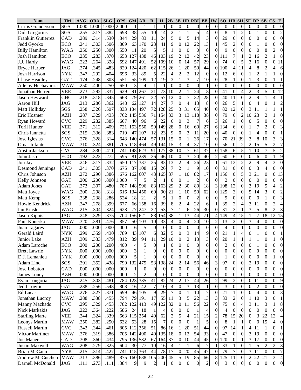| <b>Name</b>               | <b>TM</b>  | <b>AVG</b>        | <b>OBA</b> | <b>SLG</b> | <b>OPS</b> | <b>GM</b>      | AВ               | $\bf{R}$         | $\bf H$          | 2B               | 3B               |                  | <b>HR RBI</b>    | <b>BB</b>        | <b>IW</b>        | SO               | <b>HB</b> SH             |                          | $SF$ $DP$        |                  | SB               | $\mathbf{CS}$<br>E                 |
|---------------------------|------------|-------------------|------------|------------|------------|----------------|------------------|------------------|------------------|------------------|------------------|------------------|------------------|------------------|------------------|------------------|--------------------------|--------------------------|------------------|------------------|------------------|------------------------------------|
| Curtis Granderson         | SGS        | 1.000             | 1.000      | 1.000      | 2.000      |                |                  | $\mathbf{1}$     | 1                | $\mathbf{0}$     | $\theta$         | $\theta$         | $\boldsymbol{0}$ | $\boldsymbol{0}$ | $\mathbf{0}$     | $\mathbf{0}$     | $\Omega$                 | $\boldsymbol{0}$         | $\mathbf{0}$     | $\boldsymbol{0}$ | $\theta$         | $\theta$<br>$\boldsymbol{0}$       |
| Didi Gregorius            | SGS        | .255              | .317       | .382       | .698       | 38             | 55               | 10               | 14               | $\overline{c}$   |                  |                  | 5                | $\overline{4}$   | $\Omega$         | 8                |                          | $\overline{c}$           | $\overline{0}$   | 1                | $\overline{0}$   | $\overline{2}$<br>$\theta$         |
| <b>Franklin Gutierrez</b> | CAD        | .289              | .314       | .530       | .844       | 29             | 83               | 11               | 24               | 5                | $\theta$         | 5                | 14               | $\overline{3}$   | $\boldsymbol{0}$ | 29               | $\mathbf{0}$             | $\overline{0}$           | $\overline{0}$   | $\boldsymbol{0}$ | $\overline{0}$   | $\overline{0}$<br>$\overline{0}$   |
| Jedd Gyorko               | <b>ECO</b> | .241              | .303       | .506       | .809       | 63             | 170              | 23               | 41               | 9                | $\boldsymbol{0}$ | 12               | 22               | 13               |                  | 45               | $\overline{c}$           | $\overline{0}$           | $\overline{0}$   |                  | $\theta$         | $\overline{0}$<br>$\theta$         |
| <b>Billy Hamilton</b>     | <b>WAG</b> | .250              | .250       | .300       | .550       | 11             | 20               | 5                | 5                | 1                | $\Omega$         | $\boldsymbol{0}$ | $\overline{0}$   | $\overline{0}$   | $\mathbf{0}$     | 9                | $\mathbf{0}$             | $\overline{0}$           | $\overline{0}$   | $\theta$         | 8                | $\Omega$<br>$\overline{2}$         |
| <b>Josh Hamilton</b>      | ECO        | .235              | .283       | .370       | .653       | 127            | 438              | 46               | 103              | 19               | $\overline{2}$   | 12               | 42               | 23               | $\overline{0}$   | 111              | $\tau$                   | $\mathbf{1}$             | $\overline{c}$   | 16               | $\overline{2}$   | 8                                  |
| J.J. Hardy                | <b>WAG</b> | .222              | .264       | .328       | .592       | 147            | 491              | 52               | 109              | 10               | $\theta$         | 14               | $\overline{57}$  | 29               | $\boldsymbol{0}$ | 74               | $\mathbf{0}$             | 5                        | $\overline{3}$   | 16               | $\overline{0}$   | 11<br>$\boldsymbol{0}$             |
| <b>Bryce Harper</b>       | JAG        | .274              | 345        | .483       | .829       | 124            | 420              | 62               | 115              | 26               |                  | 20               | 59               | 44               | $\boldsymbol{0}$ | 100              | 4                        | 11                       | $\overline{4}$   | 8                | $\overline{2}$   | 4<br>6                             |
| <b>Josh Harrison</b>      | <b>NYK</b> | .247              | .292       | .404       | .696       | 33             | 89               | 5                | 22               | $\overline{4}$   | $\overline{2}$   | $\overline{c}$   | 12               | $\overline{0}$   | $\boldsymbol{0}$ | 12               | 6                        | $\mathbf{0}$             | $\mathbf{1}$     | $\overline{2}$   |                  | $\Omega$                           |
| <b>Chase Headley</b>      | <b>GAT</b> | .174              | .248       | .303       | .551       | 55             | 109              | 12               | 19               | 3                |                  | 3                | $\overline{7}$   | 10               | $\mathbf{0}$     | 28               |                          | $\overline{0}$           | $\mathbf{1}$     | 3                | $\Omega$         |                                    |
| Adeiny Hechavarria        | <b>MAW</b> | .250              | .400       | .250       | .650       | 3              |                  | $\mathbf{1}$     | $\mathbf{1}$     | $\overline{0}$   | $\boldsymbol{0}$ | $\theta$         | $\boldsymbol{0}$ | $\mathbf{1}$     | $\mathbf{0}$     | $\boldsymbol{0}$ | $\mathbf{0}$             | $\overline{0}$           | $\overline{0}$   | $\overline{0}$   | $\boldsymbol{0}$ | $\theta$<br>$\theta$               |
| Jonathan Herrera          | <b>VEE</b> | .273              | .292       | .337       | .629       | 91             | 267              | 21               | 73               | 10               | $\overline{c}$   |                  | 24               | 8                | $\overline{0}$   | 41               | $\boldsymbol{0}$         | $\overline{4}$           | $\overline{2}$   | 3                | 5                | 12<br>$\theta$                     |
| Jason Heyward             | <b>CHC</b> | .218              | .318       | .345       | .663       | 79             | 261              | 32               | 57               | 12               | $\boldsymbol{0}$ |                  | 32               | 28               | $\boldsymbol{0}$ | 40               | 11                       | $\overline{0}$           | $\overline{2}$   | 9                |                  |                                    |
| Aaron Hill                | <b>JAG</b> | .213              | .286       | .362       | .648       | 62             | 127              | 14               | 27               | $\overline{7}$   | $\mathbf{0}$     | $\overline{4}$   | 13               | 8                | $\boldsymbol{0}$ | 26               | 5                        | 1                        | $\overline{0}$   | $\overline{4}$   | $\theta$         | $\overline{2}$                     |
| Matt Holliday             | SGS        | .258              | .326       | .507       | .833       | 134            | 497              | 72               | 128              | 25               | 3                | 31               | $\overline{65}$  | 40               | $\boldsymbol{0}$ | 82               | 12                       | $\mathbf{0}$             | $\overline{3}$   | 11               |                  |                                    |
| Eric Hosmer               | AZH        | .287              | 329        | .433       | .762       | 145            | 536              | 71               | 154              | $\overline{33}$  | $\overline{3}$   | 13               | 18               | $\overline{38}$  | $\Omega$         | 79               | $\mathbf{0}$             | $\overline{2}$           | 10               | 23               | $\overline{2}$   | $\overline{0}$                     |
| Ryan Howard               | <b>CVC</b> | .229              | .282       | .385       | .667       | 40             | 96               | 6                | 22               | 6                | $\overline{0}$   | 3                | $\overline{7}$   | 6                | 3                | 26               |                          | $\mathbf{0}$             | $\overline{0}$   | 5                | $\Omega$         | $\overline{0}$<br>$\theta$         |
| Torii Hunter              | VEE        | .271              | .312       | .409       | .721       | 153            | 550              | 59               | 149              | $\overline{28}$  | $\mathbf{0}$     | 16               | 60               | 27               | $6 \mid$         | 134              | 6                        | $\mathbf{0}$             | $\mathbf{1}$     | $\overline{7}$   | $\overline{c}$   | 3<br>$\theta$                      |
| Chris Iannetta            | SGS        | .215              | .336       | .383       | .719       | 47             | 107              | 12               | 23               | 9                | $\overline{0}$   | 3                | 11               | 20               | $\boldsymbol{0}$ | 40               | $\mathbf{0}$             | $\overline{0}$           | $\mathbf{1}$     | 4                | $\theta$         | $\theta$                           |
| Jose Iglesias             | CVC        | .276              | .328       | .314       | .643       | 140            | 474              | 57               | 131              | 15               | $\mathbf{0}$     |                  | 36               | 17               | $\boldsymbol{0}$ | 70               | 21                       | $\overline{39}$          | $\overline{3}$   | 8                | 10               | 3<br>3                             |
| Omar Infante              | <b>MAW</b> | .310              | .324       | .381       | .705       | 118            | 464              | 49               | 144              | 15               | 3                | 4                | 37               | 10               | $\boldsymbol{0}$ | 56               | $\boldsymbol{0}$         | $\overline{c}$           | $\overline{2}$   | 15               | 5                | $\overline{7}$<br>$\overline{c}$   |
| Austin Jackson            | CVC        | .284              | .330       | .411       | .741       | 148            | 623              | 91               | 177              | $\overline{38}$  | 10               | $\overline{7}$   | 61               | 37               | $\boldsymbol{0}$ | 158              | 6                        | $\overline{5}$           | $\mathbf{1}$     | $\overline{10}$  | $\overline{7}$   | $\overline{5}$<br>$\overline{2}$   |
| John Jaso                 | ECO        | .192              | .323       | .272       | .595       | 81             | 239              | 36               | 46               | 10               | $\theta$         | 3                | 20               | $\overline{40}$  | $\overline{2}$   | 60               | 6                        | $\overline{0}$           | $\overline{0}$   | 6                | $\overline{0}$   | 9                                  |
| Jon Jay                   | VEE        | .246              | .317       | .332       | .650       | 117            | 337              | 35               | 83               | $\overline{13}$  | $\overline{c}$   |                  | 26               | $\overline{23}$  |                  | 61               | $\overline{13}$          | $\overline{2}$           | $\overline{2}$   | 9                | 4                | 3<br>$\theta$                      |
| <b>Desmond Jennings</b>   | CAD        | .241              | .305       | .370       | .675       | 37             | 108              | 15               | 26               | $\overline{7}$   | $\overline{c}$   |                  | 9                | $\overline{10}$  | $\Omega$         | $\overline{31}$  | $\mathbf{0}$             | $\overline{0}$           | $\overline{0}$   | 3                | 4                | $\overline{0}$<br>$\theta$         |
| Chris Johnson             | AZH        | .272              | .290       | .386       | .676       | 162            | 607              | 43               | 165              | $\overline{37}$  | $\mathbf{1}$     | 10               | 82               | $\overline{17}$  |                  | 156              | $\mathbf{0}$             | $\overline{5}$           | $\overline{3}$   | 21               | $\overline{0}$   | 13<br>$\theta$                     |
| Kelly Johnson             | <b>GAT</b> | .200              | .200       | .800       | .000       |                | 5                | $\overline{2}$   |                  | $\theta$         | $\Omega$         |                  | $\overline{2}$   | $\overline{0}$   | $\Omega$         | $\overline{2}$   | $\Omega$                 | $\overline{0}$           | $\overline{0}$   | $\overline{0}$   | $\overline{0}$   | $\Omega$<br>$\overline{0}$         |
| <b>Adam Jones</b>         | <b>GAT</b> | .273              | .307       | .480       | .787       | 148            | 596              | 83               | 163              | $\overline{29}$  | $\overline{2}$   | 30               | 80               | 18               | 3                | 108              | $\overline{12}$          | $\overline{0}$           | $\overline{3}$   | 19               | 5                | $\overline{c}$<br>4                |
| Matt Joyce                | WAG        | .200              | .298       | .318       | .616       | 134            | 450              | 60               | 90               | 21               |                  | $\overline{10}$  | $\overline{50}$  | $\overline{62}$  | $\boldsymbol{0}$ | $12\overline{5}$ | 3                        | $\mathbf{0}$             | $\overline{5}$   | 14               | 3                | $\overline{2}$<br>$\overline{0}$   |
| Matt Kemp                 | SGS        | .238              | .238       | .286       | .524       | 18             | 21               | $\overline{2}$   | 5                | $\mathbf{1}$     | $\Omega$         | $\Omega$         | $\overline{2}$   | $\overline{0}$   | $\Omega$         | 9                | $\Omega$                 | $\mathbf{0}$             | $\overline{0}$   | $\theta$         |                  | $\overline{3}$<br>$\theta$         |
| Howie Kendrick            | AZH        | .247              | .278       | .399       | .677       | 66             | 158              | 16               | 39               | 8                | $\overline{c}$   | 4                | $\overline{22}$  | $\overline{6}$   |                  | $\overline{35}$  | $\overline{2}$           | $\overline{4}$           | $\overline{3}$   | 11               | $\theta$         | $\overline{2}$                     |
| Ian Kinsler               | WAG        | $.21\overline{5}$ | .304       | .324       | .628       | 77             | 247              | $\overline{32}$  | 53               | $\overline{7}$   |                  | 6                | 26               | $\overline{30}$  | $\mathbf{0}$     | $\overline{31}$  | 3                        |                          | $\overline{3}$   | 5                | 8                | $\overline{3}$<br>$\overline{c}$   |
| Jason Kipnis              | JAG        | .248              | .329       | .375       | .704       | 156            | $\overline{621}$ | 83               | 154              | $\overline{38}$  |                  | 13               | $\overline{44}$  | 71               | 4                | 49               | $\overline{\mathcal{L}}$ | $\overline{15}$          | $\overline{1}$   | $\overline{7}$   | 18               | $\overline{15}$<br>$\overline{12}$ |
| Paul Konerko              | <b>MAW</b> | .320              | .381       | .476       | .857       | 50             | 103              | 10               | $\overline{33}$  | $\overline{4}$   | $\mathbf{0}$     | $\overline{4}$   | 20               | $\overline{10}$  | $\overline{2}$   | 13               | $\overline{2}$           | $\boldsymbol{0}$         | $\overline{3}$   | $\overline{4}$   | $\mathbf{0}$     | $\overline{0}$<br>$\overline{0}$   |
| Juan Lagares              | JAG        | .000              | .000       | .000       | .000       | 6              | 5                | $\mathbf{0}$     | $\boldsymbol{0}$ | $\overline{0}$   | $\overline{0}$   | $\boldsymbol{0}$ | $\boldsymbol{0}$ | $\boldsymbol{0}$ | $\boldsymbol{0}$ | $\overline{4}$   | $\boldsymbol{0}$         |                          | $\overline{0}$   | $\boldsymbol{0}$ | $\overline{0}$   | $\theta$<br>$\theta$               |
| <b>Gerald Laird</b>       | NYK        | .299              | .359       | .430       | .789       | 43             | 107              | 6                | $\overline{32}$  | 5                | $\theta$         | 3                | 14               | $\overline{9}$   | $\Omega$         | $\overline{21}$  |                          | $\overline{\mathcal{L}}$ | $\overline{0}$   |                  | $\overline{0}$   | $\mathbf{0}$                       |
| Junior Lake               | AZH        | .309              | .333       | .479       | .812       | 39             | 94               | 11               | 29               | 10               | $\overline{0}$   | 2                | 13               | $\mathfrak{Z}$   | $\mathbf{U}$     | 20               | $\perp$                  | $\mathbf{I}$             | $\mathbf{I}$     | $\perp$          | $\theta$         | $\boldsymbol{0}$                   |
| Adam Laroche              | ECO        | .200              | .200       | .200       | .400       | 4              | 5                | $\boldsymbol{0}$ | 1                | $\theta$         | 0                | $\boldsymbol{0}$ | $\boldsymbol{0}$ | $\overline{0}$   | $\overline{0}$   | $\overline{2}$   | $\overline{0}$           | $\boldsymbol{0}$         | $\boldsymbol{0}$ | 1                | $\overline{0}$   | $\overline{0}$<br>$\overline{0}$   |
| <b>Brett Lawrie</b>       | NYK        | .000              | .000       | .000       | .000       | $\overline{3}$ |                  | $\mathbf{0}$     | $\boldsymbol{0}$ | $\overline{0}$   | $\Omega$         | $\boldsymbol{0}$ | $\mathbf{0}$     | $\overline{0}$   | $\overline{0}$   | $\overline{0}$   | $\overline{0}$           | $\overline{0}$           | $\boldsymbol{0}$ | $\mathbf{0}$     | $\theta$         | $\theta$<br>$\theta$               |
| D.J. Lemahieu             | NYK        | .000              | .000       | .000       | .000       | 5              |                  | $\boldsymbol{0}$ | $\boldsymbol{0}$ | $\theta$         | 0                | $\boldsymbol{0}$ | $\boldsymbol{0}$ | $\overline{0}$   | $\boldsymbol{0}$ | $\mathbf{1}$     | $\mathbf{0}$             | $\boldsymbol{0}$         | $\boldsymbol{0}$ | $\mathbf{0}$     | $\Omega$         | $\boldsymbol{0}$                   |
| Adam Lind                 | SGS        | .291              | .352       | .438       | .790       |                | 132 475          | 53               | 138              | 24               | 2                | 14               | 56               | 46               | 3                | 97               | $\overline{0}$           | $\boldsymbol{0}$         | $\overline{c}$   | 19               | $\Omega$         | $\boldsymbol{0}$<br>0              |
| Jose Lobaton              | CAD        | .000              | .000       | .000       | .000       |                | 0                | $\boldsymbol{0}$ | $\boldsymbol{0}$ | $\theta$         | $\theta$         | $\boldsymbol{0}$ | $\mathbf{0}$     | $\boldsymbol{0}$ | $\overline{0}$   | $\boldsymbol{0}$ | $\overline{0}$           | $\boldsymbol{0}$         | $\overline{0}$   | $\theta$         | $\Omega$         | $\mathbf{0}$<br>$\theta$           |
| James Loney               | AZH        | .000              | .000       | .000       | .000       | $\overline{2}$ | 2                | $\boldsymbol{0}$ | $\boldsymbol{0}$ | $\theta$         | $\theta$         | $\mathbf{0}$     | $\boldsymbol{0}$ | $\overline{0}$   | $\boldsymbol{0}$ | $\boldsymbol{0}$ | $\mathbf{0}$             | $\boldsymbol{0}$         | $\boldsymbol{0}$ | $\mathbf{0}$     | $\Omega$         | $\mathbf{0}$<br>$\theta$           |
| Evan Longoria             | JAG        | .245              | .303       | .481       | .784       |                | 123 335          | 41               | 82               | 24               | $\overline{c}$   | 17               | 44               | 26               | 2                | 99               | 2                        | $\boldsymbol{0}$         | $\boldsymbol{0}$ | 11               | $\Omega$         | 9<br>$\theta$                      |
| Jedd Lowrie               | <b>GAT</b> | .238              | .256       | .548       | .803       | 16             | 42               | $\overline{7}$   | 10               | $\overline{4}$   | $\boldsymbol{0}$ | 3                | $\overline{13}$  | $\mathbf{1}$     | $\overline{0}$   | 3                | $\Omega$                 | $\boldsymbol{0}$         | $\boldsymbol{0}$ | $\overline{2}$   | $\theta$         | $\overline{0}$<br>$\theta$         |
| Ed Lucas                  | WAG        | .276              | .327       | .371       | .699       | 46             | 105              | 9                | 29               | 7                | $\theta$         |                  | 10               | $\overline{7}$   | $\overline{0}$   | 21               |                          | $\boldsymbol{0}$         | $\mathbf{0}$     | $\overline{4}$   | $\Omega$         | 3<br>$\overline{0}$                |
| Jonathan Lucroy           | <b>MAW</b> | .288              | .338       | .455       | .794       | 79             | 191              | 17               | 55               | 11               | 3                | 5                | 22               | 13               | 3                | 33               | 2                        | $\boldsymbol{0}$         |                  | 10               | 3                | $\mathbf{1}$<br>$\theta$           |
| Manny Machado             | <b>CVC</b> | .295              | .329       | .453       | .782       | 122            | 413              | 49               | 122              | 32               | $\mathbf{0}$     | 11               | 56               | 22               | $\overline{0}$   | 75               | $\mathbf{0}$             | 4                        | 3                | 11               | 3                | 8                                  |
| Nick Markakis             | JAG        | .222              | .364       | .222       | .586       | 24             | 18               | 1                | 4                | $\boldsymbol{0}$ | $\theta$         | $\mathbf{0}$     | -1               | 4                | $\overline{0}$   | 4                | $\theta$                 | $\boldsymbol{0}$         | $\boldsymbol{0}$ | $\theta$         | $\theta$         | $\overline{0}$<br>$\theta$         |
| <b>Starling Marte</b>     | VEE        | .244              | .324       | .339       | .663       | 115            | 254              | 40               | 62               | $\overline{c}$   | 5                | 4                | 21               | 15               | 2                | 78               | 15                       | 20                       | $\boldsymbol{0}$ | 3                | 22               | 12<br>4                            |
| Leonys Martin             | MAW        | .250              | .382       | .250       | .632       | 53             | 28               | 15               | $\tau$           | $\mathbf{0}$     | $\theta$         | $\mathbf{0}$     | $\mathbf{1}$     | 5                | $\overline{0}$   | 8                |                          |                          | $\boldsymbol{0}$ | $\theta$         | 15               | $\overline{0}$<br>4                |
| <b>Russell Martin</b>     | <b>CVC</b> | .242              | .344       | .461       | .805       |                | 112 356          | 51               | 86               | 16               |                  | 20               | 51               | 44               | $\mathbf{0}$     | 97               | 14                       |                          | $\overline{4}$   | 11               |                  | $\boldsymbol{0}$                   |
| Victor Martinez           | <b>MAW</b> | .276              | .319       | .386       | .705       | 142            | 490              | 40               | 135              | 18               | 0                | 12               | 54               | 33               | $\Omega$         | 47               | $\overline{0}$           | $\boldsymbol{0}$         | 3                | 19               | $\Omega$         | $\theta$<br>$\theta$               |
| Joe Mauer                 | CAD        | .308              | .360       | .434       | .795       |                | 136 532          | 67               | 164              | 37               | $\theta$         | 10               | 44               | 45               | $\overline{0}$   | 120              | $\mathbf{0}$             |                          | 3                | 17               | $\Omega$         | $\mathbf{0}$<br>$\theta$           |
| <b>Justin Maxwell</b>     | WAG        | .208              | .279       | .325       | .604       | 30             | 77               | 10               | 16               | $\overline{4}$   |                  |                  | 6                | $\boldsymbol{7}$ |                  | 33               |                          | $\boldsymbol{0}$         |                  | 5                | 2                | 3<br>2                             |
| <b>Brian McCann</b>       | NYK        | .215              | .314       | .427       | .741       |                | 115 363          | 44               | 78               | 17               | 0                | 20               | 45               | 47               | $\overline{0}$   | 79               |                          | $\boldsymbol{0}$         | 3                | 11               | $\theta$         | $\overline{7}$<br>$\mathbf{0}$     |
| <b>Andrew McCutchen</b>   | <b>MAW</b> | .313              | .386       | .489       | .875       |                | 160 638          | 105              | 200              | 45               | 5                | 19               | 85               | 66               | 8                | 125              | 11                       | $\boldsymbol{0}$         | $\boldsymbol{2}$ | 22               | 21               | 3<br>4                             |
| Darnell McDonald          | JAG        | .111              | .273       | .111       | .384       | $\overline{9}$ | 9                | 2                | 1                | $\theta$         | $\boldsymbol{0}$ | $\overline{0}$   | $\boldsymbol{0}$ | $\overline{2}$   | $\overline{0}$   | 3                | $\overline{0}$           | $\mathbf{0}$             | $\overline{0}$   | $\boldsymbol{0}$ | $\overline{0}$   | 0 <br>$\overline{0}$               |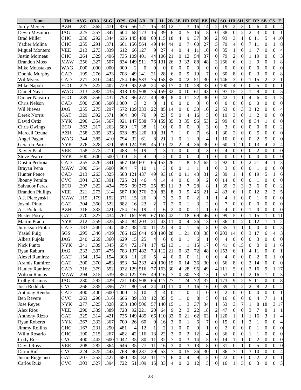| <b>Name</b>             | <b>TM</b>  | <b>AVG</b> | <b>OBA</b> | <b>SLG</b>   | <b>OPS</b>   | <b>GM</b>      | $\bf AB$         | R                | H               | 2B                 |                            |                  | <b>3B HR RBI</b>     | $\bf BB$                | IW             | SO <sub>1</sub> | <b>HB</b> SH     |                  | $SF$ $DP$                |                  | SB               | $\mathbf{CS}$<br>E                                 |
|-------------------------|------------|------------|------------|--------------|--------------|----------------|------------------|------------------|-----------------|--------------------|----------------------------|------------------|----------------------|-------------------------|----------------|-----------------|------------------|------------------|--------------------------|------------------|------------------|----------------------------------------------------|
| <b>Jordy Mercer</b>     | AZH        | 281        | .365       | .471         | .836         | 56             | 121              | 15               | 34              | 12                 |                            | 3                | 16                   | 14                      | $\overline{2}$ | 19              | $\overline{c}$   | 3                | $\boldsymbol{0}$         | 6                | $\theta$         | $\boldsymbol{0}$<br>$\overline{4}$                 |
| Devin Mesoraco          | JAG        | 225        | .257       | .347         | .604         | 68             | 173              | 15               | 39              | 6                  | $\boldsymbol{0}$           | 5                | 16                   | 8                       | $\mathbf{0}$   | 38              | $\mathbf{0}$     | $\overline{c}$   | $\overline{2}$           | 3                | $\boldsymbol{0}$ | $\theta$                                           |
| Brad Miller             | <b>CHC</b> | .236       | .292       | .344         | .636         | 145            | 488              | 60               | 115             | 18                 | 4                          | 9                | 37                   | 36                      | $\overline{2}$ | 93              | 3                | 1                | $\boldsymbol{0}$         | 11               | 5                | 4<br>10                                            |
| Yadier Molina           | <b>CHC</b> | .255       | .291       | .371         | .661         | 156            | 564              | 49               | 144             | 44                 | $\theta$                   | 7                | 60                   | 27                      | 5              | 79              | $\overline{4}$   | $\mathbf{0}$     | $\overline{7}$           | 11               | $\Omega$         | 8                                                  |
| Miguel Montero          | <b>VEE</b> | .213       | .273       | .339         | .612         | 66             | 127              | 9                | 27              | $\overline{4}$     | $\Omega$                   | 4                | 11                   | 10                      | $\Omega$       | 35              |                  | $\mathbf{0}$     |                          | $\overline{7}$   | $\theta$         | $\overline{4}$<br>$\theta$                         |
| Justin Morneau          | <b>CHC</b> | 264        | .329       | .406         | .735         | 109            | 401              | 44               | 106             | 21                 | $\mathbf{0}$               | 12               | 54                   | 37                      | $\Omega$       | 79              | $\mathfrak{2}$   | $\overline{0}$   |                          | 19               | $\Omega$         | 3<br>$\theta$                                      |
| <b>Brandon Moss</b>     | <b>MAW</b> | .256       | .327       | .507         | .834         | 149            | $\overline{511}$ | 76               | 131             | 26                 | 3                          | 32               | 88                   | 48                      | 3              | 166             | 6                | $\mathbf{0}$     |                          | 9                | $\theta$         | 8                                                  |
| Mike Moustakas          | <b>WAG</b> | .000       | .000       | .000         | .000         | $\overline{2}$ | $\Omega$         | $\mathbf{0}$     | $\theta$        | $\boldsymbol{0}$   | $\overline{0}$             | $\overline{0}$   | $\boldsymbol{0}$     | $\boldsymbol{0}$        | $\Omega$       | $\overline{0}$  | $\mathbf{0}$     | $\mathbf{0}$     | $\overline{0}$           | $\mathbf{0}$     | $\Omega$         | $\overline{0}$<br>$\theta$                         |
| Donnie Murphy           | CAD        | .199       | .276       | .433         | .708         | 49             | 141              | 21               | 28              | 6                  | $\theta$                   | 9                | 19                   | $\overline{7}$          | $\Omega$       | 60              | 8                | $\mathbf{0}$     | $\overline{0}$           | $\overline{3}$   | $\Omega$         | 8<br>$\theta$                                      |
| Wil Myers               | CAD        | .271       | .310       | .444         | .754         | 146            | 583              | 75               | 158             | 35                 | $\overline{0}$             | 22               | 51                   | 30                      | $\overline{0}$ | 146             | 3                | $\mathbf{0}$     | $\mathbf{1}$             | 15               | $\overline{c}$   | $\overline{c}$                                     |
| Mike Napoli             | ECO        | .225       | .322       | .407         | .729         | 93             | 258              | 24               | 58              | 17                 | $\boldsymbol{0}$           | 10               | 28                   | 33                      | $\overline{0}$ | 100             | $\overline{4}$   | $\overline{0}$   | $\overline{0}$           | 5                | $\theta$         | $\theta$                                           |
| Daniel Nava             | <b>WAG</b> | 313        | .383       | .435         | .818         | 135            | 508              | 75               | 159             | 32                 | $\boldsymbol{0}$           | 10               | 61                   | 43                      | $\Omega$       | 97              | 15               | $\overline{2}$   | $\mathbf{1}$             | 9                | $\theta$         | 5<br>$\theta$                                      |
| Dioner Navarro          | ECO        | .289       | .356       | .437         | .793         | 96             | 277              | 40               | 80              | 8                  | $\boldsymbol{0}$           | 11               | 32                   | 30                      | $\Omega$       | 42              |                  |                  | $\overline{4}$           | 6                | $\Omega$         | 5                                                  |
| Chris Nelson            | CAD        | .500       | .500       | .500         | .000         | 3              | 2                | $\boldsymbol{0}$ | $\mathbf{1}$    | $\overline{0}$     | $\theta$                   | $\boldsymbol{0}$ | $\boldsymbol{0}$     | $\boldsymbol{0}$        | $\Omega$       | $\overline{0}$  | $\mathbf{0}$     | $\mathbf{0}$     | $\overline{0}$           | $\theta$         | $\theta$         | $\Omega$<br>$\theta$                               |
| Wil Nieves              | JAG        | .255       | .275       | .297         | .572         | 109            | 333              | 22               | 85              | 14                 | $\Omega$                   | $\theta$         | 30                   | 10                      | $\overline{2}$ | 53              | $\mathbf{0}$     | $\overline{3}$   | $\overline{3}$           | 12               | $\theta$         | $\theta$                                           |
| Derek Norris            | GAT        | 329        | .392       | .571         | .964         | 30             | 70               | 9                | 23              | 5                  | $\theta$                   | 4                | 16                   | 5                       | $\mathbf{0}$   | 19              | 3                | $\mathbf{0}$     | $\mathbf{1}$             | $\overline{2}$   | $\theta$         | $\theta$<br>$\theta$                               |
| David Ortiz             | <b>NYK</b> | .296       | .354       | .567         | .921         | 147            | 538              | 73               | 159             | $\overline{35}$    | 3                          | 35               | 96                   | $\overline{53}$         | $\overline{2}$ | 99              | $\mathbf{0}$     | $\mathbf{0}$     | 8                        | 34               |                  | $\theta$<br>$\Omega$                               |
|                         |            | 263        | .317       | .263         | .580         | 17             | 38               | $\mathbf 1$      | 10              | $\boldsymbol{0}$   | $\overline{0}$             | $\overline{0}$   | $\boldsymbol{0}$     | 3                       | $\theta$       | 3               | $\mathbf{0}$     | $\mathbf{0}$     | $\overline{0}$           | $\boldsymbol{0}$ | $\Omega$         | $\overline{2}$<br>$\theta$                         |
| Chris Owings            | ECO        | .258       | .305       | .333         | .638         | 83             |                  | 10               | 31              | $\overline{7}$     |                            | $\overline{0}$   | $\overline{7}$       | 6                       |                | 30              | $\overline{2}$   | $\mathbf{0}$     | $\overline{0}$           | 5                | $\theta$         | $\overline{0}$<br>$\theta$                         |
| Marcell Ozuna           | AZH        |            | .385       |              |              | 32             | 120<br>61        |                  | 21              |                    |                            |                  |                      | $\overline{4}$          |                | 10              | $\Omega$         | $\mathbf{0}$     | $\overline{0}$           | $\overline{2}$   | 5                | $\theta$<br>$\Omega$                               |
| Angel Pagan             | <b>WAG</b> | 344        | .328       | .410<br>.371 | .794<br>.699 | 124            | 399              | 8<br>45          | 110             | $\mathbf{1}$<br>22 | $\theta$<br>$\overline{2}$ |                  | 9<br>$\overline{36}$ | 30                      |                | 60              |                  | 11               | $\overline{0}$           | 13               | $\overline{4}$   |                                                    |
| Gerardo Parra           | <b>NYK</b> | .276       |            | .211         |              |                | 19               |                  | 3               |                    | $\theta$                   | 4                |                      | 3                       | $\Omega$       |                 | 1                | $\mathbf{0}$     | $\overline{0}$           |                  | $\Omega$         | $\overline{c}$<br>$\overline{0}$<br>$\overline{0}$ |
| Xavier Paul             | VEE        | .158       | .273       |              | .483         | 9<br>5         |                  | $\overline{c}$   |                 | $\mathbf{1}$       |                            | $\boldsymbol{0}$ | $\boldsymbol{0}$     |                         | $\Omega$       | $\overline{4}$  | $\mathbf{0}$     | $\overline{0}$   |                          | $\overline{2}$   |                  |                                                    |
| <b>Steve Pearce</b>     | <b>NYK</b> | .500       | .600       | .500         | 1.100        |                | 4                | $\overline{0}$   | $\overline{2}$  | $\boldsymbol{0}$   | $\theta$                   | $\overline{0}$   | $\overline{0}$       | $\mathbf{1}$            | $\Omega$       | $\overline{0}$  | $\mathbf{0}$     |                  | $\overline{0}$           | $\overline{0}$   | $\Omega$         | $\theta$<br>$\theta$                               |
| Dustin Pedroia          | <b>CAD</b> | .255       | .326       | .341         | .667         | 160            | 601              | 66               | 153             | 26                 |                            | 8                | $\overline{52}$      | $\overline{65}$         | $\overline{2}$ | 92              | $\mathbf{0}$     | $\overline{0}$   | $\overline{2}$           | 21               | $\overline{A}$   | 3                                                  |
| Brayan Pena             | <b>MAW</b> | .300       | .364       | .600         | .964         | 7              | 10               | $\mathbf{1}$     | 3               | $\boldsymbol{0}$   | $\theta$                   |                  | $\mathbf{1}$         | 1                       | $\Omega$       | 3               | $\mathbf{0}$     | $\mathbf{0}$     | $\overline{0}$           | 1                | $\Omega$         | $\Omega$<br>$\theta$                               |
| Hunter Pence            | CAD        | .213       | .263       | .325         | .588         | 121            | 437              | 49               | 93              | 16                 | $\theta$                   | 11               | $\overline{43}$      | 31                      | $\overline{2}$ | 89              |                  | 1                | 6                        | 19               | 5                | 6                                                  |
| Jhonny Peralta          | <b>CVC</b> | .304       | .333       | .391         | .725         | 21             | 46               | $\overline{4}$   | 14              | $\overline{4}$     | $\theta$                   | $\theta$         | 9                    | $\overline{2}$          | $\Omega$       | 14              | $\mathbf{0}$     | $\mathbf{0}$     | $\overline{0}$           | $\mathbf{1}$     | $\Omega$         | $\Omega$<br>$\theta$                               |
| Salvador Perez          | ECO        | .297       | .322       | .434         | .756         | 99             | 279              | 25               | 83              | 11                 | 3                          | 7                | 28                   | 8                       |                | 39              | 3                | $\overline{3}$   | $\overline{2}$           | 6                | $\Omega$         | $\overline{2}$<br>$\theta$                         |
| <b>Brandon Phillips</b> | <b>VEE</b> | .221       | .273       | .314         | .587         | 130            | 376              | 29               | 83              | 8                  | $\theta$                   | 9                | 46                   | 21                      | 4              | 83              | 6                |                  | $\overline{0}$           | 12               | $\overline{c}$   | $\overline{5}$<br>$\overline{2}$                   |
| A.J. Pierzynski         | <b>MAW</b> | .115       | .179       | .192         | .371         | 15             | 26               | $\overline{0}$   | 3               | $\overline{c}$     | $\theta$                   | $\theta$         | $\overline{2}$       | $\mathbf{1}$            |                | $\overline{4}$  |                  | $\overline{0}$   | $\overline{0}$           | $\mathbf{1}$     | $\overline{0}$   | $\overline{0}$<br>$\Omega$                         |
| Josmil Pinto            | <b>GAT</b> | .304       | .360       | .522         | .882         | 16             | $\overline{23}$  | $\overline{c}$   | $\overline{7}$  | $\overline{c}$     | $\theta$                   |                  | $\overline{3}$       | $\overline{2}$          | $\Omega$       | $\overline{7}$  | $\mathbf{0}$     | $\mathbf{0}$     | $\overline{0}$           | $\overline{0}$   | $\Omega$         | $\theta$<br>$\theta$                               |
| A.J. Pollock            | AZH        | .316       | .333       | .421         | .754         | 16             | 19               | $\mathbf{1}$     | 6               | $\overline{2}$     | $\boldsymbol{0}$           | $\boldsymbol{0}$ | $\mathbf{1}$         | $\mathbf{1}$            | $\Omega$       | $\overline{4}$  | $\mathbf{0}$     | $\overline{0}$   | $\mathbf{1}$             | $\theta$         | $\Omega$         | $\theta$<br>$\Omega$                               |
| <b>Buster Posey</b>     | <b>GAT</b> | .270       | .327       | .434         | .761         | 162            | 599              | 67               | 162             | $\overline{42}$    | 1                          | $\overline{18}$  | 69                   | 46                      | $\Omega$       | 99              | 5                | $\overline{0}$   | $\mathbf{1}$             | $\overline{15}$  |                  | $\theta$<br>11                                     |
| Martin Prado            | <b>NYK</b> | .212       | .259       | .325         | .584         | 84             | 203              | 21               | 43              | 11                 | $\overline{0}$             | 4                | 26                   | $\overline{13}$         | $\Omega$       | 36              | $\mathbf{0}$     | $\overline{2}$   | $\mathbf{0}$             | $\overline{12}$  |                  | $\overline{c}$                                     |
| Jurickson Profar        | CAD        | .183       | .240       | .242         | .482         | 38             | 120              | 11               | 22              | $\overline{4}$     | $\theta$                   |                  | 6                    | 8                       | $\Omega$       | 35              |                  | $\mathbf{1}$     | $\overline{0}$           | $\boldsymbol{0}$ | $\Omega$         | $\overline{3}$<br>$\theta$                         |
| <b>Yasiel Puig</b>      | SGS        | .295       | .346       | .439         | .786         | 162            | 644              | 90               | 190             | $\overline{28}$    |                            | 21               | $\overline{80}$      | $\overline{38}$         | $\Omega$       | 203             | 14               | $\mathbf{0}$     | $\overline{3}$           | 17               | 6                | $\overline{3}$<br>4                                |
| Albert Pujols           | JAG        | .240       | .269       | .360         | .629         | 15             | 25               | $\frac{4}{ }$    | 0               | $\theta$           | $\overline{0}$             |                  | $\sigma$             | $\perp$                 | $\theta$       | $\overline{4}$  | $\vert 0 \vert$  | $\boldsymbol{0}$ | $\boldsymbol{0}$         | 3                | $\overline{0}$   | $\theta$<br>$\theta$                               |
| Nick Punto              | NYK        | .241       | .309       | .345         | .654         | 72             | 174              | 17               | 42              | 13                 |                            |                  | 15                   | 17                      | $\Omega$       | 41              | $\overline{0}$   | 15               | $\boldsymbol{0}$         | $\mathbf{0}$     | $\Omega$         | 6                                                  |
| Ryan Raburn             | JAG        | .232       | .307       | .475         | .783         | 137            | 482              | 73               | 112             | 21                 | $\overline{0}$             | 32               | 72                   | 48                      | $\overline{0}$ | 153             | 6                | 1                | $\overline{\mathcal{L}}$ | 11               | $\Omega$         | $\overline{0}$                                     |
| Alexei Ramirez          | <b>GAT</b> | .154       | .154       | .154         | .308         | -11            | 26               | $\sqrt{5}$       | 4               | $\boldsymbol{0}$   | $\overline{0}$             | $\overline{0}$   | 1                    | $\mathbf{0}$            | $\Omega$       | 4               | $\Omega$         | $\boldsymbol{0}$ | $\boldsymbol{0}$         | $\overline{2}$   | $\Omega$         | $\mathbf{0}$                                       |
| Aramis Ramirez          | <b>GAT</b> | .300       | .370       | .483         | .853         |                | 94 333           | 40               | 100             | 19                 | $\theta$                   | 14               | 36                   | 30                      | $\Omega$       | 56              | $8\phantom{.}$   | $\boldsymbol{0}$ | $\overline{c}$           | 14               | $\Omega$         | $\theta$<br>$\theta$                               |
| <b>Hanley Ramirez</b>   | CAD        | .316       | .379       | .552         | .932         |                | 129 516          | 77               | 163             | 30                 | 4                          | 28               | 95                   | 49                      | 4              | 111             | 5                | $\boldsymbol{0}$ | $\overline{c}$           | 16               | 9                | 17                                                 |
| <b>Wilson Ramos</b>     | <b>MAW</b> | .294       | .315       | .539         | .854         | 122            | 395              | 49               | 116             | 7                  | 0                          | 30               | 73                   | 13                      |                | 53              | $\overline{0}$   | $\boldsymbol{0}$ | $\overline{c}$           | 16               |                  | 3<br>$\theta$                                      |
| Colby Rasmus            | JAG        | .230       | .292       | .429         | .721         |                | 143 508          | 66               | 117             | 27                 |                            | 24               | 72                   | 37                      |                | 173             | 9                | $\overline{c}$   | 5                        | 11               | $\Omega$         | $\,8\,$<br>$\theta$                                |
| <b>Josh Reddick</b>     | <b>CVC</b> | .266       | .335       | .396         | .731         |                | 80 154           | 24               | 41              | 11                 | $\overline{0}$             | 3                | 16                   | 16                      | $\overline{0}$ | 39              |                  | $\overline{c}$   | $\overline{c}$           | 8                | 2                | $\overline{c}$<br>0                                |
| <b>Anthony Rendon</b>   | CAD        | .400       | .400       | .600         | 1.000        | 5              | 10               | $\overline{2}$   | 4               | $\boldsymbol{0}$   |                            | $\boldsymbol{0}$ | 1                    | $\mathbf{0}$            | $\overline{0}$ | $\overline{2}$  | $\theta$         | $\boldsymbol{0}$ | $\overline{0}$           | $\boldsymbol{0}$ | $\Omega$         | $\mathbf{0}$                                       |
| Ben Revere              | <b>CVC</b> | .263       | .290       | .316         | .606         |                | 39 133           | 12               | 35              | 5                  |                            | $\boldsymbol{0}$ | $\,$ 8 $\,$          | 5                       | $\Omega$       | 16              | $\theta$         | 6                | $\boldsymbol{0}$         | $\overline{4}$   |                  |                                                    |
| <b>Jose Reyes</b>       | NYK        | .277       | .325       | .328         | .653         |                | 130 506          | 57               | 140             | 15                 |                            | 3                | 37                   | 34                      |                | 53              | 3                | $\overline{7}$   | $\mathbf{1}$             | $\,8\,$          | 18               | 3<br>17                                            |
| <b>Alex Rios</b>        | VEE        | .290       | .339       | .389         | .728         | 92             | 221              | 20               | 64              | 9                  | $\overline{2}$             | 3                | 22                   | 18                      | 2              | 47              | $\overline{0}$   | $\boldsymbol{0}$ | 3                        | $\overline{7}$   | 8                |                                                    |
| <b>Anthony Rizzo</b>    | <b>GAT</b> | .225       | .314       | .421         | .735         |                | 149 489          | 66               | 110             | 33                 | $\mathbf{0}$               | 21               | 62                   | 63                      |                | 120             |                  |                  | $\mathbf{1}$             | 16               | 3                |                                                    |
| <b>Ryan Roberts</b>     | NYK        | .267       | .333       | .367         | .700         | 26             | 60               | 9                | 16              | 3                  | $\theta$                   |                  | 6                    | 7                       | $\theta$       | 15              | $\overline{0}$   |                  | $\overline{c}$           | 1                | $\Omega$         | $\overline{4}$<br>0                                |
| <b>Jimmy Rollins</b>    | <b>CHC</b> | .167       | .231       | .250         | .481         | $\overline{4}$ | 12               |                  | $\overline{2}$  |                    | $\theta$                   | $\boldsymbol{0}$ | $\boldsymbol{0}$     | $\mathbf{1}$            | $\Omega$       | $\overline{2}$  | $\Omega$         | $\boldsymbol{0}$ | $\overline{0}$           | 1                | $\Omega$         | $\theta$<br>$\mathbf{0}$                           |
| Wilin Rosario           | <b>CHC</b> | .190       | .215       | .267         | .482         | 42             | 116              | 13               | 22              | 3                  | $\theta$                   | 2                | 12                   | $\overline{\mathbf{4}}$ | $\theta$       | 36              | $\theta$         | $\boldsymbol{0}$ | $\mathbf{1}$             |                  | $\Omega$         | $\theta$<br>$\overline{0}$                         |
| Cody Ross               | <b>CVC</b> | .400       | .442       | .600         | 1.042        | 35             | 80               | 11               | 32              | $\overline{7}$     | $\theta$                   | 3                | 14                   | 5                       | $\overline{0}$ | 14              |                  |                  | $\boldsymbol{0}$         | $\overline{c}$   | $\Omega$         | $\theta$<br>0                                      |
| David Ross              | VEE        | .208       | .282       | .364         | .646         | 35             | 77               | 11               | 16              | 3                  | $\theta$                   | 3                | $\overline{13}$      | $\,8\,$                 | $\theta$       | 31              | $\mathbf{0}$     |                  | $\overline{0}$           | 5                | $\Omega$         | $\mathbf{0}$<br>$\theta$                           |
| Darin Ruf               | <b>CVC</b> | .224       | .325       | .443         | .768         | 90             | 237              | 29               | 53              | $\overline{7}$     | $\theta$                   | 15               | 36                   | 30                      |                | 86              | 7                |                  | 3                        | 10               | $\overline{0}$   | $\overline{0}$<br>$\overline{4}$                   |
| Justin Ruggiano         | <b>GAT</b> | .207       | .253       | .427         | .680         | 35             | 82               | 11               | 17              | 6                  | 0                          | 4                | 9                    | 5                       | $\overline{0}$ | 22              | $\boldsymbol{0}$ | 0                | $\boldsymbol{0}$         | $\overline{c}$   | $\overline{c}$   | 0                                                  |
| Carlos Ruiz             | <b>CVC</b> | .303       | .327       | .394         | .722         | 51             | 109              | 15               | $\overline{33}$ | $\overline{4}$     | $\boldsymbol{0}$           | $\overline{2}$   | $\overline{12}$      | $\overline{3}$          | $\Omega$       | $\overline{16}$ |                  | $\overline{3}$   | $\overline{0}$           | $\overline{3}$   | $\overline{0}$   | $\overline{\mathbf{3}}$<br>$\boldsymbol{0}$        |
|                         |            |            |            |              |              |                |                  |                  |                 |                    |                            |                  |                      |                         |                |                 |                  |                  |                          |                  |                  |                                                    |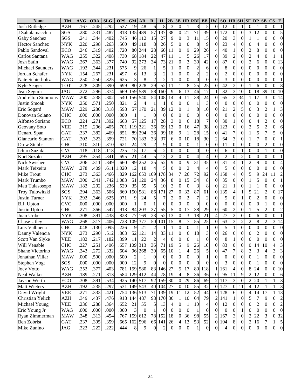| <b>Name</b>              | <b>TM</b>  | AVG               | <b>OBA</b> | <b>SLG</b> | <b>OPS</b> | <b>GM</b>      | $\mathbf{A}\mathbf{B}$ | R                | H                | 2B               |                |                  | <b>3B HR RBI</b> | <b>BB</b>        | IW               | SO <sub>2</sub>  |                  | <b>HB</b> SH     | $SF$ $DP$        |                  | <b>SB</b>       | $\mathbf{CS}$<br>E                 |
|--------------------------|------------|-------------------|------------|------------|------------|----------------|------------------------|------------------|------------------|------------------|----------------|------------------|------------------|------------------|------------------|------------------|------------------|------------------|------------------|------------------|-----------------|------------------------------------|
| <b>Josh Rutledge</b>     | AZH        | .167              | .245       | .292       | .537       | 19             | 48                     | 6                | 8                | 3                | $\theta$       |                  | 3                | 5                | $\Omega$         | 12               | $\Omega$         |                  | $\overline{0}$   |                  | $\theta$        | $\theta$<br>$\mathbf{1}$           |
| J Saltalamacchia         | SGS        | .280              | .331       | .487       | .818       | 135            | 489                    | 57               | 137              | 38               | $\overline{0}$ | 21               | 71               | 39               | $\Omega$         | 172              | $\mathbf{0}$     | $\mathbf{0}$     | 3                | 12               | $\Omega$        | 5<br>$\theta$                      |
| Gaby Sanchez             | SGS        | .241              | 344        | .402       | .745       | 46             | 112                    | 15               | 27               | 9                | $\Omega$       | 3                | 11               | 15               | $\Omega$         | 20               | 3                | $\overline{0}$   |                  | 1                | $\Omega$        | $\Omega$<br>$\theta$               |
| <b>Hector Sanchez</b>    | NYK        | .220              | .298       | .263       | .560       | 49             | 118                    | 8                | 26               | 5                | $\theta$       | $\theta$         | 8                | 9                | $\Omega$         | 23               | 4                | $\mathbf{0}$     | $\boldsymbol{0}$ | $\overline{4}$   | $\Omega$        | $\theta$<br>$\theta$               |
| Pablo Sandoval           | ECO        | .246              | .319       | .402       | .720       | 80             | 244                    | 28               | 60               | 11               | $\theta$       | 9                | 29               | 26               | 4                | 40               |                  | $\mathbf{0}$     | $\overline{2}$   | 8                | $\Omega$        | $\Omega$<br>$\theta$               |
| Carlos Santana           | <b>WAG</b> | $.25\overline{5}$ | .322       | .408       | .730       | 68             | 184                    | 22               | 47               | 11               |                | 5                | 26               | 17               | $\Omega$         | 39               | $\mathfrak{2}$   | $\mathbf{0}$     | $\overline{2}$   | $\overline{4}$   | $\Omega$        |                                    |
| Josh Satin               | WAG        | .267              | .363       | .377       | .740       | 92             | 273                    | 34               | 73               | 21               | $\Omega$       | 3                | 30               | 42               | $\Omega$         | 87               | $\Omega$         | $\mathbf{0}$     | $\overline{2}$   | 6                | $\Omega$        | 13<br>$\theta$                     |
| <b>Michael Saunders</b>  | <b>WAG</b> | .192              | .344       | .231       | .575       | 9              | 26                     |                  | 5                | 1                | $\theta$       | $\theta$         | $\overline{2}$   | 6                | $\Omega$         | 8                | $\Omega$         | $\mathbf{0}$     | $\overline{0}$   | $\boldsymbol{0}$ | $\Omega$        | $\theta$<br>$\Omega$               |
| Jordan Schafer           | <b>NYK</b> | .154              | .267       | .231       | .497       | 6              | 13                     | 3                | $\overline{2}$   | 1                | $\theta$       | $\theta$         | $\overline{2}$   | $\overline{2}$   | $\Omega$         | $\overline{2}$   | $\mathbf{0}$     | $\mathbf{0}$     | $\overline{0}$   | $\boldsymbol{0}$ | $\Omega$        | $\theta$<br>$\theta$               |
| Nate Schierholtz         | WAG        | .250              | .250       | .325       | .625       | 3              | 8                      | $\overline{2}$   | $\overline{2}$   |                  | $\theta$       | $\theta$         | $\boldsymbol{0}$ | $\boldsymbol{0}$ | $\Omega$         | 3                | $\Omega$         | $\mathbf{0}$     | $\overline{0}$   | $\boldsymbol{0}$ | $\Omega$        | 0                                  |
| Kyle Seager              | TOT        | .228              | .309       | .390       | .699       | 80             | 228                    | 29               | 52               | 11               |                | $8\,$            | 25               | 25               | $\Omega$         | 42               | $\mathfrak{2}$   | $\overline{0}$   | $\mathbf{1}$     | 6                | $\Omega$        | 8<br>$\Omega$                      |
| Jean Segura              | JAG        | 272               | .296       | .374       | .669       | 159            | 589                    | 58               | 160              | 9                | 6              | 13               | 46               | 17               |                  | 82               | 3                | 10               | $\boldsymbol{0}$ | 18               | 39              | 10<br>10                           |
| <b>Andrelton Simmons</b> | <b>MAW</b> | .200              | .238       | .302       | .540       | 156            | 540                    | 54               | 108              | 14               | $\overline{4}$ | 11               | 38               | 24               | $\Omega$         | 65               | 3                | 34               |                  | 17               | 3               | 14<br>$\theta$                     |
| Justin Smoak             | <b>NYK</b> | .250              | .571       | .250       | .821       | $\overline{2}$ |                        |                  |                  | $\boldsymbol{0}$ | $\theta$       | $\theta$         | $\mathbf{1}$     | 3                | $\Omega$         | $\overline{0}$   | $\mathbf{0}$     | $\mathbf{0}$     | $\overline{0}$   | $\boldsymbol{0}$ | $\Omega$        | $\theta$<br>$\theta$               |
| Eric Sogard              | <b>MAW</b> | 229               | .280       | .318       | .598       | 57             | 170                    | 21               | 39               | 12               | $\theta$       |                  | 8                | 10               | $\Omega$         | 21               | $\overline{2}$   | 5                | $\overline{0}$   | 3                | $\overline{2}$  | 3                                  |
| Donovan Solano           | <b>CHC</b> | .000              | .000       | .000       | .000       |                |                        | $\boldsymbol{0}$ | $\mathbf{0}$     | $\boldsymbol{0}$ | $\theta$       | $\theta$         | $\boldsymbol{0}$ | $\boldsymbol{0}$ | $\Omega$         | $\overline{0}$   | $\Omega$         | $\mathbf{0}$     | $\overline{0}$   | $\overline{0}$   | $\Omega$        | $\theta$<br>$\theta$               |
| Alfonso Soriano          | <b>ECO</b> | 224               | .271       | .392       | .663       | 57             | 125                    | 17               | 28               | 3                | $\theta$       | 6                | 18               | $\overline{7}$   | $\Omega$         | 30               |                  | $\mathbf{0}$     | $\overline{0}$   | $\overline{4}$   | $\overline{2}$  | $\Omega$<br>$\theta$               |
| Geovany Soto             | <b>VEE</b> | .215              | .296       | .405       | .701       | 119            | 321                    | 36               | 69               | 13               | $\overline{0}$ | 16               | 47               | 38               | $\Omega$         | 123              | $\Omega$         | $\mathbf{0}$     | $\overline{2}$   | 5                | $\overline{2}$  | $\theta$<br>6                      |
| Denard Span              | <b>GAT</b> | 337               | .382       | .469       | .851       | 89             | 294                    | 36               | 99               | 18               | 9              |                  | 28               | 15               | $\Omega$         | 41               | $\overline{7}$   | $\mathbf{0}$     | $\mathbf{1}$     | 5                | 7               | 5<br>$\theta$                      |
| Giancarlo Stanton        | <b>GAT</b> | .202              | .323       | .399       | .721       | 70             | 183                    | 33               | 37               | 6                | $\theta$       | 10               | 18               | 30               | $\overline{2}$   | 64               | 3                | $\mathbf{0}$     | $\mathbf{1}$     | $\overline{7}$   | $\Omega$        | $\theta$                           |
| Drew Stubbs              | <b>CHC</b> | 310               | .310       | .310       | .621       | 24             | 29                     | $\overline{2}$   | 9                | $\overline{0}$   | $\theta$       | $\theta$         | 1                | $\boldsymbol{0}$ | $\Omega$         | 11               | $\mathbf{0}$     | $\mathbf{0}$     | $\overline{0}$   | $\boldsymbol{0}$ | $\overline{2}$  | $\theta$<br>$\theta$               |
| Ichiro Suzuki            | <b>CVC</b> | .118              | .118       | .118       | .235       | 15             | 17                     | 6                | $\overline{2}$   | $\mathbf{0}$     | $\theta$       | $\overline{0}$   | $\mathbf{0}$     | $\boldsymbol{0}$ | $\Omega$         | 6                | $\Omega$         |                  | $\overline{0}$   | $\overline{0}$   |                 | $\theta$<br>$\Omega$               |
| Kurt Suzuki              | AZH        | .295              | .354       | .341       | .695       | 21             | 44                     | 5                | $\overline{13}$  | $\overline{c}$   | $\theta$       | $\theta$         | $\overline{4}$   | $\overline{4}$   | $\Omega$         | $\overline{2}$   | $\Omega$         | $\overline{2}$   | $\overline{0}$   | $\boldsymbol{0}$ | $\theta$        | $\Omega$                           |
| Nick Swisher             | <b>CVC</b> | .206              | .311       | .349       | .660       | 99             | 252                    | $\overline{25}$  | $\overline{52}$  | 9                | $\Omega$       | 9                | 31               | $\overline{35}$  | $\Omega$         | $\overline{81}$  | 4                |                  | $\overline{2}$   | 9                | $\theta$        | $\theta$                           |
| Mark Teixeira            | <b>MAW</b> | .278              | .409       | .611       | .020       | 12             | 18                     | $\overline{4}$   | 5                | $\boldsymbol{0}$ | $\theta$       | $\overline{2}$   | $\overline{4}$   | $\overline{4}$   | $\Omega$         | 5                | $\mathbf{0}$     | $\mathbf{0}$     | $\overline{0}$   | $\boldsymbol{0}$ | $\mathbf{0}$    | $\theta$<br>$\theta$               |
| Mike Trout               | <b>CHC</b> | .273              | .363       | .466       | .829       | 162            | 653                    | 109              | 178              | $\overline{34}$  | 7              | 26               | 72               | 92               | 6                | 158              | 4                | $\mathbf{0}$     | $\overline{5}$   | 9                | 24              | $\overline{2}$<br>11               |
| Mark Trumbo              | <b>MAW</b> | .300              | .341       | .742       | .083       | 51             | 120                    | 24               | 36               | 8                | $\theta$       | 15               | 34               | 8                | $\Omega$         | 35               | $\Omega$         | $\mathbf{0}$     | $\mathbf{1}$     | 5                | $\overline{0}$  | $\theta$                           |
| Matt Tuiasosopo          | <b>MAW</b> | .182              | .292       | .236       | .529       | 35             | $\overline{55}$        | 5                | 10               | 3                | $\theta$       | $\mathbf{0}$     | 3                | 8                | $\Omega$         | 21               |                  | $\overline{0}$   | $\mathbf{1}$     | 1                | $\mathbf{0}$    | $\theta$<br>$\Omega$               |
| Troy Tulowitzki          | SGS        | .294              | .363       | .506       | .869       | 150            | 581                    | 86               | 171              | $\overline{27}$  | $\theta$       | 32               | 87               | 61               | $\Omega$         | 135              | 4                |                  | 5                | 21               | $\overline{2}$  | 17<br>$\theta$                     |
| Justin Turner            | <b>NYK</b> | .292              | .346       | .625       | .971       | 9              | 24                     | 5                |                  | $\overline{2}$   | $\Omega$       | $\overline{2}$   | $\overline{7}$   | $\overline{2}$   | $\Omega$         | 5                | $\Omega$         |                  | $\overline{0}$   | $\overline{2}$   | $\Omega$        | $\theta$<br>$\theta$               |
| <b>B.J.</b> Upton        | <b>CVC</b> | .000              | .000       | .000       | .000       |                | $\theta$               | $\mathbf{1}$     | $\overline{0}$   | $\boldsymbol{0}$ | $\theta$       | $\overline{0}$   | $\boldsymbol{0}$ | $\overline{0}$   | $\Omega$         | $\overline{0}$   | $\Omega$         | $\overline{0}$   | $\overline{0}$   | $\overline{0}$   |                 | $\Omega$<br>$\theta$               |
| Justin Upton             | <b>CHC</b> | .271              | .366       | .547       | .913       | 84             | 203                    | 37               | $\overline{55}$  | 5                | $\theta$       | 17               | 38               | 29               | $\Omega$         | 60               | $\overline{2}$   | $\overline{0}$   | $\mathbf{1}$     | 5                | $\overline{2}$  | $\theta$<br>$\overline{2}$         |
| Juan Uribe               | <b>NYK</b> | .308              | .391       | .438       | .828       | 77             | 169                    | $\overline{23}$  | $\overline{52}$  | $\overline{13}$  | $\theta$       | 3                | 18               | 21               | 4                | 27               | $\overline{2}$   | $\overline{0}$   | $\overline{0}$   | 6                | $\Omega$        | $\theta$                           |
| Chase Utley              | <b>WAG</b> | .268              | .317       | .406       | .723       | 109            | 377                    | 50               | 101              | $\overline{15}$  | 8              | 7                | 55               | 25               | $\Omega$         | $\overline{63}$  | 3                | $\overline{c}$   | $\overline{2}$   | $\overline{8}$   | $\overline{2}$  | 3<br>14                            |
| Luis Valbuena            | <b>CHC</b> | .048              | .130       | .095       | .226       | 9              | 21                     | $\overline{c}$   |                  | $\mathbf{1}$     | $\mathbf{0}$   | $\boldsymbol{0}$ | $\mathbf{1}$     | $\mathbf{1}$     | $\Omega$         | 5                |                  | $\overline{0}$   | $\overline{0}$   | $\boldsymbol{0}$ | $\mathbf{0}$    | $\theta$<br>$\theta$               |
| Danny Valencia           | <b>NYK</b> | .273              | .290       | .512       | .803       | 52             | $\overline{121}$       | $\overline{14}$  | 33               | 11               | $\theta$       | 6                | $\overline{18}$  | $\overline{3}$   | $\Omega$         | $\overline{26}$  | $\Omega$         | $\overline{0}$   | $\overline{0}$   | $\overline{2}$   | $\Omega$        | $\theta$<br>$\theta$               |
| Scott Van Slyke          | VEE        | .182              | .217       | .182       | .399       | <sup>11</sup>  | 22                     | 2                | $\overline{4}$   | $\theta$         | $\overline{0}$ | $\overline{0}$   | $\perp$          | $\mathbf{U}$     | $\overline{0}$   | 8                | $\mathbf{I}$     | $\boldsymbol{0}$ | <sub>0</sub>     | $\vert 0 \vert$  | $\vert 0 \vert$ | $\sigma$<br>$\vert 0 \vert$        |
| Will Venable             | <b>CHC</b> | .227              | .251       | .406       | .657       |                | 109 313                | 36               | 71               | 19               | $\mathfrak s$  | 9                | 26               | 10               | $\overline{0}$   | 83               | $\mathbf{0}$     | $\boldsymbol{0}$ | $\boldsymbol{0}$ | 14               | 10              | $\ensuremath{\mathfrak{Z}}$<br>4   |
| Shane Victorino          | WAG        | .243              | .272       | .332       | .604       |                | 96 268                 | 30               | 65               | 10               |                | 4                | 26               | 5                | $\overline{0}$   | 47               | 7                | $\bf 8$          | $\mathfrak{Z}$   | 3                |                 | $\overline{3}$<br>3                |
| Jonathan Villar          | MAW        | .000              | .500       | .000       | .500       | $\overline{c}$ |                        | $\boldsymbol{0}$ | $\mathbf{0}$     | $\bf{0}$         | $\overline{0}$ | 0                | $\boldsymbol{0}$ | $\mathbf{1}$     | $\boldsymbol{0}$ | $\boldsymbol{0}$ | $\overline{0}$   | $\boldsymbol{0}$ | $\boldsymbol{0}$ | $\mathbf{1}$     | $\mathbf{0}$    | $\overline{0}$<br>$\boldsymbol{0}$ |
| Stephen Vogt             | SGS        | .000              | .000       | .000       | .000       | 12             | 9                      | $\mathbf{0}$     | $\boldsymbol{0}$ | $\boldsymbol{0}$ | $\overline{0}$ | $\overline{0}$   | $\boldsymbol{0}$ | $\boldsymbol{0}$ | $\overline{0}$   | 3                | $\overline{0}$   | $\boldsymbol{0}$ | $\boldsymbol{0}$ |                  | $\mathbf{0}$    | $\theta$<br>$\overline{0}$         |
| <b>Joey Votto</b>        | WAG        | .252              | .377       | .403       | .781       |                | 159 580                | 83               | 146              | 27               | 5              | 17               | 80               | 118              |                  | 161              |                  | $\boldsymbol{0}$ | $8\,$            | 24               | $\Omega$        | 10<br>$\overline{0}$               |
| Neal Walker              | AZH        | .189              | .271       | .313       | .584       |                | 129 412                | 44               | 78               | 19               | 4              | 8                | 36               | 36               | $\overline{0}$   | 95               | 11               | 9                | $\overline{2}$   | 12               | $\Omega$        | $\overline{0}$<br>6                |
| Jayson Werth             | ECO        | .308              | .391       | .534       | .925       |                | 140 517                | 92               | 159              | 30               | $\theta$       | 29               | 86               | 69               | $\overline{2}$   | 117              | 3                | $\boldsymbol{0}$ | $\overline{c}$   | 20               |                 | $\sqrt{3}$                         |
| Matt Wieters             | AZH        | .192              | .235       | .297       | .531       |                | 149 543                | 40               | 104              | 27               | $\overline{0}$ | 10               | 55               | 32               | $\overline{0}$   | 127              | $\overline{0}$   | 11               | 4                | 12               |                 | 3                                  |
| David Wright             | VEE        | .271              | .333       | .421       | .754       |                | 136 513                | 71               | 139              | 19               | 11             | 12               | 52               | 44               | $\overline{0}$   | 128              | 6                | $\boldsymbol{0}$ | 4                | 14               | 17              | 13                                 |
| Christian Yelich         | AZH        | .349              | .437       | .476       | .913       |                | 144 487                | 93               | 170              | 30               | 1              | 10               | 64               | 79               | 2                | 141              |                  | $\mathbf{0}$     | $\mathfrak s$    | $\overline{7}$   | 9               | $\theta$<br>2                      |
| Michael Young            | <b>VEE</b> | .236              | .288       | .364       | .652       | 21             | 55                     | 5                | 13               | $\overline{4}$   | $\mathbf{0}$   |                  | 10               | 4                | $\overline{0}$   | 12               | $\overline{0}$   | $\boldsymbol{0}$ | $\boldsymbol{0}$ | $\overline{2}$   | $\mathbf{0}$    | $\boldsymbol{2}$<br>0              |
| Eric Young Jr            | <b>WAG</b> | .000              | .000       | .000       | .000       | 3              | $\mathbf{0}$           |                  | $\boldsymbol{0}$ | $\boldsymbol{0}$ | $\Omega$       | $\boldsymbol{0}$ | -1               | $\boldsymbol{0}$ | $\Omega$         | $\theta$         | $\mathbf{0}$     |                  | $\boldsymbol{0}$ | $\boldsymbol{0}$ | $\mathbf{0}$    | $\theta$<br>$\overline{0}$         |
| Ryan Zimmerman           | <b>MAW</b> | .248              | .313       | .454       | .767       |                | 159 612                | 78               | 152              | 18               | $\theta$       | 36               | 98               | 55               | $\overline{2}$   | 167              | 3                | $\boldsymbol{0}$ | $\boldsymbol{2}$ | 22               | 3               | 32<br>$\overline{0}$               |
| Ben Zobrist              | GAT        | .237              | .305       | .359       | .665       |                | 162 596                |                  | 66 141           | 26               | 4              | 13               | 53               | 52               |                  | 0 104            | $8\,$            | $\mathbf{0}$     | $\overline{c}$   | 16               | 7               | 5                                  |
| Mike Zunino              | JAG        | .222              | .222       | .222       | .444       | $8\,$          | 9                      | $\boldsymbol{0}$ | $\overline{2}$   | $\boldsymbol{0}$ | $\overline{0}$ | $\boldsymbol{0}$ | $\mathbf{1}$     | $\boldsymbol{0}$ | $\overline{0}$   | $\overline{4}$   | $\boldsymbol{0}$ | $\mathbf{0}$     | $\overline{0}$   | $\overline{0}$   | $\overline{0}$  | $\overline{0}$<br>$\boldsymbol{0}$ |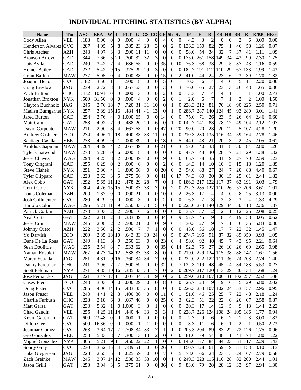# **INDIVIDUAL PITCHING STATISTICS (BY ALPHA)**

| <b>Name</b>              | Tm                      | <b>AVG</b> | <b>ERA</b>         | W                | L                | <b>PCT</b>         | G               | <b>GS</b>          |                  | CG GF                | <b>Sh</b>        | Sv                  | IP                  | Н              | $\bf{R}$       | ER HR            |                  | <b>BB</b>       | $\mathbf K$    | K/BB | HR/9 |
|--------------------------|-------------------------|------------|--------------------|------------------|------------------|--------------------|-----------------|--------------------|------------------|----------------------|------------------|---------------------|---------------------|----------------|----------------|------------------|------------------|-----------------|----------------|------|------|
| Cody Allen               | VEE                     | .188       | 0.00               | $\mathbf{0}$     | $\boldsymbol{0}$ | .000               | $\overline{4}$  | $\overline{0}$     | $\boldsymbol{0}$ | 4                    | $\boldsymbol{0}$ | $\mathbf{0}$        | 4.3                 | 3              | $\overline{2}$ | $\boldsymbol{0}$ | $\mathbf{0}$     | $\overline{2}$  | 6              | 3.00 | 0.00 |
| <b>Henderson Alvarez</b> | $\overline{\text{CVC}}$ | .287       | 4.95               | 5                | 8                | .385               | 23              | 23                 | $\overline{3}$   | $\mathbf{0}$         | $\overline{2}$   | $\overline{0}$      | 136.3               | 150            | 82             | 75               |                  | 46              | 58             | 1.26 | 0.07 |
| Chris Archer             | <b>AZH</b>              | .243       | 4.97               | 3                | 3                | .500               | 11              | 11                 | $\overline{0}$   | $\boldsymbol{0}$     | $\overline{0}$   | $\overline{0}$      | 58.0                | 54             | 34             | $\overline{32}$  | $\overline{7}$   | $\overline{37}$ | 41             | 1.11 | 1.09 |
| <b>Bronson Arroyo</b>    | CAD                     | .344       | 7.66               | 5                | 20               | .200               | 32              | 32                 | $\overline{3}$   | $\overline{0}$       | $\overline{0}$   | $\theta$            | 175.0               | 261            | 158            | 149              | 34               | 43              | 99             | 2.30 | 1.75 |
| Luis Avilan              | CAD                     | .240       | 3.42               | 7                | $\overline{4}$   | .636               | 65              | $\mathbf{0}$       | $\overline{0}$   | 35                   | $\overline{0}$   | 10                  | 76.3                | 68             | 33             | 29               | 5                | $\overline{37}$ | 43             | 1.16 | 0.59 |
| <b>Homer Bailey</b>      | CAD                     | .272       | 5.42               | 9                | 15               | .375               | 29              | 29                 | $\overline{3}$   | $\boldsymbol{0}$     | $\mathbf{0}$     | $\theta$            | 82.7                | 191            | 112            | 110              | 29               | 67              | 133            | 1.99 | 1.43 |
| <b>Grant Balfour</b>     | <b>MAW</b>              | .277       | 5.05               | $\boldsymbol{0}$ | $\overline{4}$   | .000               | 38              | $\theta$           | $\overline{0}$   | 15                   | $\overline{0}$   | $\overline{2}$      | 41.0                | 44             | 24             | 23               | 6                | 23              | 39             | 1.70 | 1.32 |
| Joaquin Benoit           | <b>CVC</b>              | .182       | 3.50               |                  | 1                | .500               | 8               | $\boldsymbol{0}$   | $\overline{0}$   | 5                    | $\overline{0}$   | 1                   | 10.3                | 6              | $\overline{4}$ | $\overline{4}$   | $\overline{0}$   | 5               | 11             | 2.20 | 0.00 |
| Craig Breslow            | <b>JAG</b>              | .239       | 2.72               | 8                | $\overline{4}$   | .667               | $\overline{63}$ | $\theta$           | $\boldsymbol{0}$ | $\overline{13}$      | $\overline{0}$   | 3                   | 76.0                | 65             | 27             | 23               | 3                | 26              | 43             | 1.65 | 0.36 |
| <b>Zach Britton</b>      | <b>CHC</b>              | .412       | 10.91              | $\theta$         | $\overline{0}$   | .000               | 3               | $\theta$           | $\overline{0}$   | $\overline{2}$       | $\overline{0}$   | $\overline{0}$      | 3.3                 | $\overline{7}$ | $\overline{4}$ | $\overline{4}$   |                  | 1               | $\mathbf{1}$   | 1.00 | 2.73 |
| Jonathan Broxton         | <b>NYK</b>              | .500       | 31.50              | $\boldsymbol{0}$ | $\boldsymbol{0}$ | .000               | $\overline{4}$  | $\mathbf{0}$       | $\theta$         | $\overline{2}$       | $\overline{0}$   | $\mathbf{1}$        | 2.0                 | 6              | 7              | $\overline{7}$   |                  | $\overline{2}$  | $\overline{2}$ | 1.00 | 4.50 |
| Clayton Buchholz         | <b>JAG</b>              | .245       | 2.76               | 18               | $\tau$           | .720               | 31              | 31                 | 10               | $\overline{0}$       |                  | $\overline{0}$      | 228.3 212           |                | 81             | 70               | 18               | 90              | 225            | 2.50 | 0.71 |
| Madisn Bumgarner         | <b>NYK</b>              | .257       | 3.89               | 15               | 16               | .484               | 41              | 41                 | $\overline{13}$  | $\boldsymbol{0}$     | 1                | $\overline{0}$      | 286.7               | 287            | 140            | 124              | 45               | 93              | 280            | 3.01 | 1.41 |
| Jared Burton             | CAD                     | .254       | 2.76               | $\overline{4}$   | $\boldsymbol{0}$ | .000               | 65              | $\mathbf{0}$       | $\boldsymbol{0}$ | 14                   | $\overline{0}$   | $\overline{0}$      | 75.0                | 71             | 26             | 23               | 5                | 26              | 64             | 2.46 | 0.60 |
| Matt Cain                | <b>GAT</b>              | .258       | 4.92               | 7                | 9                | .438               | 20              | 20                 | 6                | $\boldsymbol{0}$     | 1                | $\theta$            | 142.7               | 141            | 83             | 78               | $\overline{17}$  | 49              | 104            | 2.12 | 1.07 |
| David Carpenter          | <b>MAW</b>              | .211       | 2.00               | 8                | $\overline{4}$   | .667               | 63              | $\boldsymbol{0}$   | $\theta$         | 47                   | $\overline{0}$   | 20                  | 90.0                | 70             | 23             | 20               | 12               | 25              | 107            | 4.28 | 1.20 |
| Andrew Cashner           | ECO                     | .274       | 4.96               | 12               | 18               | .400               | 33              | $\overline{33}$    | 11               | $\boldsymbol{0}$     | 1                | $\overline{0}$      | 210.3               | 230            | 135            | 116              | 34               | $\overline{59}$ | 164            | 2.78 | 1.46 |
| Santiago Casilla         | <b>VEE</b>              | .273       | 4.09               | $\overline{0}$   | 1                | .000               | 39              | $\theta$           | $\theta$         | 18                   | $\overline{0}$   | 5                   | 44.0                | 48             | 21             | 20               | 3                | 22              | 45             | 2.05 | 0.61 |
| Aroldis Chapman          | <b>MAW</b>              | .204       | 4.89               | 4                | $\overline{2}$   | .667               | 49              | $\overline{0}$     | $\mathbf{0}$     | 21                   | $\overline{0}$   | 3                   | 57.0                | 40             | 33             | 31               | 8                | $\overline{30}$ | 84             | 2.80 | 1.26 |
| <b>Tvler Chatwood</b>    | <b>MAW</b>              | .273       | 5.28               | $\boldsymbol{0}$ | 6                | .000               | 8               | 8                  | $\overline{0}$   | $\boldsymbol{0}$     | $\overline{0}$   | $\boldsymbol{0}$    | 47.7                | 48             | 30             | 28               | $\overline{7}$   | 21              | 29             | 1.38 | 1.32 |
| Jesse Chavez             | <b>WAG</b>              | .294       | 4.25               | 3                | $\overline{2}$   | .600               | 39              | $\overline{0}$     | 0                | 19                   | $\overline{0}$   | $\boldsymbol{0}$    | 65.7                | 78             | 35             | 31               | 9                | 27              | 70             | 2.59 | 1.23 |
| Tony Cingrani            | <b>CAD</b>              | .255       | 6.29               | $\overline{0}$   | $\overline{2}$   | .000               | 6               | $\boldsymbol{0}$   | $\overline{0}$   | $\overline{2}$       | $\overline{0}$   | $\overline{0}$      | 14.3                | 14             | 10             | 10               | 3                | 15              | 18             | 1.20 | 1.89 |
| <b>Steve Cishek</b>      | <b>NYK</b>              | .251       | 2.30               | $\overline{4}$   | $\mathbf{1}$     | .800               | 56              | $\overline{0}$     | $\theta$         | 20                   | $\overline{0}$   | $\overline{2}$      | 94.0                | 88             | 27             | 24               | $\overline{7}$   | 20              | 88             | 4.40 | 0.67 |
| <b>Tyler Clippard</b>    | CAD                     | .223       | 3.63               | 3                | 5                | .375               | 56              | $\mathbf{0}$       | $\overline{0}$   | 41                   | $\boldsymbol{0}$ | 17                  | 74.3                | 60             | 30             | 30               | 15               | 25              | 61             | 2.44 | 1.82 |
| Alex Cobb                | <b>GAT</b>              | .292       | $\overline{5.65}$  | 11               | 12               | .478               | 29              | 28                 | $\overline{7}$   | $\boldsymbol{0}$     | 1                | $\theta$            | 186.3               | 217            | 122            | 117              | $\overline{37}$  | 63              | 191            | 3.03 | 1.79 |
| Gerrit Cole              | <b>NYK</b>              | .304       | 4.26               | 15               | 15               | .500               | 33              | $\overline{33}$    | $\overline{7}$   | $\boldsymbol{0}$     | $\overline{2}$   | $\theta$            | 232.3               | 285            | 122            | 110              | 26               | 57              | 206            | 3.61 | 1.01 |
| Louis Coleman            | <b>AZH</b>              | .200       | 1.37               | $\theta$         | $\mathbf{0}$     | .000               | 21              | $\boldsymbol{0}$   | $\boldsymbol{0}$ | 10                   | $\overline{0}$   | 2                   | 26.3                | 17             | 4              | 4                | $\boldsymbol{0}$ | 8               | 25             | 3.13 | 0.00 |
| <b>Josh Collmenter</b>   | $\overline{\text{CVC}}$ | .280       | 4.29               | $\theta$         | $\boldsymbol{0}$ | .000               | 3               | $\mathbf{0}$       | $\mathbf{0}$     | $\overline{2}$       | $\overline{0}$   | $\overline{0}$      | 6.3                 | $\overline{7}$ | 3              | 3                | 3                | 3               | $\overline{4}$ | 1.33 | 4.29 |
| <b>Bartolo Colon</b>     | WAG                     | .296       | 5.21               | 11               | 9                | .550               | 33              | $\overline{33}$    | $\overline{5}$   | $\overline{0}$       | 1                | 0                   | 223.0 273           |                | 140            | 129              | 34               | 50              | 118            | 2.36 | 1.37 |
| Patrick Corbin           | <b>AZH</b>              | .270       | 3.03               | $\overline{c}$   | $\overline{2}$   | .500               | 6               | 6                  | $\overline{0}$   | $\overline{0}$       | $\overline{0}$   | $\mathbf{0}$        | 35.7                | 37             | 12             | 12               | 1                | 12              | 25             | 2.08 | 0.25 |
| <b>Neal Cotts</b>        | <b>GAT</b>              | 222        | 2.81               | $\overline{2}$   | $\overline{4}$   | .333               | 49              | $\theta$           | $\boldsymbol{0}$ | 34                   | $\overline{0}$   | 9                   | 57.7                | 45             | 19             | 18               | 4                | 19              | 58             | 3.05 | 0.62 |
| Jesse Crain              | <b>MAW</b>              | .245       | 2.08               | $\overline{c}$   | $\overline{2}$   | .500               | 21              | $\theta$           | $\overline{0}$   | 9                    | $\overline{0}$   | 1                   | 30.3                | 27             | 9              | $\overline{7}$   |                  | 6               | 35             | 5.83 | 0.30 |
| Johnny Cueto             | <b>AZH</b>              | .222       | 3.56               | $\overline{2}$   | $\overline{2}$   | .500               | $\overline{7}$  | $\overline{7}$     |                  | $\theta$             | $\overline{0}$   | $\theta$            | 43.0                | 36             | 18             | 17               | $\overline{7}$   | 22              | 32             | 1.45 | 1.47 |
| Yu Darvish               | ECO                     | .200       | 2.85               | 18               | 10               | .643               | 33              | 33                 | 24               | $\theta$             | 5                | $\theta$            | 274.7               | 195            | 91             | 87               | 32               | 89              | 350            | 3.93 | 1.05 |
| Dane De La Rosa          | GAT                     | .249       | 4.13               | 3                | 9                | .250               | 63              | $\boldsymbol{0}$   | $\theta$         | 23                   | $\Omega$         | 4                   | 98.0                | 92             | 48             | 45               | $\overline{7}$   | 43              | 95             | 2.21 | 0.64 |
| Sean Doolittle           | WAG                     | .225       | 2.54               | 8                | $\overline{7}$   | .533               | 62              | $\overline{0}$     | $\theta$         | $\overline{35}$      | $\overline{0}$   | 14                  | 92.3                | 75             | 27             | 26               | 10               | 26              | 69             | 2.65 | 0.98 |
| Nathan Eovaldi           | <b>MAW</b>              | .267       | 4.73  14  12       |                  |                  | .538 33            |                 | 33                 | 8                | $\boldsymbol{0}$     | U                |                     | 0 219.0 229 124 115 |                |                |                  | 38               |                 | 88 147         | 1.67 | 1.56 |
| Marco Estrada            | JAG                     | .251       | 4.31               |                  | 916              | .360 34            |                 | 34                 | $\overline{7}$   | $\boldsymbol{0}$     | 0                |                     | 0 232.0 222 122     |                |                | 111              | 36               | 74              | 203            | 2.74 | 1.40 |
| Danny Farquhar           | <b>CHC</b>              | .241       | 3.06               | $\overline{7}$   | 7                | .500 69            |                 | $\mathbf{0}$       | $\boldsymbol{0}$ | $\overline{32}$      | 0                |                     | 7 132.3 119 48      |                |                | 45               | $\overline{4}$   | 34              | 188            | 5.53 | 0.27 |
| Scott Feldman            | <b>NYK</b>              | .271       | 4.85 10 16         |                  |                  | .385 33            |                 | 33                 | $\boldsymbol{7}$ | $\boldsymbol{0}$     | 2                | $\overline{0}$      | 209.7 217 120 113   |                |                |                  | 29               | 80              | 134            | 1.68 | 1.24 |
| Jose Fernandez           | <b>JAG</b>              | .221       | 3.47 17 11         |                  |                  | .607               | 34              | 34                 | $\overline{9}$   | $\boldsymbol{0}$     | $\overline{c}$   | 0                   | 259.0 210 107       |                |                | 100              | 31               | 102             | 257            | 2.52 | 1.08 |
| Casey Fien               | ECO                     | .240       | 3.03               | $\overline{0}$   | $\boldsymbol{0}$ | $.000$ 29          |                 | $\overline{0}$     | $\overline{0}$   | 8                    | $\boldsymbol{0}$ | $\boldsymbol{0}$    | 26.7                | 24             | 9              | 9                | 6                | 5               | 29             | 5.80 | 2.02 |
| Doug Fister              | <b>CVC</b>              | .285       | 4.06 14 15         |                  |                  | .483               | 35              | 35                 | $\infty$         | $\boldsymbol{0}$     |                  | $\overline{0}$      | 226.3 253 107       |                |                | 102              | 24               | 53              | 157            | 2.96 | 0.95 |
| Jason Frasor             | <b>VEE</b>              | .240       | 4.41               | $\overline{c}$   | 3                | .400 36            |                 | $\boldsymbol{0}$   | $\overline{0}$   | 11                   | $\boldsymbol{0}$ |                     | 51.0                | 46             | 25             | 25               | $\overline{7}$   | 22              | 48             | 2.18 | 1.24 |
| Charlie Furbush          | <b>CHC</b>              | .228       | 3.18               | 6                | $\mathfrak{Z}$   | .667               | 46              | $\overline{0}$     | $\boldsymbol{0}$ | 25                   | $\theta$         | 3                   | 62.3                | 51             | 22             | 22               | 6                | 26              | 67             | 2.58 | 0.87 |
| Matt Garza               | <b>GAT</b>              | .230       | 5.32               |                  | $\boldsymbol{0}$ | 1.000              | $\mathfrak{Z}$  | 3                  |                  | $\boldsymbol{0}$     | $\theta$         | $\overline{0}$      | 20.3                | 17             | 14             | 12               | 5                | 9               | 13             | 1.44 | 2.22 |
| Chad Gaudin              | VEE                     | .255       | 4.25 11            |                  | 14               | .440               | 44              | 33                 | $\mathfrak{Z}$   | 3                    |                  | 0                   | 228.7               | 226            | 124            | 108              |                  | 24 105          | 186            | 1.77 | 0.94 |
| Kevin Gausman            | <b>GAT</b>              | .600       | 23.48              | $\overline{0}$   | $\boldsymbol{0}$ | .000               |                 | $\mathbf{0}$       | $\boldsymbol{0}$ | $\boldsymbol{0}$     | $\overline{0}$   | $\overline{0}$      | 2.3                 | 9              | 6              | 6                | $\overline{c}$   | 1               | 3              | 3.00 | 7.83 |
| Dillon Gee               | <b>CVC</b>              | .500       | 16.36              | $\mathbf{0}$     | $\boldsymbol{0}$ | .000               | 1               |                    | $\boldsymbol{0}$ | $\boldsymbol{0}$     | $\overline{0}$   | $\mathbf{0}$        | 3.3                 | 11             | 6              | $\overline{6}$   |                  | $\overline{c}$  | $\mathbf{1}$   | 0.50 | 2.73 |
| Jeanmar Gomez            | <b>CVC</b>              | .263       | 3.64 17            |                  | 7                | .708 34            |                 | 33                 | $\sqrt{ }$       |                      |                  | 0                   | 205.3 204           |                | 89             | 83               | 22               | 72              | 126            | 1.75 | 0.96 |
| Gio Gonzalez             | <b>VEE</b>              | .253       | 5.33               | $\overline{3}$   | 7                | .300 13            |                 | 13                 | $\overline{2}$   | $\boldsymbol{0}$     | $\theta$         | $\overline{0}$      | 81.0                | 79             | 54             | 48               | 11               | 41              | 74             | 1.80 | 1.22 |
| Miguel Gonzalez          | <b>NYK</b>              | .305       | 5.21               |                  | 9 11             | .450               | 22              | 22                 | $\mathbf{1}$     | $\boldsymbol{0}$     | 0                | $\overline{0}$      | 145.0 177           |                | 84             | 84               | 23               | 51              | 117            | 2.29 | 1.43 |
| Sonny Gray               | <b>CVC</b>              | .230       | 3.52 15            |                  | 4                | .789               | 51              | $\overline{0}$     | $\overline{0}$   | 26                   | $\theta$         | 7                   | 150.7 128           |                | 61             | 59               | 19               | 51<br>24        | 158            | 3.10 | 1.13 |
| Luke Gregerson           | JAG<br><b>MAW</b>       | .228       | 2.65<br>3.97 14 12 | $5\overline{)}$  | 3                | .625 59<br>.538 33 |                 | $\mathbf{0}$<br>33 | 0<br>10          | 17                   | 0                | 5<br>$\overline{0}$ | 78.0<br>249.3 228   | 66             | 24<br>115      | 23               | 5<br>28          | 82              | 67             | 2.79 | 0.58 |
| Zach Greinke             |                         | .245       |                    | 3 <sup>l</sup>   | 5 <sub>l</sub>   |                    |                 | $\overline{0}$     |                  | $\overline{0}$<br>36 | $\overline{0}$   | $\overline{9}$      |                     | 79             | 28             | 110              | 12               | 33              | 200            | 2.44 | 1.01 |
| Jason Grilli             | <b>GAT</b>              | .253       | 3.04               |                  |                  | .375 61            |                 |                    | $\overline{0}$   |                      |                  |                     | 83.0                |                |                | 28               |                  |                 | 97             | 2.94 | 1.30 |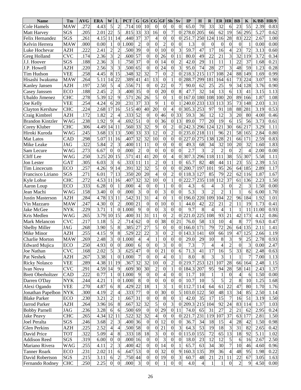| <b>Name</b>              | Tm         | <b>AVG</b> | <b>ERA</b> | W                        |                          | <b>PCT</b> | G              | <b>GS</b>        | CG                       | <b>GF</b>                | <b>Sh</b>        | Sv             | $_{\rm IP}$      | $\bf H$          | R               | ER HR            |                  | <b>BB</b>       | K               | K/BB  | HR/9 |
|--------------------------|------------|------------|------------|--------------------------|--------------------------|------------|----------------|------------------|--------------------------|--------------------------|------------------|----------------|------------------|------------------|-----------------|------------------|------------------|-----------------|-----------------|-------|------|
| Cole Hamels              | <b>MAW</b> | .272       | 4.43       | 5                        | $\sqrt{2}$               | .714       | 10             | 10               | $\Omega$                 | $\boldsymbol{0}$         | $\theta$         | $\Omega$       | 65.0             | 70               | 33              | 32               | 6                | 23              | 55              | 2.39  | 0.83 |
| Matt Harvey              | SGS        | .205       | 2.01       | 22                       | 5                        | .815       | 33             | 33               | 16                       | $\overline{0}$           | $\overline{7}$   | $\theta$       | 278.0            | 205              | 66              | 62               | 19               | 56              | 295             | 5.27  | 0.62 |
| Felix Hernandez          | SGS        | .261       | 4.15       | 11                       | 14                       | .440       | 37             | 37               | $\overline{4}$           | $\mathbf{0}$             | $\overline{0}$   | $\theta$       | 251.7            | 250              | 124             | 116              | 28               | 83              | 222             | 2.67  | 1.00 |
| Kelvin Herrera           | <b>MAW</b> | .000       | 0.00       | 1                        | $\overline{0}$           | 1.000      | $\overline{c}$ | $\mathbf{0}$     | $\overline{0}$           | $\overline{2}$           | $\overline{0}$   | 0              | 1.3              | $\boldsymbol{0}$ | $\overline{0}$  | $\boldsymbol{0}$ | $\boldsymbol{0}$ | $\mathbf{0}$    | 1               | 0.00  | 0.00 |
| Luke Hochevar            | <b>AZH</b> | .222       | 2.41       | $\overline{c}$           | $\overline{c}$           | .500       | 39             | $\overline{0}$   | $\overline{0}$           | 10                       | $\overline{0}$   | 3              | 59.7             | 47               | 17              | 16               | $\overline{4}$   | 23              | 72              | 3.13  | 0.60 |
| Greg Holland             | <b>CVC</b> | .174       | 2.36       | 3                        | $\overline{2}$           | .600       | 57             | $\overline{0}$   | $\boldsymbol{0}$         | 26                       | $\overline{0}$   | 11             | 80.0             | 49               | 22              | 21               | 3                | 32              | 119             | 3.72  | 0.34 |
| J.J. Hoover              | SGS        | .188       | 2.36       | 3                        | $\mathbf{1}$             | .750       | 37             | $\overline{0}$   | $\overline{0}$           | 14                       | $\boldsymbol{0}$ | $\overline{2}$ | 42.0             | 29               | 11              | 11               | $\mathbf{1}$     | 22              | 37              | 1.68  | 0.21 |
| J.P. Howell              | <b>AZH</b> | .220       | 2.56       | 3                        | 3                        | .500       | 65             | $\overline{0}$   | $\overline{0}$           | 24                       | $\boldsymbol{0}$ | 3              | 95.0             | 74               | 28              | 27               | 3                | 48              | 59              | 1.23  | 0.28 |
| Tim Hudson               | <b>VEE</b> | .258       | 4.45       | 8                        | 15                       | .348       | 32             | 32               | $\overline{7}$           | $\boldsymbol{0}$         | $\overline{c}$   | $\theta$       | 218.3            | 215              | 117             | 108              | 24               | 88              | 149             | 1.69  | 0.99 |
| Hisashi Iwakuma          | <b>MAW</b> | .264       | 5.11       | 14                       | 22                       | .389       | 41             | 41               | 13                       | $\overline{0}$           |                  | $\theta$       | 288.7            | 299              | 181             | 164              | 61               | 73              | 224             | 3.07  | 1.90 |
| <b>Kanley Jansen</b>     | <b>AZH</b> | .197       | 2.50       | 5                        | $\overline{\mathcal{L}}$ | .556       | 71             | $\mathbf{0}$     | $\Omega$                 | 22                       | $\theta$         | 7              | 90.0             | 62               | 25              | 25               | 9                | 34              | 128             | 3.76  | 0.90 |
| Casey Janssen            | <b>ECO</b> | .188       | 2.45       | $\overline{c}$           | 3                        | .400       | 35             | $\overline{0}$   | $\overline{0}$           | 20                       | $\theta$         | 8              | 47.7             | 32               | 14              | 13               | 6                | 13              | 41              | 3.15  | 1.13 |
| Ubaldo Jimenez           | <b>CHC</b> | .278       | 5.39       | 12                       | 9                        | .571       | 26             | 26               | 5                        | $\mathbf{0}$             | 1                | $\theta$       | 167.0            | 180              | 108             | 100              | 20               | 89              | 166             | 1.87  | 1.08 |
| Joe Kelly                | <b>VEE</b> | .254       | 4.24       | 6                        | 20                       | .231       | 37             | 33               | 9                        | 1                        | $\overline{0}$   |                | 240.0            | 233              | 133             | 113              | 35               | 73              | 148             | 2.03  | 1.31 |
| Clayton Kershaw          | <b>CHC</b> | .224       | 2.68       | 17                       | 16                       | .515       | 40             | 40               | 20                       | $\boldsymbol{0}$         | 4                | $\Omega$       | 305.3            | 253              | 97              | 91               | 18               | 88              | 281             | 3.19  | 0.53 |
|                          | <b>AZH</b> | .172       | 1.82       | $\overline{c}$           | $\overline{4}$           | .333       | 52             | $\boldsymbol{0}$ | $\mathbf{0}$             | 46                       |                  | 33             | 59.3             | 36               | 12              | 12               | 3                | 20              | 80              | 4.00  | 0.46 |
| Craig Kimbrel            |            |            |            | 9                        |                          |            | 51             | $\overline{0}$   |                          | 36                       | 0                | 13             |                  |                  |                 |                  |                  |                 |                 |       |      |
| <b>Brandon Kintzler</b>  | <b>WAG</b> | .238       | 1.92       |                          | $\overline{4}$           | .692       |                |                  | $\overline{0}$           |                          | $\overline{0}$   |                | 89.0             | 77               | 20              | 19               | 6                | 15              | 56              | 3.73  | 0.61 |
| Corey Kluber             | <b>CHC</b> | .306       | 4.49       | 14                       | 11                       | .560       | 33             | 32               | 9                        | $\mathbf{0}$             | $\overline{c}$   | 0              | 242.3            | 296              | 124             | 121              | 30               | 66              | 217             | 3.29  | 1.11 |
| Hiroki Kuroda            | WAG        | .245       | 3.68       | 13                       | 13                       | .500       | 33             | 33               | 12                       | $\overline{0}$           | $\overline{c}$   | 0              | 235.0            | 218              | 111             | 96               | 21               | 58              | 165             | 2.84  | 0.80 |
| Mat Latos                | <b>CAD</b> | .298       | 5.07       | 11                       | 16                       | .407       | 32             | 32               | 10                       | $\overline{0}$           | $\overline{0}$   | $\theta$       | 227.0            | 275              | 138             | 128              | 21               | 66              | 171             | 2.59  | 0.83 |
| Mike Leake               | <b>JAG</b> | .322       | 5.84       | $\overline{c}$           | 3                        | .400       | 11             | 11               | $\overline{0}$           | $\overline{0}$           | $\overline{0}$   | $\theta$       | 49.3             | 68               | 34              | 32               | 10               | 20              | 32              | 1.60  | 1.83 |
| Sam Lecure               | WAG        | .273       | 6.67       | $\boldsymbol{0}$         | $\mathbf{0}$             | .000       | $\overline{2}$ | $\boldsymbol{0}$ | $\overline{0}$           | $\overline{0}$           | $\mathbf{0}$     | $\theta$       | $2.\overline{7}$ | 3                | $\overline{2}$  | $\overline{c}$   | $\boldsymbol{0}$ | $\overline{2}$  | $\overline{4}$  | 2.00  | 0.00 |
| Cliff Lee                | <b>WAG</b> | .250       | 3.25       | 20                       | 15                       | .571       | 41             | 41               | 20                       | $\overline{0}$           | 4                | $\theta$       | 307.3            | 296              | 118             | 111              | 38               | 55              | 307             | 5.58  | 1.11 |
| Jon Lester               | <b>GAT</b> | .305       | 6.03       | 3                        | 6                        | .333       | 11             | 11               | $\overline{2}$           | $\overline{0}$           |                  | 0              | 65.7             | 82               | 48              | 44               | 11               | 23              | 55              | 2.39  | 1.51 |
| Tim Lincecum             | <b>ECO</b> | .257       | 4.26       | 9                        | 14                       | .391       | 32             | $\overline{32}$  | $\overline{5}$           | $\overline{0}$           | $\boldsymbol{0}$ | 0              | 200.7            | 197              | 101             | 95               | 26               | 64              | 185             | 2.89  | 1.17 |
| Francisco Liriano        | SGS        | .271       | 6.01       | $\overline{7}$           | 13                       | .350       | 20             | 20               | $\overline{4}$           | $\overline{0}$           | $\overline{c}$   | $\theta$       | 118.3            | 127              | 85              | 79               | 22               | 62              | 116             | 1.87  | 1.67 |
| Kyle Lohse               | <b>CHC</b> | .272       | 4.53       | 11                       | 16                       | .407       | 32             | 32               | $\overline{10}$          | $\overline{0}$           | 1                | $\Omega$       | 222.7            | 235              | 118             | 112              | 37               | 61              | 136             | 2.23  | 1.50 |
| Aaron Loup               | <b>ECO</b> | .333       | 6.28       | $\theta$                 |                          | .000       | $\overline{4}$ | $\mathbf{0}$     | $\mathbf{0}$             | $\mathbf{1}$             | $\theta$         | $\theta$       | 4.3              | 6                | 4               | 3                | $\overline{0}$   | $\overline{c}$  | 3               | 1.50  | 0.00 |
| Jean Machi               | WAG        | .158       | 3.40       | $\boldsymbol{0}$         | $\boldsymbol{0}$         | .000       | 3              | $\overline{0}$   | $\overline{0}$           | 3                        | $\boldsymbol{0}$ | $\theta$       | 5.3              | $\overline{3}$   | $\overline{2}$  | $\overline{2}$   | $\mathbf{1}$     | $\mathbf{1}$    | 6               | 6.00  | 1.70 |
| Justin Masterson         | <b>AZH</b> | .284       | 4.78       | 13                       | 11                       | .542       | 31             | $\overline{31}$  | $\overline{4}$           | $\overline{0}$           |                  | $\theta$       | 196.0            | 220              | 109             | 104              | 22               | 96              | 184             | 1.92  | 1.01 |
| Vin Mazzaro              | <b>MAW</b> | .247       | 4.30       | $\boldsymbol{0}$         | $\overline{2}$           | .000       | 21             | $\mathbf{0}$     | $\overline{0}$           | 10                       | $\overline{0}$   |                | 44.0             | 42               | 22              | 21               | $\overline{2}$   | 11              | 19              | 1.73  | 0.41 |
| Jake McGee               | <b>NYK</b> | .229       | 3.71       |                          | $\mathbf{0}$             | 1.000      | 9              | $\overline{0}$   | $\overline{0}$           | 3                        | $\mathbf{0}$     | $\theta$       | 9.7              | 8                | $\overline{4}$  | $\overline{4}$   | 1                | 1               | 11              | 11.00 | 0.93 |
| Kris Medlen              | WAG        | .265       | 3.79       | 10                       | 15                       | .400       | 31             | 31               | 11                       | $\overline{0}$           | $\overline{c}$   | $\theta$       | 221.0            | 225              | 108             | 93               | 21               | 42              | 173             | 4.12  | 0.86 |
| Mark Melancon            | CVC        | .217       | 1.18       | 5                        | $\overline{2}$           | .714       | 62             | $\mathbf{0}$     | $\theta$                 | $\overline{38}$          | $\overline{0}$   | 21             | 76.0             | 58               | 13              | 10               | $\overline{4}$   | 8               | 77              | 9.63  | 0.47 |
| <b>Shelby Miller</b>     | <b>JAG</b> | .268       | 3.90       | 5                        | 8                        | .385       | 27             | 27               | $\overline{5}$           | $\boldsymbol{0}$         | $\boldsymbol{0}$ | $\theta$       | 166.0            | 171              | 79              | 72               | 26               | 64              | 135             | 2.11  | 1.41 |
| Mike Minor               | <b>AZH</b> | .255       | 4.15       | 9                        | $\,8\,$                  | .529       | 22             | 22               | $\overline{3}$           | $\overline{0}$           | $\overline{c}$   | $\theta$       | 143.3            | 141              | 69              | 66               | 19               | 47              | 125             | 2.66  | 1.19 |
| <b>Charlie Morton</b>    | MAW        | .269       | 2.48       | 3                        |                          | 0 1.000    | 4              | 4                | $\bf{l}$                 | $\theta$                 | U                | 0              | 29.0             | 29               | 10              | 8                | 3                | 9               | 25              | 2.78  | 0.93 |
| <b>Edward Mujica</b>     | <b>ECO</b> | .250       | 4.93       | $\boldsymbol{0}$         | $\boldsymbol{0}$         | .000       | 6              | $\boldsymbol{0}$ | $\overline{0}$           | 3                        | $\mathbf{0}$     | $\overline{0}$ | 7.3              | $\tau$           | 4               | $\overline{4}$   | $\sqrt{2}$       | $\overline{0}$  | 3               | 0.00  | 2.47 |
| Joe Nathan               | <b>CVC</b> | .168       | 2.02       | $\mathbf{5}$             | $\overline{3}$           | .625       | 47             | $\mathbf{0}$     | $\boldsymbol{0}$         | 21                       | $\overline{0}$   | 6              | 71.3             | 41               | $\overline{17}$ | 16               | $\mathfrak s$    | $\overline{33}$ | $\overline{82}$ | 2.48  | 0.63 |
| Pat Neshek               | <b>AZH</b> | .267       | 3.38       |                          | $\overline{0}$           | 1.000      | $\tau$         | $\boldsymbol{0}$ | $\boldsymbol{0}$         | $\overline{4}$           | $\overline{0}$   |                | 8.0              | 8                | 3               | $\mathfrak{Z}$   |                  | $\mathbf{1}$    | 7               | 7.00  | 1.13 |
| <b>Ricky Nolasco</b>     | VEE        | .289       | 4.38 11    |                          | 19                       | .367       | 32             | 32               | 10                       | $\overline{0}$           | 2                | 0              | 219.7 253        |                  | 121             | 107              | 28               | 66              | 164             | 2.48  | 1.15 |
| Ivan Nova                | <b>CVC</b> | .291       | 4.59       | 14                       | 9                        | .609       | 30             | 30               | $\sqrt{2}$               | $\boldsymbol{0}$         |                  | $\theta$       | 184.3 207        |                  | 95              | 94               | 28               | 58              | 141             | 2.43  | 1.37 |
| <b>Brett Oberholtzer</b> | CAD        | .222       | 0.77       | 1                        | $\overline{0}$           | 1.000      | 9              | $\boldsymbol{0}$ | $\overline{0}$           | $\overline{\mathcal{L}}$ | 0                | 0              | 11.7             | 10               | 1               | $\mathbf{1}$     | $\boldsymbol{0}$ | $\overline{4}$  | 6               | 1.50  | 0.00 |
| Darren O'Day             | <b>NYK</b> | .244       | 4.21       | 1                        | $\overline{0}$           | 1.000      | $\,8\,$        | $\boldsymbol{0}$ | $\overline{0}$           | $\boldsymbol{0}$         | $\overline{0}$   | $\overline{0}$ | 10.7             | 10               | 5               | $\overline{5}$   | $\overline{c}$   | 8               | 10              | 1.25  | 1.68 |
| Alexi Ogando             | <b>VEE</b> | .270       | 4.87       | 6                        | $\,8\,$                  | .429       | 22             | 18               |                          | 3                        |                  | 0              | 112.7            | 114              | 64              | 61               | 22               | 47              | 80              | 1.70  | 1.76 |
| Jonathan Papelbon        | <b>NYK</b> | .300       | 4.19       | $\mathfrak{2}$           | 4                        | .333       | 77             | $\boldsymbol{0}$ | $\overline{0}$           | $\overline{30}$          | 0                | 5              | 103.0            | 122              | 50              | $\sqrt{48}$      | 13               | 34              | 85              | 2.50  | 1.14 |
| <b>Blake Parker</b>      | <b>ECO</b> | .230       | 3.21       | $\overline{2}$           | 1                        | .667       | 31             | $\boldsymbol{0}$ | $\boldsymbol{0}$         | $\,8\,$                  | $\overline{0}$   |                | 42.0             | 35               | 17              | 15               | $\overline{7}$   | 16              | 51              | 3.19  | 1.50 |
|                          | <b>AZH</b> |            | 3.96 16    |                          | $\,8\,$                  | .667       | 32             | $\overline{32}$  | $\overline{5}$           | $\boldsymbol{0}$         | 3                | $\theta$       | 209.3            | 215              | 104             | 92               | 24               | 83              | 114             | 1.37  |      |
| Jarrod Parker            |            | .264       |            |                          |                          |            |                | $\boldsymbol{0}$ |                          | $\overline{29}$          |                  |                |                  |                  |                 | 27               |                  |                 |                 |       | 1.03 |
| <b>Bobby Parnell</b>     | <b>JAG</b> | .236       | 3.28       | 6                        | 6                        | .500       | 69             | $\overline{32}$  | $\boldsymbol{0}$         |                          | $\overline{0}$   | 11             | 74.0             | 65               | 31              |                  | $\overline{2}$   | 21              | 62              | 2.95  | 0.24 |
| Jake Peavy               | <b>CHC</b> | .265       | 4.34       | 12                       | 11                       | .522       | 32             |                  | $\overline{\mathcal{L}}$ | $\boldsymbol{0}$         | 0                | $\theta$       | 221.7            | 231              | 119             | 107              | 37               | 63              | 177             | 2.81  | 1.50 |
| Joel Peralta             | SGS        | .246       | 3.68       | $\overline{c}$           | 3                        | .400       | 36             | $\boldsymbol{0}$ | $\mathbf{0}$             | 12                       | $\overline{0}$   | 0              | 36.7             | 34               | 18              | 15               | $\overline{4}$   | 28              | 42              | 1.50  | 0.98 |
| Glen Perkins             | <b>AZH</b> | .225       | 2.52       | $\overline{\mathbf{4}}$  | $\overline{\mathbf{4}}$  | $.500\,58$ |                | $\boldsymbol{0}$ | $\boldsymbol{0}$         | 21                       | $\overline{0}$   | 3              | 64.3             | 53               | 19              | 18               | 3                | 31              | 82              | 2.65  | 0.42 |
| David Price              | <b>TOT</b> | .322       | 5.09       | $\overline{\mathcal{L}}$ | $\,8\,$                  | .333       | 18             | 18               | $\overline{\mathbf{3}}$  | $\boldsymbol{0}$         | $\overline{0}$   | $\mathbf{0}$   | 115.0            | 155              | 72              | 65               | 13               | 18              | 92              | 5.11  | 1.02 |
| <b>Addison Reed</b>      | SGS        | .319       | 6.00       | $\overline{0}$           | $\boldsymbol{0}$         | .000       | 16             | $\mathbf{0}$     | $\overline{0}$           | 3                        | $\overline{0}$   | 0              | 18.0             | 23               | 12              | 12               | 5                | 6               | 16              | 2.67  | 2.50 |
| Mariano Rivera           | <b>WAG</b> | .255       | 4.11       | $\overline{2}$           | 3                        | .400       | 42             | $\mathbf{0}$     | $\mathbf{0}$             | 14                       | $\overline{0}$   |                | 65.7             | 63               | 34              | 30               | $\tau$           | 10              | 46              | 4.60  | 0.96 |
| <b>Tanner Roark</b>      | <b>ECO</b> | .231       | 2.02       | 11                       | 6                        | .647       | 53             | $\mathbf{0}$     | $\overline{0}$           | 32                       | $\overline{0}$   | 9              | 60.3             | 135              | 39              | 36               | $\overline{4}$   | 48              | 95              | 1.98  | 0.22 |
| David Robertson          | SGS        | .215       | 3.11       | 6                        | $\sqrt{2}$               | .750       | 44             | $\boldsymbol{0}$ | 0                        | 19                       | 0                | 3              | 60.7             | 48               | 21              | 21               | 11               | 22              | 67              | 3.05  | 1.63 |
| Fernando Rodney          | <b>CHC</b> | .250       | 2.25       | $\overline{0}$           | $\overline{0}$           | .000       | $\overline{3}$ | $\mathbf{0}$     | $\overline{0}$           | $\mathbf{1}$             | $\boldsymbol{0}$ | $\overline{0}$ | 4.0              | $\overline{4}$   | $\mathbf{1}$    | $\mathbf{1}$     | $\boldsymbol{0}$ | $\overline{2}$  | $\overline{9}$  | 4.50  | 0.00 |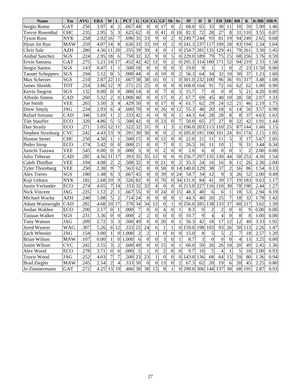| <b>Name</b>              | Tm                      | <b>AVG</b>        | <b>ERA</b>        | W                       | L                | <b>PCT</b> | G               | <b>GS</b>        | $\overline{\mathbf{C}\mathbf{G}}$ | GF              | Sh               | Sv               | IP                | $\mathbf H$      | $\mathbf R$      | ER               | <b>HR</b>        | <b>BB</b>        | K                | K/BB  | <b>HR/9</b> |
|--------------------------|-------------------------|-------------------|-------------------|-------------------------|------------------|------------|-----------------|------------------|-----------------------------------|-----------------|------------------|------------------|-------------------|------------------|------------------|------------------|------------------|------------------|------------------|-------|-------------|
| Sergio Romo              | <b>GAT</b>              | .250              | 3.97              | $\overline{4}$          | $\overline{2}$   | .667       | 44              | $\mathbf{0}$     | $\overline{0}$                    | 17              | $\theta$         | $\overline{2}$   | 68.0              | 65               | $\overline{33}$  | $\overline{30}$  | 11               | 10               | $\overline{59}$  | 5.90  | 1.46        |
| <b>Trevor Rosenthal</b>  | <b>CHC</b>              | .235              | 2.95              | 5                       | 3                | .625       | 62              | $\overline{0}$   | $\overline{0}$                    | 41              | $\overline{0}$   | 18               | 82.3              | 72               | 28               | 27               | 8                | 31               | 110              | 3.55  | 0.87        |
| <b>Tyson Ross</b>        | <b>NYK</b>              | .258              | 2.92              | 16                      | $\overline{7}$   | .696       | 35              | 33               | 9                                 | $\theta$        | $\overline{2}$   | $\Omega$         | 249.7             | 244              | 93               | 81               | 19               | 94               | 249              | 2.65  | 0.68        |
| Hyun Jin Ryu             | <b>MAW</b>              | 259               | 4.07              | 14                      | $\,8\,$          | .636       | $\overline{33}$ | $\overline{33}$  | $\overline{10}$                   | $\overline{0}$  | $\overline{c}$   | $\Omega$         | 241.3             | $\overline{2}37$ | 117              | 109              | 28               | $\overline{83}$  | 194              | 2.34  | 1.04        |
| Chris Sale               | <b>AZH</b>              | .280              | 4.56              | 11                      | 20               | .355       | 39              | 39               | $\overline{4}$                    | $\Omega$        | $\mathbf{1}$     | $\overline{0}$   | 254.7             | 281              | 135              | 129              | 41               | 79               | 261              | 3.30  | 1.45        |
| Anibal Sanchez           | SGS                     | .224              | 2.95              | 18                      | 6                | .750       | 32              | 32               | 9                                 | $\overline{0}$  | 5                | $\overline{0}$   | 229.0             | 189              | 79               | 75               | 15               | 68               | 256              | 3.76  | 0.59        |
| Ervin Santana            | <b>GAT</b>              | .275              | 5.21              | 14                      | 17               | .452       | 42              | 42               | 12                                | $\overline{0}$  | $\overline{2}$   | $\overline{0}$   | 295.3             | 314              | 180              | 171              | 52               | 94               | 219              | 2.33  | 1.58        |
| Sergio Santos            | SGS                     | .143              | 0.47              | $\mathbf{1}$            | $\mathbf{1}$     | .500       | $\overline{18}$ | $\overline{0}$   | $\overline{0}$                    | 9               | $\overline{0}$   | 3                | 19.0              | 9                | 1                | $\mathbf{1}$     | $\boldsymbol{0}$ | $\overline{2}$   | 23               | 11.50 | 0.00        |
| <b>Tanner Scheppers</b>  | SGS                     | .294              | 5.12              | $\overline{0}$          | $\overline{5}$   | .000       | 44              | $\overline{0}$   | $\overline{0}$                    | $\overline{10}$ | $\overline{0}$   | $\overline{2}$   | 56.3              | 64               | $\overline{34}$  | $\overline{32}$  | 10               | $\overline{30}$  | $\overline{37}$  | 1.23  | 1.60        |
| Max Scherzer             | SGS                     | .210              | 2.87              | $\overline{22}$         | $\overline{11}$  | .667       | 38              | $\overline{38}$  | $\overline{16}$                   | $\mathbf{0}$    | $\mathbf{1}$     | $\overline{0}$   | 301.0             | 232              | 100              | 96               | 36               | 91               | 317              | 3.48  | 1.08        |
| <b>James Shields</b>     | <b>TOT</b>              | .254              | 3.86              | 12                      | 9                | .571       | 25              | 25               | $\boldsymbol{0}$                  | $\overline{0}$  | $\boldsymbol{0}$ | $\mathbf{0}$     | 68.0              | 164              | 91               | 72               | 16               | 62               | 62               | 1.00  | 0.90        |
| <b>Kevin Siegrist</b>    | SGS                     | .132              | 0.00              | $\boldsymbol{0}$        | $\overline{0}$   | .000       | 14              | $\boldsymbol{0}$ | $\overline{0}$                    | $\overline{7}$  | $\overline{0}$   | 3                | 15.7              | $\overline{7}$   | $\boldsymbol{0}$ | $\boldsymbol{0}$ | $\boldsymbol{0}$ | 5                | 21               | 4.20  | 0.00        |
| Alfredo Simon            | CAD                     | .260              | 5.32              | $\overline{2}$          | $\overline{0}$   | 1.000      | 40              | $\overline{0}$   | $\overline{0}$                    | 17              | $\overline{0}$   | $\overline{2}$   | 67.7              | 69               | 45               | 40               | 10               | 28               | 58               | 2.07  | 1.33        |
| Joe Smith                | <b>VEE</b>              | 265               | 3.50              | $\overline{3}$          | $\overline{4}$   | .429       | 50              | $\overline{0}$   | $\overline{0}$                    | $\overline{17}$ | $\overline{0}$   | $\overline{4}$   | 61.7              | 62               | 29               | 24               | 12               | 21               | 46               | 2.19  | 1.75        |
| Drew Smyly               | <b>JAG</b>              | .234              | 2.93              | 6                       | $\overline{4}$   | .600       | 70              | $\boldsymbol{0}$ | $\overline{0}$                    | 26              | $\boldsymbol{0}$ | 12               | 55.3              | 48               | 20               | 18               | 6                | 14               | $\overline{50}$  | 3.57  | 0.98        |
| Rafael Soriano           | CAD                     | 346               | 5.69              | $\mathbf{1}$            | $\overline{c}$   | .333       | 42              | $\overline{0}$   | $\overline{0}$                    | 9               | $\overline{0}$   | $\mathbf{1}$     | 44.3              | 64               | 28               | $\overline{28}$  | 8                | 8                | $\overline{37}$  | 4.63  | 1.63        |
| <b>Tim Stauffer</b>      | ECO                     | .320              | 4.86              | 5                       | $\overline{5}$   | .500       | 42              | $\overline{0}$   | $\mathbf{0}$                      | $2\overline{3}$ | $\overline{0}$   | $\overline{7}$   | 50.0              | 65               | 27               | $\overline{27}$  | 8                | $\overline{22}$  | 42               | 1.91  | 1.44        |
| Dan Straily              | ECO                     | 271               | 5.05              | 12                      | 11               | .522       | 32              | 31               | $\overline{9}$                    | $\mathbf{1}$    | $\overline{3}$   | $\mathbf{1}$     | 196.0             | 203              | 115              | 110              | $\overline{25}$  | $\overline{87}$  | 144              | 1.66  | 1.15        |
| <b>Stephen Strasburg</b> | <b>CVC</b>              | 242               | 4.43              | 13                      | $\overline{9}$   | .591       | $\overline{30}$ | $\overline{30}$  | $\overline{8}$                    | $\overline{0}$  | $\overline{c}$   | $\mathbf{0}$     | 205.0             | 181              | 106              | 101              | 24               | 81               | 174              | 2.15  | 1.05        |
| <b>Huston Street</b>     | CHC                     | .250              | 4.50              | $\mathbf{1}$            | $\mathbf{1}$     | .500       | $\overline{15}$ | $\theta$         | $\overline{0}$                    | $\overline{12}$ | $\overline{0}$   | $\overline{0}$   | 22.0              | 21               | 11               | 11               | 5                | 3                | $\overline{17}$  | 5.67  | 2.05        |
| Pedro Strop              | ECO                     | .174              | 3.42              | $\overline{0}$          | $\boldsymbol{0}$ | .000       | 21              | $\overline{0}$   | $\overline{0}$                    | $\overline{7}$  | $\overline{0}$   | $\mathbf{1}$     | 26.3              | 16               | 11               | 10               | $\mathbf{1}$     | 9                | 31               | 3.44  | 0.34        |
| Junichi Tazawa           | <b>VEE</b>              | .545              | 0.00              | $\boldsymbol{0}$        | $\boldsymbol{0}$ | .000       | 3               | $\mathbf{0}$     | $\overline{0}$                    | $\overline{2}$  | $\overline{0}$   | $\overline{0}$   | 2.0               | 6                | $\overline{0}$   | $\mathbf{0}$     | $\boldsymbol{0}$ | $\mathbf{1}$     | $\overline{c}$   | 2.00  | 0.00        |
| Julio Teheran            | CAD                     | .285              | 4.56              | 11                      | $\overline{17}$  | .393       | $\overline{35}$ | $\overline{35}$  | $\overline{12}$                   | $\overline{0}$  | $\overline{0}$   | $\overline{0}$   | 256.7             | 297              | $\overline{135}$ | 130              | $\overline{44}$  | 58               | $\overline{253}$ | 4.36  | 1.54        |
| Caleb Thielbar           | VEE                     | .194              | 4.08              | $\overline{2}$          | $\overline{2}$   | .500       | $\overline{32}$ | $\mathbf{0}$     | $\overline{0}$                    | 21              | $\overline{0}$   | $\overline{2}$   | 35.3              | 24               | 16               | 16               | 8                | 11               | 26               | 2.36  | 2.04        |
| <b>Tyler Thornburg</b>   | <b>VEE</b>              | .250              | 2.38              | $\overline{9}$          | $\overline{7}$   | .563       | $\overline{62}$ | $\overline{0}$   | $\overline{0}$                    | $\overline{50}$ | $\overline{0}$   | $\overline{14}$  | 140.0             | 129              | 38               | 37               | $\overline{c}$   | $\overline{56}$  | 86               | 1.54  | 0.13        |
| <b>Alex Torres</b>       | SGS                     | .180              | 1.48              | 6                       | $\mathfrak{Z}$   | .667       | 45              | $\overline{0}$   | $\overline{0}$                    | 39              | $\boldsymbol{0}$ | 24               | $\overline{5}4.7$ | 34               | $\overline{12}$  | 9                | 3                | $\overline{26}$  | $\overline{52}$  | 2.00  | 0.49        |
| Koji Uehara              | <b>NYK</b>              | .182              | 2.68              | 10                      | $\overline{9}$   | .526       | $\overline{82}$ | $\mathbf{0}$     | $\boldsymbol{0}$                  | $\overline{70}$ | $\boldsymbol{0}$ | $\overline{34}$  | 131.0             | 84               | 41               | $\overline{39}$  | $\overline{17}$  | $\overline{19}$  | 183              | 9.63  | 1.17        |
| Justin Verlander         | ECO                     | .274              | 4.65              | $\overline{7}$          | $\overline{14}$  | .333       | $\overline{32}$ | $\overline{32}$  | $\overline{4}$                    | $\overline{0}$  | $\overline{0}$   | $\overline{0}$   | 213.0             | 227              | $\overline{116}$ | 110              | $\overline{30}$  | 78               | 190              | 2.44  | 1.27        |
| <b>Nick Vincent</b>      | <b>JAG</b>              | .225              | 1.12              | $\overline{2}$          | $\mathbf{1}$     | .667       | $\overline{55}$ | $\overline{0}$   | $\overline{0}$                    | $\overline{24}$ | $\overline{0}$   | $\overline{15}$  | 48.3              | 40               | 6                | 6                | $\mathbf{1}$     | 18               | 53               | 2.94  | 0.19        |
| Michael Wacha            | $\overline{AZH}$        | .240              | 5.08              | $\overline{5}$          | $\overline{c}$   | .714       | $\overline{24}$ | $\mathbf{0}$     | $\overline{0}$                    | 8               | $\overline{0}$   | $\mathbf{1}$     | 44.3              | $\overline{40}$  | $\overline{26}$  | $\overline{25}$  | $\overline{7}$   | $\overline{18}$  | $\overline{32}$  | 1.78  | 1.42        |
| Adam Wainwright          | CAD                     | .282              | 4.68              | 10                      | 17               | .370       | 34              | $\overline{34}$  | $\overline{12}$                   | $\overline{0}$  | $\mathbf{1}$     | $\boldsymbol{0}$ | 256.0             | 285              | 138              | 133              | 37               | 60               | 217              | 3.62  | 1.30        |
| Jordan Walden            | <b>ECO</b>              | .290              | 2.17              | $\boldsymbol{0}$        | $\mathbf{1}$     | .000       | $\overline{7}$  | $\boldsymbol{0}$ | $\overline{0}$                    | $\overline{4}$  | $\boldsymbol{0}$ | $\mathbf{1}$     | 8.3               | 9                | $\overline{c}$   | $\overline{c}$   | $\boldsymbol{0}$ | $\boldsymbol{0}$ | 9                | 0.00  | 0.00        |
| Taijuan Walker           | $\overline{\text{SGS}}$ | .231              | 3.36              | $\boldsymbol{0}$        | $\boldsymbol{0}$ | .000       | $\overline{c}$  | $\overline{c}$   | $\overline{0}$                    | $\overline{0}$  | $\overline{0}$   | $\overline{0}$   | 10.7              | 9                | $\overline{4}$   | $\overline{4}$   | $\boldsymbol{0}$ | 8                | 8                | 1.00  | 0.00        |
| <b>Tony Watson</b>       | <b>JAG</b>              | .209              | 2.72              | $\overline{\mathbf{3}}$ | $\overline{3}$   | .500       | 49              | $\overline{0}$   | $\overline{0}$                    | 20              | $\overline{0}$   | $\mathbf{1}$     | 56.3              | $\overline{42}$  | 18               | $\overline{17}$  | $\overline{12}$  | $\overline{12}$  | 40               | 3.33  | 1.92        |
| Jered Weaver             | <b>WAG</b>              | .307              | $\overline{5.26}$ | 6                       | 12               | .333       | $\overline{25}$ | $\overline{24}$  | $\overline{6}$                    | $\mathbf{1}$    | $\mathbf{1}$     | $\overline{0}$   | 159.0             | 198              | $\overline{103}$ | $\overline{93}$  | $\overline{26}$  | 50               | 113              | 2.26  | 1.47        |
| Zach Wheeler             | <b>JAG</b>              | .154              | 3.00              | $\mathbf{1}$            | $\overline{0}$   | 1.000      | $\overline{c}$  | $\overline{2}$   | $\mathbf{1}$                      | $\overline{0}$  | $\overline{0}$   | $\boldsymbol{0}$ | 15.0              | $\,$ 8 $\,$      | 5                | 5                | $\overline{c}$   | $\overline{7}$   | 18               | 2.57  | 1.20        |
| <b>Brian Wilson</b>      | <b>MAW</b>              | .107              | 0.00              | $\mathbf{1}$            | $\boldsymbol{0}$ | 1.000      | 6               | $\mathbf{0}$     | $\overline{0}$                    | 3               | $\overline{0}$   | $\mathbf{1}$     | 8.7               | 3                | $\theta$         | $\mathbf{0}$     | $\overline{0}$   | $\overline{4}$   | 13               | 3.25  | 0.00        |
| Justin Wilson            | $\overline{\text{CVC}}$ | .242              | 3.55              | $\overline{3}$          | $\overline{c}$   | .600       | 49              | $\overline{0}$   | $\overline{0}$                    | $\overline{15}$ | $\overline{0}$   | $\mathbf{1}$     | 66.0              | $\overline{59}$  | $\overline{26}$  | $\overline{26}$  | $\overline{10}$  | $\overline{20}$  | 49               | 2.45  | 1.36        |
| Alex Wood                | ECO                     | $\overline{.278}$ | $\overline{3.71}$ | $\overline{0}$          | $\overline{0}$   | .000       | $\overline{5}$  | $\mathbf{1}$     | $\overline{0}$                    | $\overline{2}$  | $\overline{0}$   | $\overline{0}$   | 9.7               | 10               | 5                | $\overline{4}$   | 1                | $\overline{5}$   | $\overline{10}$  | 2.00  | 0.93        |
| <b>Travis Wood</b>       | $\overline{\text{JAG}}$ | .252              | $\overline{4.03}$ | $\overline{7}$          | $\overline{7}$   | .500       | $\overline{23}$ | $\overline{23}$  | $\mathbf{1}$                      | $\overline{0}$  | $\overline{0}$   | $\overline{0}$   | 143.0             | 136              | $\overline{68}$  | 64               | $\overline{15}$  | 59               | 80               | 1.36  | 0.94        |
| <b>Brad Ziegler</b>      | <b>MAW</b>              | .245              | 2.54              | $\overline{c}$          | $\overline{4}$   | .333       | 50              | $\boldsymbol{0}$ | $\boldsymbol{0}$                  | 13              | $\overline{0}$   | $\overline{c}$   | $\overline{67.3}$ | 62               | 20               | 19               | 6                | 20               | 45               | 2.25  | 0.80        |
| Jo Zimmermann            | <b>GAT</b>              | 272               | 4.25              | $\overline{13}$         | $\overline{19}$  | .406       | $\overline{38}$ | 38               | $\overline{15}$                   | $\Omega$        | $\mathbf{1}$     | $\Omega$         | 290.0             | $\overline{306}$ | 144              | 137              | $\overline{30}$  | $\overline{68}$  | $\overline{195}$ | 2.87  | 0.93        |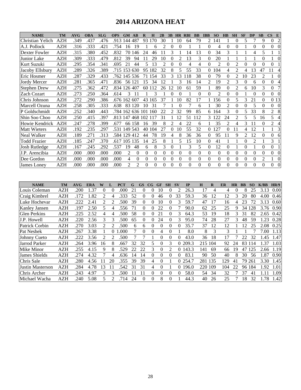# **2014 ARIZONA HEAT**

| <b>NAME</b>             | <b>TM</b>  | <b>AVG</b> | <b>OBA</b> | <b>SLG</b>       | <b>OPS</b>       | <b>GM</b>         | AB                   | $\bf{R}$         | H                        | 2B               | 3B               | HR               | <b>RBI</b>           | <b>BB</b>      | <b>IBB</b>       | <b>SO</b>        | H B              | <b>SH</b>        | <b>SF</b>        | DP               | <b>SB</b>        | $\overline{\text{CS}}$<br>${\bf E}$  |
|-------------------------|------------|------------|------------|------------------|------------------|-------------------|----------------------|------------------|--------------------------|------------------|------------------|------------------|----------------------|----------------|------------------|------------------|------------------|------------------|------------------|------------------|------------------|--------------------------------------|
| Christian Yelich        | <b>AZH</b> | .349       | .437       | .476             | .913             | 144               | 487                  |                  | 93 170                   | 30               |                  | 10               | 64                   | 79             | 2                | 141              | 1                | $\overline{0}$   | 5                | 7                | 9                | $\overline{2}$<br>0                  |
| A.J. Pollock            | <b>AZH</b> | .316       | .333       | .421             | .754             | 16                | 19                   | 1                | 6                        | $\overline{c}$   | $\boldsymbol{0}$ | $\boldsymbol{0}$ | $\mathbf{1}$         | $\mathbf{1}$   | 0                | 4                | $\boldsymbol{0}$ | $\boldsymbol{0}$ | $\mathbf{1}$     | $\boldsymbol{0}$ | $\theta$         | $\overline{0}$<br>$\boldsymbol{0}$   |
| Dexter Fowler           | <b>AZH</b> | .315       | .380       | .452             | .832             | 70                | 146                  | 24               | 46                       | 11               | 3                | 1                | 14                   | 13             | $\overline{0}$   | 34               | $\overline{3}$   | 1                | 1                | 4                | 5                | $\mathbf{1}$<br>1                    |
| Junior Lake             | <b>AZH</b> | .309       | .333       | .479             | .812             | $\overline{39}$   | 94                   | 11               | $\overline{29}$          | 10               | $\overline{0}$   | $\overline{2}$   | $\overline{13}$      | 3              | $\overline{0}$   | 20               | $\mathbf{1}$     | $\mathbf{1}$     | $\mathbf{1}$     | $\mathbf{1}$     | $\overline{0}$   | $\boldsymbol{0}$<br>$\mathbf{1}$     |
| Kurt Suzuki             | <b>AZH</b> | .295       | .354       | .341             | .695             | 21                | 44                   | 5                | 13                       | $\overline{2}$   | $\boldsymbol{0}$ | $\overline{0}$   | $\overline{4}$       | $\overline{4}$ | $\overline{0}$   | $\overline{2}$   | $\overline{0}$   | $\overline{2}$   | $\overline{0}$   | $\mathbf{0}$     | $\theta$         | $\overline{0}$<br>$\mathbf{1}$       |
| Jacoby Ellsbury         | <b>AZH</b> | .289       | .326       | .389             |                  |                   | .715 153 630         |                  | 95 182                   | 32               | 8                | 5                | 55                   | 33             | $\boldsymbol{0}$ | 104              | $\overline{4}$   | $\overline{2}$   | $\overline{4}$   | 13               | 47               | $\overline{4}$<br>11                 |
| Eric Hosmer             | <b>AZH</b> | .287       | .329       | .433             |                  |                   | .762 145 536         |                  | 71 154                   | 33               | 3                | 13               | 118                  | 38             | $\boldsymbol{0}$ | 79               | $\mathbf{0}$     | $\overline{c}$   | 10               | 23               | $\overline{2}$   | $\boldsymbol{0}$<br>1                |
| Jordy Mercer            | <b>AZH</b> | .281       | .365       | .471             | .836             |                   | 56 121               | 15               | 34                       | 12               | 1                | 3                | 16                   | 14             | $\overline{2}$   | 19               | $\overline{c}$   | 3                | $\mathbf{0}$     | 6                | $\boldsymbol{0}$ | $\boldsymbol{0}$<br>$\overline{4}$   |
| <b>Stephen Drew</b>     | <b>AZH</b> | .275       | .362       | .472             |                  |                   | .834 126 407         |                  | 60 112                   | 26               | 12               | 10               | 61                   | 59             | $\mathbf{1}$     | 89               | $\boldsymbol{0}$ | $\overline{c}$   | 6                | 10               | 3                | $\overline{7}$<br>$\boldsymbol{0}$   |
| Zach Cozart             | <b>AZH</b> | .273       | .250       | .364             | .614             | 3                 | 11                   | 1                | 3                        | 1                | $\boldsymbol{0}$ | $\boldsymbol{0}$ | $\mathbf{1}$         | $\mathbf{0}$   | $\overline{0}$   | $\overline{2}$   | $\overline{0}$   | $\mathbf{0}$     | $\mathbf{1}$     | $\mathbf{0}$     | $\mathbf{0}$     | $\boldsymbol{0}$<br>$\boldsymbol{0}$ |
| Chris Johnson           | <b>AZH</b> | .272       | .290       | .386             |                  |                   | .676 162 607         |                  | 43 165                   | $\overline{37}$  | 1                | 10               | $\overline{82}$      | 17             | $\mathbf{1}$     | 156              | $\boldsymbol{0}$ | 5                | 3                | 21               | $\boldsymbol{0}$ | $\overline{013}$                     |
| Marcell Ozuna           | <b>AZH</b> | .258       | .305       | .333             | .638             |                   | 83 120               | 10               | $\overline{31}$          | $\overline{7}$   | $\mathbf{1}$     | $\overline{0}$   | $\overline{7}$       | 6              | 1                | 30               | $\overline{2}$   | $\overline{0}$   | $\overline{0}$   | 5                | $\overline{0}$   | $\boldsymbol{0}$<br>$\boldsymbol{0}$ |
| P Goldschmidt           | <b>AZH</b> | .252       | .340       | .443             | .784             |                   | 162 636 101          |                  | 160                      | 22               | $\overline{2}$   | 32               | 99                   | 85             | 6                | 164              | 3                | $\mathbf{0}$     | $\overline{5}$   | $\overline{33}$  | $\overline{8}$   | $\overline{8}$<br>$\overline{2}$     |
| Shin Soo Choo           | <b>AZH</b> | .250       | .415       | .397             |                  |                   | .813 147 468 102 117 |                  |                          | 31               | $\mathbf{1}$     | 12               | 51                   | 112            | 3                | 122              | 24               | $\overline{c}$   | 5                | 5                | 16               | 5<br>$\overline{4}$                  |
| Howie Kendrick          | <b>AZH</b> | .247       | .278       | .399             | .677             |                   | 66 158               | 16               | 39                       | 8                | $\overline{c}$   | $\overline{4}$   | 22                   | 6              | $\mathbf{1}$     | 35               | $\overline{c}$   | $\overline{4}$   | 3                | 11               | $\mathbf{0}$     | $\overline{2}$<br>$\overline{4}$     |
| <b>Matt Wieters</b>     | <b>AZH</b> | .192       | .235       | .297             | .531             |                   | 149 543              | 40               | 104                      | 27               | $\boldsymbol{0}$ | 10               | $\overline{55}$      | 32             | $\boldsymbol{0}$ | 127              | $\overline{0}$   | 11               | $\overline{4}$   | $\overline{12}$  | $\mathbf{1}$     | 3<br>1                               |
| Neal Walker             | <b>AZH</b> | .189       | .271       | .313             |                  |                   | .584 129 412         | 44               | 78                       | 19               | $\overline{4}$   | 8                | 36                   | 36             | $\boldsymbol{0}$ | 95               | 11               | 9                | $\overline{c}$   | 12               | $\overline{0}$   | $\boldsymbol{0}$<br>6                |
| <b>Todd Frazier</b>     | <b>AZH</b> | .185       | .247       | .370             | .617             | 105               | 135                  | 14               | 25                       | 8                | $\mathbf{1}$     | 5                | 15                   | 10             | $\boldsymbol{0}$ | 41               | $\mathbf{1}$     | $\mathbf{1}$     | $\mathbf{0}$     | $\overline{c}$   | $\mathbf{1}$     | 3<br>$\,1\,$                         |
| <b>Josh Rutledge</b>    | <b>AZH</b> | .167       | .245       | .292             | .537             | 19                | 48                   | 6                | 8                        | 3                | $\theta$         | 1                | 3                    | 5              | $\theta$         | 12               | $\theta$         | 1                | $\mathbf{0}$     | 1                | $\mathbf{0}$     | 0<br>$\mathbf{1}$                    |
| J.P. Arencibia          | <b>AZH</b> | .000       | .000       | .000             | .000             | $\overline{c}$    | $\boldsymbol{0}$     | $\boldsymbol{0}$ | $\boldsymbol{0}$         | $\boldsymbol{0}$ | $\boldsymbol{0}$ | $\boldsymbol{0}$ | $\boldsymbol{0}$     | $\overline{0}$ | $\boldsymbol{0}$ | $\boldsymbol{0}$ | $\mathbf{0}$     | $\mathbf{0}$     | $\boldsymbol{0}$ | $\boldsymbol{0}$ | $\boldsymbol{0}$ | $\boldsymbol{0}$<br>$\boldsymbol{0}$ |
| Dee Gordon              | <b>AZH</b> | .000       | .000       | .000             | .000             | $\overline{4}$    | $\mathbf{0}$         | $\overline{0}$   | $\mathbf{0}$             | $\overline{0}$   | $\overline{0}$   | $\overline{0}$   | $\boldsymbol{0}$     | $\overline{0}$ | $\overline{0}$   | $\mathbf{0}$     | $\overline{0}$   | $\overline{0}$   | $\mathbf{0}$     | $\overline{0}$   | $\overline{c}$   | $\overline{0}$<br>$\mathbf{1}$       |
| <b>James</b> Loney      | <b>AZH</b> | .000       | .000       | .000             | .000             | $\overline{2}$    | $\overline{2}$       | $\overline{0}$   | $\overline{0}$           | $\overline{0}$   | $\overline{0}$   | $\overline{0}$   | $\overline{0}$       | $\overline{0}$ | $\overline{0}$   | $\overline{0}$   | $\overline{0}$   | $\overline{0}$   | $\overline{0}$   | $\overline{0}$   | $\overline{0}$   | $\overline{0}$<br>$\overline{0}$     |
|                         |            |            |            |                  |                  |                   |                      |                  |                          |                  |                  |                  |                      |                |                  |                  |                  |                  |                  |                  |                  |                                      |
|                         |            |            |            |                  |                  |                   |                      |                  |                          |                  |                  |                  |                      |                |                  |                  |                  |                  |                  |                  |                  |                                      |
| <b>NAME</b>             | <b>TM</b>  | <b>AVG</b> | <b>ERA</b> | W                | L                | <b>PCT</b>        | $\mathbf G$          | GS               | $\mathbf{CG}$            | <b>GF</b>        | ${\bf SH}$       | $S_{V}$          | IP                   | $\mathbf H$    |                  | $\mathbf R$      | <b>ER</b>        | <b>HR</b>        | <b>BB</b>        | SO               | K/BB             | HR/9                                 |
| Louis Coleman           | <b>AZH</b> | .200       | 1.37       | $\boldsymbol{0}$ | $\boldsymbol{0}$ | .000              | 21                   | $\boldsymbol{0}$ | $\boldsymbol{0}$         | 10               | $\boldsymbol{0}$ | $\overline{c}$   | 26.3                 |                | 17               | $\overline{4}$   | $\overline{4}$   | $\boldsymbol{0}$ | 8                | 25               | 3.13             | 0.00                                 |
| Craig Kimbrel           | <b>AZH</b> | .172       | 1.82       | $\overline{2}$   | $\overline{4}$   | .333              | 52                   | $\boldsymbol{0}$ | $\boldsymbol{0}$         | 46               | $\boldsymbol{0}$ | 33               | 59.3                 |                | 36               | 12               | 12               | 3                | 20               | 80               | 4.00             | 0.46                                 |
| Luke Hochevar           | <b>AZH</b> | .222       | 2.41       | $\mathfrak{2}$   | $\overline{c}$   | .500              | 39                   | $\boldsymbol{0}$ | $\boldsymbol{0}$         | 10               | $\theta$         | 3                | 59.7                 |                | 47               | 17               | 16               | $\overline{4}$   | 23               | $\overline{72}$  | 3.13             | 0.60                                 |
| Kanley Jansen           | <b>AZH</b> | .197       | 2.50       | 5                | $\overline{4}$   | .556              | $\overline{71}$      | $\boldsymbol{0}$ | $\boldsymbol{0}$         | $\overline{22}$  | $\overline{0}$   | $\overline{7}$   | 90.0                 |                | 62               | $\overline{25}$  | 25               | 9                | 34               | 128              | 3.76             | 0.90                                 |
| <b>Glen Perkins</b>     | <b>AZH</b> | .225       | 2.52       | $\overline{4}$   | $\overline{4}$   | .500              | $\overline{58}$      | $\overline{0}$   | $\overline{0}$           | $\overline{21}$  | $\overline{0}$   | 3                | 64.3                 |                | 53               | 19               | 18               | 3                | $\overline{31}$  | 82               | 2.65             | 0.42                                 |
| J.P. Howell             | <b>AZH</b> | .220       | 2.56       | 3                | 3                | .500              | 65                   | $\overline{0}$   | $\overline{0}$           | 24               | $\overline{0}$   | 3                | 95.0                 |                | 74               | 28               | 27               | 3                | 48               | 59               | 1.23             | 0.28                                 |
| Patrick Corbin          | <b>AZH</b> | .270       | 3.03       | $\overline{c}$   | $\overline{2}$   | .500              | 6                    | 6                | $\overline{0}$           | $\boldsymbol{0}$ | $\overline{0}$   | $\boldsymbol{0}$ | 35.7                 |                | 37               | 12               | 12               | $\mathbf{1}$     | 12               | 25               | 2.08             | 0.25                                 |
| Pat Neshek              | <b>AZH</b> | .267       | 3.38       | $\mathbf{1}$     | 0 1.000          |                   | $\overline{7}$       | $\boldsymbol{0}$ | $\boldsymbol{0}$         | $\overline{4}$   | $\boldsymbol{0}$ | $\mathbf{1}$     | 8.0                  |                | 8                | 3                | 3                | $\mathbf{1}$     | $\mathbf{1}$     | 7                | 7.00             | 1.13                                 |
| Johnny Cueto            | <b>AZH</b> | .222       | 3.56       | $\overline{2}$   | $\overline{c}$   | .500              | $\overline{7}$       | 7                | $\mathbf{1}$             | $\boldsymbol{0}$ | $\boldsymbol{0}$ | $\boldsymbol{0}$ | 43.0                 |                | 36               | 18               | 17               | 7                | 22               | 32               | 1.45             | 1.47                                 |
| Jarrod Parker           | <b>AZH</b> | .264       | 3.96       | 16               | 8                | .667              | 32                   | 32               | 5                        | $\boldsymbol{0}$ | $\overline{3}$   |                  | 0 209.3              |                | 215 104          |                  | 92               | 24               | 83               | 114              | 1.37             | 1.03                                 |
| Mike Minor              | <b>AZH</b> | .255       | 4.15       | 9                | 8                | .529              | 22                   | 22               | 3                        | $\boldsymbol{0}$ | $\overline{2}$   |                  | 0 143.3              |                | 141              | 69               | 66               | 19               | 47               | 125              | 2.66             | 1.19                                 |
| <b>James Shields</b>    | <b>AZH</b> | .274       | 4.32       | $\overline{7}$   | $\overline{4}$   | .636              | $\overline{14}$      | $\overline{14}$  | $\overline{0}$           | $\mathbf{0}$     | $\overline{0}$   | $\boldsymbol{0}$ | 83.1                 |                | 90               | $\overline{50}$  | 40               | 8                | $\overline{30}$  | 56               | 1.87             | 0.90                                 |
| Chris Sale              | <b>AZH</b> | .280       | 4.56       | 11               | 20               | .355              | 39                   | 39               | $\overline{\mathcal{L}}$ | $\boldsymbol{0}$ | $\mathbf{1}$     |                  | $\overline{0}$ 254.7 |                | 281              | 135              | 129              | 41               | 79               | 261              | 3.30             | 1.45                                 |
| <b>Justin Masterson</b> | <b>AZH</b> | .284       | 4.78       | 13               | 11               | .542              | 31                   | 31               | 4                        | $\boldsymbol{0}$ | $\mathbf{1}$     |                  | 0 196.0              |                | 220 109          |                  | 104              | $\overline{22}$  |                  | 96 184           | 1.92             | 1.01                                 |
| Chris Archer            | <b>AZH</b> | .243       | 4.97       | 3                | 3                | $\overline{.500}$ | $\overline{11}$      | $\overline{11}$  | $\overline{0}$           | $\overline{0}$   | $\theta$         | $\overline{0}$   | 58.0                 |                | 54               | $\overline{34}$  | 32               | 7                | $\overline{37}$  | $\overline{41}$  | 1.11             | 1.09                                 |

Chris Archer AZH .243 4.97 3 3 .500 11 11 0 0 0 0 58.0 54 34 32 7 37 41 1.11 1.09 Michael Wacha AZH .240 5.08 5 2 .714 24 0 0 8 0 1 44.3 40 26 25 7 18 32 1.78 1.42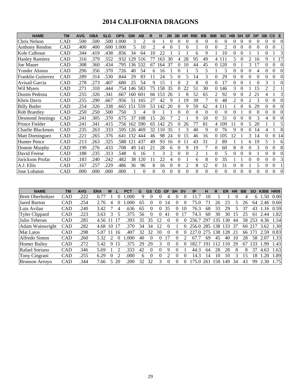# **2014 CALIFORNIA DRAGONS**

| <b>NAME</b>           | <b>TM</b> | <b>AVG</b> | <b>OBA</b> | <b>SLG</b> | <b>OPS</b> | <b>GM</b> | <b>AB</b> | R              | н        | 2B             | 3B             | <b>HR</b>      | <b>RBI</b>     | <b>BB</b> | <b>IBB</b> | <b>SO</b>      | <b>HB</b> | <b>SH</b> | <b>SF</b> | <b>DP</b>      | <b>SB</b>      | $\mathsf{CS}$  | E        |
|-----------------------|-----------|------------|------------|------------|------------|-----------|-----------|----------------|----------|----------------|----------------|----------------|----------------|-----------|------------|----------------|-----------|-----------|-----------|----------------|----------------|----------------|----------|
| Chris Nelson          | CAD       | .500       | .500       | .500       | .000       | 3         | 2         | $\Omega$       |          | $\Omega$       | 0              | $\theta$       | $\Omega$       | $\theta$  | $\Omega$   | $\theta$       | 0         | $\theta$  | $\Omega$  | $\Omega$       | 0              | $\theta$       | $\Omega$ |
| Anthony Rendon        | CAD       | .400       | .400       | .600       | .000<br>1  | 5         | 10        | $\overline{2}$ | 4        | $\Omega$       |                | $\theta$       |                | $\theta$  | $\Omega$   | $\overline{c}$ | 0         | 0         | 0         | $\Omega$       | 0              | 0              |          |
| Kole Calhoun          | CAD       | 344        | .419       | .438       | .856       | 34        | 64        | 10             | 22       |                |                |                | 6              | 9         |            | 10             | 0         | 0         |           |                | 0              |                | 3        |
| <b>Hanley Ramirez</b> | CAD       | .316       | .379       | .552       | .932       | 29        | 516       | 77             | 163      | 30             | 4              | 28             | 95             | 49        |            | 4111           | 5         | $\Omega$  | 2         | 16             | 9              |                | 17       |
| <b>Joe Mauer</b>      | CAD       | .308       | .360       | .434       | .795       | 136       | 532       | 67             | 164      | 37             | $\Omega$       | 10             | 44             | 45        | 0          | 120            | $\Omega$  |           | 3         | 17             | $\Omega$       | 0              | $\Omega$ |
| Yonder Alonso         | CAD       | .296       | .356       | .370       | .726       | 40        | 54        | 6              | 16       |                | $\theta$       |                | 5              | 5         |            | 5              | 0         | 0         | $\Omega$  | $\overline{4}$ | $\Omega$       | 0              | $\Omega$ |
| Franklin Gutierrez    | CAD       | .289       | .314       | .530       | .844       | 29        | 83        | 11             | 24       |                | 0              |                | 14             | 3         |            | 29             | 0         | 0         | $\Omega$  | $\Omega$       | 0              | 0              | $\Omega$ |
| Avisail Garcia        | CAD       | .278       | .273       | .407       | .680       | 25        | 54        | 9              | 15       |                | $\Omega$       | $\mathfrak{D}$ | 8              | $\Omega$  | $\Omega$   | 17             | 0         | 0         |           | $\Omega$       | 3              |                | $\Omega$ |
| Wil Myers             | CAD       | .271       | .310       | .444       | .754       | 146       | 583       | 75             | 158      | 35             | $\Omega$       | 22             | 51             | 30        | $\Omega$   | 146            | 3         | 0         |           | 15             | $\mathfrak{D}$ | $\mathfrak{D}$ |          |
| Dustin Pedroia        | CAD       | .255       | .326       | .341       | .667       | 160       | 601       | 66             | 153      | 26             |                | 8              | 52             | 65        | 2          | 92             | 0         | 0         | 2         | 21             | 4              |                | 3        |
| Khris Davis           | CAD       | .255       | .290       | .667       | .956       | 51        | 165       | 27             | 42       | 9              |                | 19             | 39             |           | 0          | 48             | 2         | 0         | 2         | 3              | 0              | 0              | $\Omega$ |
| <b>Billy Butler</b>   | CAD       | .254       | .326       | .338       | .665       | 151       | 559       | 53             | 142      | 20             | 0              | 9              | 59             | 62        |            | 4 111          |           | 0         | 6         | 29             | 0              | 0              | $\Omega$ |
| <b>Rob Brantley</b>   | CAD       | .250       | .250       | .500       | .750       | 3         | 4         | $\Omega$       |          |                | 0              | $\theta$       | $\Omega$       | 0         | $\Omega$   | $\Omega$       | 0         |           | 0         | $\Omega$       | 0              | 0              | $\Omega$ |
| Desmond Jennings      | CAD       | .241       | .305       | .370       | .675       | 37        | 108       | 15             | 26       |                | $\mathfrak{D}$ |                | 9              | 10        | $\Omega$   | 31             | 0         | 0         | $\Omega$  | 3              | 4              | $\Omega$       | $\Omega$ |
| Prince Fielder        | CAD       | .241       | .341       | .415       | .756       | 162       | 590       | 65             | 142      | 25             | $\theta$       | 26             | 77             | 81        |            | 4 109          | 11        | 0         | 5         | 20             |                |                | 5        |
| Charlie Blackmon      | CAD       | .235       | .263       | .333       | .595       | 126       | 469       | 32             | 10       | 35             |                | 3              | 40             | 9         | 0          | 76             | 9         | $\theta$  | 0         | 14             | 4              |                | 8        |
| <b>Matt Dominguez</b> | CAD       | .221       | .265       | .376       | .641       | 132       | 444       | 46             | 98       | 24             | $\Omega$       | 15             | 46             | 16        | $\Omega$   | 105            | 12        |           | 3         | 14             | 0              | 0              | 14       |
| <b>Hunter Pence</b>   | CAD       | .213       | .263       | .325       | .588       | 121       | 437       | 49             | 93       | 16             | $\Omega$       | 11             | 43             | 31        | 2          | 89             |           |           | 6         | 19             | 5              |                | 6        |
| Donnie Murphy         | CAD       | .199       | .276       | .433       | .708       | 49        | 141       | 21             | 28       | 6              | 0              | 9              | 19             |           | $\Omega$   | 60             | 8         | $\theta$  | 0         | 3              | 0              | 0              | 8        |
| David Freese          | CAD       | .188       | .235       | .313       | .548       | 6         | 16        |                | 3        | $\overline{2}$ | $\theta$       | $\theta$       | $\overline{2}$ |           | $\Omega$   | 5              | 0         | 0         | $\theta$  |                | 0              | 0              | $\Omega$ |
| Jurickson Profar      | CAD       | .183       | .240       | .242       | .482       | 38        | 120       | 11             | 22       | 4              | 0              |                | 6              | 8         | $\Omega$   | 35             |           |           | $\Omega$  | $\theta$       | 0              | 0              | 3        |
| A.J. Ellis            | CAD       | .167       | .257       | .229       | .486       | 36        | 96        | 8              | 16       | $\theta$       | $\Omega$       | $\overline{2}$ | 8              | 12        | $\Omega$   | 31             | 0         | $\theta$  |           | 5              | 0              | 0              |          |
| Jose Lobaton          | CAD       | .000       | .000       | .000       | .000       |           | $\theta$  | $\Omega$       | $\theta$ | $\Omega$       | $\Omega$       | $\Omega$       | $\theta$       | 0         | $\Omega$   | $\theta$       | 0         | 0         | $\Omega$  | $\theta$       | 0              | $\Omega$       | $\Omega$ |

| <b>NAME</b>              | ТM         | <b>AVG</b> | <b>ERA</b> | W        |    | <b>PCT</b> | G  | GS.      | CG       | <b>GF</b> | <b>SH</b> | . SV     | IP              | н   | R   | ER  | <b>HR</b>       | BB | <b>SO</b> | K/BB | HR/9 |
|--------------------------|------------|------------|------------|----------|----|------------|----|----------|----------|-----------|-----------|----------|-----------------|-----|-----|-----|-----------------|----|-----------|------|------|
| <b>Brett Oberholtzer</b> | <b>CAD</b> | .222       | 0.77       |          |    | .000       |    |          |          | 4         |           |          | 1               | 10  |     |     |                 | 4  | 6         | .50  | 0.00 |
| Jared Burton             | <b>CAD</b> | .254       | 2.76       |          |    | 000        | 65 |          |          | 14        |           |          | 75.             |     | 26  | 23  |                 | 26 | 64        | 2.46 | 0.60 |
| Luis Avilan              | CAD        | .240       | 3.42       |          | 4  | .636       | 65 |          | $\Omega$ | 35        | $\theta$  | 10       | 76.3            | 68  | 33  | 29  |                 | 37 | 43        | 16   | 0.59 |
| Tyler Clippard           | <b>CAD</b> | .223       | 3.63       |          |    | 375        | 56 |          | $^{(1)}$ | 41        |           | 7        | 74.3            | 60  | 30  | 30  | $\overline{15}$ | 25 | 61        | 2.44 | 1.82 |
| Julio Teheran            | <b>CAD</b> | .285       | 4.56       |          |    | 393        | 35 | 35       | 2        |           |           |          | 256.7           | 297 | 35  | 130 | 44              | 58 | 253       | 4.36 | 1.54 |
| Adam Wainwright          | <b>CAD</b> | .282       | 4.68       | 10       | 17 | 370        | 34 | 34       | 12       |           |           | $\Omega$ | 256.0           | 285 | 138 | 133 | 37              | 60 | 217       | 3.62 | 1.30 |
| <b>Mat Latos</b>         | <b>CAD</b> | .298       | 5.07       |          | 16 | .407       | 32 | 32       | 10       |           | 0         |          | 227<br>$\Omega$ | 275 | 38  | 128 | 21              | 66 | 171       | 2.59 | 0.83 |
| Alfredo Simon            | <b>CAD</b> | .260       | 5.32       |          |    | .000       | 40 |          |          |           |           |          | 67              | 69  | 45  | 40  | 10              | 28 | 58        | 2.07 | 1.33 |
| <b>Homer Bailey</b>      | <b>CAD</b> | .272       | 5.42       | Q.       | 15 | 375        | 29 | 29       | 3        |           |           |          | 182             | 191 |     | 10  | 29              | 67 | 33        | .99  | 1.43 |
| Rafael Soriano           | <b>CAD</b> | .346       | 5.69       |          |    | 333        | 42 | $\theta$ | 0        | 9         | $\theta$  |          | 44.3            | 64  | 28  | 28  | 8               | 8  | 37        | 4.63 | 1.63 |
| Tony Cingrani            | <b>CAD</b> | .255       | 6.29       | $\theta$ |    | .000       | 6  |          | 0        |           |           |          | 14.3            | 14  | 10  | 10  |                 | 5  | 18        | .20  | 1.89 |
| <b>Bronson Arroyo</b>    | <b>CAD</b> | .344       | 7.66       |          | 20 | 200        | 32 | 32       | 3        | $\Omega$  |           |          | 75 O            | 261 | .58 | 149 | 34              | 43 | 99        | 2.30 | 1.75 |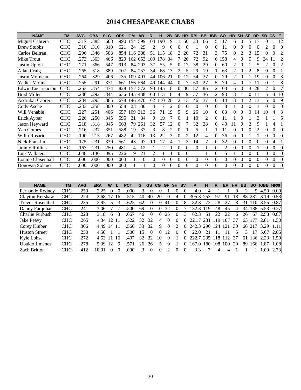# **2014 CHESAPEAKE CRABS**

| <b>NAME</b>              | <b>TM</b>  | <b>AVG</b> | <b>OBA</b> | <b>SLG</b> | <b>OPS</b> | <b>GM</b> | AB  | R        |                          | 2B             | 3B       | <b>HR</b>      | <b>RBI</b> | <b>BB</b> | <b>IBB</b>     | <b>SO</b>      | <b>HB</b> | <b>SH</b> | <b>SF</b>      | <b>DP</b>      | <b>SB</b> | $\mathsf{CS}$  | E        |
|--------------------------|------------|------------|------------|------------|------------|-----------|-----|----------|--------------------------|----------------|----------|----------------|------------|-----------|----------------|----------------|-----------|-----------|----------------|----------------|-----------|----------------|----------|
| Miguel Cabrera           | <b>CHC</b> | .317       | .388       | .603       | .990       | 154       | 599 | 104      | 190                      | 19             |          | 50             | 123        | 66        | 5.             | 117            | 6         | 0         | 5              | 17             | $\Omega$  |                | 12       |
| Drew Stubbs              | <b>CHC</b> | .310       | .310       | .310       | .621       | 24        | 29  | 2        | 9                        | $\theta$       | 0        | 0              |            | 0         | $\Omega$       | 11             | $\Omega$  | 0         | 0              | $\theta$       | 2         | 0              | $\Omega$ |
| Carlos Beltran           | <b>CHC</b> | .296       | .346       | .508       | .854       | 16        | 388 | 51       | 15                       | 18             | 2        | 20             | 72         | 31        | 3              | 75             | 0         |           | 3              | 15             | 0         |                | 2        |
| Mike Trout               | <b>CHC</b> | .273       | .363       | .466       | .829       | 162       | 653 | 109      | 178                      | 34             |          | 26             | 72         | 92        |                | 6 158          | 4         | 0         | 5              | 9              | 24        | -11            | 2        |
| Justin Upton             | <b>CHC</b> | .271       | .366       | .547       | .913       | 84        | 203 | 37       | 55                       | 5              | 0        |                | 38         | 29        | $\Omega$       | 60             | 2         | 0         |                | 5              | 2         | $\Omega$       | 2        |
| Allan Craig              | <b>CHC</b> | .265       | .318       | .389       | .707       | 84        | 257 | 34       | 68                       | 13             | 2        |                | 29         | 19        |                | 63             | 2         |           | $\mathfrak{D}$ | 8              | 0         | 0              |          |
| Justin Morneau           | <b>CHC</b> | .264       | .329       | .406       | .735       | 109       | 401 | 44       | 106                      | 21             | 0        | 12             | 54         | 37        | $\theta$       | 79             | 2         | 0         |                | 19             | 0         | $\Omega$       | 3        |
| Yadier Molina            | <b>CHC</b> | .255       | .291       | .371       | .661       | 156       | 564 | 49       | 144                      | 44             | $\Omega$ |                | 60         | 27        | 5              | 79             | 4         |           |                | 11             | 0         |                | 8        |
| <b>Edwin Encarnacion</b> | <b>CHC</b> | .253       | .354       | .474       | .828       | 157       | 572 | 93       | 145                      | 18             | $\Omega$ | 36             | 87         | 85        | $\overline{2}$ | 103            | 6         | 0         | 3              | 28             | 2         | 0              | 7        |
| <b>Brad Miller</b>       | <b>CHC</b> | .236       | .292       | .344       | .636       | 145       | 488 | 60       | 15                       | 18             |          | 9              | 37         | 36        | 2              | 93             | 3         |           | $\Omega$       | 11             | 5.        | $\overline{4}$ | 10       |
| Asdrubal Cabrera         | <b>CHC</b> | .234       | .293       | .385       | .678       | 146       | 470 | 62       | 10                       | 28             | 2        | 13             | 46         | 37        | 0              | 114            | 3         |           | $\overline{c}$ | 13             | 5         | $\Omega$       | 9        |
| Cody Asche               | <b>CHC</b> | .233       | .258       | .300       | .558       | 23        | 30  | 4        |                          | 2              | 0        | $\Omega$       | $\Omega$   | $\Omega$  | $\Omega$       | 8              |           | 0         | $\Omega$       |                | 0         | $\Omega$       | $\Omega$ |
| Will Venable             | <b>CHC</b> | .227       | .251       | .406       | .657       | 109       | 313 | 36       | 71                       | 19             | 5        | 9              | 26         | 10        | 0              | 83             | 0         | 0         | $\Omega$       | 14             | 10        | 4              | 3        |
| Erick Aybar              | <b>CHC</b> | .226       | .250       | .345       | .595       | 31        | 84  | 9        | 19                       |                | 0        |                | 10         | 2         | $\theta$       |                |           | 0         |                | 3              |           |                | 5        |
| Jason Heyward            | <b>CHC</b> | .218       | .318       | .345       | .663       | 79        | 261 | 32       | 57                       | 12             | 0        |                | 32         | 28        | $\Omega$       | 40             |           |           | $\mathfrak{D}$ | 9              |           | 4              |          |
| Yan Gomes                | <b>CHC</b> | .216       | .237       | .351       | .588       | 19        | 37  | 3        | 8                        | $\mathfrak{D}$ | 0        |                | 5          |           |                | 11             | 0         | 0         | $\Omega$       | $\mathfrak{D}$ | $\Omega$  | 0              | $\Omega$ |
| Wilin Rosario            | <b>CHC</b> | .190       | .215       | .267       | .482       | 42        | 116 | 13       | 22                       | 3              | $\theta$ | $\overline{c}$ | 12         | 4         | $\Omega$       | 36             | $\Omega$  | 0         |                |                | $\Omega$  | $\Omega$       | $\Omega$ |
| Nick Franklin            | <b>CHC</b> | .175       | .231       | .330       | .561       | 43        | 97  | 10       | 17                       | 4              |          | 3              | 14         | 7         | $\Omega$       | 32             | 0         | 0         | $\theta$       | $\Omega$       | 0         | 4              |          |
| <b>Jimmy Rollins</b>     | <b>CHC</b> | .167       | .231       | .250       | .481       | 4         | 12  |          | $\overline{\mathcal{L}}$ |                | 0        | $\Omega$       | $\theta$   |           | $\Omega$       | $\overline{c}$ | 0         | 0         | $\theta$       |                | 0         | 0              | $\Omega$ |
| Luis Valbuena            | <b>CHC</b> | .048       | .130       | .095       | .226       | 9         | 21  | 2        |                          |                | $\theta$ | $\theta$       |            |           | $\Omega$       | 5              |           | 0         | $\theta$       | $\theta$       | 0         | $\theta$       | $\Omega$ |
| Lonnie Chisenhall        | <b>CHC</b> | .000       | .000       | .000       | .000       |           | 0   | $\Omega$ | $\Omega$                 | $\theta$       | $\Omega$ | 0              | $\theta$   | 0         | $\theta$       | $\theta$       | $\Omega$  | $\Omega$  | $\Omega$       | $\theta$       | 0         | $\Omega$       | $\Omega$ |
| Donovan Solano           | <b>CHC</b> | .000       | .000       | .000       | .000       |           |     | $\Omega$ | $\Omega$                 | $\Omega$       | $\Omega$ | $\theta$       | $\theta$   | 0         | $\Omega$       | $\theta$       | $\Omega$  | 0         | $\theta$       | $\theta$       | $\Omega$  | $\Omega$       | $\Omega$ |

| <b>NAME</b>             | ΤM         | <b>AVG</b> | ERA   | W     |    | <b>PCT</b> | G  | <b>GS</b> | CG. | <b>GF</b> | <b>SH</b> | . SV | ΙP    | н   | R   | ER  | HR | ВB |     |      | HR/9 |
|-------------------------|------------|------------|-------|-------|----|------------|----|-----------|-----|-----------|-----------|------|-------|-----|-----|-----|----|----|-----|------|------|
| Fernando Rodney         | <b>CHC</b> | .250       | 2.25  |       |    | .000       |    |           |     |           |           |      | 4.0   |     |     |     |    |    | q   | 4.50 | 0.00 |
| Clayton Kershaw         | <b>CHC</b> | .224       | 2.68  |       | 16 | 515        | 40 | 40        | 20  |           | 4         |      | 305   |     | 97  | 91  | 18 | 88 | 281 | 3.19 | 0.53 |
| <b>Trevor Rosenthal</b> | <b>CHC</b> | .235       | 2.95  |       |    | .625       | 62 |           |     | 41        |           | 18   | 82.3  |     | 28  |     |    | 31 |     | 3.55 | 0.87 |
| Danny Farquhar          | <b>CHC</b> | .241       | 3.06  |       |    | .500       | 69 |           |     | 32        |           |      | 132.3 | 119 | 48  | 45  |    | 34 | 188 | 5.53 | 0.27 |
| Charlie Furbush         | <b>CHC</b> | .228       | 3.18  | 6     |    | .667       | 46 |           |     | 25        |           |      | 62.3  | 51  | 22  | າາ  | h  | 26 | 67  | 2.58 | 0.87 |
| Jake Peavy              | <b>CHC</b> | .265       | 4.34  |       |    | 522        | 32 | 32        | 4   | $\theta$  |           |      | 221   | 231 | 19  |     | 37 | 63 |     | 2.81 | 1.50 |
| Corey Kluber            | <b>CHC</b> | .306       | 4.49  | 14 11 |    | .560       | 33 | 32        | 9   |           |           |      | 242.3 | 296 | 24  | 121 | 30 | 66 |     | 3.29 | 1.11 |
| <b>Huston Street</b>    | <b>CHC</b> | .250       | 4.50  |       |    | .500       | 15 |           |     | 12        |           |      | 22.0  |     |     |     |    |    |     | 5.67 | 2.05 |
| Kyle Lohse              | <b>CHC</b> | .272       | 4.53  |       | 16 | .407       | 32 | 32        | 10  |           |           | ∩    | າາາ   | 235 | 18  |     | 37 | 61 | 36  | 2.23 | 1.50 |
| Ubaldo Jimenez          | <b>CHC</b> | .278       | 5.39  | 12    | 9  | 571        | 26 | 26        |     |           |           |      | 167   | 180 | 108 | 100 | 20 | 89 | 166 | 1.87 | 1.08 |
| <b>Zach Britton</b>     | CHC        | .412       | 10.91 |       |    | .000       |    |           |     |           |           |      | 3.3   |     |     |     |    |    |     | .00  | 2.73 |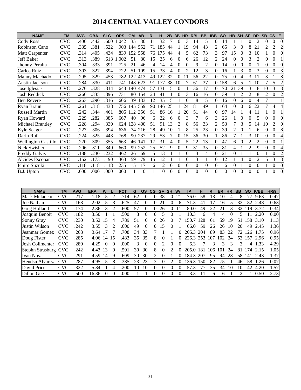# **2014 CENTRAL VALLEY CONDORS**

| <b>NAME</b>                | <b>TM</b>  | <b>AVG</b> | <b>OBA</b> | <b>SLG</b> | <b>OPS</b> | <b>GM</b> | AB       | R  |     | 2B       | 3B       | <b>HR</b>      | <b>RBI</b>     | <b>BB</b> | <b>IBB</b>     | <b>SO</b> | <b>HB</b> | <b>SH</b>      | <b>SF</b>      | <b>DP</b>      | <b>SB</b> | $\mathsf{CS}$  | E.             |
|----------------------------|------------|------------|------------|------------|------------|-----------|----------|----|-----|----------|----------|----------------|----------------|-----------|----------------|-----------|-----------|----------------|----------------|----------------|-----------|----------------|----------------|
| Cody Ross                  | <b>CVC</b> | .400       | .442       | .600       | .042       | 35        | 80       | 11 | 32  |          | 0        | 3              | 14             | 5         | $\theta$       | 14        |           |                | 0              | $\mathfrak{D}$ | 0         | $\theta$       | $\overline{0}$ |
| Robinson Cano              | CVC        | .335       | .381       | .522       | .903       | 144       | 552      | 71 | 185 | 44       |          | 19             | 94             | 43        | 2              | 65        | 3         | $\theta$       | 8              | 21             |           | $\overline{2}$ | $\sqrt{2}$     |
| Matt Carpenter             | CVC        | .314       | .405       | .434       | .839       | 52        | 558      | 76 | .75 | 44       | 4        | 5              | 62             | 73        | 3              | 97        | 15        | $\theta$       | 3              | 10             |           | $\theta$       | $\Omega$       |
| Jeff Baker                 | <b>CVC</b> | .313       | .389       | .613       | .002       | 51        | 80       | 15 | 25  | 6        | 0        | 6              | 26             | 12        | $\mathfrak{D}$ | 24        | 0         | 0              | 3              | $\mathfrak{D}$ | 0         | 0              |                |
| Jhonny Peralta             | <b>CVC</b> | .304       | .333       | .391       | 725        | 21        | 46       | 4  | 14  | 4        | $\theta$ | $\theta$       | 9              | 2         | $\Omega$       | 14        | $\theta$  | $\theta$       | $\theta$       |                | 0         | $\Omega$       | $\Omega$       |
| Carlos Ruiz                | <b>CVC</b> | .303       | .327       | .394       | .722       | 51        | 109      | 15 | 33  | 4        | 0        | $\mathfrak{D}$ | 12             | 3         | $\Omega$       | 16        |           | 3              | 0              | 3              | 0         | 0              | 3              |
| Manny Machado              | <b>CVC</b> | .295       | .329       | .453       | .782       | 22        | 413      | 49 | 22  | 32       | 0        |                | 56             | 22        |                | 75        | 0         | 4              | 3              | 11             | 3         |                | 8              |
| <b>Austin Jackson</b>      | <b>CVC</b> | .284       | .330       | .411       | .741       | 148       | 623      | 91 | 177 | 38       | 10       |                | 61             | 37        | $\overline{0}$ | 158       | 6         | 5              |                | 10             |           | 5              | $\overline{c}$ |
| Jose Iglesias              | <b>CVC</b> | .276       | .328       | .314       | .643       | 140       | 474      | 57 | 131 | 15       | $\theta$ |                | 36             | 17        | $\Omega$       | 70        | 21        | 39             | 3              | 8              | 10        | 3              | 3              |
| Josh Reddick               | CVC        | .266       | .335       | .396       | .731       | 80        | 154      | 24 | 41  |          | 0        | 3              | 16             | 16        | $\Omega$       | 39        |           | $\overline{c}$ | 2              | 8              | 2         | $\Omega$       | $\overline{c}$ |
| <b>Ben Revere</b>          | CVC        | .263       | .290       | .316       | .606       | 39        | 133      | 12 | 35  | 5        |          | 0              | 8              | 5         | $\Omega$       | 16        | 0         | 6              | $\theta$       | 4              |           |                |                |
| Ryan Braun                 | CVC        | .261       | .318       | .438       | .756       | 145       | 559      | 90 | 146 | 25       |          | 24             | 81             | 49        |                | 164       | 0         | 0              | 6              | 22             |           | 4              | $\overline{4}$ |
| <b>Russell Martin</b>      | CVC        | .242       | .344       | .461       | .805       | 112       | 356      | 51 | 86  | 16       |          | 20             | 51             | 44        | 0              | 97        | 14        |                | 4              |                |           | 0              |                |
| Ryan Howard                | <b>CVC</b> | .229       | .282       | .385       | .667       | 40        | 96       | 6  | 22  | 6        | 0        | 3              | 7              | 6         | 3              | 26        |           | 0              | 0              | 5              | 0         | 0              | $\Omega$       |
| Michael Brantley           | <b>CVC</b> | .228       | .294       | .330       | .624       | 128       | 400      | 51 | 91  | 13       | 2        | 8              | 56             | 33        | 2              | 53        |           | 3              | 5              | 14             | 10        | 2              | $\Omega$       |
| Kyle Seager                | <b>CVC</b> | .227       | .306       | .394       | .636       | 74        | 216      | 28 | 49  | 10       |          | 8              | 25             | 23        | $\Omega$       | 39        | 2         | 0              |                | 6              | 0         | $\Omega$       | 8              |
| Darin Ruf                  | CVC        | .224       | .325       | .443       | .768       | 90        | 237      | 29 | 53  |          | 0        | 15             | 36             | 30        |                | 86        |           |                | 3              | 10             | 0         | 0              | $\overline{4}$ |
| <b>Wellington Castillo</b> | <b>CVC</b> | .220       | .309       | .355       | .663       | 46        | 141      | 17 | 31  | 4        | 0        | 5              | 22             | 13        | $\Omega$       | 47        | 6         | 0              | $\mathfrak{D}$ | $\mathfrak{D}$ | 0         | $\theta$       |                |
| Nick Swisher               | <b>CVC</b> | .206       | .311       | .349       | .660       | 99        | 252      | 25 | 52  | 9        | $\Omega$ | 9              | 31             | 35        | $\Omega$       | 81        | 4         |                | $\overline{c}$ | 9              | 0         | $\Omega$       | 4              |
| <b>Freddy Galvis</b>       | <b>CVC</b> | .188       | .230       | .232       | .462       | 26        | 69       | 5  | 13  |          |          | $\theta$       | 3              | 4         | $\Omega$       | 21        | $\Omega$  |                |                | $\theta$       |           | 0              | $\sqrt{2}$     |
| Alcides Escobar            | <b>CVC</b> | .152       | .173       | .190       | .363       | 59        | 79       | 15 | 12  |          |          | $\theta$       | 3              |           | $\theta$       | 12        |           | 4              | $\Omega$       | $\overline{c}$ | 5         | 3              | 3              |
| Ichiro Suzuki              | <b>CVC</b> | .118       | .118       | .118       | .235       | 15        | 17       | 6  | 2   | $\theta$ | $\theta$ | $\overline{0}$ | $\overline{0}$ | $\Omega$  | $\Omega$       | 6         | $\theta$  |                | $\theta$       | $\theta$       |           | $\theta$       | $\Omega$       |
| B.J. Upton                 | CVC        | .000       | .000       | .000       | .000       |           | $\theta$ |    | 0   | $\theta$ | $\theta$ | $\theta$       | $\theta$       | 0         | $\Omega$       | $\theta$  | 0         | 0              | $\Omega$       | $\theta$       |           | 0              | $\Omega$       |

| <b>NAME</b>          | <b>TM</b>  | <b>AVG</b> | <b>ERA</b> | W        |                             | <b>PCT</b> | G  | <b>GS</b> | CG       | <b>GF</b>      | <b>SH</b> | <b>SV</b> | ΙP               | н   | R   | ER  | <b>HR</b> | <b>BB</b> | <b>SO</b> | <b>K/BB</b> | <b>HR/9</b> |
|----------------------|------------|------------|------------|----------|-----------------------------|------------|----|-----------|----------|----------------|-----------|-----------|------------------|-----|-----|-----|-----------|-----------|-----------|-------------|-------------|
| Mark Melancon        | <b>CVC</b> | .217       | 1.18       |          |                             | 714        | 62 | 0         | $\theta$ | 38             | 0         | 21        | 76.0             | 58  | 13  | 10  | 4         | 8         |           | 9.63        | 0.47        |
| <b>Joe Nathan</b>    | <b>CVC</b> | 168        | 2.02       |          |                             | .625       | 47 | 0         |          | $\overline{2}$ |           | h         | .3               | 41  |     | 16  |           | 33        | 82        | 2.48        | 0.63        |
| Greg Holland         | <b>CVC</b> | 174        | 2.36       | 3        | 2                           | .600       | 57 | 0         |          | 26             |           |           | 80.0             | 49  | 22  | 21  | 3         | 32        | 19        | 3.72        | 0.34        |
| Joaquin Benoit       | <b>CVC</b> | .182       | 3.50       |          |                             | 500        | 8  | 0         |          |                |           |           | 10.3             | 6   | 4   | 4   |           | 5         |           | 2.20        | 0.00        |
| Sonny Gray           | <b>CVC</b> | .230       | 3.52       | 15       | 4                           | 789        | 51 | 0         |          | 26             |           |           | 50.7             | 128 | 61  | 59  | 19        | 51        | 58        | 3.10        | 1.13        |
| Justin Wilson        | <b>CVC</b> | .242       | 3.55       | 3        | $\mathcal{D}_{\mathcal{L}}$ | .600       | 49 | 0         |          | 15             |           |           | 66.0             | 59  | 26  | 26  | 10        | 20        | 49        | 2.45        | 1.36        |
| Jeanmar Gomez        | <b>CVC</b> | .263       | 3.64       | 17       |                             | .708       | 34 | 33        |          |                |           | 0         | 205.3            | 204 | 89  | 83  | 22        | 72        | 26        | 1.75        | 0.96        |
| Doug Fister          | <b>CVC</b> | 285        | 4.06       | 14       | 15                          | .483       | 35 | 35        | 8        | $\theta$       |           |           | 226.3            | 253 | 107 | 102 | 24        | 53        | .57       | 2.96        | 0.95        |
| Josh Collmenter      | <b>CVC</b> | .280       | 4.29       | $\Omega$ | $\theta$                    | .000       | 3  | 0         | $\Omega$ | 2.             | $\Omega$  | 0         | 6.3              |     | 3   | 3   | 3         | 3         | 4         | .33         | 4.29        |
| Stephn Strasburg CVC |            | .242       | 4.43       | 13       | 9                           | .591       | 30 | 30        | 8        | 0              |           | 0         | 205.<br>$\Omega$ | 181 | 106 | 101 | 24        | 81        | 74        | 2.15        | 1.05        |
| Ivan Nova            | <b>CVC</b> | .291       | 4.59       | 14       | 9                           | .609       | 30 | 30        |          | 0              |           | 0         | 84.3             | 207 | 95  | 94  | 28        | 58        | 141       | 2.43        | 1.37        |
| Hendsn Alvarez       | <b>CVC</b> | .287       | 4.95       | 5        | 8                           | .385       | 23 | 23        | 3        | 0              |           |           | .36.3            | 150 | 82  | 75  |           | 46        | 58        | .26         | 0.07        |
| David Price          | <b>CVC</b> | .322       | 5.34       |          | 4                           | .200       | 10 | 10        | $\theta$ | $\theta$       | 0         | $_{0}$    | 57.3             | 77  | 35  | 34  | 10        | 10        | 42        | 4.20        | 1.57        |
| Dillon Gee           | <b>CVC</b> | 500        | 16.36      | $\Omega$ | $\Omega$                    | .000       |    |           | 0        | 0              | $\Omega$  | $\Omega$  | 3.3              | 11  | 6   | 6   |           |           |           | 0.50        | 2.73        |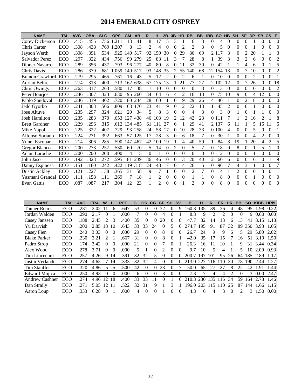# **2014 EMERALD CITY OSPREY**

| <b>NAME</b>            | <b>TM</b>  | <b>AVG</b> | <b>OBA</b> | <b>SLG</b> | <b>OPS</b> | <b>GM</b> | AB  | R        | н              | 2B             | 3B                       | <b>HR</b> | <b>RBI</b>     | <b>BB</b> | <b>IBB</b>     | <b>SO</b>      | <b>HB</b> | <b>SH</b>      | <b>SF</b> | <b>DP</b>      | <b>SB</b>      | $\mathbf{c}\mathbf{s}$ | E              |
|------------------------|------------|------------|------------|------------|------------|-----------|-----|----------|----------------|----------------|--------------------------|-----------|----------------|-----------|----------------|----------------|-----------|----------------|-----------|----------------|----------------|------------------------|----------------|
| <b>Corey Dickerson</b> | ECO        | .415       | .455       | .756       | .211       | 13        | 41  | 8        | 17             | 5              | 3                        |           | 6              | 3         | 0              | 4              | $\Omega$  | $\Omega$       | 0         |                | $\Omega$       | $\Omega$               | $\Omega$       |
| Chris Carter           | ECO        | .308       | .438       | .769       | .207       | 8         | 13  | 2        | 4              | $\Omega$       | $\theta$                 | 2         | 2              | 3         | 0              | 5              | 0         | $\theta$       | 0         |                | $\Omega$       | $\Omega$               |                |
| Jayson Werth           | ECO        | .308       | .391       | .534       | .925       | 140       | 517 | 92       | 59             | 30             | $\theta$                 | 29        | 86             | 69        | $\overline{2}$ | 117            | 3         | $\Omega$       | 2         | 20             |                |                        | 3              |
| Salvador Perez         | ECO        | .297       | .322       | .434       | .756       | 99        | 279 | 25       | 83             | 11             | 3                        |           | 28             | 8         |                | 39             | 3         | 3              | 2         | 6              | $\theta$       | $\Omega$               | $\overline{c}$ |
| Dioner Navarro         | ECO        | .289       | .356       | .437       | .793       | 96        | 277 | 40       | 80             | 8              | 0                        |           | 32             | 30        | 0              | 42             |           |                | 4         | 6              | $\theta$       |                        |                |
| Chris Davis            | <b>ECO</b> | .286       | .379       | .681       | .059       | 49        | 517 | 93       | 48             | 35             | $\overline{\mathcal{L}}$ | 55        | 140            | 68        | 12             | 154            | 13        | $\theta$       | 7         | 10             | $\Omega$       | $\Omega$               | $\overline{c}$ |
| <b>Brandn Crawford</b> | ECO        | .279       | .295       | .465       | .761       | 16        | 43  | 5        | 12             | $\mathfrak{D}$ | 0                        | 2         | 6              |           | 0              | 10             | $\Omega$  | $\theta$       | 0         | $\overline{2}$ | 0              | $\Omega$               |                |
| Adrian Beltre          | ECO        | .274       | .313       | .400       | .713       | 162       | 638 | 67       | 175            | 15             |                          | 21        | 77             | 27        |                | 2 1 0 2        | 12        | $\theta$       |           | 26             | $\theta$       | $\Omega$               | 18             |
| Chris Owings           | <b>ECO</b> | .263       | .317       | .263       | .580       | 17        | 38  |          | 10             | $\Omega$       | 0                        | $\Omega$  | 0              | 3         | 0              | 3              | $\Omega$  | $\Omega$       | 0         | $\theta$       | 0              | $\Omega$               | 2              |
| Peter Bourjos          | ECO        | .246       | .307       | .323       | .630       | 95        | 260 | 34       | 64             | 6              | 4                        | 2         | 16             | 13        | 0              | 75             | 10        | 9              | 0         | 4              | 12             | $\Omega$               |                |
| Pablo Sandoval         | ECO        | .246       | .319       | .402       | .720       | 80        | 244 | 28       | 60             | 11             | $\theta$                 | 9         | 29             | 26        | 4              | 40             |           | $\theta$       | 2         | 8              | $\theta$       | $\Omega$               | 0              |
| Jedd Gvorko            | <b>ECO</b> | .241       | .303       | .506       | .809       | 63        | 170 | 23       | 41             | 9              | 0                        | 12        | 22             | 13        |                | 45             | 2         | $\theta$       | 0         |                | $\theta$       | $\Omega$               | $\theta$       |
| <b>Jose Altuve</b>     | ECO        | .235       | .297       | .324       | .621       | 20        | 34  | 5        | 8              | 3              | $\theta$                 | $\Omega$  | 4              | 3         | $\Omega$       | 3              | $\Omega$  |                | 0         |                |                | $\Omega$               | 0              |
| Josh Hamilton          | ECO        | .235       | .283       | .370       | .653       | 27        | 438 | 46       | 103            | 19             | 2                        | 12        | 42             | 23        |                | 0 1 1 1        |           |                | 2         | 16             | 2              |                        | 8              |
| <b>Brett Gardner</b>   | ECO        | .229       | .296       | .315       | .612       | 134       | 485 | 61       | 11             | 27             | 6                        |           | 29             | 41        |                | 2 1 3 7        | 6         | 11             |           | 5              | 15             | 11                     | 5              |
| Mike Napoli            | <b>ECO</b> | .225       | .322       | .407       | .729       | 93        | 258 | 24       | 58             | 17             | $\theta$                 | 10        | 28             | 33        |                | 0 100          | 4         | $\Omega$       | 0         | 5              | 0              | $\Omega$               |                |
| Alfonso Soriano        | ECO        | .224       | .271       | .392       | .663       | 57        | 125 | 17       | 28             | 3              | 0                        | 6         | 18             |           | 0              | 30             |           | $\theta$       | 0         | 4              | $\overline{c}$ | $\Omega$               |                |
| <b>Yunel Escobar</b>   | <b>ECO</b> | .214       | .306       | .285       | .590       | 147       | 467 | 42       | 00             | 19             |                          | 4         | 40             | 59        |                | 84             | 3         | 19             |           | 20             | 4              | $\overline{2}$         | 5              |
| <b>Gregor Blanco</b>   | ECO        | .200       | .273       | .257       | .530       | 60        | 70  | 5        | 14             | $\theta$       | $\overline{c}$           | $\Omega$  | 5              | 7         | 0              | 18             | $\Omega$  | 8              | $\theta$  |                | 5              |                        | $\theta$       |
| Adam Laroche           | ECO        | .200       | .200       | .200       | .400       | 4         | 5   | $\Omega$ |                | $\Omega$       | $\theta$                 | $\Omega$  | $\Omega$       | $\theta$  | 0              | $\mathfrak{D}$ | $\Omega$  | $\theta$       | 0         |                | 0              | $\Omega$               | 0              |
| John Jaso              | <b>ECO</b> | .192       | .323       | .272       | .595       | 81        | 239 | 36       | 46             | 10             | $\theta$                 | 3         | 20             | 40        | 2              | 60             | 6         | $\theta$       | 0         | 6              | 0              |                        | 9              |
| Danny Espinosa         | ECO        | .151       | 180        | .242       | .422       | 119       | 318 | 24       | 48             | 17             | $\theta$                 | 4         | 26             | 5         | 0              | 96             |           | 4              | 3         |                | 0              | $\Omega$               |                |
| Dustin Ackley          | ECO        | .121       | .227       | .138       | .365       | 31        | 58  | 9        |                |                | $\theta$                 | 0         | 2              | 7         | 0              | 14             |           | $\overline{2}$ | 0         | $\theta$       | 3              | $\Omega$               |                |
| Yasmani Grandal        | ECO        | .111       | .158       | .111       | .269       |           | 18  |          | 2              | 0              | $\theta$                 | 0         |                |           | 0              | 8              | 0         | $\theta$       | 0         |                | $\Omega$       | $\Omega$               |                |
| <b>Evan Gattis</b>     | ECO        | .087       | .087       | .217       | .304       | 12        | 23  |          | $\mathfrak{D}$ | $\Omega$       | $\Omega$                 |           | $\mathfrak{D}$ | $\Omega$  | 0              | 8              | $\Omega$  | $\Omega$       | 0         | $\Omega$       | $\theta$       | $\Omega$               | $\theta$       |

| <b>NAME</b>           | TM  | <b>AVG</b> | <b>ERA</b> | W                 |          | PCT  | G  | GS       | CG | <b>GF</b> | <b>SH</b>    | sv       | IP    | н   | R   | ER  | <b>HR</b> | BB | SΟ  | <b>K/BB</b> | HR/9 |
|-----------------------|-----|------------|------------|-------------------|----------|------|----|----------|----|-----------|--------------|----------|-------|-----|-----|-----|-----------|----|-----|-------------|------|
| <b>Tanner Roark</b>   | ECO | .231       | 2.02       |                   | 6        | .647 | 53 | 0        |    | 32        | 0            | 9        | 160.3 | 135 | 39  | 36  |           | 48 | 95  | .98         | 0.22 |
| Jordan Walden         | ECO | .290       | 2.17       |                   |          | .000 |    | 0        |    | 4         |              |          | 8.3   | 9   |     |     | $\theta$  | 0  | Q   | 0.00        | 0.00 |
| Casey Janssen         | ECO | .188       | 2.45       |                   | 3        | .400 | 35 | 0        |    | 20        |              | 8        | 47    | 32  | 14  | 13  | 6         | 13 | 41  | 3.15        | 1.13 |
| Yu Darvish            | ECO | .200       | 2.85       | 18                | 10       | .643 | 33 | 33       | 24 | 0         | 5            | 0        | 274.7 | 195 | 91  | 87  | 32        | 89 | 350 | 3.93        | 1.05 |
| Casey Fien            | ECO | .240       | 3.03       | 0                 | $\Omega$ | .000 | 29 | 0        |    | 8         | 0            | $\theta$ | 26.7  | 24  | 9   | 9   | 6         | 5  | 29  | 5.80        | 2.02 |
| <b>Blake Parker</b>   | ECO | .230       | 3.21       |                   |          | .667 | 31 | 0        |    | 8         | 0            |          | 42.0  | 35  |     | 15  |           | 16 | 51  | 3.19        | 1.50 |
| Pedro Strop           | ECO | .174       | 3.42       |                   | 0        | .000 | 21 | 0        |    |           | $\mathbf{0}$ |          | 26.3  | 16  |     | 10  |           | 9  | 31  | 3.44        | 0.34 |
| Alex Wood             | ECO | .278       | 3.71       | $\mathbf{\Omega}$ | 0        | .000 | 5  |          |    | 2         | 0            | 0        | 9.7   | 10  | 5   |     |           | 5  | 10  | 2.00        | 0.93 |
| Tim Lincecum          | ECO | .257       | 4.26       | 9                 | 14       | .391 | 32 | 32       |    | 0         |              | 0        | 200   | 197 | 101 | 95  | 26        | 64 | 185 | 2.89        | 1.17 |
| Justin Verlander      | ECO | .274       | 4.65       |                   | 14       | .333 | 32 | 32       | 4  | $\Omega$  | 0            | 0        | 213.0 | 227 | 116 | 110 | 30        | 78 | 190 | 2.44        | 1.27 |
| <b>Tim Stauffer</b>   | ECO | .320       | 4.86       | 5                 | 5        | .500 | 42 | 0        |    | 23        | 0            |          | 50.0  | 65  | 27  | 27  | 8         | 22 | 42  | .91         | 1.44 |
| <b>Edward Mujica</b>  | ECO | .250       | 4.93       |                   | 0        | .000 | 6  | 0        |    | 3         |              | $\theta$ | 7.3   |     | 4   | 4   | 2         | 0  | 3   | 0.00        | 2.47 |
| <b>Andrew Cashner</b> | ECO | .274       | 4.96       | 12                | 18       | .400 | 33 | 33       | 11 | 0         |              | 0        | 210.3 | 230 | 135 | 116 | 34        | 59 | 164 | 2.78        | 1.46 |
| Dan Straily           | ECO | .271       | 5.05       | 12                |          | 522  | 32 | 31       | 9  |           |              |          | 196.0 | 203 | 115 | 10  | 25        | 87 | 144 | .66         | 1.15 |
| Aaron Loup            | ECO | .333       | 6.28       | 0                 |          | .000 | 4  | $\Omega$ |    |           |              | 0        | 4.3   | 6   | 4   | 3   | $\Omega$  | っ  | 3   | .50         | 0.00 |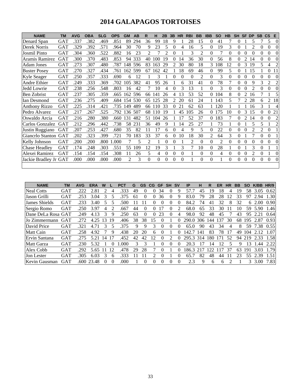# **2014 GALAPAGOS TORTOISES**

| <b>NAME</b>           | <b>TM</b>  | <b>AVG</b> | <b>OBA</b> | <b>SLG</b> | <b>OPS</b> | <b>GM</b> | <b>AB</b> | R              | н              | 2B       | 3B       | <b>HR</b> | <b>RBI</b>     | <b>BB</b>        | <b>IBB</b>     | <b>SO</b> | <b>HB</b> | <b>SH</b>      | <b>SF</b> | <b>DP</b>      | <b>SB</b>      | $\mathsf{CS}$  | E        |
|-----------------------|------------|------------|------------|------------|------------|-----------|-----------|----------------|----------------|----------|----------|-----------|----------------|------------------|----------------|-----------|-----------|----------------|-----------|----------------|----------------|----------------|----------|
| Denard Span           | GAT        | .337       | .382       | .469       | .851       | 89        | 294       | 36             | 99             | 18       | 9        |           | 28             | 15               | 0              | 41        | 7         | 0              |           | 5              |                | 5              | $\Omega$ |
| Derek Norris          | GAT        | .329       | .392       | .571       | .964       | 30        | 70        | 9              | 23             | 5        | $\Omega$ | 4         | 16             | 5                | 0              | 19        | 3         | $\Omega$       |           | 2              | $\theta$       | $\overline{0}$ |          |
| <b>Josmil Pinto</b>   | <b>GAT</b> | .304       | .360       | .522       | .882       | 16        | 23        | 2              |                | 2        | $\Omega$ |           | 3              | $\overline{2}$   | 0              | 7         | $\theta$  | 0              | 0         | 0              | $\theta$       | $\theta$       |          |
| Aramis Ramirez        | <b>GAT</b> | .300       | .370       | .483       | .853       | 94        | 333       | 40             | 100            | 19       | $\Omega$ | 14        | 36             | 30               | 0              | 56        | 8         | 0              | 2         | 14             | $\theta$       | $\Omega$       |          |
| <b>Adam Jones</b>     | <b>GAT</b> | .273       | .307       | .480       | .787       | 148       | 596       | 83             | 163            | 29       | 2        | 30        | 80             | 18               | 3              | 108       | 12        | 0              | 3         | 19             | 5              | 4              |          |
| <b>Buster Posey</b>   | <b>GAT</b> | .270       | .327       | .434       | .761       | 162       | 599       | 67             | 162            | 42       |          | 18        | 69             | 46               | 0              | 99        | 5         | 0              |           | 15             |                | $\Omega$       | 11       |
| Kyle Seager           | <b>GAT</b> | .250       | .357       | .333       | .690       | 6         | 12        |                | 3              |          | $\Omega$ | $\Omega$  | $\Omega$       | 2                | 0              | 3         | $\Omega$  | $\Omega$       | 0         | 0              | $\theta$       | $\theta$       |          |
| Andre Ethier          | <b>GAT</b> | .249       | .333       | .369       | .702       | 105       | 382       | 41             | 95             | 26       |          | 6         | 31             | 41               | 0              | 78        | 7         | 0              | $\Omega$  | 9              | 3              | $\overline{2}$ |          |
| Jedd Lowrie           | <b>GAT</b> | .238       | .256       | .548       | .803       | 16        | 42        |                | 10             | 4        | $\Omega$ | 3         | 13             | 1                | 0              | 3         | $\theta$  | 0              | 0         | $\overline{c}$ | $\Omega$       | $\theta$       |          |
| <b>Ben Zobrist</b>    | <b>GAT</b> | .237       | .305       | .359       | .665       | 162       | 596       | 66             | 141            | 26       | 4        | 13        | 53             | 52               | $\Omega$       | 104       | 8         | 0              | 2         | 16             |                |                |          |
| Ian Desmond           | <b>GAT</b> | .236       | .275       | .409       | .684       | 154       | 530       | 65             | 125            | 28       | 2        | 20        | 61             | 24               |                | 143       | 5         |                | 2         | 28             | 6              | $\overline{2}$ | 18       |
| <b>Anthony Rizzo</b>  | <b>GAT</b> | .225       | .314       | .421       | .735       | 149       | 489       |                | 66 110         | 33       | $\Omega$ | 21        | 62             | 63               |                | 120       |           |                |           | 16             | 3              |                |          |
| Pedro Alvarez         | <b>GAT</b> | .217       | .267       | .525       | .792       | 136       | 507       | 68             | 110            | 19       |          | 45        | 105            | 26               | $\overline{0}$ | 175       | 10        | 0              | 3         | 15             | $\Omega$       | $\Omega$       | 21       |
| Oswaldo Arcia         | <b>GAT</b> | .216       | .280       | .380       | .660       | 131       | 482       | 51             | 104            | 26       |          | 17        | 52             | 37               | $\Omega$       | 183       | 7         | 0              | 2         | 14             | $\theta$       | $\theta$       |          |
| Carlos Gonzalez       | <b>GAT</b> | .212       | .296       | .442       | .738       | 58        | 231       | 36             | 49             | 9        |          | 14        | 25             | 27               |                | 73        | 1         | 0              |           | 5              | 5              |                |          |
| Justin Ruggiano       | <b>GAT</b> | .207       | .253       | .427       | .680       | 35        | 82        | 11             | 17             | 6        | $\theta$ | 4         | 9              | 5                | 0              | 22        | $\Omega$  | $\overline{0}$ | $\Omega$  | 2              | $\overline{c}$ | $\Omega$       |          |
| Giancrlo Stanton      | <b>GAT</b> | .202       | .323       | .399       | .721       | 70        | 183       | 33             | 37             | 6        | $\Omega$ | 10        | 18             | 30               | $\overline{2}$ | 64        | 3         | 0              |           | 7              | $\theta$       | $\Omega$       |          |
| Kelly Johnson         | <b>GAT</b> | .200       | .200       | .800       | .000       | 7         | 5         | $\overline{2}$ |                | $\Omega$ | $\Omega$ |           | $\overline{2}$ | $\overline{0}$   | 0              | 2         | $\theta$  | $\Omega$       | $\Omega$  | $\Omega$       | $\theta$       | $\Omega$       |          |
| <b>Chase Headley</b>  | <b>GAT</b> | .174       | .248       | .303       | .551       | 55        | 109       | 12             | 19             | 3        |          | 3         | 7              | 10               | $\Omega$       | 28        |           | 0              |           | 3              | $\theta$       |                |          |
| Alexei Ramirez        | <b>GAT</b> | .154       | .154       | .154       | .308       | 11        | 26        | 5              | 4              | $\Omega$ | $\Omega$ | $\theta$  |                | $\overline{0}$   | 0              | 4         | $\Omega$  | $\Omega$       | 0         | 2              | $\theta$       |                |          |
| Jackie Bradley Jr GAT |            | .000       | .000       | .000       | .000       | 2         | 3         | $\mathbf{0}$   | $\overline{0}$ | $\theta$ | $\theta$ | $\theta$  |                | $\boldsymbol{0}$ | 0              |           | 0         | 0              | $\theta$  | $\theta$       | $\theta$       | $\overline{0}$ | $\Omega$ |

| <b>NAME</b>        | ТM         | <b>AVG</b> | ERA   | W  |    | PCT  | G  | <b>GS</b>  | CG           | GF | <b>SH</b> | sv | IP    | н   | R   | ER  | HR | ВB | SO            | K/BB | HR/9 |
|--------------------|------------|------------|-------|----|----|------|----|------------|--------------|----|-----------|----|-------|-----|-----|-----|----|----|---------------|------|------|
| Neal Cotts         | <b>GAT</b> | .222       | 2.81  |    | 4  | .333 | 49 | $\theta$   | 0            | 34 | 0         | ч  | 57.7  | 45  | 19  | 18  | 4  | 19 | 58            | 3.05 | 0.62 |
| Jason Grilli       | <b>GAT</b> | 253        | 3.04  |    |    | 375  | 61 | $^{(1)}$   |              | 36 |           | 9  | 83.0  | 79  | 28  | 28  |    | 33 | 97            | 2.94 | 1.30 |
| James Shields      | <b>GAT</b> | .233       | 3.40  |    |    | 500  |    |            |              |    | 0         |    | 84.2  | 74  | 41  | 32  | 8  | 32 | 6             | 2.00 | 0.90 |
| Sergio Romo        | <b>GAT</b> | .250       | 3.97  | 4  | 2  | .667 | 44 | $\theta$   |              |    | $_{0}$    |    | 68.0  | 65  | 33  | 30  |    | 10 | 59            | 5.90 | 1.46 |
| Dane DeLa Rosa GAT |            | .249       | 4.13  | 3  | 9  | 250  | 63 | 0          |              | 23 | $\theta$  | 4  | 98.0  | 92  | 48  | 45  |    | 43 | 95            |      | 0.64 |
| Jo Zimmermann      | <b>GAT</b> | 272        | 4.25  | 13 | 19 | .406 | 38 | 38         | 15           |    |           |    | 290.0 | 306 | 144 | 137 | 30 | 68 | 195           | 2.87 | 0.93 |
| David Price        | <b>GAT</b> | .321       | 4.71  | 3  | 5  | 375  | 9  | 9          | 3            | 0  | $\Omega$  |    | 65.0  | 90  | 43  | 34  | 4  | 8  | 59            | 7.38 | 0.55 |
| Matt Cain          | <b>GAT</b> | .258       | 4.92  |    | 9  | .438 | 20 | 20         | 6            |    |           |    | 142.  | 141 | 83  | 78  | 7  | 49 | 104           |      | 1.07 |
| Ervin Santana      | <b>GAT</b> | .275       | 521   | 14 |    | .452 | 42 | 42         | 12           |    | 2         |    | 295.3 | 314 | -80 |     | 52 | 94 | 219           | 2.33 | 1.58 |
| Matt Garza         | <b>GAT</b> | 230        | 5.32  |    |    | .000 | 3  |            |              | 0  | 0         |    | 20.3  | 17  | 14  | 12  |    | Q  | 13            | .44  | 2.22 |
| Alex Cobb          | <b>GAT</b> | .292       | 5.65  |    | 12 | .478 | 29 | 28         |              | 0  |           |    | 186.3 | 217 | 22  |     | 37 | 63 | 191           | 3.03 | 1.79 |
| Jon Lester         | <b>GAT</b> | .305       | 6.03  |    | 6  | 333  |    |            |              |    |           |    | 65.   | 82  | 48  | 44  |    | 23 | 55            | 2.39 | 1.51 |
| Kevin Gausman      | <b>GAT</b> | .600       | 23.48 | 0  | 0  | .000 |    | $^{\circ}$ | $\mathbf{0}$ | 0  | 0         |    | 2.3   | 9   | 6   | 6   | 2  |    | $\mathcal{F}$ | 3.00 | 7.83 |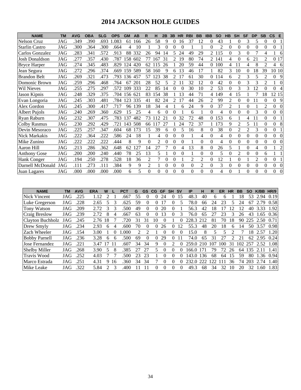# **2014 JACKSON HOLE GUIDES**

| <b>NAME</b>           | ТM  | <b>AVG</b> | <b>OBA</b> | <b>SLG</b> | <b>OPS</b> | <b>GM</b> | AB  | R        |          | 2B          | 3B       | <b>HR</b> | <b>RBI</b>     | <b>BB</b> | <b>IBB</b>     | <b>SO</b>      | <b>HB</b> | <b>SH</b>      | <b>SF</b>      | <b>DP</b>      | <b>SB</b>      | $\mathsf{CS}$<br>E         |
|-----------------------|-----|------------|------------|------------|------------|-----------|-----|----------|----------|-------------|----------|-----------|----------------|-----------|----------------|----------------|-----------|----------------|----------------|----------------|----------------|----------------------------|
| <b>Nelson Cruz</b>    | JAG | .349       | .390       | .693       | .083       | 61        | 166 | 26       | 58       | 9           | 0        | 16        | 37             | 12        | $\theta$       | 43             |           | $\theta$       | 3              | 5              | $\Omega$       | $\theta$                   |
| <b>Starlin Castro</b> | JAG | .300       | .364       | .300       | .664       | 4         | 10  |          | 3        | 0           | 0        | $\theta$  |                |           | 0              | $\mathfrak{D}$ | $\Omega$  | $\Omega$       | $\Omega$       | $\Omega$       | $\Omega$       | $\overline{0}$             |
| Carlos Gonzalez       | JAG | .283       | .341       | .572       | .913       | 88        | 332 | 26       | 94       | 14          | 5        | 24        | 49             | 29        | 2              | 115            | $\Omega$  | 3              | $\Omega$       | 7              | 4              | 6                          |
| Josh Donaldson        | JAG | .277       | .357       | .430       | .787       | 158       | 602 | 77       | 167      | 31          | 2        | 19        | 80             | 74        | $\overline{2}$ | -141           | 4         | $\Omega$       | 6              | 21             | $\overline{2}$ | 0 17                       |
| <b>Bryce Harper</b>   | JAG | .274       | .345       | .483       | .829       | 124       | 420 | 62       | 115      | 26          |          | 20        | 59             | 44        | 0              | 100            | 4         | 11             | 4              | 8              | $\overline{2}$ | 4<br>6                     |
| Jean Segura           | JAG | .272       | .296       | .374       | .669       | 159       | 589 | 58       | 160      | Q           | 6        | 13        | 46             | 17        |                | 82             | 3         | 10             |                | 18             | 39             | 10 10                      |
| <b>Brandon Belt</b>   | JAG | .269       | .321       | .473       | .793       | 136       | 457 | 57       | 123      | 38          | 2        |           | 61             | 30        | 0              | 114            | 6         | $\overline{2}$ | 3              | 5              | 2              | 9<br>$\Omega$              |
| Domonic Brown         | JAG | .259       | .296       | .468       | .764       | 67        | 201 | 28       | 52       | 5           | 2        |           | 32             | 12        | 0              | 42             | $\Omega$  | $\theta$       | 3              | 3              | 2              | $\theta$                   |
| Wil Nieves            | JAG | .255       | .275       | .297       | .572       | 109       | 333 | 22       | 85       | 14          | $\Omega$ | 0         | 30             | 10        | 2              | 53             | 0         | 3              | 3              | 12             | $\Omega$       | $\Omega$<br>$\overline{4}$ |
| Jason Kipnis          | JAG | .248       | .329       | .375       | .704       | 156       | 621 | 83       | 154      | 38          |          | 13        | 44             | 71        | 4              | 149            | 4         | 15             |                |                | 18             | 12 15                      |
| Evan Longoria         | JAG | .245       | .303       | .481       | .784       | 123       | 335 | 41       | 82       | 24          | 2        | 17        | 44             | 26        | 2              | 99             | 2         | $\theta$       |                |                | 0              | $\overline{0}$<br>-9       |
| Alex Gordon           | JAG | .245       | .300       | .417       | .717       | 96        | 139 | 18       | 34       | 4           |          | 6         | 24             | 9         | 0              | 37             | 2         |                | 0              |                | $\overline{2}$ | $\overline{0}$<br>$\Omega$ |
| Albert Pujols         | JAG | .240       | .269       | .360       | .629       | 15        | 25  | 4        | 6        | 0           | 0        |           | 6              |           | 0              | 4              | $\Omega$  | $\Omega$       | $\Omega$       | 3              | $\Omega$       | $\overline{0}$<br>$\Omega$ |
| Ryan Raburn           | JAG | .232       | .307       | .475       | .783       | 137       | 482 | 73       | 12       | $2^{\circ}$ | 0        | 32        | 72             | 48        | $\Omega$       | 153            | 6         |                | 4              |                | $\Omega$       | $\Omega$                   |
| <b>Colby Rasmus</b>   | JAG | .230       | .292       | .429       | .721       | 143       | 508 | 66       |          | 27          |          | 24        | 72             | 37        |                | 173            | 9         | $\overline{c}$ | 5              |                | $\Omega$       | $\Omega$<br>8              |
| Devin Mesoraco        | JAG | .225       | .257       | .347       | .604       | 68        | 173 | 15       | 39       | 6           | 0        | 5         | 16             | 8         | $\theta$       | 38             | $\Omega$  | $\mathbf{2}$   | $\overline{2}$ | 3              | $\theta$       | $\mathbf{0}$               |
| Nick Markakis         | JAG | .222       | .364       | .222       | .586       | 24        | 18  |          | 4        | 0           | $\theta$ | $\theta$  |                | 4         | $\theta$       | 4              | $\Omega$  | $\theta$       | $\Omega$       | $\theta$       | $\Omega$       | $\Omega$<br>$\Omega$       |
| Mike Zunino           | JAG | .222       | .222       | .222       | .444       | 8         | 9   | 0        | 2        | 0           | $\theta$ | $\theta$  |                | 0         | 0              | 4              | $\Omega$  | $\Omega$       | $\Omega$       | $\Omega$       | $\Omega$       | $\Omega$<br>$\Omega$       |
| Aaron Hill            | JAG | .213       | .286       | .362       | .648       | 62        | 127 | 14       | 27       |             | $\theta$ | 4         | 13             | 8         | 0              | 26             | 5         |                | $\Omega$       | 4              | $\mathbf{0}$   | $\overline{c}$             |
| <b>Anthony Gose</b>   | JAG | .200       | .200       | 240        | .440       | 78        | 25  | 13       | 5        |             | 0        | $\Omega$  |                | 0         | 0              | 5              | 0         | $\overline{2}$ | $\Omega$       | $\Omega$       | 6              |                            |
| Hank Conger           | JAG | .194       | .250       | .278       | .528       | 18        | 36  | 2        |          | 0           | $\theta$ |           | $\overline{c}$ | 2         | $\Omega$       | 12             |           | $\theta$       |                | $\overline{2}$ | $\Omega$       | $\mathbf{0}$               |
| Darnell McDonald      | JAG | .111       | .273       | .111       | .384       | 9         | 9   | 2        |          | 0           | $\theta$ | $\theta$  | $\theta$       | 2         | $\Omega$       | 3              | $\Omega$  | $\Omega$       | $\Omega$       | $\Omega$       | 0              | $\overline{0}$<br>$\Omega$ |
| Juan Lagares          | JAG | .000       | .000       | .000       | .000       | 6         | 5   | $\Omega$ | $\Omega$ | 0           | $\theta$ | $\theta$  | $\Omega$       | $\Omega$  | $\Omega$       | $\overline{4}$ | $\Omega$  |                | $\Omega$       | $\Omega$       | $\Omega$       | $\Omega$<br>$\theta$       |

| <b>NAME</b>          | ΤM  | <b>AVG</b> | <b>ERA</b> | W  |    | <b>PCT</b> | G                           | GS       | CG       | <b>GF</b> | <b>SH</b> | <b>SV</b>    | IP              | н   | R   | ER  | <b>HR</b> | BB            | <b>SO</b> | <b>K/BB</b> | HR/9 |
|----------------------|-----|------------|------------|----|----|------------|-----------------------------|----------|----------|-----------|-----------|--------------|-----------------|-----|-----|-----|-----------|---------------|-----------|-------------|------|
| Nick Vincent         | JAG | .225       | 1.12       |    |    | .667       | 55                          | $\Omega$ | 0        | 24        | 0         | 15           | 48.3            | 40  | 6   | h   |           | 8             | 53        | 2.<br>.94   | 0.19 |
| Luke Gregerson       | JAG | .228       | 2.65       |    |    | .625       | 59                          | $\Omega$ | $\Omega$ |           |           |              | 78.0            | 66  | 24  | 23  |           | 24            | 67        | 79          | 0.58 |
| Tony Watson          | JAG | .209       | 2.72       |    |    | 500        | 49                          | 0        | 0        | 20        | 0         |              | 56.3            | 42  | 18  |     | 2         | $\mathcal{D}$ | 40        | 3.33        | 1.92 |
| Craig Breslow        | JAG | .239       | 2.72       | 8  | 4  | .667       | 63                          | 0        | 0        | 13        | 0         | 3            | 76.0            | 65  |     | 23  | 3         | 26            | 43        | .65         | 0.36 |
| Clayton Buchholz     | JAG | .245       | 2.76       | 18 |    | 720        | 31                          | 31       | 10       |           |           |              | 228.3           | 212 | 81  | 70  | 18        | 90.           | 225       | 2.50        | 0.71 |
| Drew Smyly           | JAG | .234       | 2.93       | 6  | 4  | .600       | 70                          | $\Omega$ | 0        | 26        | 0         | $^{\prime}2$ | 55.3            | 48  | 20  | 18  | h         | 14            | 50        | 3.57        | 0.98 |
| Zach Wheeler         | JAG | 154        | 3.00       |    |    | .000       | $\mathcal{D}_{\mathcal{L}}$ | ി        |          | $\Omega$  | 0         | 0            | 15.0            | 8   |     |     |           | 7             | 18        | 2.57        | 1.20 |
| <b>Bobby Parnell</b> | JAG | .236       | 3.28       | 6  | h  | .500       | 69                          | 0        | 0        | 29        | $\Omega$  |              | 74.0            | 65  | 31  | 27  |           |               | 62        | 2.95        | 0.24 |
| Jose Fernandez       | JAG | .221       | 3.47       |    | 11 | .607       | 34                          | 34       | 9        | 0         |           |              | 259.0           | 210 | 107 | 100 | 31        | 102           | 257       | 2.52        | 1.08 |
| <b>Shelby Miller</b> | JAG | .268       | 3.90       | 5  | 8  | .385       | 27                          | 27       | 5        | 0         | 0         |              | 166.0           | 171 | 79  | 72  | 26        | 64            | 135       |             | 1.41 |
| <b>Travis Wood</b>   | JAG | .252       | 4.03       |    |    | .500       | 23                          | 23       |          |           | 0         |              | 43.0            | 136 | 68  | 64  | 15        | 59            | 80        | .36         | 0.94 |
| Marco Estrada        | JAG | .251       | 4.31       | 9. | 16 | .360       | 34                          | 34       |          |           | 0         |              | 232<br>$\Omega$ | 222 |     |     | 36        | 74            | 203       | 2.74        | 1.40 |
| Mike Leake           | JAG | 322        | 5.84       |    |    | 400        |                             |          | 0        | 0         | 0         | 0            | 49.3            | 68  | 34  | 32  | 10        | 20            | 32        | .60         | 1.83 |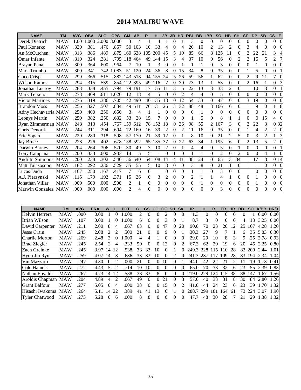# **2014 MALIBU WAVE**

| <b>NAME</b>            | <b>TM</b>  | <b>AVG</b> | <b>OBA</b> | <b>SLG</b> | <b>OPS</b> | <b>GM</b>      | AB  | R              | н        | 2B             | 3B       | <b>HR</b>      | <b>RBI</b> | <b>BB</b> | <b>IBB</b>     | <b>SO</b>      | <b>HB</b>      | <b>SH</b>      | <b>SF</b>      | <b>DP</b>      | <b>SB</b>        | <b>CS</b>        | Е        |
|------------------------|------------|------------|------------|------------|------------|----------------|-----|----------------|----------|----------------|----------|----------------|------------|-----------|----------------|----------------|----------------|----------------|----------------|----------------|------------------|------------------|----------|
| Derek Dietrich         | MAW        | 1.00       | .000       | 2.000      | 3.000      | 3              | 4   |                | 4        |                | 0        |                | 3          | $\Omega$  | 0              | 0              | $\Omega$       | 0              | $\Omega$       | $\Omega$       | $\Omega$         | $\overline{0}$   | $\Omega$ |
| Paul Konerko           | <b>MAW</b> | .320       | .381       | .476       | .857       | 50             | 103 | 10             | 33       | 4              | 0        | 4              | 20         | 10        | $\overline{c}$ | 13             | $\overline{2}$ | $\theta$       | 3              | $\overline{4}$ | $\Omega$         | $\overline{0}$   | $\Omega$ |
| An McCutchen           | <b>MAW</b> | .313       | .386       | .489       | .875       | 160            | 638 | 105            | 200      | 45             | 5        | 19             | 85         | 66        | 8              | 125            | 11             | $\Omega$       | 2              | 22             | 21               | 3                | 4        |
| <b>Omar Infante</b>    | MAW        | .310       | .324       | .381       | .705       | 118            | 464 | 49             | 144      | 15             | 3        | 4              | 37         | 10        | $\Omega$       | 56             | $\Omega$       | 2              | 2              | 15             | 5                | $\overline{2}$   |          |
| Brayan Pena            | <b>MAW</b> | .300       | .364       | .600       | .964       |                | 10  |                | 3        | 0              | 0        |                |            |           | $\Omega$       | 3              | $\Omega$       | $\theta$       | $\Omega$       |                | $\Omega$         | $\boldsymbol{0}$ | $\Omega$ |
| Mark Trumbo            | <b>MAW</b> | .300       | .341       | .742       | .083       | 51             | 120 | 24             | 36       | 8              | 0        | 15             | 34         | 8         | $\Omega$       | 35             | $\Omega$       | $\theta$       |                | 5              | $\Omega$         | $\overline{0}$   |          |
| Coco Crisp             | MAW        | .299       | .366       | .515       | .882       | 143            | 518 | 94             | 155      | 24             | 5        | 26             | 59         | 56        | 1              | 62             | $\theta$       | $\Omega$       | $\overline{2}$ | 9              | 21               | 7                | $\Omega$ |
| Wilson Ramos           | MAW        | .294       | .315       | .539       | .854       | 122            | 395 | 49             | 116      |                | 0        | 30             | 73         | 13        |                | 53             | $\Omega$       | $\Omega$       | 2              | 16             |                  | $\Omega$         | 3        |
| Jonathan Lucrov        | <b>MAW</b> | .288       | .338       | .455       | .794       | 79             | 191 | 17             | 55       | 11             | 3        | 5              | 22         | 13        | 3              | 33             | $\overline{2}$ | $\theta$       |                | 10             | 3                | $\overline{0}$   |          |
| Mark Teixeira          | <b>MAW</b> | .278       | .409       | .611       | .020       | 12             | 18  | 4              | 5        | $\theta$       | $\theta$ | $\overline{2}$ | 4          | 4         | $\theta$       | 5              | $\Omega$       | $\theta$       | $\theta$       | $\theta$       | $\theta$         | $\overline{0}$   | $\Omega$ |
| Victor Martinez        | <b>MAW</b> | .276       | .319       | .386       | .705       | 142            | 490 | 40             | 135      | 18             | 0        | 12             | 54         | 33        | $\Omega$       | 47             | $\Omega$       | $\Omega$       | 3              | 19             | $\theta$         | $\Omega$         | $\Omega$ |
| <b>Brandon Moss</b>    | <b>MAW</b> | .256       | .327       | .507       | .834       | 149            | 511 | 76             | 131      | 26             | 3        | 32             | 88         | 48        | 3              | 166            | 6              | $\Omega$       |                | 9              | $\theta$         |                  | 8        |
| Adny Hechavarria MAW   |            | .250       | .400       | .250       | .650       | 3              | 4   |                |          | 0              | 0        | $\theta$       | $\Omega$   |           | $\theta$       | $\theta$       | $\Omega$       | $\theta$       | $\Omega$       | $\theta$       | $\theta$         | $\overline{0}$   | $\Omega$ |
| Leonys Martin          | MAW        | .250       | .382       | .250       | .632       | 53             | 28  | 15             |          | 0              | 0        | $\theta$       |            | 5         | $\Omega$       | 8              |                |                | $\Omega$       | $\Omega$       | 15               | $\overline{4}$   | $\Omega$ |
| Ryan Zimmerman MAW     |            | .248       | .313       | .454       | .767       | 159            | 612 | 78             | 152      | 18             | 0        | 36             | 98         | 55        | 2              | 167            | 3              | $\theta$       | $\mathfrak{D}$ | 22             | 3                | 0 32             |          |
| Chris Denorfia         | <b>MAW</b> | .244       | .311       | .294       | .604       | 72             | 160 | 16             | 39       | 2              | 0        | 2              | 11         | 16        | $\Omega$       | 35             | $\mathbf{0}$   | $\Omega$       |                | 4              | 2                | $\overline{2}$   | $\Omega$ |
| Eric Sogard            | MAW        | .229       | .280       | .318       | .598       | 57             | 170 | 21             | 39       | 12             | 0        |                | 8          | 10        | 0              | 21             | 2              | 5              | $\Omega$       | 3              | $\overline{2}$   |                  | 3        |
| <b>Jay Bruce</b>       | <b>MAW</b> | .228       | .276       | .402       | .678       | 158            | 592 | 65             | 135      | 37             | 0        | 22             | 63         | 34        |                | 195            | 6              | $\theta$       | 2              | 13             | 5                | $\overline{2}$   | $\Omega$ |
| Darwin Barney          | <b>MAW</b> | .204       | .264       | .306       | .570       | 30             | 49  | 3              | 10       | $\overline{2}$ | 0        |                | 4          | 4         | $\theta$       | 5              | $\Omega$       |                | $\Omega$       | $\overline{0}$ | $\boldsymbol{0}$ | $\boldsymbol{0}$ |          |
| Campana<br>Tonv        | MAW        | .200       | .333       | .600       | .933       | 14             | 5   | 5              |          | $\theta$       |          | $\theta$       |            |           | $\theta$       | $\overline{2}$ | $\Omega$       | $\overline{2}$ | $\Omega$       | $\theta$       | 4                |                  | $\Omega$ |
| <b>Andrltn Simmons</b> | <b>MAW</b> | .200       | .238       | .302       | .540       | 156            | 540 | 54             | 108      | 14             | 4        | 11             | 38         | 24        | $\theta$       | 65             | 3              | 34             |                | 17             | 3                | 0 14             |          |
| Matt Tuiasosopo        | <b>MAW</b> | .182       | .292       | .236       | .529       | 35             | 55  | 5              | 10       | 3              | 0        | $\Omega$       | 3          | 8         | $\theta$       | 21             |                | $\theta$       |                |                | $\theta$         | $\overline{0}$   | $\Omega$ |
| Lucas Duda             | <b>MAW</b> | .167       | .250       | .167       | .417       | $\overline{7}$ | 6   | $\overline{0}$ |          | $\theta$       | $\theta$ | $\theta$       |            |           | $\theta$       | 3              | $\Omega$       | $\theta$       |                | $\theta$       | $\boldsymbol{0}$ | $\overline{0}$   | $\Omega$ |
| A.J. Pierzynski        | <b>MAW</b> | .115       | .179       | .192       | .371       | 15             | 26  | 0              | 3        | $\overline{2}$ | $\theta$ | $\theta$       | 2          |           | 1              | 4              |                | $\Omega$       | $\Omega$       |                | $\theta$         | $\Omega$         | $\Omega$ |
| Jonathan Villar        | MAW        | .000       | .500       | .000       | .500       | 2              |     | $\Omega$       | $\Omega$ | $\Omega$       | 0        | $\Omega$       | $\theta$   |           | $\theta$       | $\theta$       | $\Omega$       | $\theta$       | $\Omega$       |                | $\theta$         | $\overline{0}$   | $\Omega$ |
| Marwin Gonzalez MAW    |            | .000       | .000       | .000       | .000       | $\mathfrak{D}$ | 4   | 0              | $\Omega$ | 0              | 0        | $\Omega$       | 0          | 0         | $\Omega$       | 3              | $\Omega$       | $\Omega$       | $\Omega$       | $\Omega$       | $\Omega$         | $\Omega$         | $\Omega$ |

| <b>NAME</b>           | ТM         | <b>AVG</b> | ERA  | W              |                | <b>PCT</b> | G  | <b>GS</b> | CG       | <b>GF</b> | <b>SH</b> | <b>SV</b>    | IP    | н        | R        | ER  | <b>HR</b> | <b>BB</b> | <b>SO</b> | K/BB | HR/9 |
|-----------------------|------------|------------|------|----------------|----------------|------------|----|-----------|----------|-----------|-----------|--------------|-------|----------|----------|-----|-----------|-----------|-----------|------|------|
| Kelvin Herrera        | <b>MAW</b> | .000       | 0.00 |                |                | .000       | 2  |           |          |           |           | $\theta$     | 1.3   | $\Omega$ | $\Omega$ | 0   |           | $\theta$  |           | 0.00 | 0.00 |
| Brian Wilson          | <b>MAW</b> | .107       | 0.00 |                |                | .000       | 6  |           |          |           |           |              | 8.7   | 3        | 0        | 0   |           | 4         | 13        | 3.25 | 0.00 |
| David Carpenter       | <b>MAW</b> | .211       | 2.00 | 8              |                | .667       | 63 | $\Omega$  | $\Omega$ | 47        | 0         | 20           | 90.0  | 70       | 23       | 20  | 12        | 25        | 107       | 4.28 | 1.20 |
| Jesse Crain           | <b>MAW</b> | .245       | 2.08 | 2              |                | .500       | 21 |           | 0        | 9         |           |              | 30.3  | 27       | 9        |     |           | 6         | 35        | 5.83 | 0.30 |
| Charlie Morton        | <b>MAW</b> | .269       | 2.48 | 3              | $\theta$       | .000       | 4  |           |          |           | $\theta$  | 0            | 29.0  | 29       | 10       | 8   | 3         | 9         | 25        | 2.78 | 0.93 |
| <b>Brad Ziegler</b>   | <b>MAW</b> | .245       | 2.54 | $\mathfrak{D}$ | 4              | 333        | 50 | $\Omega$  | 0        | 13        | $\Omega$  | 2            | 67.3  | 62       | 20       | 19  | 6         | 20        | 45        | 2.25 | 0.80 |
| Zach Greinke          | <b>MAW</b> | .245       | 3.97 | 14             | 12             | .538       | 33 | 33        | 10       |           |           |              | 249.3 | 228      | 15       | 110 | 28        | 82        | 200       | 2.44 | 1.01 |
| Hyun Jin Ryu          | <b>MAW</b> | .259       | 4.07 | 14             | 8              | .636       | 33 | 33        | 10       | $\Omega$  | 2         |              | 241.3 | 237      |          | 109 | 28        | 83        | 194       | 2.34 | 1.04 |
| Vin Mazzaro           | <b>MAW</b> | .247       | 4.30 | $\Omega$       | $\mathfrak{D}$ | .000       | 21 |           | 0        | 10        |           |              | 44.0  | 42       | 22       | 2.1 |           |           | 19        | 1.73 | 0.41 |
| Cole Hamels           | <b>MAW</b> | .272       | 4.43 | 5              |                | .714       | 10 | 10        | 0        | $\Omega$  | $\theta$  | $^{(1)}$     | 65.0  | 70       | 33       | 32  | 6         | 23        | 55        | 2.39 | 0.83 |
| Nathan Eovaldi        | <b>MAW</b> | .267       | 4.73 | 14             | 12             | .538       | 33 | 33        | 8        | $\Omega$  | $\theta$  | 0            | 219.0 | 229      | 124      | 15  | 38        | 88        | 147       | .67  | 1.56 |
| Aroldis Chapman MAW   |            | .204       | 4.89 | 4              | $\mathfrak{D}$ | .667       | 49 | 0         | $\Omega$ | 21        | 0         | 3            | 57.0  | 40       | 33       | 31  | 8         | 30        | 84        | 2.80 | l.26 |
| <b>Grant Balfour</b>  | <b>MAW</b> | .277       | 5.05 | $^{(1)}$       |                | .000       | 38 | 0         | 0        | 15        | $\theta$  |              | 41.0  | 44       | 24       | 23  | 6         | 23        | 39        | 1.70 | 1.32 |
| Hisashi Iwakuma       | MAW        | .264       | 5.11 | 14             | 22             | .389       | 41 | 41        | 13       |           |           |              | 288.7 | 299      | 181      | 164 | 61        | 73        | 224       | 3.07 | 1.90 |
| <b>Tyler Chatwood</b> | <b>MAW</b> | .273       | 5.28 | $\theta$       | 6              | .000       | 8  | 8         | 0        |           | $\Omega$  | $\mathbf{0}$ | 47.7  | 48       | 30       | 28  |           | 21        | 29        | 1.38 | 1.32 |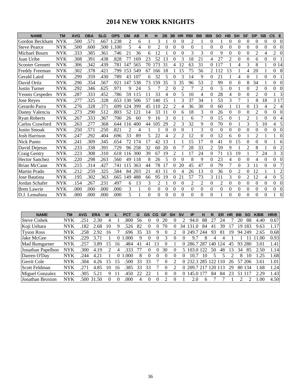# **2014 NEW YORK KNIGHTS**

| <b>NAME</b>            | <b>TM</b>  | <b>AVG</b> | <b>OBA</b> | <b>SLG</b> | <b>OPS</b> | <b>GM</b> | AB  | R        | н                | 2B       | 3B             | <b>HR</b>      | <b>RBI</b>     | <b>BB</b>      | <b>IBB</b>       | <b>SO</b>      | <b>HB</b>    | <b>SH</b>        | <b>SF</b>      | <b>DP</b>      | <b>SB</b>        | $\mathsf{cs}$<br>E               |
|------------------------|------------|------------|------------|------------|------------|-----------|-----|----------|------------------|----------|----------------|----------------|----------------|----------------|------------------|----------------|--------------|------------------|----------------|----------------|------------------|----------------------------------|
| Gordon Beckham         | <b>NYK</b> | .500       | .571       | .667       | 1.238      | 2         | 6   |          | 3                |          | 0              | 0              | $\overline{2}$ |                | $\boldsymbol{0}$ |                | $\Omega$     | $\boldsymbol{0}$ | $\theta$       | 0              | $\Omega$         | $\Omega$<br>$\overline{0}$       |
| <b>Steve Pearce</b>    | <b>NYK</b> | .500       | .600       | .500       | 1.100      | 5         | 4   | $\Omega$ | $\overline{c}$   | $\Omega$ | $\theta$       | $\theta$       | $\theta$       | 1              | $\theta$         | $\Omega$       | $\Omega$     | $\overline{0}$   | $\Omega$       | $\theta$       | $\theta$         | 0<br>$\Omega$                    |
| Michael Bourn          | <b>NYK</b> | .333       | .385       | .361       | .746       | 21        | 36  | 6        | 12               |          | $\theta$       | $\Omega$       | 3              | 3              | $\Omega$         | 9              | $\Omega$     | $\overline{0}$   | $\theta$       | $\overline{2}$ | 4                | $\overline{2}$                   |
| Juan Uribe             | <b>NYK</b> | .308       | .391       | .438       | .828       | 77        | 169 | 23       | 52               | 13       | $\theta$       | 3              | 18             | 21             | 4                | 27             | 2            | $\theta$         | $\theta$       | 6              | $\theta$         | $\overline{0}$                   |
| <b>Scooter Gennett</b> | <b>NYK</b> | .306       | .342       | .439       | .781       | 147       | 565 | 70       | 173              | 31       | 4              | 12             | 63             | 31             | $\Omega$         | 117            |              | 4                | 3              | 8              |                  | 0 14                             |
| Freddy Freeman         | <b>NYK</b> | .302       | .378       | .421       | .799       | 153       | 549 | 67       | 166              | 18       |                | 15             | 75             | 56             | $\overline{2}$   | 112            | 13           |                  | 4              | 20             |                  | 8<br>0                           |
| Gerald Laird           | <b>NYK</b> | .299       | 359        | .430       | .789       | 43        | 107 | 6        | 32               | 5        | $\theta$       | 3              | 14             | 9              | $\theta$         | 21             |              | 4                | $\theta$       |                | $\theta$         | $\boldsymbol{0}$                 |
| David Ortiz            | <b>NYK</b> | .296       | .354       | .567       | .921       | 147       | 538 | 73       | 159              | 35       | 3              | 35             | 96             | 53             | $\overline{2}$   | 99             | $\Omega$     | $\theta$         | 8              | 34             |                  | $\Omega$<br>$\Omega$             |
| Justin Turner          | <b>NYK</b> | .292       | .346       | .625       | .971       | 9         | 24  | 5        |                  | 2        | 0              | $\overline{2}$ | 7              | $\overline{2}$ | $\theta$         | 5              | $\theta$     |                  | $\theta$       | $\overline{2}$ | $\boldsymbol{0}$ | $\boldsymbol{0}$<br>$\Omega$     |
| <b>Yeonis Cespedes</b> | <b>NYK</b> | .287       | 333        | .452       | .786       | 59        | 115 | 11       | 33               | 4        | 0              | 5              | 10             | 4              | $\theta$         | 28             | 4            | $\theta$         | $\theta$       | $\overline{2}$ | $\theta$         | 3                                |
| <b>Jose Reyes</b>      | <b>NYK</b> | .277       | 325        | .328       | .653       | 130       | 506 | 57       | 140              | 15       |                | 3              | 37             | 34             |                  | 53             | 3            | 7                |                | 8              | 18               | 3 17                             |
| Gerardo Parra          | <b>NYK</b> | .276       | .328       | .371       | .699       | 124       | 399 | 45       | 110              | 22       | 2              | 4              | 36             | 30             | $\overline{0}$   | 60             |              | 11               | $\theta$       | 13             | 4                | $\overline{2}$<br>$\overline{4}$ |
| Danny Valencia         | <b>NYK</b> | .273       | .290       | .512       | .803       | 52        | 121 | 14       | 33               | 11       | $\overline{0}$ | 6              | 18             | 3              | $\theta$         | 26             | $\Omega$     | $\overline{0}$   | $\theta$       | 2              | $\theta$         | $\overline{0}$<br>$\Omega$       |
| <b>Ryan Roberts</b>    | NYK        | .267       | .333       | .367       | .700       | 26        | 60  | 9        | 16               | 3        | 0              |                | 6              | 7              | $\Omega$         | 15             | $\mathbf{0}$ |                  | $\overline{2}$ |                | $\theta$         | 0<br>4                           |
| Carlos Crawford        | <b>NYK</b> | .263       | .277       | .368       | .644       | 116       | 400 | 44       | 105              | 29       | $\overline{2}$ | 3              | 32             | 9              | $\theta$         | 70             | $\Omega$     |                  | 3              | 5              | 10               | $\overline{4}$<br>5              |
| <b>Justin Smoak</b>    | <b>NYK</b> | .250       | .571       | .250       | .821       | 2         | 4   |          |                  | 0        | $\theta$       | 0              |                | 3              | $\Omega$         | $\Omega$       | $\Omega$     | $\theta$         | $\Omega$       | $\overline{0}$ | $\theta$         | $\overline{0}$<br>$\Omega$       |
| Josh Harrison          | <b>NYK</b> | .247       | .292       | .404       | .696       | 33        | 89  | 5        | 22               | 4        | 2              | 2              | 12             | $\theta$       | $\theta$         | 12             | 6            | $\theta$         |                | $\overline{2}$ |                  | $\Omega$                         |
| <b>Nick Punto</b>      | <b>NYK</b> | .241       | .309       | .345       | .654       | 72        | 174 | 17       | 42               | 13       | 1              |                | 15             | 17             | $\theta$         | 41             | $\theta$     | 15               | $\Omega$       | $\theta$       | $\Omega$         | 1<br>6                           |
| David Dejesus          | <b>NYK</b> | .233       | .338       | .391       | .729       | 96        | 258 | 32       | 60               | 20       | 0              |                | 28             | 33             | $\overline{c}$   | 59             | 9            |                  | $\overline{2}$ | 8              |                  | $\overline{0}$<br>$\overline{c}$ |
| Craig Gentry           | <b>NYK</b> | .223       | .308       | .310       | .618       | 116       | 300 | 39       | 67               | 19       | $\overline{2}$ |                | 17             | 24             | $\theta$         | 71             | 13           | 19               |                | 7              | 24               | 3<br>3                           |
| <b>Hector Sanchez</b>  | <b>NYK</b> | .220       | .298       | .263       | .560       | 49        | 118 | 8        | 26               | 5        | $\Omega$       | $\Omega$       | 8              | 9              | $\theta$         | 23             | 4            | $\Omega$         | $\Omega$       | 4              | $\theta$         | $\Omega$<br>$\theta$             |
| Brian McCann           | <b>NYK</b> | .215       | .314       | .427       | .741       | 115       | 363 | 44       | 78               | 17       | 0              | 20             | 45             | 47             | $\theta$         | 79             | 7            | $\theta$         | 3              | 11             | $\overline{0}$   | 7<br>$\overline{0}$              |
| Martin Prado           | <b>NYK</b> | .212       | .259       | .325       | .584       | 84        | 203 | 21       | 43               | 11       | $\theta$       | 4              | 26             | 13             | $\Omega$         | 36             | $\mathbf{0}$ | $\overline{2}$   | $\theta$       | 12             |                  | 2                                |
| Jose Bautista          | <b>NYK</b> | .195       | .302       | .363       | .665       | 149       | 488 | 66       | 95               | 19       | $\overline{0}$ | 21             | 57             | 73             | 3                | 111            | 3            | $\theta$         | $\overline{2}$ | 12             | 4                | 5<br>$\overline{0}$              |
| Jordan Schafer         | <b>NYK</b> | .154       | .267       | .231       | .497       | 6         | 13  | 3        | $\overline{2}$   |          | 0              | $\theta$       | 2              | $\overline{2}$ | $\boldsymbol{0}$ | $\overline{2}$ | $\theta$     | $\overline{0}$   | $\theta$       | $\overline{0}$ | $\overline{0}$   | $\boldsymbol{0}$<br>$\Omega$     |
| <b>Brett Lawrie</b>    | <b>NYK</b> | .000       | .000       | .000       | .000       | 3         | 1   | $\Omega$ | $\boldsymbol{0}$ | $\theta$ | 0              | 0              | $\theta$       | $\mathbf{0}$   | $\theta$         | $\theta$       | $\mathbf{0}$ | $\overline{0}$   | $\theta$       | $\overline{0}$ | 0                | $\overline{0}$<br>$\overline{0}$ |
| D.J. Lemahieu          | <b>NYK</b> | .000       | .000       | .000       | .000       | 5         | 1   | $\Omega$ | $\Omega$         | 0        | $\Omega$       | $\Omega$       | 0              | $\Omega$       | $\Omega$         | 1              | $\Omega$     | $\Omega$         | $\Omega$       | $\theta$       | $\theta$         | $\Omega$                         |

| <b>NAME</b>         | TМ         | <b>AVG</b> | ERA   | W        |                   |      |    | GS       | <b>CG</b> | GF | <b>SH</b>         | S٧       | ΙP    | н       | R  | ER      |    | BВ  |        | K/BB | HR/9 |
|---------------------|------------|------------|-------|----------|-------------------|------|----|----------|-----------|----|-------------------|----------|-------|---------|----|---------|----|-----|--------|------|------|
| <b>Steve Cishek</b> | <b>NYK</b> | 25         | 430⊹  |          |                   | -800 | 56 |          |           | 20 |                   |          | 94.0  | 88      |    | 24      |    | 20  | 88     | 4.40 | 0.67 |
| Koji Uehara         | <b>NYK</b> | 182        | 2.68  | 10       |                   | 526  | 82 |          |           | 70 |                   | 34       | 31.O  | 84      |    | 39      |    | 19. | 183    | 9.63 | 1.17 |
| <b>Tyson Ross</b>   | <b>NYK</b> | 258        | 2.92  | 16       |                   | .696 | 35 | 33       | G)        |    |                   | 0        | 249.7 | -244    | 93 | 81      | 19 |     | 94 249 | 2.65 | 0.68 |
| Jake McGee          | <b>NYK</b> | 229        | 3.71  |          |                   | .000 | 9  | $\theta$ |           |    | $\theta$          |          | 9.7   | 8       |    |         |    |     |        | -00  | 0.93 |
| Mad Bumgarner       | <b>NYK</b> | 257        | 3.89  | 5        | l 6               | .484 | 41 | 41       | 13        |    |                   | 0        | 286.7 | 287     | 40 | - 124 - | 45 | 93  | 280    | 3.01 | 1.41 |
| Jonathan Papelbon   | <b>NYK</b> | 300        | 4.19  |          | 4                 | 333  |    | $\Omega$ |           | 30 | $\theta$          | 5.       | 103 O |         | 50 | 48      | 13 | 34  | 85     | 2.50 | 1.14 |
| Darren O'Day        | <b>NYK</b> | 244        | 4.21  |          |                   | .000 | 8  |          |           |    |                   |          | 10.   |         |    |         |    | 8   | 10     |      | 1.68 |
| Gerrit Cole         | NYK        | 304        | 4.26  |          |                   | 50O  | 33 | 33       |           | 0  |                   | $\Omega$ | 232.3 | 285 122 |    | -10     | 26 | 57  | 206    | 3.61 | 1.01 |
| Scott Feldman       | <b>NYK</b> |            | 4.85  | 10       | 16                | 385  | 33 | 33       |           | 0  |                   | 0        | 209.7 |         | 20 |         | 29 | 80. | 134    | .68  | 1.24 |
| Miguel Gonzalez     | <b>NYK</b> | 305        | 5.21  | 9        |                   | .450 | 22 | つつ       |           |    | $^{(1)}$          |          | 450   |         | 84 | 84      | 23 |     |        | 2.29 | l.43 |
| Jonathan Broxton    | <b>NYK</b> | 500        | 31.50 | $\Omega$ | $\mathbf{\Omega}$ | .000 | 4  | $\Omega$ | $\Omega$  |    | $\mathbf{\Omega}$ |          | 20    | 6       |    |         |    |     |        | -00  | 4.50 |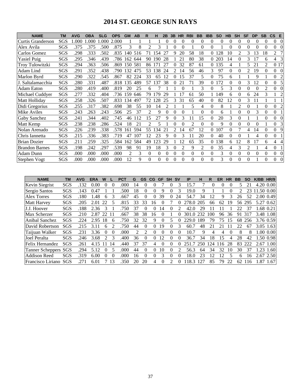# **2014 ST. GEORGE SUN RAYS**

| <b>NAME</b>           | ТM  | <b>AVG</b> | <b>OBA</b> | <b>SLG</b> | <b>OPS</b> | <b>GM</b>      | AB  | R                        | н               | 2B       | 3B       | <b>HR</b> | <b>RBI</b>     | <b>BB</b>      | <b>IBB</b> | <b>SO</b> | <b>HB</b> | <b>SH</b>                | SF       | <b>DP</b> | <b>SB</b>      | $\mathsf{CS}$ | E              |
|-----------------------|-----|------------|------------|------------|------------|----------------|-----|--------------------------|-----------------|----------|----------|-----------|----------------|----------------|------------|-----------|-----------|--------------------------|----------|-----------|----------------|---------------|----------------|
| Curtis Granderson     | SGS | 1.000      | 1.000      | .000       | 2.000      |                |     |                          |                 | 0        |          | 0         | $\Omega$       | 0              | 0          | $\Omega$  | 0         | $\Omega$                 | $\Omega$ | $\Omega$  | 0              | $\theta$      | $\Omega$       |
| Alex Avila            | SGS | .375       | .375       | .500       | .875       | 3              | 8   | $\overline{\mathcal{L}}$ | 3               |          | $\Omega$ | $\Omega$  |                | 0              | 0          |           | 0         | 0                        | 0        | $\Omega$  | 0              | $\Omega$      | $\Omega$       |
| Carlos Gomez          | SGS | .298       | .333       | .502       | .835       | 140            | 516 | 71                       | .54             | 27       | 9        | 20        | 58             | 18             | $\Omega$   | 128       | 10        | $\overline{\mathcal{L}}$ | 3        | 13        | 18             | $\mathcal{L}$ | 7              |
| <b>Yasiel Puig</b>    | SGS | .295       | .346       | .439       | .786       | 162            | 644 | 90                       | 190             | 28       |          | 21        | 80             | 38             |            | 0 203     | 14        | $\Omega$                 | 3        | 17        | 6              | 4             | 3              |
| Troy Tulowitzki       | SGS | .294       | .363       | .506       | .869       | 150            | 581 | 86                       | 17 <sup>1</sup> | 27       |          | 32        | 87             | 61             | 0          | 135       | 4         |                          | 5        | 21        | $\mathfrak{D}$ | 0 17          |                |
| Adam Lind             | SGS | .291       | .352       | .438       | .790       | 132            | 475 | 53                       | 38              | 24       |          | 14        | 56             | 46             | 3          | 97        | 0         |                          |          | 19        | $\theta$       | 0             | $\Omega$       |
| Marlon Byrd           | SGS | .290       | .322       | .545       | .867       | 82             | 224 | 33                       | 65              | 12       |          | 15        | 37             | 5              | 0          | 75        | 6         |                          |          | 9         |                | $\Omega$      | 2              |
| J. Saltalamacchia     | SGS | .280       | .331       | .487       | .818       | 135            | 489 | 57                       | 137             | 38       |          | 21        | 71             | 39             | 0          | 172       | 0         | 0                        | 3        | 12        | $\Omega$       | $\Omega$      | 5              |
| <b>Adam Eaton</b>     | SGS | .280       | .419       | .400       | .819       | 20             | 25  | 6                        |                 |          |          | $\theta$  |                | 3              | 0          | 5         | 3         | $\theta$                 | 0        | 0         | 2              | $\Omega$      | $\Omega$       |
| Michael Cuddyer       | SGS | .277       | .332       | .404       | .736       | 159            | 646 | 79                       | 179             | 29       |          | 17        | 61             | 50             |            | 149       | 6         | 0                        | 6        | 24        | 3              |               | $\overline{c}$ |
| Matt Holliday         | SGS | .258       | .326       | .507       | .833       | 34             | 497 | 72                       | .28             | 25       |          | 31        | 65             | 40             | 0          | 82        | 12        | $\Omega$                 | 3        | 11        |                |               |                |
| Didi Gregorius        | SGS | .255       | .317       | .382       | .698       | 38             | 55  | 10                       | 14              | 2        |          |           | 5              | 4              | $\Omega$   | 8         |           | 2                        | 0        |           | 0              | $\Omega$      | 2              |
| Mike Aviles           | SGS | .243       | .263       | .243       | .506       | 25             | 37  | 2                        | 9               | 0        | $\Omega$ | $\Omega$  |                | 0              | 0          | 6         |           | 0                        |          |           |                | $\Omega$      |                |
| Gaby Sanchez          | SGS | .241       | .344       | .402       | .745       | 46             | 12  | 15                       | 27              | 9        | $\Omega$ | 3         |                | 15             | 0          | 20        | 3         | 0                        |          |           | $\Omega$       | $\Omega$      | $\Omega$       |
| Matt Kemp             | SGS | .238       | .238       | .286       | .524       | 18             | 21  | $\overline{\mathcal{L}}$ | 5               |          | $\Omega$ | $\Omega$  | $\mathfrak{D}$ | $\Omega$       | 0          | 9         | 0         | $\Omega$                 | 0        | $\Omega$  |                | $\Omega$      | $\overline{3}$ |
| Nolan Arenado         | SGS | .226       | .239       | .338       | .578       | 161            | 594 | 55                       | 134             | 21       |          | 14        | 67             | 12             | 0          | 107       | 0         |                          |          | 14        |                | $\Omega$      | 9              |
| Chris Iannetta        | SGS | .215       | .336       | .383       | .719       | 47             | 107 | 12                       | 23              | 9        |          |           |                | 20             | 0          | 40        | 0         | $\Omega$                 |          | 4         | $\Omega$       | $\Omega$      |                |
| <b>Brian Dozier</b>   | SGS | .211       | .259       | .325       | .584       | 162            | 584 | 49                       | 123             | 29       |          | 12        | 65             | 35             | $^{(1)}$   | 138       | 6         | 12                       |          | 17        | 6              | 4             | 4              |
| <b>Brandon Barnes</b> | SGS | .198       | .242       | .297       | .539       | 98             | 91  | 19                       | 18              | 3        |          |           | 9              | 2              | 0          | 35        |           |                          |          |           |                | $\Omega$      |                |
| <b>Adam Dunn</b>      | SGS | .000       | .000       | .000       | .000       | $\mathfrak{D}$ | 3   | $\theta$                 | 0               | $\theta$ | $\Omega$ | $\Omega$  | $\Omega$       | $\overline{0}$ | 0          | 3         | 0         | $\Omega$                 | 0        | $\Omega$  | $\Omega$       | $\Omega$      | $\Omega$       |
| Stephen Vogt          | SGS | .000       | .000       | .000       | .000       | 12             | 9   | $\Omega$                 | 0               | 0        | $\Omega$ | $\Omega$  | $\Omega$       | $\Omega$       | 0          | 3         | 0         | $\Omega$                 | 0        |           | $\Omega$       | $\Omega$      | $\Omega$       |

| <b>NAME</b>           | TM         | AVG  | <b>ERA</b> | W        |                | <b>PCT</b> | G  | <b>GS</b> | <b>CG</b> | GF       | SΗ       | <b>SV</b> | IP    | н   | R    | ER  | HR       | BВ | SΟ  | <b>K/BB</b> | HR/9      |
|-----------------------|------------|------|------------|----------|----------------|------------|----|-----------|-----------|----------|----------|-----------|-------|-----|------|-----|----------|----|-----|-------------|-----------|
| <b>Kevin Siegrist</b> | SGS        | .132 | 0.00       | 0        | $\theta$       | .000       | 4  | 0         | 0         |          |          | 3         | 15.7  |     |      |     |          |    | 21  |             | 4.20 0.00 |
| Sergio Santos         | SGS        | .143 | 0.47       |          |                | 500        | 18 | 0         | $\Omega$  | 9        |          | 3         | 19.0  | 9   |      |     |          |    | 23  | 11.50 0.00  |           |
| <b>Alex Torres</b>    | SGS        | .180 | .48        | h.       | 3              | .667       | 45 | 0         | 0         | 39       | $\theta$ | 24        | 54.7  | 34  | 12   | 9   | 3        | 26 | 52  |             | 2.00 0.49 |
| <b>Matt Harvey</b>    | SGS        | .205 | 2.01       | 22       |                | .815       | 33 | 33        | 16        |          |          |           | 278.0 | 205 | 66   | 62  | 19       | 56 | 295 |             | 5.27 0.62 |
| J.J. Hoover           | SGS        | .188 | 2.36       | 3        |                | 750        | 37 | $^{(1)}$  | 0         | 14       |          |           | 42.0  | 29  |      |     |          |    | 37  |             | 1.68 0.21 |
| Max Scherzer          | SGS        | .210 | 2.87       | 22       |                | .667       | 38 | 38        | 16        |          |          |           | 301.0 | 232 | -00  | 96  | 36       | 91 | 317 |             | 3.48 1.08 |
| Anibal Sanchez        | SGS        | .224 | 2.95       | 18       | 6              | 750        | 32 | 32        | 9         | 0        |          |           | 229.0 | 189 | 79   | 75  | 15       | 68 | 256 |             | 3.76 0.59 |
| David Robertson       | <b>SGS</b> | .215 | 3.11       | 6        |                | 750        | 44 | $^{(1)}$  | $\Omega$  | 19       |          | 3         | 60.7  | 48  | 21   | 21  |          |    | 67  |             | 3.05 1.63 |
| Taijuan Walker        | SGS        | .231 | 3.36       | $\theta$ | $\theta$       | .000       |    |           | 0         | $\theta$ | $\theta$ | 0         | 10.7  | 9   | 4    | 4   | $\theta$ | 8  | 8   |             | 1.00 0.00 |
| Joel Peralta          | SGS        | .246 | 3.68       | 2.       | 3              | .400       | 36 | 0         | 0         | 12       |          | 0         | 36.7  | 34  | 18   | 15  | 4        | 28 | 42  |             | 1.50 0.98 |
| Felix Hernandez       | SGS        | .261 | 4.15       |          | $\overline{4}$ | .440       | 37 | 37        | 4         |          |          |           | 251.7 | 250 | l 24 | 116 | 28       | 83 | 222 |             | 2.67 1.00 |
| Tanner Scheppers SGS  |            | .294 | 5.12       | $^{(1)}$ | 5              | .000       | 44 | 0         | $\Omega$  | 10       |          |           | 56.3  | 64  | 34   | 32  | 10       | 30 | 37  | 1.23        | 1.60      |
| <b>Addison Reed</b>   | <b>SGS</b> | .319 | 6.00       | 0        | $\theta$       | .000       | 16 | 0         | $\Omega$  | 3        | 0        |           | 18.0  | 23  | 12   | 12  |          | 6  | 16  | 2.67        | 2.50      |
| Francisco Liriano     | SGS        | .271 | 6.01       |          | 3              | 350        | 20 | 20        | 4         |          |          |           | 18.3  | 127 | 85   | 79  | 22       | 62 | 16  |             | .87 1.67  |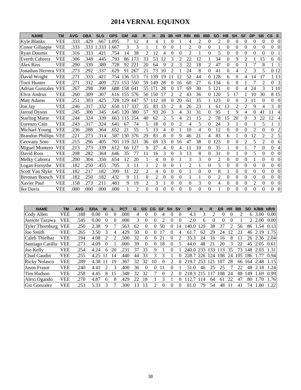# **2014 VERNAL EQUINOX**

| <b>NAME</b>             | <b>TM</b>  | <b>AVG</b> | <b>OBA</b> | <b>SLG</b> | <b>OPS</b> | <b>GM</b> | AB             | R              | н              | 2B             | 3B             | <b>HR</b>      | <b>RBI</b>     | <b>BB</b>      | <b>IBB</b>     | <b>SO</b>      | <b>HB</b> | <b>SH</b>      | <b>SF</b>      | <b>DP</b>      | <b>SB</b>      | $\mathsf{cs}$    | E              |
|-------------------------|------------|------------|------------|------------|------------|-----------|----------------|----------------|----------------|----------------|----------------|----------------|----------------|----------------|----------------|----------------|-----------|----------------|----------------|----------------|----------------|------------------|----------------|
| Kyle Blanks             | VEE        | .333       | .429       | .667       | 1.095      |           | 12             | 4              | 4              |                | 0              |                | 4              | $\overline{2}$ | 0              | 2              | $\theta$  | 0              | 0              | 0              | 0              | 0                | $\Omega$       |
| Conor Gillaspie         | <b>VEE</b> | .333       | .333       | .333       | .667       | 3         | 3              |                |                | 0              | 0              |                | $\overline{2}$ | $\theta$       | $\theta$       |                | $\theta$  | $\theta$       | $\theta$       | 0              | $\theta$       | $\boldsymbol{0}$ | $\Omega$       |
| <b>Ryan Doumit</b>      | <b>VEE</b> | .316       | .333       | .421       | .754       | 14        | 38             | 2              | 12             | 4              | $\Omega$       | $\Omega$       | $\mathfrak{D}$ |                | $\Omega$       | 5              | $\theta$  | 0              | $\Omega$       | $\Omega$       | $\Omega$       | 0                |                |
| <b>Everth Cabrera</b>   | <b>VEE</b> | .306       | .348       | .445       | .793       | 86        | 173            | 33             | 53             | 12             | 3              | $\overline{c}$ | 22             | 12             |                | 34             | $\theta$  | 9              | $\overline{c}$ |                | 15             | 6                | 0              |
| Alex Rios               | <b>VEE</b> | .290       | .339       | .389       | .728       | 92        | $22^{\circ}$   | 20             | 64             | 9              | 2              | 3              | 22             | 18             | 2              | 47             | $\theta$  | 0              | 3              | 7              | 8              |                  |                |
| Jonathan Herrera        | <b>VEE</b> | .273       | .292       | .337       | .629       | 91        | 267            | 21             | 73             | 10             | 2              |                | 24             | 8              | 0              | 41             | $\theta$  | 4              | $\overline{2}$ | 3              | 5              |                  | 0 12           |
| David Wright            | <b>VEE</b> | .271       | .333       | .421       | .754       | 136       | 513            | 71             | 139            | 19             |                | 12             | 52             | 44             | $\Omega$       | 128            | 6         | 0              | 4              | 14             | 17             |                  | 1 13           |
| Torii Hunter            | <b>VEE</b> | .271       | .312       | .409       | .721       | 153       | 550            | 59             | 149            | 28             | 0              | 16             | 60             | 27             | 6              | 134            | 6         | $\Omega$       |                | 7              | 2              | $\Omega$         | 3              |
| <b>Adrian Gonzalez</b>  | <b>VEE</b> | .267       | .298       | .390       | .688       | 158       | 641            | 55             | 171            | 28             | 0              |                | 69             | 30             | 5              | 121            | $\Omega$  | 0              | 4              | 24             | 3              |                  | 1 10           |
| Elvis Andrus            | <b>VEE</b> | .260       | .309       | .307       | .616       | 155       | 576            | 50             | 150            | 17             | 2              | 2              | 43             | 36             | 0              | 120            | 5         | 17             |                | 10             | 30             |                  | 8 1 5          |
| <b>Matt Adams</b>       | <b>VEE</b> | .251       | .303       | .425       | .728       | 29        | 447            | 57             | 112            | 18             | 0              | 20             | 61             | 35             |                | 123            | $\theta$  | 0              | 3              | 11             | $\theta$       | $\Omega$         | $\Omega$       |
| Jon Jay                 | <b>VEE</b> | .246       | .317       | .332       | .650       | 117       | 337            | 35             | 83             | 13             | $\mathfrak{D}$ | 4              | 26             | 23             |                | 61             | 13        | $\overline{2}$ | $\mathfrak{D}$ | 9              | 4              | 3                | 0              |
| Jarrod Dyson            | <b>VEE</b> | .245       | .300       | .345       | .645       | 120       | 380            | 57             | 93             | 20             | 3              | 4              | 31             | 31             | $\Omega$       | 95             |           | 9              | 4              | 0              | 41             | 11               |                |
| <b>Starling Marte</b>   | <b>VEE</b> | .244       | .324       | .339       | .663       | 115       | 254            | 40             | 62             | $\overline{c}$ | 5              | 4              | 21             | 15             | $\overline{2}$ | 78             | 15        | 20             | $\theta$       | 3              | 22             | 12               |                |
| Lorenzo Cain            | <b>VEE</b> | .243       | .317       | .324       | .641       | 67        | 74             | 5              | 18             | $\overline{0}$ | $\theta$       | $\overline{2}$ | 4              | 5              | $\theta$       | 24             | 3         |                | $\theta$       |                | 5              |                  |                |
| Michael Young           | <b>VEE</b> | .236       | .288       | .364       | .652       | 21        | 55             | 5              | 13             | 4              | $\Omega$       |                | 10             | 4              | $\theta$       | 12             | $\theta$  | 0              | $\theta$       | $\mathfrak{D}$ | $\Omega$       | $\Omega$         | $\overline{c}$ |
| <b>Brandon Phillips</b> | <b>VEE</b> | .221       | .273       | .314       | .587       | 130       | 376            | 29             | 83             | 8              | 0              | 9              | 46             | 21             | 4              | 83             | 6         |                | $\Omega$       | 12             | $\overline{2}$ | 2                | 5              |
| Geovany Soto            | <b>VEE</b> | .215       | .296       | .405       | .701       | 119       | 321            | 36             | 69             | 13             | 0              | 16             | 47             | 38             | $\Omega$       | 123            | $\theta$  | 0              | $\overline{c}$ | 5              | $\overline{c}$ | $\Omega$         | 6              |
| Miguel Montero          | <b>VEE</b> | .213       | .273       | .339       | .612       | 66        | 27             | 9              | 27             | 4              | $\theta$       | 4              | 11             | 10             | 0              | 35             |           | 0              |                | 7              | $\theta$       | $\theta$         | 4              |
| David Ross              | VEE        | .208       | .282       | .364       | .646       | 35        | 77             | 11             | 16             | 3              | $\theta$       | 3              | 13             | 8              | $\Omega$       | 31             | $\theta$  |                | $\theta$       | 5              | $\Omega$       | $\overline{0}$   | $\Omega$       |
| Melky Cabrera           | <b>VEE</b> | .200       | .304       | .350       | .654       | 12        | 20             |                | 4              | $\theta$       | 0              |                | 3              | 3              | $\Omega$       | 2              | $\theta$  | 0              | $\Omega$       |                | $\theta$       | 0                | $\Omega$       |
| Logan Forsythe          | <b>VEE</b> | .182       | .250       | .455       | .705       | 3         | 11             |                | 2              | 0              | $\theta$       |                | $\overline{2}$ |                | $\Omega$       | 5              | $\theta$  | 0              | $\Omega$       | $\Omega$       | $\Omega$       | $\overline{0}$   | 0              |
| Scott Van Slyke         | <b>VEE</b> | .182       | .217       | .182       | .399       | 11        | 22             | 2              | 4              | $\theta$       | $\theta$       | $\theta$       |                | $\Omega$       | $\theta$       | 8              |           | 0              | $\Omega$       | 0              | $\theta$       | 0                | $\Omega$       |
| <b>Brennan Boesch</b>   | <b>VEE</b> | .182       | .250       | .182       | .432       | 9         | 11             | $\theta$       | $\mathfrak{D}$ | $\theta$       | $\overline{0}$ | $\overline{0}$ |                |                | $\theta$       | $\overline{2}$ | $\theta$  | 0              | $\theta$       | $\theta$       | $\theta$       | $\overline{0}$   | $\Omega$       |
| Xavier Paul             | <b>VEE</b> | .158       | .273       | .211       | .483       | 9         | 19             | $\overline{c}$ | 3              |                | $\Omega$       | $\theta$       | $\Omega$       | 3              | $\theta$       | 4              | $\theta$  | $\overline{0}$ | $\Omega$       | $\overline{2}$ | $\Omega$       | $\overline{0}$   | $\theta$       |
| Ike Davis               | <b>VEE</b> | .000       | .000       | .000       | .000       |           | $\overline{c}$ | 0              | $\Omega$       | 0              | 0              | 0              | $\Omega$       | $\overline{0}$ | $\Omega$       |                | $\Omega$  | 0              | $\Omega$       | $\theta$       | 0              | 0                | $\Omega$       |

| <b>NAME</b>            | TM         | <b>AVG</b> | <b>ERA</b> | w        |    | PCT  | G  | <b>GS</b> | CG | <b>GF</b> | <b>SH</b>                   | <b>SV</b> | <b>IP</b> | н   | R              | ER              | <b>HR</b> | ВB  | <b>SO</b> | K/BB   | <b>HR/9</b> |
|------------------------|------------|------------|------------|----------|----|------|----|-----------|----|-----------|-----------------------------|-----------|-----------|-----|----------------|-----------------|-----------|-----|-----------|--------|-------------|
| Cody Allen             | <b>VEE</b> | .188       | 0.00       | $\theta$ |    | .000 | 4  | 0         |    |           | $\theta$                    | $\theta$  | 4.3       | 3   |                |                 |           | っ   | 6         | 3.00   | 0.00        |
| Junichi Tazawa         | <b>VEE</b> | .545       | 0.00       | $\theta$ | 0  | .000 | 3  | $^{(1)}$  |    |           |                             | 0         | 2.0       | h.  |                | 0               |           |     |           | $00$ . | 0.00        |
| <b>Tyler Thornburg</b> | <b>VEE</b> | .250       | 2.38       | 9        |    | .563 | 62 | 0         |    | 50        |                             | <b>4</b>  |           | 29  | 38             | 37              |           | 56  | 86        | 1.54   | 0.13        |
| Joe Smith              | <b>VEE</b> | .265       | 3.50       | 3        |    | .429 | 50 | $^{(1)}$  |    |           |                             | 4         | 61        | 62  | 29             | 24              | 2         | 2.1 | 46        | 2.19   | 1.75        |
| Caleb Thielbar         | <b>VEE</b> | .194       | 4.08       |          |    | .500 | 32 | $^{(1)}$  |    |           | $_{0}$                      |           | 35.3      | 24  | 16             | 16              | 8         |     | 26        | 2.36   | 2.04        |
| Santiago Casilla       | <b>VEE</b> | .273       | 4.09       |          |    | .000 | 39 | 0         |    | 18        |                             |           | 44.0      | 48  | 2 <sub>1</sub> | 20              | 3         | 22  | 45        | 2.05   | 0.61        |
| Joe Kelly              | <b>VEE</b> | .254       | 4.24       | 6        | 20 | 231  | 37 | 33        | 9  |           |                             |           | 240.0     | 233 | 33             | 13              | 35        | 73  | 148       | 2.03   | 1.31        |
| Chad Gaudin            | <b>VEE</b> | 255        | 4.25       |          | 4  | .440 | 44 | 33        |    | 3         |                             | 0         | 228.7     | 226 | 124            | 108             | 24        | 105 | 186       |        | 0.94        |
| <b>Ricky Nolasco</b>   | <b>VEE</b> | .289       | 4.38       |          | 19 | .367 | 32 | 32        | 10 |           | $\mathcal{D}_{\mathcal{L}}$ |           | 219.7     | 253 | .21            | 10 <sup>7</sup> | 28        | 66  | 164       | 2.48   | 1.15        |
| <b>Jason Frasor</b>    | <b>VEE</b> | .240       | 4.41       |          |    | .400 | 36 | $\Omega$  |    |           |                             |           | 51.0      | 46  | 25             | 25              |           | 22  | 48        | 2.18   | 1.241       |
| Tim Hudson             | <b>VEE</b> | .258       | 4.45       | 8        | 15 | 348  | 32 | 32        |    | $\Omega$  | 2                           | 0         | 218.3     | 215 | 17             | 08              | 24        | 88  | 49        | .69    | 0.99        |
| Alexi Ogando           | <b>VEE</b> | .270       | 4.87       | 6        |    | .429 | 22 | 18        |    |           |                             |           |           | -14 | 64             | 61              | 22        | 47  | 80        | 1.70   | 1.76        |
| Gio Gonzalez           | <b>VEE</b> | .253       | 5.33       |          |    | 300  | ۱3 | 3         |    | 0         | 0                           | 0         | 81.0      | 79  | 54             | 48              |           | 41  | 74        | 1.80   | 1.22        |